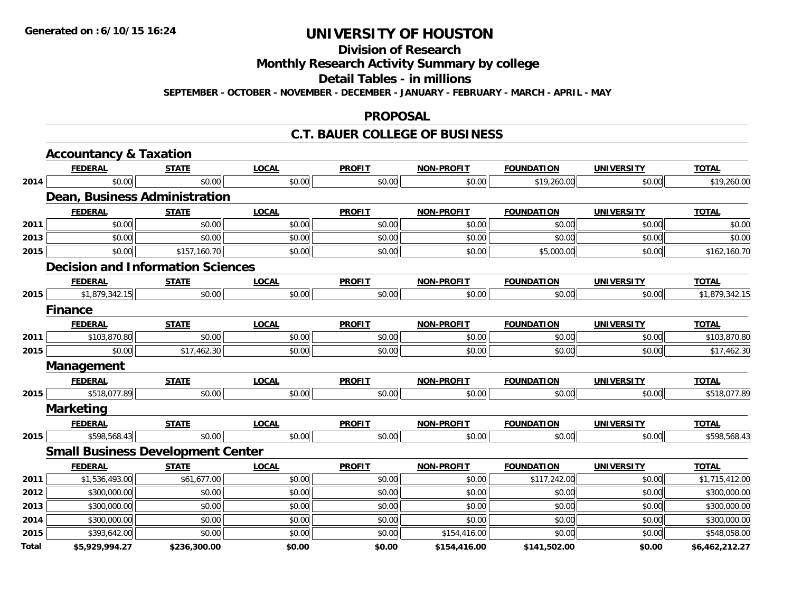**Division of Research**

**Monthly Research Activity Summary by college**

**Detail Tables - in millions**

**SEPTEMBER - OCTOBER - NOVEMBER - DECEMBER - JANUARY - FEBRUARY - MARCH - APRIL - MAY**

#### **PROPOSAL**

### **C.T. BAUER COLLEGE OF BUSINESS**

|       | <b>Accountancy &amp; Taxation</b>        |              |              |               |                   |                   |                   |                |
|-------|------------------------------------------|--------------|--------------|---------------|-------------------|-------------------|-------------------|----------------|
|       | <b>FEDERAL</b>                           | <b>STATE</b> | <b>LOCAL</b> | <b>PROFIT</b> | <b>NON-PROFIT</b> | <b>FOUNDATION</b> | <b>UNIVERSITY</b> | <b>TOTAL</b>   |
| 2014  | \$0.00                                   | \$0.00       | \$0.00       | \$0.00        | \$0.00            | \$19,260.00       | \$0.00            | \$19,260.00    |
|       | Dean, Business Administration            |              |              |               |                   |                   |                   |                |
|       | <b>FEDERAL</b>                           | <b>STATE</b> | <b>LOCAL</b> | <b>PROFIT</b> | <b>NON-PROFIT</b> | <b>FOUNDATION</b> | <b>UNIVERSITY</b> | <b>TOTAL</b>   |
| 2011  | \$0.00                                   | \$0.00       | \$0.00       | \$0.00        | \$0.00            | \$0.00            | \$0.00            | \$0.00         |
| 2013  | \$0.00                                   | \$0.00       | \$0.00       | \$0.00        | \$0.00            | \$0.00            | \$0.00            | \$0.00         |
| 2015  | \$0.00                                   | \$157,160.70 | \$0.00       | \$0.00        | \$0.00            | \$5,000.00        | \$0.00            | \$162,160.70   |
|       | <b>Decision and Information Sciences</b> |              |              |               |                   |                   |                   |                |
|       | <b>FEDERAL</b>                           | <b>STATE</b> | <b>LOCAL</b> | <b>PROFIT</b> | <b>NON-PROFIT</b> | <b>FOUNDATION</b> | <b>UNIVERSITY</b> | <b>TOTAL</b>   |
| 2015  | \$1,879,342.15                           | \$0.00       | \$0.00       | \$0.00        | \$0.00            | \$0.00            | \$0.00            | \$1,879,342.15 |
|       | <b>Finance</b>                           |              |              |               |                   |                   |                   |                |
|       | <b>FEDERAL</b>                           | <b>STATE</b> | <b>LOCAL</b> | <b>PROFIT</b> | <b>NON-PROFIT</b> | <b>FOUNDATION</b> | <b>UNIVERSITY</b> | <b>TOTAL</b>   |
| 2011  | \$103,870.80                             | \$0.00       | \$0.00       | \$0.00        | \$0.00            | \$0.00            | \$0.00            | \$103,870.80   |
| 2015  | \$0.00                                   | \$17,462.30  | \$0.00       | \$0.00        | \$0.00            | \$0.00            | \$0.00            | \$17,462.30    |
|       | Management                               |              |              |               |                   |                   |                   |                |
|       | <b>FEDERAL</b>                           | <b>STATE</b> | <b>LOCAL</b> | <b>PROFIT</b> | <b>NON-PROFIT</b> | <b>FOUNDATION</b> | <b>UNIVERSITY</b> | <b>TOTAL</b>   |
| 2015  | \$518,077.89                             | \$0.00       | \$0.00       | \$0.00        | \$0.00            | \$0.00            | \$0.00            | \$518,077.89   |
|       | <b>Marketing</b>                         |              |              |               |                   |                   |                   |                |
|       | <b>FEDERAL</b>                           | <b>STATE</b> | <b>LOCAL</b> | <b>PROFIT</b> | <b>NON-PROFIT</b> | <b>FOUNDATION</b> | <b>UNIVERSITY</b> | <b>TOTAL</b>   |
| 2015  | \$598,568.43                             | \$0.00       | \$0.00       | \$0.00        | \$0.00            | \$0.00            | \$0.00            | \$598,568.43   |
|       | <b>Small Business Development Center</b> |              |              |               |                   |                   |                   |                |
|       | <b>FEDERAL</b>                           | <b>STATE</b> | <b>LOCAL</b> | <b>PROFIT</b> | <b>NON-PROFIT</b> | <b>FOUNDATION</b> | <b>UNIVERSITY</b> | <b>TOTAL</b>   |
| 2011  | \$1,536,493.00                           | \$61,677.00  | \$0.00       | \$0.00        | \$0.00            | \$117,242.00      | \$0.00            | \$1,715,412.00 |
| 2012  | \$300,000.00                             | \$0.00       | \$0.00       | \$0.00        | \$0.00            | \$0.00            | \$0.00            | \$300,000.00   |
| 2013  | \$300,000.00                             | \$0.00       | \$0.00       | \$0.00        | \$0.00            | \$0.00            | \$0.00            | \$300,000.00   |
| 2014  | \$300,000.00                             | \$0.00       | \$0.00       | \$0.00        | \$0.00            | \$0.00            | \$0.00            | \$300,000.00   |
| 2015  | \$393,642.00                             | \$0.00       | \$0.00       | \$0.00        | \$154,416.00      | \$0.00            | \$0.00            | \$548,058.00   |
| Total | \$5,929,994.27                           | \$236,300.00 | \$0.00       | \$0.00        | \$154,416.00      | \$141,502.00      | \$0.00            | \$6,462,212.27 |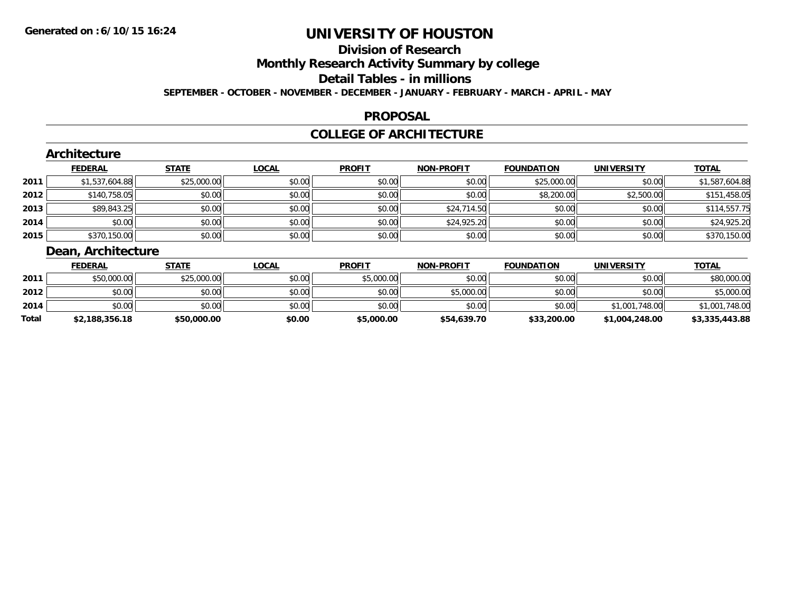# **Division of Research**

**Monthly Research Activity Summary by college**

**Detail Tables - in millions**

**SEPTEMBER - OCTOBER - NOVEMBER - DECEMBER - JANUARY - FEBRUARY - MARCH - APRIL - MAY**

### **PROPOSAL**

### **COLLEGE OF ARCHITECTURE**

|      | <b>Architecture</b>   |              |              |               |                   |                   |                   |                |
|------|-----------------------|--------------|--------------|---------------|-------------------|-------------------|-------------------|----------------|
|      | <b>FEDERAL</b>        | <b>STATE</b> | <b>LOCAL</b> | <b>PROFIT</b> | <b>NON-PROFIT</b> | <b>FOUNDATION</b> | <b>UNIVERSITY</b> | <b>TOTAL</b>   |
| 2011 | \$1,537,604.88        | \$25,000.00  | \$0.00       | \$0.00        | \$0.00            | \$25,000.00       | \$0.00            | \$1,587,604.88 |
| 2012 | \$140,758.05          | \$0.00       | \$0.00       | \$0.00        | \$0.00            | \$8,200.00        | \$2,500.00        | \$151,458.05   |
| 2013 | \$89,843.25           | \$0.00       | \$0.00       | \$0.00        | \$24,714.50       | \$0.00            | \$0.00            | \$114,557.75   |
| 2014 | \$0.00                | \$0.00       | \$0.00       | \$0.00        | \$24,925.20       | \$0.00            | \$0.00            | \$24,925.20    |
| 2015 | \$370,150.00          | \$0.00       | \$0.00       | \$0.00        | \$0.00            | \$0.00            | \$0.00            | \$370,150.00   |
|      | Design Anglick Street |              |              |               |                   |                   |                   |                |

#### **Dean, Architecture**

|       | <b>FEDERAL</b> | <u>STATE</u> | <u>LOCAL</u> | <b>PROFIT</b> | <b>NON-PROFIT</b> | <b>FOUNDATION</b> | <b>UNIVERSITY</b> | <b>TOTAL</b>   |
|-------|----------------|--------------|--------------|---------------|-------------------|-------------------|-------------------|----------------|
| 2011  | \$50,000.00    | \$25,000.00  | \$0.00       | \$5,000.00    | \$0.00            | \$0.00            | \$0.00            | \$80,000.00    |
| 2012  | \$0.00         | \$0.00       | \$0.00       | \$0.00        | \$5,000.00        | \$0.00            | \$0.00            | \$5,000.00     |
| 2014  | \$0.00         | \$0.00       | \$0.00       | \$0.00        | \$0.00            | \$0.00            | \$1,001,748,00    | \$1,001,748.00 |
| Total | \$2,188,356.18 | \$50,000.00  | \$0.00       | \$5,000.00    | \$54,639.70       | \$33,200.00       | \$1,004,248.00    | \$3,335,443.88 |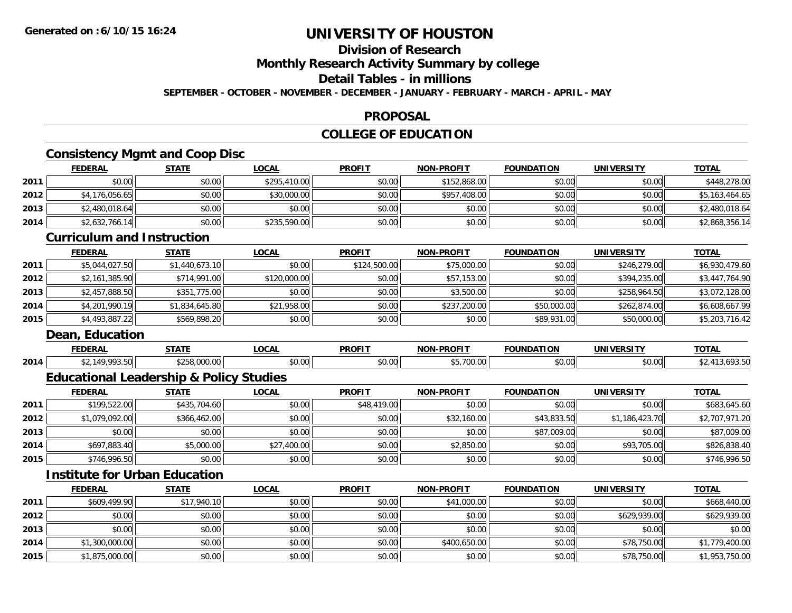# **Division of Research**

**Monthly Research Activity Summary by college**

**Detail Tables - in millions**

**SEPTEMBER - OCTOBER - NOVEMBER - DECEMBER - JANUARY - FEBRUARY - MARCH - APRIL - MAY**

#### **PROPOSAL**

### **COLLEGE OF EDUCATION**

# **Consistency Mgmt and Coop Disc**

|      |                                   | Consistency Migmt and Coop Disc                    |                |               |                   |                   |                   |                |
|------|-----------------------------------|----------------------------------------------------|----------------|---------------|-------------------|-------------------|-------------------|----------------|
|      | <b>FEDERAL</b>                    | <b>STATE</b>                                       | <b>LOCAL</b>   | <b>PROFIT</b> | <b>NON-PROFIT</b> | <b>FOUNDATION</b> | <b>UNIVERSITY</b> | <b>TOTAL</b>   |
| 2011 | \$0.00                            | \$0.00                                             | \$295,410.00   | \$0.00        | \$152,868.00      | \$0.00            | \$0.00            | \$448,278.00   |
| 2012 | \$4,176,056.65                    | \$0.00                                             | \$30,000.00    | \$0.00        | \$957,408.00      | \$0.00            | \$0.00            | \$5,163,464.65 |
| 2013 | \$2,480,018.64                    | \$0.00                                             | \$0.00         | \$0.00        | \$0.00            | \$0.00            | \$0.00            | \$2,480,018.64 |
| 2014 | \$2,632,766.14                    | \$0.00                                             | \$235,590.00   | \$0.00        | \$0.00            | \$0.00            | \$0.00            | \$2,868,356.14 |
|      | <b>Curriculum and Instruction</b> |                                                    |                |               |                   |                   |                   |                |
|      | <b>FEDERAL</b>                    | <b>STATE</b>                                       | <b>LOCAL</b>   | <b>PROFIT</b> | <b>NON-PROFIT</b> | <b>FOUNDATION</b> | <b>UNIVERSITY</b> | <b>TOTAL</b>   |
| 2011 | \$5,044,027.50                    | \$1,440,673.10                                     | \$0.00         | \$124,500.00  | \$75,000.00       | \$0.00            | \$246,279.00      | \$6,930,479.60 |
| 2012 | \$2,161,385.90                    | \$714,991.00                                       | \$120,000.00   | \$0.00        | \$57,153.00       | \$0.00            | \$394,235.00      | \$3,447,764.90 |
| 2013 | \$2,457,888.50                    | \$351,775.00                                       | \$0.00         | \$0.00        | \$3,500.00        | \$0.00            | \$258,964.50      | \$3,072,128.00 |
| 2014 | \$4,201,990.19                    | \$1,834,645.80                                     | \$21,958.00    | \$0.00        | \$237,200.00      | \$50,000.00       | \$262,874.00      | \$6,608,667.99 |
| 2015 | \$4,493,887.22                    | \$569,898.20                                       | \$0.00         | \$0.00        | \$0.00            | \$89,931.00       | \$50,000.00       | \$5,203,716.42 |
|      | Dean, Education                   |                                                    |                |               |                   |                   |                   |                |
|      | <b>FEDERAL</b>                    | <b>STATE</b>                                       | <b>LOCAL</b>   | <b>PROFIT</b> | <b>NON-PROFIT</b> | <b>FOUNDATION</b> | <b>UNIVERSITY</b> | <b>TOTAL</b>   |
| 2014 | \$2,149,993.50                    | \$258,000.00                                       | \$0.00         | \$0.00        | \$5,700.00        | \$0.00            | \$0.00            | \$2,413,693.50 |
|      |                                   | <b>Educational Leadership &amp; Policy Studies</b> |                |               |                   |                   |                   |                |
|      | <b>FEDERAL</b>                    | <b>STATE</b>                                       | <b>LOCAL</b>   | <b>PROFIT</b> | <b>NON-PROFIT</b> | <b>FOUNDATION</b> | <b>UNIVERSITY</b> | <b>TOTAL</b>   |
| 2011 | \$199,522.00                      | \$435,704.60                                       | \$0.00         | \$48,419.00   | \$0.00            | \$0.00            | \$0.00            | \$683,645.60   |
| 2012 | \$1,079,092.00                    | \$366,462.00                                       | \$0.00         | \$0.00        | \$32,160.00       | \$43,833.50       | \$1,186,423.70    | \$2,707,971.20 |
| 2013 | \$0.00                            | \$0.00                                             | \$0.00         | \$0.00        | \$0.00            | \$87,009.00       | \$0.00            | \$87,009.00    |
| 2014 | \$697,883.40                      | \$5,000.00                                         | \$27,400.00    | \$0.00        | \$2,850.00        | \$0.00            | \$93,705.00       | \$826,838.40   |
| 2015 | \$746,996.50                      | \$0.00                                             | \$0.00         | \$0.00        | \$0.00            | \$0.00            | \$0.00            | \$746,996.50   |
|      |                                   | <b>Institute for Urban Education</b>               |                |               |                   |                   |                   |                |
|      | <b>FEDERAL</b>                    | <b>STATE</b>                                       | <b>LOCAL</b>   | <b>PROFIT</b> | <b>NON-PROFIT</b> | <b>FOUNDATION</b> | <b>UNIVERSITY</b> | <b>TOTAL</b>   |
|      |                                   | $-0.44$                                            | $\overline{a}$ | $\sim$ 0.00   |                   | $\overline{a}$    | $\sim$ 0.0        | 111011000      |

|      | <u>LLDLIVAL</u> | $\frac{1}{2}$ | L      | <u>.</u> | <u>IVOIVELINOI LI</u> |        | <b>UNIVERSITI</b> | <u><u></u></u> |
|------|-----------------|---------------|--------|----------|-----------------------|--------|-------------------|----------------|
| 2011 | \$609,499.90    | \$17,940.10   | \$0.00 | \$0.00   | \$41,000.00           | \$0.00 | \$0.00            | \$668,440.00   |
| 2012 | \$0.00          | \$0.00        | \$0.00 | \$0.00   | \$0.00                | \$0.00 | \$629,939.00      | \$629,939.00   |
| 2013 | \$0.00          | \$0.00        | \$0.00 | \$0.00   | \$0.00                | \$0.00 | \$0.00            | \$0.00         |
| 2014 | \$1,300,000.00  | \$0.00        | \$0.00 | \$0.00   | \$400,650.00          | \$0.00 | \$78,750.00       | \$1,779,400.00 |
| 2015 | \$1,875,000.00  | \$0.00        | \$0.00 | \$0.00   | \$0.00                | \$0.00 | \$78,750.00       | \$1,953,750.00 |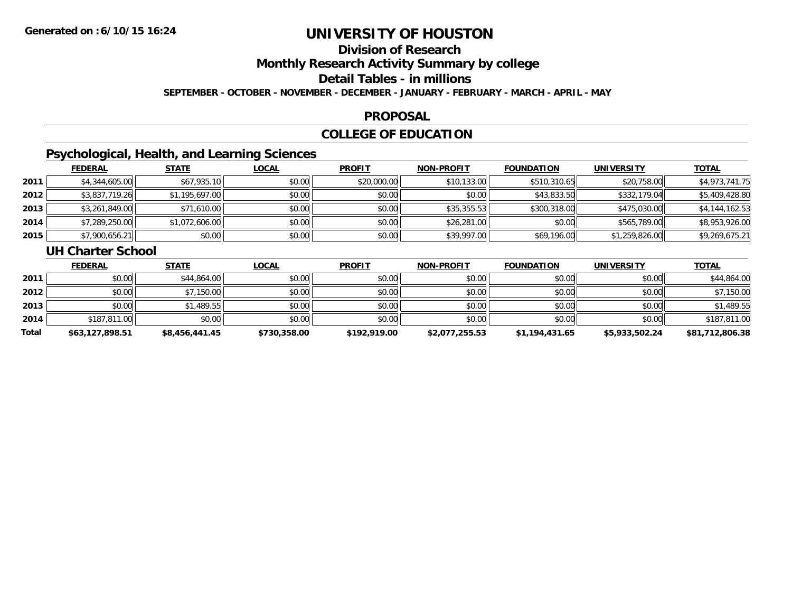## **Division of Research**

**Monthly Research Activity Summary by college**

**Detail Tables - in millions**

**SEPTEMBER - OCTOBER - NOVEMBER - DECEMBER - JANUARY - FEBRUARY - MARCH - APRIL - MAY**

#### **PROPOSAL**

### **COLLEGE OF EDUCATION**

### **Psychological, Health, and Learning Sciences**

|      | <b>FEDERAL</b> | <u>STATE</u>   | <u>LOCAL</u> | <b>PROFIT</b> | <b>NON-PROFIT</b> | <b>FOUNDATION</b> | <b>UNIVERSITY</b> | <b>TOTAL</b>   |
|------|----------------|----------------|--------------|---------------|-------------------|-------------------|-------------------|----------------|
| 2011 | \$4,344,605.00 | \$67,935.10    | \$0.00       | \$20,000.00   | \$10,133.00       | \$510,310.65      | \$20,758.00       | \$4,973,741.75 |
| 2012 | \$3,837,719.26 | \$1,195,697.00 | \$0.00       | \$0.00        | \$0.00            | \$43,833.50       | \$332,179.04      | \$5,409,428.80 |
| 2013 | \$3,261,849.00 | \$71,610.00    | \$0.00       | \$0.00        | \$35,355.53       | \$300,318.00      | \$475,030.00      | \$4,144,162.53 |
| 2014 | \$7,289,250.00 | \$1,072,606.00 | \$0.00       | \$0.00        | \$26,281.00       | \$0.00            | \$565,789.00      | \$8,953,926.00 |
| 2015 | \$7,900,656.21 | \$0.00         | \$0.00       | \$0.00        | \$39,997.00       | \$69,196.00       | \$1,259,826.00    | \$9,269,675.21 |

#### **UH Charter School**

|       | <b>FEDERAL</b>  | <b>STATE</b>   | <b>LOCAL</b> | <b>PROFIT</b> | <b>NON-PROFIT</b> | <b>FOUNDATION</b> | <b>UNIVERSITY</b> | <b>TOTAL</b>    |
|-------|-----------------|----------------|--------------|---------------|-------------------|-------------------|-------------------|-----------------|
| 2011  | \$0.00          | \$44,864.00    | \$0.00       | \$0.00        | \$0.00            | \$0.00            | \$0.00            | \$44,864.00     |
| 2012  | \$0.00          | \$7,150.00     | \$0.00       | \$0.00        | \$0.00            | \$0.00            | \$0.00            | \$7,150.00      |
| 2013  | \$0.00          | \$1,489.55     | \$0.00       | \$0.00        | \$0.00            | \$0.00            | \$0.00            | \$1,489.55      |
| 2014  | \$187,811.00    | \$0.00         | \$0.00       | \$0.00        | \$0.00            | \$0.00            | \$0.00            | \$187,811.00    |
| Total | \$63,127,898.51 | \$8,456,441.45 | \$730,358.00 | \$192,919.00  | \$2,077,255.53    | \$1,194,431.65    | \$5,933,502.24    | \$81,712,806.38 |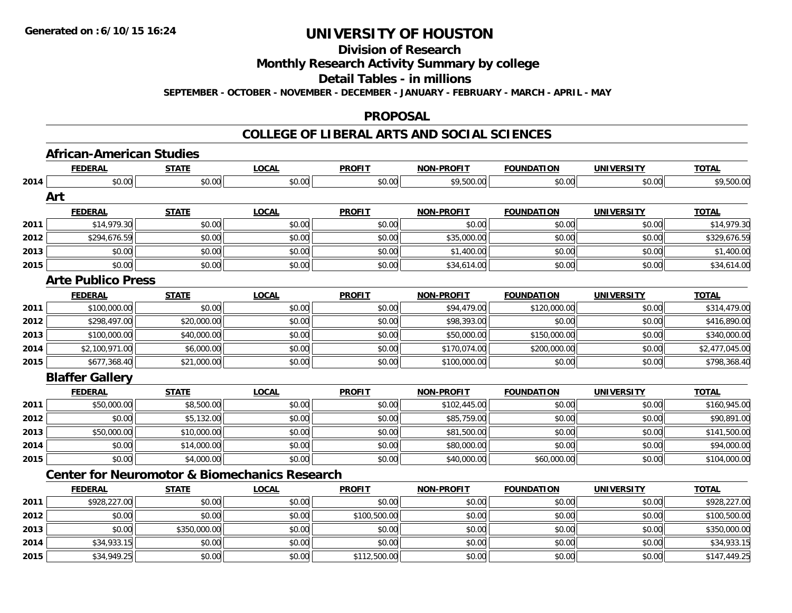**2014**

**2015**

# **UNIVERSITY OF HOUSTON**

### **Division of Research**

**Monthly Research Activity Summary by college**

**Detail Tables - in millions**

**SEPTEMBER - OCTOBER - NOVEMBER - DECEMBER - JANUARY - FEBRUARY - MARCH - APRIL - MAY**

#### **PROPOSAL**

### **COLLEGE OF LIBERAL ARTS AND SOCIAL SCIENCES**

|      | <b>FEDERAL</b>            | <b>STATE</b> | <b>LOCAL</b>                                             | <b>PROFIT</b> | <b>NON-PROFIT</b> | <b>FOUNDATION</b> | <b>UNIVERSITY</b> | <b>TOTAL</b>   |
|------|---------------------------|--------------|----------------------------------------------------------|---------------|-------------------|-------------------|-------------------|----------------|
| 2014 | \$0.00                    | \$0.00       | \$0.00                                                   | \$0.00        | \$9,500.00        | \$0.00            | \$0.00            | \$9,500.00     |
|      | Art                       |              |                                                          |               |                   |                   |                   |                |
|      | <b>FEDERAL</b>            | <b>STATE</b> | <b>LOCAL</b>                                             | <b>PROFIT</b> | <b>NON-PROFIT</b> | <b>FOUNDATION</b> | <b>UNIVERSITY</b> | <b>TOTAL</b>   |
| 2011 | \$14,979.30               | \$0.00       | \$0.00                                                   | \$0.00        | \$0.00            | \$0.00            | \$0.00            | \$14,979.30    |
| 2012 | \$294,676.59              | \$0.00       | \$0.00                                                   | \$0.00        | \$35,000.00       | \$0.00            | \$0.00            | \$329,676.59   |
| 2013 | \$0.00                    | \$0.00       | \$0.00                                                   | \$0.00        | \$1,400.00        | \$0.00            | \$0.00            | \$1,400.00     |
| 2015 | \$0.00                    | \$0.00       | \$0.00                                                   | \$0.00        | \$34,614.00       | \$0.00            | \$0.00            | \$34,614.00    |
|      | <b>Arte Publico Press</b> |              |                                                          |               |                   |                   |                   |                |
|      | <b>FEDERAL</b>            | <b>STATE</b> | <b>LOCAL</b>                                             | <b>PROFIT</b> | <b>NON-PROFIT</b> | <b>FOUNDATION</b> | <b>UNIVERSITY</b> | <b>TOTAL</b>   |
| 2011 | \$100,000.00              | \$0.00       | \$0.00                                                   | \$0.00        | \$94,479.00       | \$120,000.00      | \$0.00            | \$314,479.00   |
| 2012 | \$298,497.00              | \$20,000.00  | \$0.00                                                   | \$0.00        | \$98,393.00       | \$0.00            | \$0.00            | \$416,890.00   |
| 2013 | \$100,000.00              | \$40,000.00  | \$0.00                                                   | \$0.00        | \$50,000.00       | \$150,000.00      | \$0.00            | \$340,000.00   |
| 2014 | \$2,100,971.00            | \$6,000.00   | \$0.00                                                   | \$0.00        | \$170,074.00      | \$200,000.00      | \$0.00            | \$2,477,045.00 |
| 2015 | \$677,368.40              | \$21,000.00  | \$0.00                                                   | \$0.00        | \$100,000.00      | \$0.00            | \$0.00            | \$798,368.40   |
|      | <b>Blaffer Gallery</b>    |              |                                                          |               |                   |                   |                   |                |
|      | <b>FEDERAL</b>            | <b>STATE</b> | <b>LOCAL</b>                                             | <b>PROFIT</b> | <b>NON-PROFIT</b> | <b>FOUNDATION</b> | <b>UNIVERSITY</b> | <b>TOTAL</b>   |
| 2011 | \$50,000.00               | \$8,500.00   | \$0.00                                                   | \$0.00        | \$102,445.00      | \$0.00            | \$0.00            | \$160,945.00   |
| 2012 | \$0.00                    | \$5,132.00   | \$0.00                                                   | \$0.00        | \$85,759.00       | \$0.00            | \$0.00            | \$90,891.00    |
| 2013 | \$50,000.00               | \$10,000.00  | \$0.00                                                   | \$0.00        | \$81,500.00       | \$0.00            | \$0.00            | \$141,500.00   |
| 2014 | \$0.00                    | \$14,000.00  | \$0.00                                                   | \$0.00        | \$80,000.00       | \$0.00            | \$0.00            | \$94,000.00    |
| 2015 | \$0.00                    | \$4,000.00   | \$0.00                                                   | \$0.00        | \$40,000.00       | \$60,000.00       | \$0.00            | \$104,000.00   |
|      |                           |              | <b>Center for Neuromotor &amp; Biomechanics Research</b> |               |                   |                   |                   |                |
|      | <b>FEDERAL</b>            | <b>STATE</b> | <b>LOCAL</b>                                             | <b>PROFIT</b> | <b>NON-PROFIT</b> | <b>FOUNDATION</b> | <b>UNIVERSITY</b> | <b>TOTAL</b>   |
| 2011 | \$928,227.00              | \$0.00       | \$0.00                                                   | \$0.00        | \$0.00            | \$0.00            | \$0.00            | \$928,227.00   |
| 2012 | \$0.00                    | \$0.00       | \$0.00                                                   | \$100,500.00  | \$0.00            | \$0.00            | \$0.00            | \$100,500.00   |
| 2013 | \$0.00                    | \$350,000.00 | \$0.00                                                   | \$0.00        | \$0.00            | \$0.00            | \$0.00            | \$350,000.00   |

4 \$34,933.15 \$0.00 \$0.00 \$0.00 \$0.00 \$0.00 \$0.00 \$0.00 \$0.00 \$0.00 \$0.00 \$0.00 \$0.00 \$14,933.15

\$34,949.25 \$0.00 \$0.00 \$112,500.00 \$0.00 \$0.00 \$0.00 \$147,449.25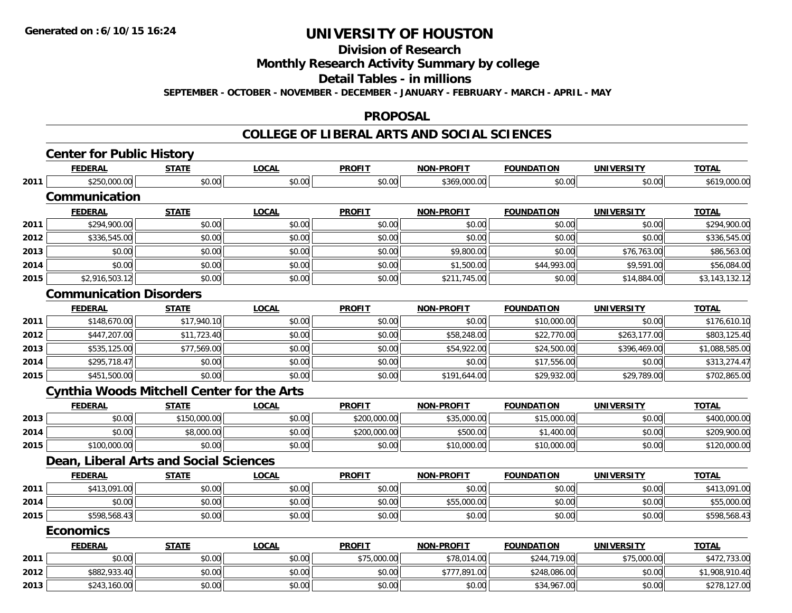**Division of Research**

**Monthly Research Activity Summary by college**

**Detail Tables - in millions**

**SEPTEMBER - OCTOBER - NOVEMBER - DECEMBER - JANUARY - FEBRUARY - MARCH - APRIL - MAY**

#### **PROPOSAL**

|      | <b>FEDERAL</b>                 | <b>STATE</b>                                      | <b>LOCAL</b> | <b>PROFIT</b> | <b>NON-PROFIT</b> | <b>FOUNDATION</b> | <b>UNIVERSITY</b> | <b>TOTAL</b>   |
|------|--------------------------------|---------------------------------------------------|--------------|---------------|-------------------|-------------------|-------------------|----------------|
| 2011 | \$250,000.00                   | \$0.00                                            | \$0.00       | \$0.00        | \$369,000.00      | \$0.00            | \$0.00            | \$619,000.00   |
|      | Communication                  |                                                   |              |               |                   |                   |                   |                |
|      | <b>FEDERAL</b>                 | <b>STATE</b>                                      | <b>LOCAL</b> | <b>PROFIT</b> | <b>NON-PROFIT</b> | <b>FOUNDATION</b> | <b>UNIVERSITY</b> | <b>TOTAL</b>   |
| 2011 | \$294,900.00                   | \$0.00                                            | \$0.00       | \$0.00        | \$0.00            | \$0.00            | \$0.00            | \$294,900.00   |
| 2012 | \$336,545.00                   | \$0.00                                            | \$0.00       | \$0.00        | \$0.00            | \$0.00            | \$0.00            | \$336,545.00   |
| 2013 | \$0.00                         | \$0.00                                            | \$0.00       | \$0.00        | \$9,800.00        | \$0.00            | \$76,763.00       | \$86,563.00    |
| 2014 | \$0.00                         | \$0.00                                            | \$0.00       | \$0.00        | \$1,500.00        | \$44,993.00       | \$9,591.00        | \$56,084.00    |
| 2015 | \$2,916,503.12                 | \$0.00                                            | \$0.00       | \$0.00        | \$211,745.00      | \$0.00            | \$14,884.00       | \$3,143,132.12 |
|      | <b>Communication Disorders</b> |                                                   |              |               |                   |                   |                   |                |
|      | <b>FEDERAL</b>                 | <b>STATE</b>                                      | <b>LOCAL</b> | <b>PROFIT</b> | <b>NON-PROFIT</b> | <b>FOUNDATION</b> | <b>UNIVERSITY</b> | <b>TOTAL</b>   |
| 2011 | \$148,670.00                   | \$17,940.10                                       | \$0.00       | \$0.00        | \$0.00            | \$10,000.00       | \$0.00            | \$176,610.10   |
| 2012 | \$447,207.00                   | \$11,723.40                                       | \$0.00       | \$0.00        | \$58,248.00       | \$22,770.00       | \$263,177.00      | \$803,125.40   |
| 2013 | \$535,125.00                   | \$77,569.00                                       | \$0.00       | \$0.00        | \$54,922.00       | \$24,500.00       | \$396,469.00      | \$1,088,585.00 |
| 2014 | \$295,718.47                   | \$0.00                                            | \$0.00       | \$0.00        | \$0.00            | \$17,556.00       | \$0.00            | \$313,274.47   |
| 2015 | \$451,500.00                   | \$0.00                                            | \$0.00       | \$0.00        | \$191,644.00      | \$29,932.00       | \$29,789.00       | \$702,865.00   |
|      |                                | <b>Cynthia Woods Mitchell Center for the Arts</b> |              |               |                   |                   |                   |                |
|      | <b>FEDERAL</b>                 | <b>STATE</b>                                      | <b>LOCAL</b> | <b>PROFIT</b> | <b>NON-PROFIT</b> | <b>FOUNDATION</b> | <b>UNIVERSITY</b> | <b>TOTAL</b>   |
| 2013 | \$0.00                         | \$150,000.00                                      | \$0.00       | \$200,000.00  | \$35,000.00       | \$15,000.00       | \$0.00            | \$400,000.00   |
| 2014 | \$0.00                         | \$8,000.00                                        | \$0.00       | \$200,000.00  | \$500.00          | \$1,400.00        | \$0.00            | \$209,900.00   |
| 2015 | \$100,000.00                   | \$0.00                                            | \$0.00       | \$0.00        | \$10,000.00       | \$10,000.00       | \$0.00            | \$120,000.00   |
|      |                                | Dean, Liberal Arts and Social Sciences            |              |               |                   |                   |                   |                |
|      | <b>FEDERAL</b>                 | <b>STATE</b>                                      | <b>LOCAL</b> | <b>PROFIT</b> | NON-PROFIT        | <b>FOUNDATION</b> | <b>UNIVERSITY</b> | <b>TOTAL</b>   |
| 2011 | \$413,091.00                   | \$0.00                                            | \$0.00       | \$0.00        | \$0.00            | \$0.00            | \$0.00            | \$413,091.00   |
| 2014 | \$0.00                         | \$0.00                                            | \$0.00       | \$0.00        | \$55,000.00       | \$0.00            | \$0.00            | \$55,000.00    |
| 2015 | \$598,568.43                   | \$0.00                                            | \$0.00       | \$0.00        | \$0.00            | \$0.00            | \$0.00            | \$598,568.43   |
|      | <b>Economics</b>               |                                                   |              |               |                   |                   |                   |                |
|      | <b>FEDERAL</b>                 | <b>STATE</b>                                      | <b>LOCAL</b> | <b>PROFIT</b> | <b>NON-PROFIT</b> | <b>FOUNDATION</b> | <b>UNIVERSITY</b> | <b>TOTAL</b>   |
| 2011 | \$0.00                         | \$0.00                                            | \$0.00       | \$75,000.00   | \$78,014.00       | \$244,719.00      | \$75,000.00       | \$472,733.00   |
| 2012 | \$882,933.40                   | \$0.00                                            | \$0.00       | \$0.00        | \$777,891.00      | \$248,086.00      | \$0.00            | \$1,908,910.40 |
| 2013 | \$243,160.00                   | \$0.00                                            | \$0.00       | \$0.00        | \$0.00            | \$34,967.00       | \$0.00            | \$278,127.00   |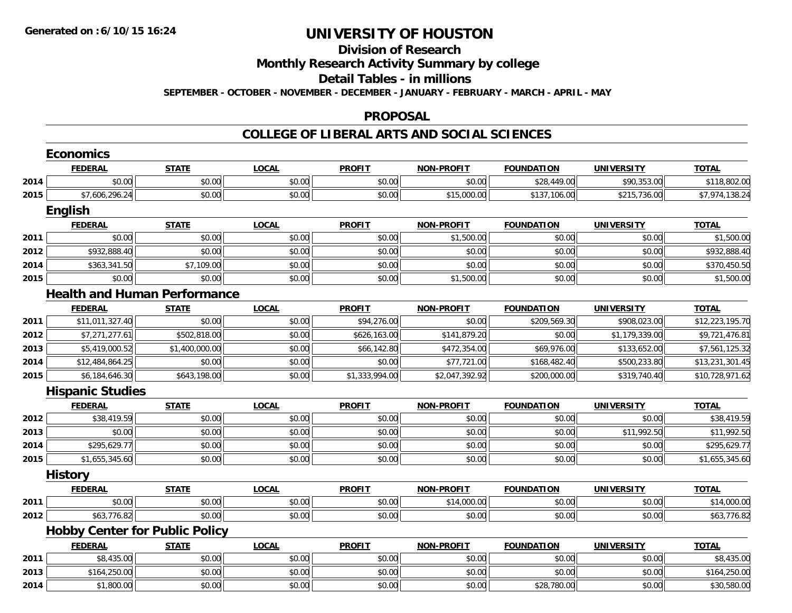#### **Division of Research**

**Monthly Research Activity Summary by college**

**Detail Tables - in millions**

**SEPTEMBER - OCTOBER - NOVEMBER - DECEMBER - JANUARY - FEBRUARY - MARCH - APRIL - MAY**

#### **PROPOSAL**

|      | <b>Economics</b>                      |                |              |                |                   |                   |                   |                 |
|------|---------------------------------------|----------------|--------------|----------------|-------------------|-------------------|-------------------|-----------------|
|      | <b>FEDERAL</b>                        | <b>STATE</b>   | <b>LOCAL</b> | <b>PROFIT</b>  | <b>NON-PROFIT</b> | <b>FOUNDATION</b> | <b>UNIVERSITY</b> | <b>TOTAL</b>    |
| 2014 | \$0.00                                | \$0.00         | \$0.00       | \$0.00         | \$0.00            | \$28,449.00       | \$90,353.00       | \$118,802.00    |
| 2015 | \$7,606,296.24                        | \$0.00         | \$0.00       | \$0.00         | \$15,000.00       | \$137,106.00      | \$215,736.00      | \$7,974,138.24  |
|      | <b>English</b>                        |                |              |                |                   |                   |                   |                 |
|      | <b>FEDERAL</b>                        | <b>STATE</b>   | <b>LOCAL</b> | <b>PROFIT</b>  | <b>NON-PROFIT</b> | <b>FOUNDATION</b> | <b>UNIVERSITY</b> | <b>TOTAL</b>    |
| 2011 | \$0.00                                | \$0.00         | \$0.00       | \$0.00         | \$1,500.00        | \$0.00            | \$0.00            | \$1,500.00      |
| 2012 | \$932,888.40                          | \$0.00         | \$0.00       | \$0.00         | \$0.00            | \$0.00            | \$0.00            | \$932,888.40    |
| 2014 | \$363,341.50                          | \$7,109.00     | \$0.00       | \$0.00         | \$0.00            | \$0.00            | \$0.00            | \$370,450.50    |
| 2015 | \$0.00                                | \$0.00         | \$0.00       | \$0.00         | \$1,500.00        | \$0.00            | \$0.00            | \$1,500.00      |
|      | <b>Health and Human Performance</b>   |                |              |                |                   |                   |                   |                 |
|      | <b>FEDERAL</b>                        | <b>STATE</b>   | <b>LOCAL</b> | <b>PROFIT</b>  | <b>NON-PROFIT</b> | <b>FOUNDATION</b> | <b>UNIVERSITY</b> | <b>TOTAL</b>    |
| 2011 | \$11,011,327.40                       | \$0.00         | \$0.00       | \$94,276.00    | \$0.00            | \$209,569.30      | \$908,023.00      | \$12,223,195.70 |
| 2012 | \$7,271,277.61                        | \$502,818.00   | \$0.00       | \$626,163.00   | \$141,879.20      | \$0.00            | \$1,179,339.00    | \$9,721,476.81  |
| 2013 | \$5,419,000.52                        | \$1,400,000.00 | \$0.00       | \$66,142.80    | \$472,354.00      | \$69,976.00       | \$133,652.00      | \$7,561,125.32  |
| 2014 | \$12,484,864.25                       | \$0.00         | \$0.00       | \$0.00         | \$77,721.00       | \$168,482.40      | \$500,233.80      | \$13,231,301.45 |
| 2015 | \$6,184,646.30                        | \$643,198.00   | \$0.00       | \$1,333,994.00 | \$2,047,392.92    | \$200,000.00      | \$319,740.40      | \$10,728,971.62 |
|      | <b>Hispanic Studies</b>               |                |              |                |                   |                   |                   |                 |
|      | <b>FEDERAL</b>                        | <b>STATE</b>   | <b>LOCAL</b> | <b>PROFIT</b>  | <b>NON-PROFIT</b> | <b>FOUNDATION</b> | <b>UNIVERSITY</b> | <b>TOTAL</b>    |
| 2012 | \$38,419.59                           | \$0.00         | \$0.00       | \$0.00         | \$0.00            | \$0.00            | \$0.00            | \$38,419.59     |
| 2013 | \$0.00                                | \$0.00         | \$0.00       | \$0.00         | \$0.00            | \$0.00            | \$11,992.50       | \$11,992.50     |
| 2014 | \$295,629.77                          | \$0.00         | \$0.00       | \$0.00         | \$0.00            | \$0.00            | \$0.00            | \$295,629.77    |
| 2015 | \$1,655,345.60                        | \$0.00         | \$0.00       | \$0.00         | \$0.00            | \$0.00            | \$0.00            | \$1,655,345.60  |
|      | <b>History</b>                        |                |              |                |                   |                   |                   |                 |
|      | <b>FEDERAL</b>                        | <b>STATE</b>   | <b>LOCAL</b> | <b>PROFIT</b>  | <b>NON-PROFIT</b> | <b>FOUNDATION</b> | <b>UNIVERSITY</b> | <b>TOTAL</b>    |
| 2011 | \$0.00                                | \$0.00         | \$0.00       | \$0.00         | \$14,000.00       | \$0.00            | \$0.00            | \$14,000.00     |
| 2012 | \$63,776.82                           | \$0.00         | \$0.00       | \$0.00         | \$0.00            | \$0.00            | \$0.00            | \$63,776.82     |
|      | <b>Hobby Center for Public Policy</b> |                |              |                |                   |                   |                   |                 |
|      | <b>FEDERAL</b>                        | <b>STATE</b>   | <b>LOCAL</b> | <b>PROFIT</b>  | <b>NON-PROFIT</b> | <b>FOUNDATION</b> | <b>UNIVERSITY</b> | <b>TOTAL</b>    |
| 2011 | \$8,435.00                            | \$0.00         | \$0.00       | \$0.00         | \$0.00            | \$0.00            | \$0.00            | \$8,435.00      |
| 2013 | \$164,250.00                          | \$0.00         | \$0.00       | \$0.00         | \$0.00            | \$0.00            | \$0.00            | \$164,250.00    |
| 2014 | \$1,800.00                            | \$0.00         | \$0.00       | \$0.00         | \$0.00            | \$28,780.00       | \$0.00            | \$30,580.00     |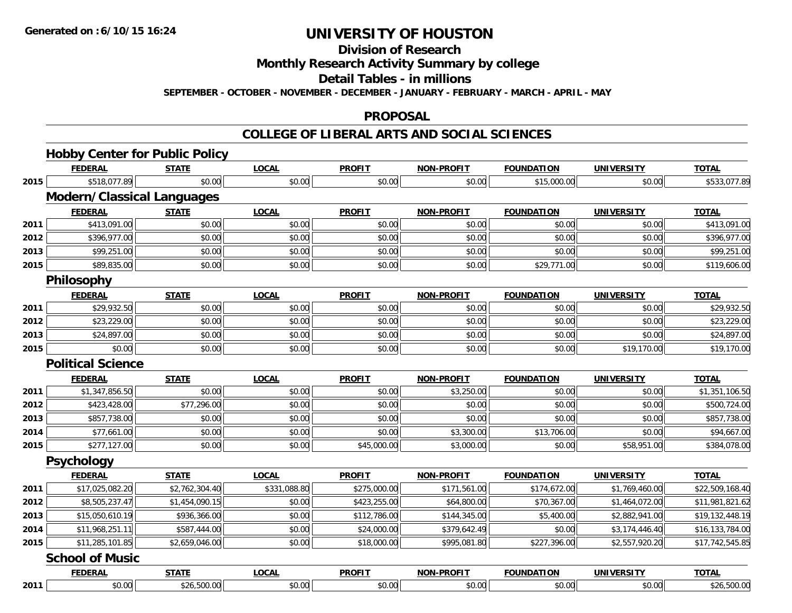**Division of Research**

**Monthly Research Activity Summary by college**

**Detail Tables - in millions**

**SEPTEMBER - OCTOBER - NOVEMBER - DECEMBER - JANUARY - FEBRUARY - MARCH - APRIL - MAY**

#### **PROPOSAL**

|      | <b>Hobby Center for Public Policy</b> |                |              |               |                   |                   |                   |                 |
|------|---------------------------------------|----------------|--------------|---------------|-------------------|-------------------|-------------------|-----------------|
|      | <b>FEDERAL</b>                        | <b>STATE</b>   | <b>LOCAL</b> | <b>PROFIT</b> | <b>NON-PROFIT</b> | <b>FOUNDATION</b> | <b>UNIVERSITY</b> | <b>TOTAL</b>    |
| 2015 | \$518,077.89                          | \$0.00         | \$0.00       | \$0.00        | \$0.00            | \$15,000.00       | \$0.00            | \$533,077.89    |
|      | <b>Modern/Classical Languages</b>     |                |              |               |                   |                   |                   |                 |
|      | <b>FEDERAL</b>                        | <b>STATE</b>   | <b>LOCAL</b> | <b>PROFIT</b> | <b>NON-PROFIT</b> | <b>FOUNDATION</b> | <b>UNIVERSITY</b> | <b>TOTAL</b>    |
| 2011 | \$413,091.00                          | \$0.00         | \$0.00       | \$0.00        | \$0.00            | \$0.00            | \$0.00            | \$413,091.00    |
| 2012 | \$396,977.00                          | \$0.00         | \$0.00       | \$0.00        | \$0.00            | \$0.00            | \$0.00            | \$396,977.00    |
| 2013 | \$99,251.00                           | \$0.00         | \$0.00       | \$0.00        | \$0.00            | \$0.00            | \$0.00            | \$99,251.00     |
| 2015 | \$89,835.00                           | \$0.00         | \$0.00       | \$0.00        | \$0.00            | \$29,771.00       | \$0.00            | \$119,606.00    |
|      | Philosophy                            |                |              |               |                   |                   |                   |                 |
|      | <b>FEDERAL</b>                        | <b>STATE</b>   | <b>LOCAL</b> | <b>PROFIT</b> | <b>NON-PROFIT</b> | <b>FOUNDATION</b> | <b>UNIVERSITY</b> | <b>TOTAL</b>    |
| 2011 | \$29,932.50                           | \$0.00         | \$0.00       | \$0.00        | \$0.00            | \$0.00            | \$0.00            | \$29,932.50     |
| 2012 | \$23,229.00                           | \$0.00         | \$0.00       | \$0.00        | \$0.00            | \$0.00            | \$0.00            | \$23,229.00     |
| 2013 | \$24,897.00                           | \$0.00         | \$0.00       | \$0.00        | \$0.00            | \$0.00            | \$0.00            | \$24,897.00     |
| 2015 | \$0.00                                | \$0.00         | \$0.00       | \$0.00        | \$0.00            | \$0.00            | \$19,170.00       | \$19,170.00     |
|      | <b>Political Science</b>              |                |              |               |                   |                   |                   |                 |
|      | <b>FEDERAL</b>                        | <b>STATE</b>   | <b>LOCAL</b> | <b>PROFIT</b> | <b>NON-PROFIT</b> | <b>FOUNDATION</b> | <b>UNIVERSITY</b> | <b>TOTAL</b>    |
| 2011 | \$1,347,856.50                        | \$0.00         | \$0.00       | \$0.00        | \$3,250.00        | \$0.00            | \$0.00            | \$1,351,106.50  |
| 2012 | \$423,428.00                          | \$77,296.00    | \$0.00       | \$0.00        | \$0.00            | \$0.00            | \$0.00            | \$500,724.00    |
| 2013 | \$857,738.00                          | \$0.00         | \$0.00       | \$0.00        | \$0.00            | \$0.00            | \$0.00            | \$857,738.00    |
| 2014 | \$77,661.00                           | \$0.00         | \$0.00       | \$0.00        | \$3,300.00        | \$13,706.00       | \$0.00            | \$94,667.00     |
| 2015 | \$277,127.00                          | \$0.00         | \$0.00       | \$45,000.00   | \$3,000.00        | \$0.00            | \$58,951.00       | \$384,078.00    |
|      | Psychology                            |                |              |               |                   |                   |                   |                 |
|      | <b>FEDERAL</b>                        | <b>STATE</b>   | <b>LOCAL</b> | <b>PROFIT</b> | <b>NON-PROFIT</b> | <b>FOUNDATION</b> | <b>UNIVERSITY</b> | <b>TOTAL</b>    |
| 2011 | \$17,025,082.20                       | \$2,762,304.40 | \$331,088.80 | \$275,000.00  | \$171,561.00      | \$174,672.00      | \$1,769,460.00    | \$22,509,168.40 |
| 2012 | \$8,505,237.47                        | \$1,454,090.15 | \$0.00       | \$423,255.00  | \$64,800.00       | \$70,367.00       | \$1,464,072.00    | \$11,981,821.62 |
| 2013 | \$15,050,610.19                       | \$936,366.00   | \$0.00       | \$112,786.00  | \$144,345.00      | \$5,400.00        | \$2,882,941.00    | \$19,132,448.19 |
| 2014 | \$11,968,251.11                       | \$587,444.00   | \$0.00       | \$24,000.00   | \$379,642.49      | \$0.00            | \$3,174,446.40    | \$16,133,784.00 |
| 2015 | \$11,285,101.85                       | \$2,659,046.00 | \$0.00       | \$18,000.00   | \$995,081.80      | \$227,396.00      | \$2,557,920.20    | \$17,742,545.85 |
|      | <b>School of Music</b>                |                |              |               |                   |                   |                   |                 |
|      | <b>FEDERAL</b>                        | <b>STATE</b>   | <b>LOCAL</b> | <b>PROFIT</b> | <b>NON-PROFIT</b> | <b>FOUNDATION</b> | <b>UNIVERSITY</b> | <b>TOTAL</b>    |
| 2011 | \$0.00                                | \$26,500.00    | \$0.00       | \$0.00        | \$0.00            | \$0.00            | \$0.00            | \$26,500.00     |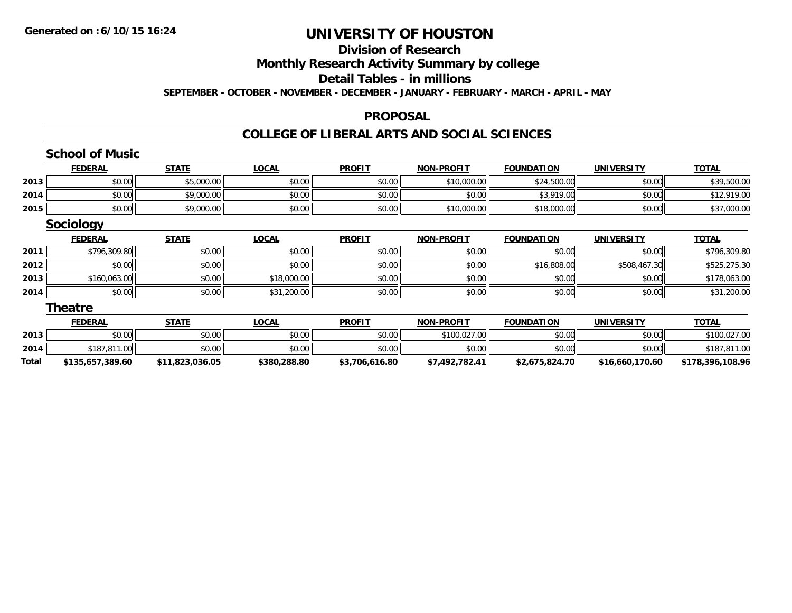#### **Division of Research**

**Monthly Research Activity Summary by college**

**Detail Tables - in millions**

**SEPTEMBER - OCTOBER - NOVEMBER - DECEMBER - JANUARY - FEBRUARY - MARCH - APRIL - MAY**

#### **PROPOSAL**

|       | <b>School of Music</b> |                 |              |                |                   |                   |                   |                  |
|-------|------------------------|-----------------|--------------|----------------|-------------------|-------------------|-------------------|------------------|
|       | <b>FEDERAL</b>         | <b>STATE</b>    | <b>LOCAL</b> | <b>PROFIT</b>  | <b>NON-PROFIT</b> | <b>FOUNDATION</b> | <b>UNIVERSITY</b> | <b>TOTAL</b>     |
| 2013  | \$0.00                 | \$5,000.00      | \$0.00       | \$0.00         | \$10,000.00       | \$24,500.00       | \$0.00            | \$39,500.00      |
| 2014  | \$0.00                 | \$9,000.00      | \$0.00       | \$0.00         | \$0.00            | \$3,919.00        | \$0.00            | \$12,919.00      |
| 2015  | \$0.00                 | \$9,000.00      | \$0.00       | \$0.00         | \$10,000.00       | \$18,000.00       | \$0.00            | \$37,000.00      |
|       | <b>Sociology</b>       |                 |              |                |                   |                   |                   |                  |
|       | <b>FEDERAL</b>         | <b>STATE</b>    | <b>LOCAL</b> | <b>PROFIT</b>  | <b>NON-PROFIT</b> | <b>FOUNDATION</b> | <b>UNIVERSITY</b> | <b>TOTAL</b>     |
| 2011  | \$796,309.80           | \$0.00          | \$0.00       | \$0.00         | \$0.00            | \$0.00            | \$0.00            | \$796,309.80     |
| 2012  | \$0.00                 | \$0.00          | \$0.00       | \$0.00         | \$0.00            | \$16,808.00       | \$508,467.30      | \$525,275.30     |
| 2013  | \$160,063.00           | \$0.00          | \$18,000.00  | \$0.00         | \$0.00            | \$0.00            | \$0.00            | \$178,063.00     |
| 2014  | \$0.00                 | \$0.00          | \$31,200.00  | \$0.00         | \$0.00            | \$0.00            | \$0.00            | \$31,200.00      |
|       | <b>Theatre</b>         |                 |              |                |                   |                   |                   |                  |
|       | <b>FEDERAL</b>         | <b>STATE</b>    | <b>LOCAL</b> | <b>PROFIT</b>  | <b>NON-PROFIT</b> | <b>FOUNDATION</b> | <b>UNIVERSITY</b> | <b>TOTAL</b>     |
| 2013  | \$0.00                 | \$0.00          | \$0.00       | \$0.00         | \$100,027.00      | \$0.00            | \$0.00            | \$100,027.00     |
| 2014  | \$187,811.00           | \$0.00          | \$0.00       | \$0.00         | \$0.00            | \$0.00            | \$0.00            | \$187,811.00     |
| Total | \$135,657,389.60       | \$11,823,036.05 | \$380,288.80 | \$3,706,616.80 | \$7,492,782.41    | \$2,675,824.70    | \$16,660,170.60   | \$178,396,108.96 |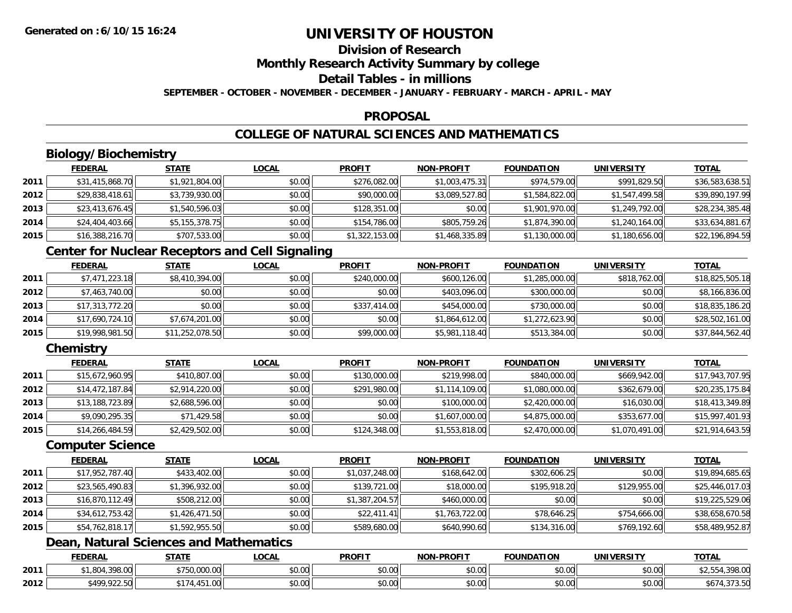# **Division of Research**

**Monthly Research Activity Summary by college**

### **Detail Tables - in millions**

**SEPTEMBER - OCTOBER - NOVEMBER - DECEMBER - JANUARY - FEBRUARY - MARCH - APRIL - MAY**

### **PROPOSAL**

### **COLLEGE OF NATURAL SCIENCES AND MATHEMATICS**

## **Biology/Biochemistry**

|      | <b>FEDERAL</b>  | <b>STATE</b>   | <u>LOCAL</u> | <b>PROFIT</b>  | <b>NON-PROFIT</b> | <b>FOUNDATION</b> | <b>UNIVERSITY</b> | <b>TOTAL</b>    |
|------|-----------------|----------------|--------------|----------------|-------------------|-------------------|-------------------|-----------------|
| 2011 | \$31,415,868.70 | \$1,921,804.00 | \$0.00       | \$276,082.00   | \$1,003,475.31    | \$974,579.00      | \$991,829.50      | \$36,583,638.51 |
| 2012 | \$29,838,418.61 | \$3,739,930.00 | \$0.00       | \$90,000.00    | \$3,089,527.80    | \$1,584,822.00    | \$1,547,499.58    | \$39,890,197.99 |
| 2013 | \$23,413,676.45 | \$1,540,596.03 | \$0.00       | \$128,351.00   | \$0.00            | \$1,901,970.00    | \$1,249,792.00    | \$28,234,385.48 |
| 2014 | \$24,404,403.66 | \$5,155,378.75 | \$0.00       | \$154,786.00   | \$805,759.26      | \$1,874,390.00    | \$1,240,164.00    | \$33,634,881.67 |
| 2015 | \$16,388,216.70 | \$707,533.00   | \$0.00       | \$1,322,153.00 | \$1,468,335.89    | \$1,130,000.00    | \$1,180,656.00    | \$22,196,894.59 |

### **Center for Nuclear Receptors and Cell Signaling**

|      | <b>FEDERAL</b>  | <b>STATE</b>    | <b>LOCAL</b> | <b>PROFIT</b> | <b>NON-PROFIT</b> | <b>FOUNDATION</b> | <b>UNIVERSITY</b> | <b>TOTAL</b>    |
|------|-----------------|-----------------|--------------|---------------|-------------------|-------------------|-------------------|-----------------|
| 2011 | \$7,471,223.18  | \$8,410,394.00  | \$0.00       | \$240,000.00  | \$600,126.00      | \$1,285,000.00    | \$818,762.00      | \$18,825,505.18 |
| 2012 | \$7,463,740.00  | \$0.00          | \$0.00       | \$0.00        | \$403,096.00      | \$300,000.00      | \$0.00            | \$8,166,836.00  |
| 2013 | \$17,313,772.20 | \$0.00          | \$0.00       | \$337,414.00  | \$454,000.00      | \$730,000.00      | \$0.00            | \$18,835,186.20 |
| 2014 | \$17,690,724.10 | \$7,674,201.00  | \$0.00       | \$0.00        | \$1,864,612.00    | \$1,272,623.90    | \$0.00            | \$28,502,161.00 |
| 2015 | \$19,998,981.50 | \$11,252,078.50 | \$0.00       | \$99,000.00   | \$5,981,118.40    | \$513,384.00      | \$0.00            | \$37,844,562.40 |

### **Chemistry**

|      | <b>FEDERAL</b>  | <b>STATE</b>   | <b>LOCAL</b> | <b>PROFIT</b> | <b>NON-PROFIT</b> | <b>FOUNDATION</b> | UNIVERSITY     | <u>TOTAL</u>    |
|------|-----------------|----------------|--------------|---------------|-------------------|-------------------|----------------|-----------------|
| 2011 | \$15,672,960.95 | \$410,807.00   | \$0.00       | \$130,000.00  | \$219,998.00      | \$840,000.00      | \$669,942.00   | \$17,943,707.95 |
| 2012 | \$14,472,187.84 | \$2,914,220.00 | \$0.00       | \$291,980.00  | \$1,114,109.00    | \$1,080,000.00    | \$362,679.00   | \$20,235,175.84 |
| 2013 | \$13,188,723.89 | \$2,688,596.00 | \$0.00       | \$0.00        | \$100,000.00      | \$2,420,000.00    | \$16,030.00    | \$18,413,349.89 |
| 2014 | \$9,090,295.35  | \$71,429.58    | \$0.00       | \$0.00        | \$1,607,000.00    | \$4,875,000.00    | \$353,677.00   | \$15,997,401.93 |
| 2015 | \$14,266,484.59 | \$2,429,502.00 | \$0.00       | \$124,348.00  | \$1,553,818.00    | \$2,470,000.00    | \$1,070,491.00 | \$21,914,643.59 |

#### **Computer Science**

|      | <b>FEDERAL</b>  | <b>STATE</b>   | <b>LOCAL</b> | <b>PROFIT</b>  | <b>NON-PROFIT</b> | <b>FOUNDATION</b> | <b>UNIVERSITY</b> | <b>TOTAL</b>    |
|------|-----------------|----------------|--------------|----------------|-------------------|-------------------|-------------------|-----------------|
| 2011 | \$17,952,787.40 | \$433,402.00   | \$0.00       | \$1,037,248.00 | \$168,642.00      | \$302,606.25      | \$0.00            | \$19,894,685.65 |
| 2012 | \$23,565,490.83 | \$1,396,932.00 | \$0.00       | \$139,721.00   | \$18,000.00       | \$195,918.20      | \$129,955.00      | \$25,446,017.03 |
| 2013 | \$16,870,112.49 | \$508,212.00   | \$0.00       | \$1,387,204.57 | \$460,000.00      | \$0.00            | \$0.00            | \$19,225,529.06 |
| 2014 | \$34,612,753.42 | \$1,426,471.50 | \$0.00       | \$22,411.41    | \$1,763,722.00    | \$78,646.25       | \$754,666.00      | \$38,658,670.58 |
| 2015 | \$54,762,818.17 | \$1,592,955.50 | \$0.00       | \$589,680.00   | \$640,990.60      | \$134,316.00      | \$769,192.60      | \$58,489,952.87 |

### **Dean, Natural Sciences and Mathematics**

|      | <b>FEDERAL</b>                 | $- - - - -$               | <b>_OCAI</b>       | <b>PROFIT</b>      | <b>J-PROFIT</b><br>810 B.I | FOUNDATION     | UNIVERSITY | <b>TOTA</b>         |
|------|--------------------------------|---------------------------|--------------------|--------------------|----------------------------|----------------|------------|---------------------|
| 2011 | 200.00<br>$\Omega$<br>. 70. UU | 000<br>$\sim$<br>u,uuu.uu | 0.000<br>vu.vu     | ደሰ ሰሰ<br>vu.uu     | 0000<br>vu.vu              | \$0.00         | \$0.00     | 0.0000<br>, 370. UU |
| 2012 | \$400,022.50<br>722.JU         |                           | $\sim$ 00<br>vv.vv | $\sim$ 00<br>PU.UU | 0000<br><b>DU.UG</b>       | 0000<br>\$0.00 | \$0.00     | 30.52<br>. JI J. JU |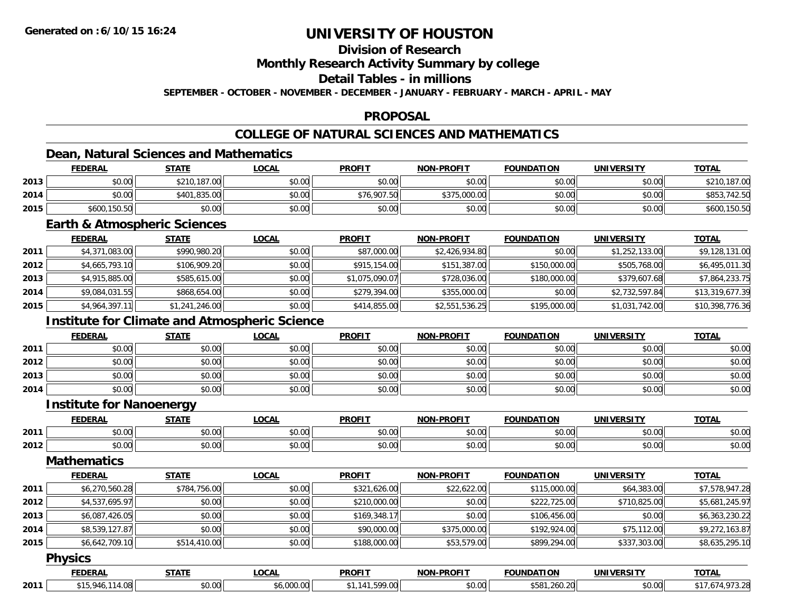### **Division of Research**

**Monthly Research Activity Summary by college**

**Detail Tables - in millions**

**SEPTEMBER - OCTOBER - NOVEMBER - DECEMBER - JANUARY - FEBRUARY - MARCH - APRIL - MAY**

### **PROPOSAL**

### **COLLEGE OF NATURAL SCIENCES AND MATHEMATICS**

### **Dean, Natural Sciences and Mathematics**

|      | <b>FEDERAL</b> | <b>STATE</b> | <b>LOCAL</b> | <b>PROFIT</b> | <b>NON-PROFIT</b> | <b>FOUNDATION</b> | UNIVERSITY | <b>TOTAL</b>      |
|------|----------------|--------------|--------------|---------------|-------------------|-------------------|------------|-------------------|
| 2013 | \$0.00         | \$210,187.00 | \$0.00       | \$0.00        | \$0.00            | \$0.00            | \$0.00     | ,187.00           |
| 2014 | \$0.00         | \$401,835.00 | \$0.00       | \$76,907.50   | \$375,000.00      | \$0.00            | \$0.00     | .742.50<br>\$853, |
| 2015 | \$600,150.50   | \$0.00       | \$0.00       | \$0.00        | \$0.00            | \$0.00            | \$0.00     | \$600,150.50      |

### **Earth & Atmospheric Sciences**

|      | <b>FEDERAL</b> | <u>STATE</u>   | <b>LOCAL</b> | <b>PROFIT</b>  | <b>NON-PROFIT</b> | <b>FOUNDATION</b> | <b>UNIVERSITY</b> | <b>TOTAL</b>    |
|------|----------------|----------------|--------------|----------------|-------------------|-------------------|-------------------|-----------------|
| 2011 | \$4,371,083.00 | \$990,980.20   | \$0.00       | \$87,000.00    | \$2,426,934.80    | \$0.00            | \$1,252,133.00    | \$9,128,131.00  |
| 2012 | \$4,665,793.10 | \$106,909.20   | \$0.00       | \$915,154.00   | \$151,387.00      | \$150,000.00      | \$505,768.00      | \$6,495,011.30  |
| 2013 | \$4,915,885.00 | \$585,615.00   | \$0.00       | \$1,075,090.07 | \$728,036.00      | \$180,000.00      | \$379,607.68      | \$7,864,233.75  |
| 2014 | \$9,084,031.55 | \$868,654.00   | \$0.00       | \$279,394.00   | \$355,000.00      | \$0.00            | \$2,732,597.84    | \$13,319,677.39 |
| 2015 | \$4,964,397.11 | \$1,241,246.00 | \$0.00       | \$414,855.00   | \$2,551,536.25    | \$195,000.00      | \$1,031,742.00    | \$10,398,776.36 |

### **Institute for Climate and Atmospheric Science**

|      | <b>FEDERAL</b> | <b>STATE</b> | <b>LOCAL</b> | <b>PROFIT</b> | <b>NON-PROFIT</b> | FOUNDATION | <b>UNIVERSITY</b> | <b>TOTAL</b> |
|------|----------------|--------------|--------------|---------------|-------------------|------------|-------------------|--------------|
| 2011 | \$0.00         | \$0.00       | \$0.00       | \$0.00        | \$0.00            | \$0.00     | \$0.00            | \$0.00       |
| 2012 | \$0.00         | \$0.00       | \$0.00       | \$0.00        | \$0.00            | \$0.00     | \$0.00            | \$0.00       |
| 2013 | \$0.00         | \$0.00       | \$0.00       | \$0.00        | \$0.00            | \$0.00     | \$0.00            | \$0.00       |
| 2014 | \$0.00         | \$0.00       | \$0.00       | \$0.00        | \$0.00            | \$0.00     | \$0.00            | \$0.00       |

### **Institute for Nanoenergy**

|      | <b>FEDERAI</b> | 27.77              | <b>OCAL</b>   | <b>PROFIT</b>           | -PROFIT<br>NON'                         | <b>FOUNDATION</b>  | <b>IINIVEDSITV</b> | $+2+1$                 |
|------|----------------|--------------------|---------------|-------------------------|-----------------------------------------|--------------------|--------------------|------------------------|
| 2011 | ⊄∩ ∪v<br>,u.uu | 0.00<br>טט.טע      | 0.00<br>vv.vv | 0000<br>JU.UL           | $\uparrow$ $\wedge$ $\uparrow$<br>pu.uu | $\sim$ 00<br>JU.UU | $\sim$ 00<br>J∪.∪∪ | $\sim$ $\sim$<br>DU.UG |
| 2012 | \$0.00         | $\sim$ 00<br>JU.UU | 0000<br>JU.UU | 0 <sub>n</sub><br>JU.UL | $\sim$ 00<br>pu.uu                      | $\sim$ 00<br>טט.טע | $\sim$ 00<br>vv.vv | $\sim$<br>DU.UG        |

### **Mathematics**

|      | <b>FEDERAL</b> | <b>STATE</b> | LOCAL  | <b>PROFIT</b> | <b>NON-PROFIT</b> | <b>FOUNDATION</b> | UNIVERSITY   | <b>TOTAL</b>   |
|------|----------------|--------------|--------|---------------|-------------------|-------------------|--------------|----------------|
| 2011 | \$6,270,560.28 | \$784,756.00 | \$0.00 | \$321,626.00  | \$22,622.00       | \$115,000.00      | \$64,383.00  | \$7,578,947.28 |
| 2012 | \$4,537,695.97 | \$0.00       | \$0.00 | \$210,000.00  | \$0.00            | \$222,725.00      | \$710,825.00 | \$5,681,245.97 |
| 2013 | \$6,087,426.05 | \$0.00       | \$0.00 | \$169,348.17  | \$0.00            | \$106,456.00      | \$0.00       | \$6,363,230.22 |
| 2014 | \$8,539,127.87 | \$0.00       | \$0.00 | \$90,000.00   | \$375,000.00      | \$192,924.00      | \$75,112.00  | \$9,272,163.87 |
| 2015 | \$6,642,709.10 | \$514,410.00 | \$0.00 | \$188,000.00  | \$53,579.00       | \$899,294.00      | \$337,303.00 | \$8,635,295.10 |

#### **Physics**

|      | ------ | -----              | $\sim$<br>. | <b>PROFIT</b> | .<br>$\sim$        |     |            | <b>TOTAL</b> |
|------|--------|--------------------|-------------|---------------|--------------------|-----|------------|--------------|
| 2011 |        | $\sim$ 00<br>JU.UU |             |               | $\sim$ 00<br>וט.טי | , n | $\sim$ 00. |              |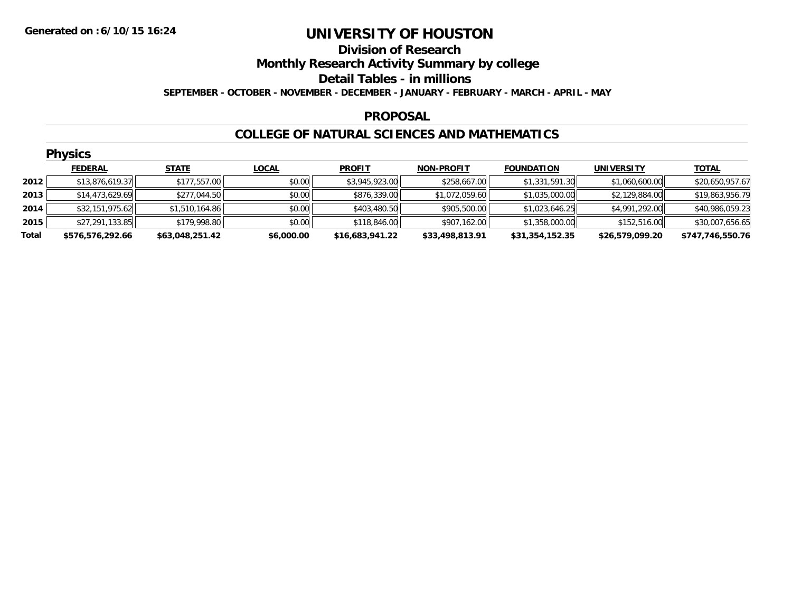### **Division of Research Monthly Research Activity Summary by college Detail Tables - in millions SEPTEMBER - OCTOBER - NOVEMBER - DECEMBER - JANUARY - FEBRUARY - MARCH - APRIL - MAY**

#### **PROPOSAL**

#### **COLLEGE OF NATURAL SCIENCES AND MATHEMATICS**

|       | <b>Physics</b>   |                 |              |                 |                   |                   |                   |                  |  |  |  |  |
|-------|------------------|-----------------|--------------|-----------------|-------------------|-------------------|-------------------|------------------|--|--|--|--|
|       | <b>FEDERAL</b>   | <b>STATE</b>    | <b>LOCAL</b> | <b>PROFIT</b>   | <b>NON-PROFIT</b> | <b>FOUNDATION</b> | <b>UNIVERSITY</b> | <b>TOTAL</b>     |  |  |  |  |
| 2012  | \$13,876,619.37  | \$177,557.00    | \$0.00       | \$3,945,923.00  | \$258,667.00      | \$1,331,591.30    | \$1,060,600.00    | \$20,650,957.67  |  |  |  |  |
| 2013  | \$14,473,629.69  | \$277,044.50    | \$0.00       | \$876,339.00    | \$1,072,059.60    | \$1,035,000.00    | \$2,129,884.00    | \$19,863,956.79  |  |  |  |  |
| 2014  | \$32,151,975.62  | \$1,510,164.86  | \$0.00       | \$403,480.50    | \$905,500.00      | \$1,023,646.25    | \$4,991,292.00    | \$40,986,059.23  |  |  |  |  |
| 2015  | \$27,291,133.85  | \$179,998.80    | \$0.00       | \$118,846.00    | \$907,162.00      | \$1,358,000.00    | \$152,516.00      | \$30,007,656.65  |  |  |  |  |
| Total | \$576,576,292.66 | \$63,048,251.42 | \$6,000.00   | \$16,683,941.22 | \$33,498,813.91   | \$31,354,152.35   | \$26,579,099.20   | \$747,746,550.76 |  |  |  |  |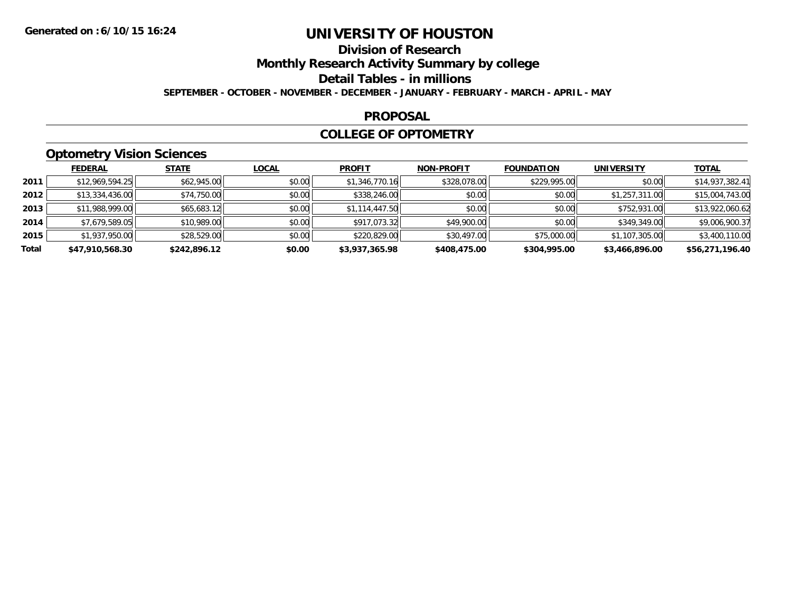# **Division of Research**

**Monthly Research Activity Summary by college**

**Detail Tables - in millions**

**SEPTEMBER - OCTOBER - NOVEMBER - DECEMBER - JANUARY - FEBRUARY - MARCH - APRIL - MAY**

### **PROPOSAL**

### **COLLEGE OF OPTOMETRY**

## **Optometry Vision Sciences**

|       | <b>FEDERAL</b>  | <b>STATE</b> | <b>LOCAL</b> | <b>PROFIT</b>  | <b>NON-PROFIT</b> | <b>FOUNDATION</b> | <b>UNIVERSITY</b> | <b>TOTAL</b>    |
|-------|-----------------|--------------|--------------|----------------|-------------------|-------------------|-------------------|-----------------|
| 2011  | \$12,969,594.25 | \$62,945.00  | \$0.00       | \$1,346,770.16 | \$328,078.00      | \$229,995.00      | \$0.00            | \$14,937,382.41 |
| 2012  | \$13,334,436.00 | \$74,750.00  | \$0.00       | \$338,246.00   | \$0.00            | \$0.00            | \$1,257,311.00    | \$15,004,743.00 |
| 2013  | \$11,988,999.00 | \$65,683.12  | \$0.00       | \$1,114,447.50 | \$0.00            | \$0.00            | \$752,931.00      | \$13,922,060.62 |
| 2014  | \$7,679,589.05  | \$10,989.00  | \$0.00       | \$917,073.32   | \$49,900.00       | \$0.00            | \$349,349.00      | \$9,006,900.37  |
| 2015  | \$1,937,950.00  | \$28,529.00  | \$0.00       | \$220,829.00   | \$30,497.00       | \$75,000.00       | \$1,107,305.00    | \$3,400,110.00  |
| Total | \$47,910,568.30 | \$242,896.12 | \$0.00       | \$3,937,365.98 | \$408,475.00      | \$304,995.00      | \$3,466,896.00    | \$56,271,196.40 |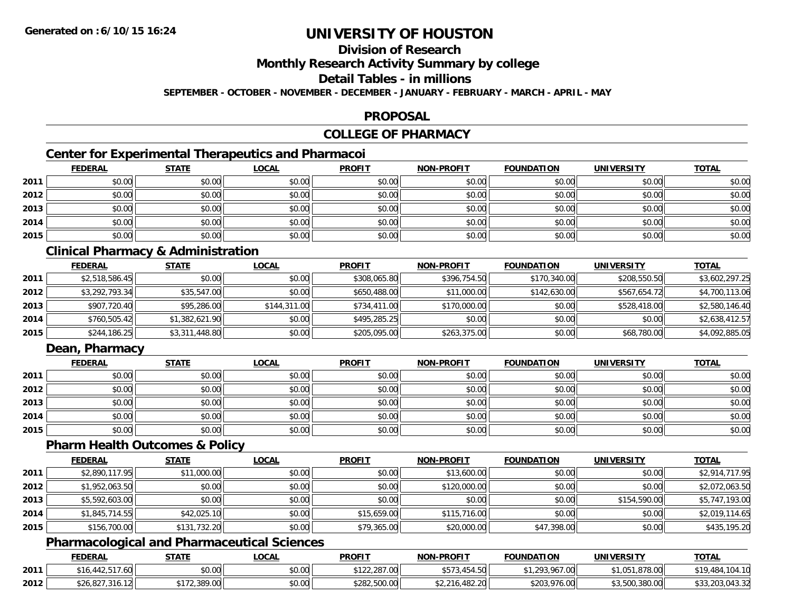### **Division of Research**

**Monthly Research Activity Summary by college**

**Detail Tables - in millions**

**SEPTEMBER - OCTOBER - NOVEMBER - DECEMBER - JANUARY - FEBRUARY - MARCH - APRIL - MAY**

#### **PROPOSAL**

## **COLLEGE OF PHARMACY**

## **Center for Experimental Therapeutics and Pharmacoi**

|      | <b>FEDERAL</b> | <b>STATE</b> | <b>LOCAL</b> | <b>PROFIT</b> | <b>NON-PROFIT</b> | <b>FOUNDATION</b> | <b>UNIVERSITY</b> | <b>TOTAL</b> |
|------|----------------|--------------|--------------|---------------|-------------------|-------------------|-------------------|--------------|
| 2011 | \$0.00         | \$0.00       | \$0.00       | \$0.00        | \$0.00            | \$0.00            | \$0.00            | \$0.00       |
| 2012 | \$0.00         | \$0.00       | \$0.00       | \$0.00        | \$0.00            | \$0.00            | \$0.00            | \$0.00       |
| 2013 | \$0.00         | \$0.00       | \$0.00       | \$0.00        | \$0.00            | \$0.00            | \$0.00            | \$0.00       |
| 2014 | \$0.00         | \$0.00       | \$0.00       | \$0.00        | \$0.00            | \$0.00            | \$0.00            | \$0.00       |
| 2015 | \$0.00         | \$0.00       | \$0.00       | \$0.00        | \$0.00            | \$0.00            | \$0.00            | \$0.00       |

### **Clinical Pharmacy & Administration**

|      | <b>FEDERAL</b> | <b>STATE</b>   | <b>LOCAL</b> | <b>PROFIT</b> | <b>NON-PROFIT</b> | <b>FOUNDATION</b> | <b>UNIVERSITY</b> | <b>TOTAL</b>   |
|------|----------------|----------------|--------------|---------------|-------------------|-------------------|-------------------|----------------|
| 2011 | \$2,518,586.45 | \$0.00         | \$0.00       | \$308,065.80  | \$396,754.50      | \$170,340.00      | \$208,550.50      | \$3,602,297.25 |
| 2012 | \$3,292,793.34 | \$35,547.00    | \$0.00       | \$650,488.00  | \$11,000.00       | \$142,630.00      | \$567,654.72      | \$4,700,113.06 |
| 2013 | \$907,720.40   | \$95,286.00    | \$144,311.00 | \$734,411.00  | \$170,000.00      | \$0.00            | \$528,418.00      | \$2,580,146.40 |
| 2014 | \$760,505.42   | \$1,382,621.90 | \$0.00       | \$495,285.25  | \$0.00            | \$0.00            | \$0.00            | \$2,638,412.57 |
| 2015 | \$244,186.25   | \$3,311,448.80 | \$0.00       | \$205,095.00  | \$263,375.00      | \$0.00            | \$68,780.00       | \$4,092,885.05 |

### **Dean, Pharmacy**

|      | <b>FEDERAL</b> | <u>STATE</u> | <u>LOCAL</u> | <b>PROFIT</b> | <b>NON-PROFIT</b> | <b>FOUNDATION</b> | <b>UNIVERSITY</b> | <b>TOTAL</b> |
|------|----------------|--------------|--------------|---------------|-------------------|-------------------|-------------------|--------------|
| 2011 | \$0.00         | \$0.00       | \$0.00       | \$0.00        | \$0.00            | \$0.00            | \$0.00            | \$0.00       |
| 2012 | \$0.00         | \$0.00       | \$0.00       | \$0.00        | \$0.00            | \$0.00            | \$0.00            | \$0.00       |
| 2013 | \$0.00         | \$0.00       | \$0.00       | \$0.00        | \$0.00            | \$0.00            | \$0.00            | \$0.00       |
| 2014 | \$0.00         | \$0.00       | \$0.00       | \$0.00        | \$0.00            | \$0.00            | \$0.00            | \$0.00       |
| 2015 | \$0.00         | \$0.00       | \$0.00       | \$0.00        | \$0.00            | \$0.00            | \$0.00            | \$0.00       |

#### **Pharm Health Outcomes & Policy**

|      | <b>FEDERAL</b> | <b>STATE</b> | <u>LOCAL</u> | <b>PROFIT</b> | <b>NON-PROFIT</b> | <b>FOUNDATION</b> | <b>UNIVERSITY</b> | <b>TOTAL</b>   |
|------|----------------|--------------|--------------|---------------|-------------------|-------------------|-------------------|----------------|
| 2011 | \$2,890,117.95 | \$11,000.00  | \$0.00       | \$0.00        | \$13,600.00       | \$0.00            | \$0.00            | \$2,914,717.95 |
| 2012 | \$1,952,063.50 | \$0.00       | \$0.00       | \$0.00        | \$120,000.00      | \$0.00            | \$0.00            | \$2,072,063.50 |
| 2013 | \$5,592,603.00 | \$0.00       | \$0.00       | \$0.00        | \$0.00            | \$0.00            | \$154,590.00      | \$5,747,193.00 |
| 2014 | \$1,845,714.55 | \$42,025.10  | \$0.00       | \$15,659.00   | \$115,716.00      | \$0.00            | \$0.00            | \$2,019,114.65 |
| 2015 | \$156,700.00   | \$131,732.20 | \$0.00       | \$79,365.00   | \$20,000.00       | \$47,398.00       | \$0.00            | \$435,195.20   |

### **Pharmacological and Pharmaceutical Sciences**

|      | <b>FEDERAL</b>                    | <b>STATE</b>          | <u>LOCAL</u> | <b>PROFIT</b>                  | <b>NON-PROFIT</b>         | <b>FOUNDATION</b>      | UNIVERSITY     | <b>TOTAL</b>    |
|------|-----------------------------------|-----------------------|--------------|--------------------------------|---------------------------|------------------------|----------------|-----------------|
| 2011 | $\cdots$<br>16<br>.ou<br>- 442.J. | \$0.00                | \$0.00       | ተ 1 ግጣ<br>207.00<br>122.201.00 | $1 - 1 - 2$<br>, טוט<br>. | 293.967.00<br>ى س      | 1,878.00       | 04.10<br>,404   |
| 2012 | \$26,827.<br>.316.                | 200.00<br>- 72,389.UU | \$0.00       | \$282,500.00                   | \$2,216,482.20            | \$203,976.00<br>3 لاير | \$3,500,380.00 | \$33,203,043.32 |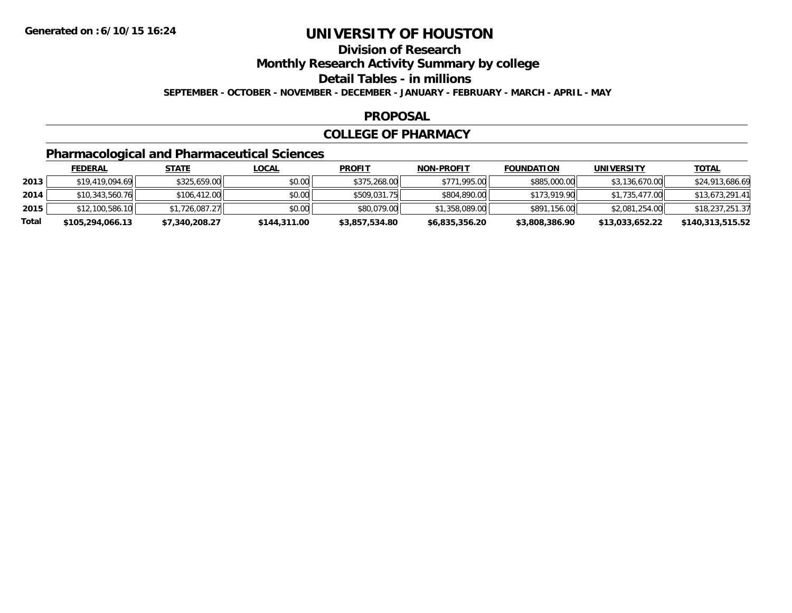## **Division of Research**

**Monthly Research Activity Summary by college**

**Detail Tables - in millions**

**SEPTEMBER - OCTOBER - NOVEMBER - DECEMBER - JANUARY - FEBRUARY - MARCH - APRIL - MAY**

#### **PROPOSAL**

### **COLLEGE OF PHARMACY**

## **Pharmacological and Pharmaceutical Sciences**

|       | <b>FEDERAL</b>   | <u>STATE</u>   | <u>LOCAL</u> | <b>PROFIT</b>  | <b>NON-PROFIT</b> | <b>FOUNDATION</b> | UNIVERSITY      | <b>TOTAL</b>     |
|-------|------------------|----------------|--------------|----------------|-------------------|-------------------|-----------------|------------------|
| 2013  | \$19,419,094.69  | \$325,659,00   | \$0.00       | \$375,268.00   | \$771,995.00      | \$885,000.00      | \$3,136,670.00  | \$24,913,686.69  |
| 2014  | \$10,343,560.76  | \$106,412.00   | \$0.00       | \$509,031.75   | \$804,890.00      | \$173,919.90      | \$1,735,477.00  | \$13,673,291.41  |
| 2015  | \$12,100,586.10  | \$1,726,087.27 | \$0.00       | \$80,079.00    | \$1,358,089.00    | \$891,156.00      | \$2,081,254.00  | \$18,237,251.37  |
| Total | \$105,294,066.13 | \$7,340,208.27 | \$144,311.00 | \$3,857,534.80 | \$6,835,356.20    | \$3,808,386.90    | \$13,033,652.22 | \$140,313,515.52 |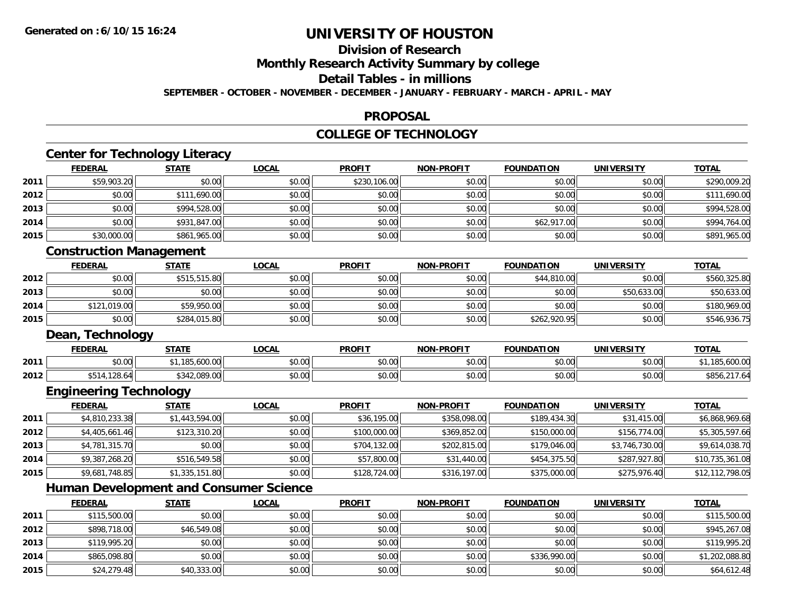**2015**

# **UNIVERSITY OF HOUSTON**

## **Division of Research**

**Monthly Research Activity Summary by college**

**Detail Tables - in millions**

**SEPTEMBER - OCTOBER - NOVEMBER - DECEMBER - JANUARY - FEBRUARY - MARCH - APRIL - MAY**

#### **PROPOSAL**

#### **COLLEGE OF TECHNOLOGY**

|      | <b>FEDERAL</b>                 | <b>STATE</b>                                  | <b>LOCAL</b> | <b>PROFIT</b> | <b>NON-PROFIT</b> | <b>FOUNDATION</b> | <b>UNIVERSITY</b> | <b>TOTAL</b>    |
|------|--------------------------------|-----------------------------------------------|--------------|---------------|-------------------|-------------------|-------------------|-----------------|
| 2011 | \$59,903.20                    | \$0.00                                        | \$0.00       | \$230,106.00  | \$0.00            | \$0.00            | \$0.00            | \$290,009.20    |
| 2012 | \$0.00                         | \$111,690.00                                  | \$0.00       | \$0.00        | \$0.00            | \$0.00            | \$0.00            | \$111,690.00    |
| 2013 | \$0.00                         | \$994,528.00                                  | \$0.00       | \$0.00        | \$0.00            | \$0.00            | \$0.00            | \$994,528.00    |
| 2014 | \$0.00                         | \$931,847.00                                  | \$0.00       | \$0.00        | \$0.00            | \$62,917.00       | \$0.00            | \$994,764.00    |
| 2015 | \$30,000.00                    | \$861,965.00                                  | \$0.00       | \$0.00        | \$0.00            | \$0.00            | \$0.00            | \$891,965.00    |
|      | <b>Construction Management</b> |                                               |              |               |                   |                   |                   |                 |
|      | <b>FEDERAL</b>                 | <b>STATE</b>                                  | <b>LOCAL</b> | <b>PROFIT</b> | <b>NON-PROFIT</b> | <b>FOUNDATION</b> | <b>UNIVERSITY</b> | <b>TOTAL</b>    |
| 2012 | \$0.00                         | \$515,515.80                                  | \$0.00       | \$0.00        | \$0.00            | \$44,810.00       | \$0.00            | \$560,325.80    |
| 2013 | \$0.00                         | \$0.00                                        | \$0.00       | \$0.00        | \$0.00            | \$0.00            | \$50,633.00       | \$50,633.00     |
| 2014 | \$121,019.00                   | \$59,950.00                                   | \$0.00       | \$0.00        | \$0.00            | \$0.00            | \$0.00            | \$180,969.00    |
| 2015 | \$0.00                         | \$284,015.80                                  | \$0.00       | \$0.00        | \$0.00            | \$262,920.95      | \$0.00            | \$546,936.75    |
|      | Dean, Technology               |                                               |              |               |                   |                   |                   |                 |
|      | <b>FEDERAL</b>                 | <b>STATE</b>                                  | <b>LOCAL</b> | <b>PROFIT</b> | <b>NON-PROFIT</b> | <b>FOUNDATION</b> | <b>UNIVERSITY</b> | <b>TOTAL</b>    |
| 2011 | \$0.00                         | \$1,185,600.00                                | \$0.00       | \$0.00        | \$0.00            | \$0.00            | \$0.00            | \$1,185,600.00  |
| 2012 | \$514,128.64                   | \$342,089.00                                  | \$0.00       | \$0.00        | \$0.00            | \$0.00            | \$0.00            | \$856,217.64    |
|      | <b>Engineering Technology</b>  |                                               |              |               |                   |                   |                   |                 |
|      | <b>FEDERAL</b>                 | <b>STATE</b>                                  | <b>LOCAL</b> | <b>PROFIT</b> | <b>NON-PROFIT</b> | <b>FOUNDATION</b> | <b>UNIVERSITY</b> | <b>TOTAL</b>    |
| 2011 | \$4,810,233.38                 | \$1,443,594.00                                | \$0.00       | \$36,195.00   | \$358,098.00      | \$189,434.30      | \$31,415.00       | \$6,868,969.68  |
| 2012 | \$4,405,661.46                 | \$123,310.20                                  | \$0.00       | \$100,000.00  | \$369,852.00      | \$150,000.00      | \$156,774.00      | \$5,305,597.66  |
| 2013 | \$4,781,315.70                 | \$0.00                                        | \$0.00       | \$704,132.00  | \$202,815.00      | \$179,046.00      | \$3,746,730.00    | \$9,614,038.70  |
| 2014 | \$9,387,268.20                 | \$516,549.58                                  | \$0.00       | \$57,800.00   | \$31,440.00       | \$454,375.50      | \$287,927.80      | \$10,735,361.08 |
| 2015 | \$9,681,748.85                 | \$1,335,151.80                                | \$0.00       | \$128,724.00  | \$316,197.00      | \$375,000.00      | \$275,976.40      | \$12,112,798.05 |
|      |                                | <b>Human Development and Consumer Science</b> |              |               |                   |                   |                   |                 |
|      | <b>FEDERAL</b>                 | <b>STATE</b>                                  | <b>LOCAL</b> | <b>PROFIT</b> | <b>NON-PROFIT</b> | <b>FOUNDATION</b> | <b>UNIVERSITY</b> | <b>TOTAL</b>    |
| 2011 | \$115,500.00                   | \$0.00                                        | \$0.00       | \$0.00        | \$0.00            | \$0.00            | \$0.00            | \$115,500.00    |
| 2012 | \$898,718.00                   | \$46,549.08                                   | \$0.00       | \$0.00        | \$0.00            | \$0.00            | \$0.00            | \$945,267.08    |
| 2013 | \$119,995.20                   | \$0.00                                        | \$0.00       | \$0.00        | \$0.00            | \$0.00            | \$0.00            | \$119,995.20    |
| 2014 | \$865,098.80                   | \$0.00                                        | \$0.00       | \$0.00        | \$0.00            | \$336,990.00      | \$0.00            | \$1,202,088.80  |

\$24,279.48 \$40,333.00 \$0.00 \$0.00 \$0.00 \$0.00 \$0.00 \$64,612.48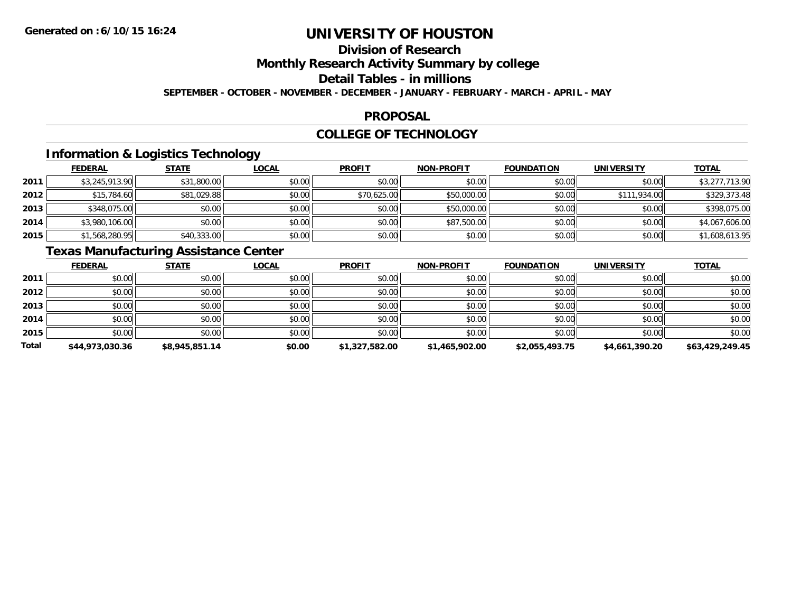## **Division of Research**

**Monthly Research Activity Summary by college**

**Detail Tables - in millions**

**SEPTEMBER - OCTOBER - NOVEMBER - DECEMBER - JANUARY - FEBRUARY - MARCH - APRIL - MAY**

### **PROPOSAL**

### **COLLEGE OF TECHNOLOGY**

### **Information & Logistics Technology**

|      | <b>FEDERAL</b> | <b>STATE</b> | <b>LOCAL</b> | <b>PROFIT</b> | <b>NON-PROFIT</b> | <b>FOUNDATION</b> | UNIVERSITY   | <b>TOTAL</b>   |
|------|----------------|--------------|--------------|---------------|-------------------|-------------------|--------------|----------------|
| 2011 | \$3,245,913.90 | \$31,800.00  | \$0.00       | \$0.00        | \$0.00            | \$0.00            | \$0.00       | \$3,277,713.90 |
| 2012 | \$15,784.60    | \$81,029.88  | \$0.00       | \$70,625.00   | \$50,000.00       | \$0.00            | \$111,934.00 | \$329,373.48   |
| 2013 | \$348,075.00   | \$0.00       | \$0.00       | \$0.00        | \$50,000.00       | \$0.00            | \$0.00       | \$398,075.00   |
| 2014 | \$3,980,106.00 | \$0.00       | \$0.00       | \$0.00        | \$87,500.00       | \$0.00            | \$0.00       | \$4,067,606.00 |
| 2015 | \$1,568,280.95 | \$40,333.00  | \$0.00       | \$0.00        | \$0.00            | \$0.00            | \$0.00       | \$1,608,613.95 |

### **Texas Manufacturing Assistance Center**

|              | <b>FEDERAL</b>  | <b>STATE</b>   | <u>LOCAL</u> | <b>PROFIT</b>  | <b>NON-PROFIT</b> | <b>FOUNDATION</b> | <b>UNIVERSITY</b> | <b>TOTAL</b>    |
|--------------|-----------------|----------------|--------------|----------------|-------------------|-------------------|-------------------|-----------------|
| 2011         | \$0.00          | \$0.00         | \$0.00       | \$0.00         | \$0.00            | \$0.00            | \$0.00            | \$0.00          |
| 2012         | \$0.00          | \$0.00         | \$0.00       | \$0.00         | \$0.00            | \$0.00            | \$0.00            | \$0.00          |
| 2013         | \$0.00          | \$0.00         | \$0.00       | \$0.00         | \$0.00            | \$0.00            | \$0.00            | \$0.00          |
| 2014         | \$0.00          | \$0.00         | \$0.00       | \$0.00         | \$0.00            | \$0.00            | \$0.00            | \$0.00          |
| 2015         | \$0.00          | \$0.00         | \$0.00       | \$0.00         | \$0.00            | \$0.00            | \$0.00            | \$0.00          |
| <b>Total</b> | \$44,973,030.36 | \$8,945,851.14 | \$0.00       | \$1,327,582.00 | \$1,465,902.00    | \$2,055,493.75    | \$4,661,390.20    | \$63,429,249.45 |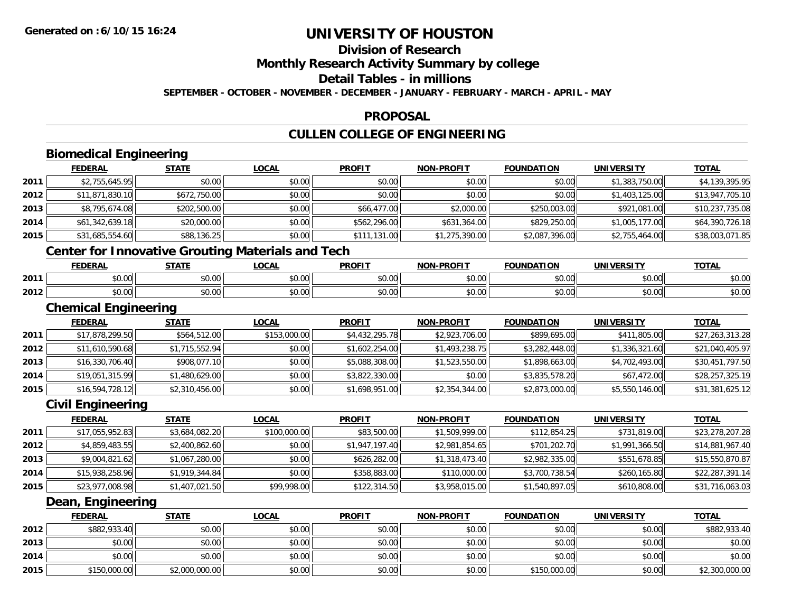**2015**

# **UNIVERSITY OF HOUSTON**

## **Division of Research**

**Monthly Research Activity Summary by college**

**Detail Tables - in millions**

**SEPTEMBER - OCTOBER - NOVEMBER - DECEMBER - JANUARY - FEBRUARY - MARCH - APRIL - MAY**

### **PROPOSAL**

## **CULLEN COLLEGE OF ENGINEERING**

|      | <b>Biomedical Engineering</b> |                                                          |              |                |                   |                   |                   |                 |
|------|-------------------------------|----------------------------------------------------------|--------------|----------------|-------------------|-------------------|-------------------|-----------------|
|      | <b>FEDERAL</b>                | <b>STATE</b>                                             | <b>LOCAL</b> | <b>PROFIT</b>  | <b>NON-PROFIT</b> | <b>FOUNDATION</b> | <b>UNIVERSITY</b> | <b>TOTAL</b>    |
| 2011 | \$2,755,645.95                | \$0.00                                                   | \$0.00       | \$0.00         | \$0.00            | \$0.00            | \$1,383,750.00    | \$4,139,395.95  |
| 2012 | \$11,871,830.10               | \$672,750.00                                             | \$0.00       | \$0.00         | \$0.00            | \$0.00            | \$1,403,125.00    | \$13,947,705.10 |
| 2013 | \$8,795,674.08                | \$202,500.00                                             | \$0.00       | \$66,477.00    | \$2,000.00        | \$250,003.00      | \$921,081.00      | \$10,237,735.08 |
| 2014 | \$61,342,639.18               | \$20,000.00                                              | \$0.00       | \$562,296.00   | \$631,364.00      | \$829,250.00      | \$1,005,177.00    | \$64,390,726.18 |
| 2015 | \$31,685,554.60               | \$88,136.25                                              | \$0.00       | \$111,131.00   | \$1,275,390.00    | \$2,087,396.00    | \$2,755,464.00    | \$38,003,071.85 |
|      |                               | <b>Center for Innovative Grouting Materials and Tech</b> |              |                |                   |                   |                   |                 |
|      | <b>FEDERAL</b>                | <b>STATE</b>                                             | <b>LOCAL</b> | <b>PROFIT</b>  | <b>NON-PROFIT</b> | <b>FOUNDATION</b> | <b>UNIVERSITY</b> | <b>TOTAL</b>    |
| 2011 | \$0.00                        | \$0.00                                                   | \$0.00       | \$0.00         | \$0.00            | \$0.00            | \$0.00            | \$0.00          |
| 2012 | \$0.00                        | \$0.00                                                   | \$0.00       | \$0.00         | \$0.00            | \$0.00            | \$0.00            | \$0.00          |
|      | <b>Chemical Engineering</b>   |                                                          |              |                |                   |                   |                   |                 |
|      | <b>FEDERAL</b>                | <b>STATE</b>                                             | <b>LOCAL</b> | <b>PROFIT</b>  | <b>NON-PROFIT</b> | <b>FOUNDATION</b> | <b>UNIVERSITY</b> | <b>TOTAL</b>    |
| 2011 | \$17,878,299.50               | \$564,512.00                                             | \$153,000.00 | \$4,432,295.78 | \$2,923,706.00    | \$899,695.00      | \$411,805.00      | \$27,263,313.28 |
| 2012 | \$11,610,590.68               | \$1,715,552.94                                           | \$0.00       | \$1,602,254.00 | \$1,493,238.75    | \$3,282,448.00    | \$1,336,321.60    | \$21,040,405.97 |
| 2013 | \$16,330,706.40               | \$908,077.10                                             | \$0.00       | \$5,088,308.00 | \$1,523,550.00    | \$1,898,663.00    | \$4,702,493.00    | \$30,451,797.50 |
| 2014 | \$19,051,315.99               | \$1,480,629.00                                           | \$0.00       | \$3,822,330.00 | \$0.00            | \$3,835,578.20    | \$67,472.00       | \$28,257,325.19 |
| 2015 | \$16,594,728.12               | \$2,310,456.00                                           | \$0.00       | \$1,698,951.00 | \$2,354,344.00    | \$2,873,000.00    | \$5,550,146.00    | \$31,381,625.12 |
|      | <b>Civil Engineering</b>      |                                                          |              |                |                   |                   |                   |                 |
|      | <b>FEDERAL</b>                | <b>STATE</b>                                             | <b>LOCAL</b> | <b>PROFIT</b>  | <b>NON-PROFIT</b> | <b>FOUNDATION</b> | <b>UNIVERSITY</b> | <b>TOTAL</b>    |
| 2011 | \$17,055,952.83               | \$3,684,082.20                                           | \$100,000.00 | \$83,500.00    | \$1,509,999.00    | \$112,854.25      | \$731,819.00      | \$23,278,207.28 |
| 2012 | \$4,859,483.55                | \$2,400,862.60                                           | \$0.00       | \$1,947,197.40 | \$2,981,854.65    | \$701,202.70      | \$1,991,366.50    | \$14,881,967.40 |
| 2013 | \$9,004,821.62                | \$1,067,280.00                                           | \$0.00       | \$626,282.00   | \$1,318,473.40    | \$2,982,335.00    | \$551,678.85      | \$15,550,870.87 |
| 2014 | \$15,938,258.96               | \$1,919,344.84                                           | \$0.00       | \$358,883.00   | \$110,000.00      | \$3,700,738.54    | \$260,165.80      | \$22,287,391.14 |
| 2015 | \$23,977,008.98               | \$1,407,021.50                                           | \$99,998.00  | \$122,314.50   | \$3,958,015.00    | \$1,540,897.05    | \$610,808.00      | \$31,716,063.03 |
|      | Dean, Engineering             |                                                          |              |                |                   |                   |                   |                 |
|      | <b>FEDERAL</b>                | <b>STATE</b>                                             | <b>LOCAL</b> | <b>PROFIT</b>  | <b>NON-PROFIT</b> | <b>FOUNDATION</b> | <b>UNIVERSITY</b> | <b>TOTAL</b>    |
| 2012 | \$882,933.40                  | \$0.00                                                   | \$0.00       | \$0.00         | \$0.00            | \$0.00            | \$0.00            | \$882,933.40    |
| 2013 | \$0.00                        | \$0.00                                                   | \$0.00       | \$0.00         | \$0.00            | \$0.00            | \$0.00            | \$0.00          |
| 2014 | \$0.00                        | \$0.00                                                   | \$0.00       | \$0.00         | \$0.00            | \$0.00            | \$0.00            | \$0.00          |
|      |                               |                                                          |              |                |                   |                   |                   |                 |

\$150,000.00 \$2,000,000.00 \$0.00 \$0.00 \$0.00 \$150,000.00 \$0.00 \$2,300,000.00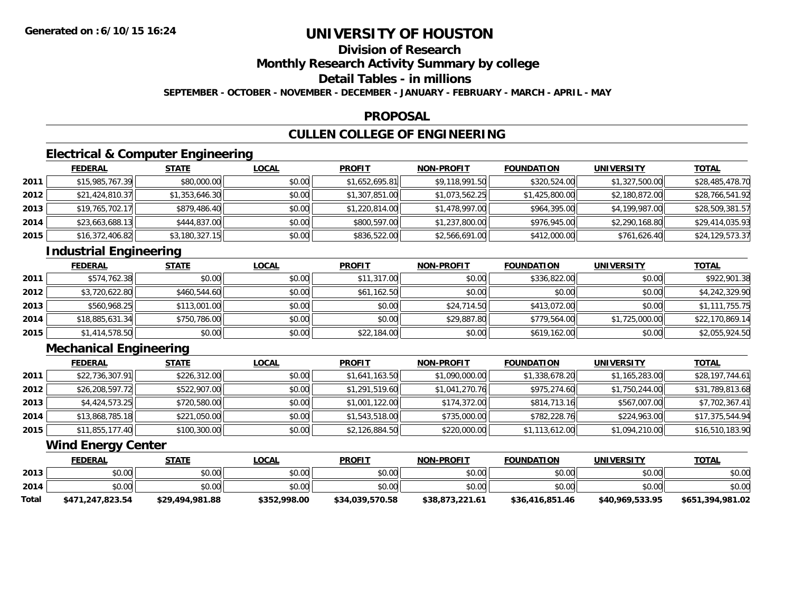## **Division of Research**

**Monthly Research Activity Summary by college**

**Detail Tables - in millions**

**SEPTEMBER - OCTOBER - NOVEMBER - DECEMBER - JANUARY - FEBRUARY - MARCH - APRIL - MAY**

### **PROPOSAL**

## **CULLEN COLLEGE OF ENGINEERING**

### **Electrical & Computer Engineering**

|      | <b>FEDERAL</b>  | <b>STATE</b>   | <b>LOCAL</b> | <b>PROFIT</b>  | <b>NON-PROFIT</b> | <b>FOUNDATION</b> | <b>UNIVERSITY</b> | <b>TOTAL</b>    |
|------|-----------------|----------------|--------------|----------------|-------------------|-------------------|-------------------|-----------------|
| 2011 | \$15,985,767.39 | \$80,000.00    | \$0.00       | \$1,652,695.81 | \$9,118,991.50    | \$320,524.00      | \$1,327,500.00    | \$28,485,478.70 |
| 2012 | \$21,424,810.37 | \$1,353,646.30 | \$0.00       | \$1,307,851.00 | \$1,073,562.25    | \$1,425,800.00    | \$2,180,872.00    | \$28,766,541.92 |
| 2013 | \$19,765,702.17 | \$879,486.40   | \$0.00       | \$1,220,814.00 | \$1,478,997.00    | \$964,395.00      | \$4,199,987.00    | \$28,509,381.57 |
| 2014 | \$23,663,688.13 | \$444,837.00   | \$0.00       | \$800,597.00   | \$1,237,800.00    | \$976,945.00      | \$2,290,168.80    | \$29,414,035.93 |
| 2015 | \$16,372,406.82 | \$3,180,327.15 | \$0.00       | \$836,522.00   | \$2,566,691.00    | \$412,000.00      | \$761,626.40      | \$24,129,573.37 |

## **Industrial Engineering**

|      | <b>FEDERAL</b>  | <b>STATE</b> | <b>LOCAL</b> | <b>PROFIT</b> | <b>NON-PROFIT</b> | <b>FOUNDATION</b> | <b>UNIVERSITY</b> | <u>TOTAL</u>    |
|------|-----------------|--------------|--------------|---------------|-------------------|-------------------|-------------------|-----------------|
| 2011 | \$574,762.38    | \$0.00       | \$0.00       | \$11,317.00   | \$0.00            | \$336,822.00      | \$0.00            | \$922,901.38    |
| 2012 | \$3,720,622.80  | \$460,544.60 | \$0.00       | \$61,162.50   | \$0.00            | \$0.00            | \$0.00            | \$4,242,329.90  |
| 2013 | \$560,968.25    | \$113,001.00 | \$0.00       | \$0.00        | \$24,714.50       | \$413.072.00      | \$0.00            | \$1,111,755.75  |
| 2014 | \$18,885,631.34 | \$750,786.00 | \$0.00       | \$0.00        | \$29,887.80       | \$779,564.00      | \$1,725,000.00    | \$22,170,869.14 |
| 2015 | \$1,414,578.50  | \$0.00       | \$0.00       | \$22,184.00   | \$0.00            | \$619,162.00      | \$0.00            | \$2,055,924.50  |

### **Mechanical Engineering**

|      | <b>FEDERAL</b>  | <u>STATE</u> | <b>LOCAL</b> | <b>PROFIT</b>  | <b>NON-PROFIT</b> | <b>FOUNDATION</b> | <b>UNIVERSITY</b> | <b>TOTAL</b>    |
|------|-----------------|--------------|--------------|----------------|-------------------|-------------------|-------------------|-----------------|
| 2011 | \$22,736,307.91 | \$226,312.00 | \$0.00       | \$1,641,163.50 | \$1,090,000.00    | \$1,338,678.20    | \$1,165,283.00    | \$28,197,744.61 |
| 2012 | \$26,208,597.72 | \$522,907.00 | \$0.00       | \$1,291,519.60 | \$1,041,270.76    | \$975,274.60      | \$1,750,244.00    | \$31,789,813.68 |
| 2013 | \$4,424,573.25  | \$720,580.00 | \$0.00       | \$1,001,122.00 | \$174,372.00      | \$814,713.16      | \$567,007.00      | \$7,702,367.41  |
| 2014 | \$13,868,785.18 | \$221,050.00 | \$0.00       | \$1,543,518.00 | \$735,000.00      | \$782,228.76      | \$224,963.00      | \$17,375,544.94 |
| 2015 | \$11,855,177.40 | \$100,300.00 | \$0.00       | \$2,126,884.50 | \$220,000.00      | \$1,113,612.00    | \$1,094,210.00    | \$16,510,183.90 |

### **Wind Energy Center**

|              | <b>FEDERAL</b>   | <u>STATE</u>    | <u>LOCAL</u> | <b>PROFIT</b>   | <b>NON-PROFIT</b> | <b>FOUNDATION</b> | <b>UNIVERSITY</b> | <b>TOTAL</b>     |
|--------------|------------------|-----------------|--------------|-----------------|-------------------|-------------------|-------------------|------------------|
| 2013         | \$0.00           | \$0.00          | \$0.00       | \$0.00          | \$0.00            | \$0.00            | \$0.00            | \$0.00           |
| 2014         | \$0.00           | \$0.00          | \$0.00       | \$0.00          | \$0.00            | \$0.00            | \$0.00            | \$0.00           |
| <b>Total</b> | \$471,247,823.54 | \$29,494,981.88 | \$352,998.00 | \$34,039,570.58 | \$38,873,221.61   | \$36,416,851.46   | \$40,969,533,95   | \$651,394,981.02 |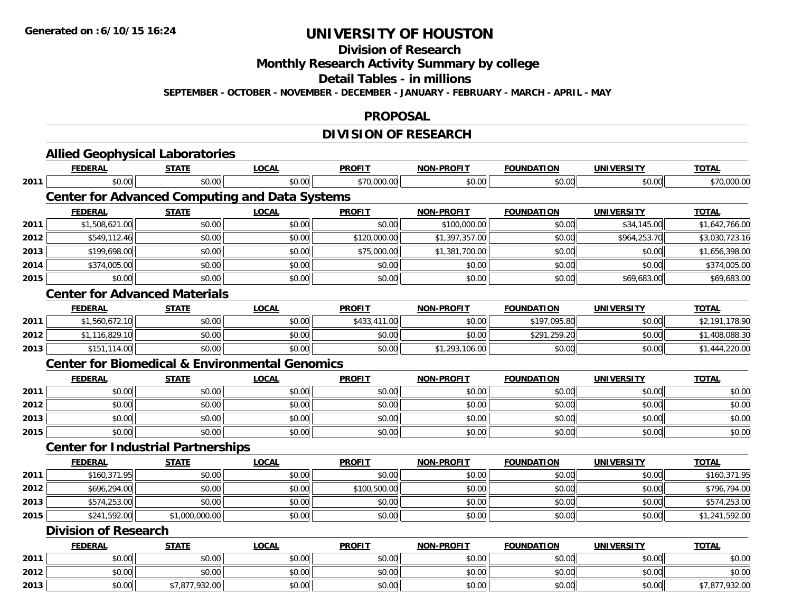**Division of Research**

**Monthly Research Activity Summary by college**

**Detail Tables - in millions**

**SEPTEMBER - OCTOBER - NOVEMBER - DECEMBER - JANUARY - FEBRUARY - MARCH - APRIL - MAY**

#### **PROPOSAL**

### **DIVISION OF RESEARCH**

|      | <b>Allied Geophysical Laboratories</b>                    |                |              |               |                   |                   |                   |                |
|------|-----------------------------------------------------------|----------------|--------------|---------------|-------------------|-------------------|-------------------|----------------|
|      | <b>FEDERAL</b>                                            | <b>STATE</b>   | <b>LOCAL</b> | <b>PROFIT</b> | <b>NON-PROFIT</b> | <b>FOUNDATION</b> | <b>UNIVERSITY</b> | <b>TOTAL</b>   |
| 2011 | \$0.00                                                    | \$0.00         | \$0.00       | \$70,000.00   | \$0.00            | \$0.00            | \$0.00            | \$70,000.00    |
|      | <b>Center for Advanced Computing and Data Systems</b>     |                |              |               |                   |                   |                   |                |
|      | <b>FEDERAL</b>                                            | <b>STATE</b>   | <b>LOCAL</b> | <b>PROFIT</b> | <b>NON-PROFIT</b> | <b>FOUNDATION</b> | <b>UNIVERSITY</b> | <b>TOTAL</b>   |
| 2011 | \$1,508,621.00                                            | \$0.00         | \$0.00       | \$0.00        | \$100,000.00      | \$0.00            | \$34,145.00       | \$1,642,766.00 |
| 2012 | \$549,112.46                                              | \$0.00         | \$0.00       | \$120,000.00  | \$1,397,357.00    | \$0.00            | \$964,253.70      | \$3,030,723.16 |
| 2013 | \$199,698.00                                              | \$0.00         | \$0.00       | \$75,000.00   | \$1,381,700.00    | \$0.00            | \$0.00            | \$1,656,398.00 |
| 2014 | \$374,005.00                                              | \$0.00         | \$0.00       | \$0.00        | \$0.00            | \$0.00            | \$0.00            | \$374,005.00   |
| 2015 | \$0.00                                                    | \$0.00         | \$0.00       | \$0.00        | \$0.00            | \$0.00            | \$69,683.00       | \$69,683.00    |
|      | <b>Center for Advanced Materials</b>                      |                |              |               |                   |                   |                   |                |
|      | <b>FEDERAL</b>                                            | <b>STATE</b>   | <b>LOCAL</b> | <b>PROFIT</b> | <b>NON-PROFIT</b> | <b>FOUNDATION</b> | <b>UNIVERSITY</b> | <b>TOTAL</b>   |
| 2011 | \$1,560,672.10                                            | \$0.00         | \$0.00       | \$433,411.00  | \$0.00            | \$197,095.80      | \$0.00            | \$2,191,178.90 |
| 2012 | \$1,116,829.10                                            | \$0.00         | \$0.00       | \$0.00        | \$0.00            | \$291,259.20      | \$0.00            | \$1,408,088.30 |
| 2013 | \$151,114.00                                              | \$0.00         | \$0.00       | \$0.00        | \$1,293,106.00    | \$0.00            | \$0.00            | \$1,444,220.00 |
|      | <b>Center for Biomedical &amp; Environmental Genomics</b> |                |              |               |                   |                   |                   |                |
|      | <b>FEDERAL</b>                                            | <b>STATE</b>   | <b>LOCAL</b> | <b>PROFIT</b> | <b>NON-PROFIT</b> | <b>FOUNDATION</b> | <b>UNIVERSITY</b> | <b>TOTAL</b>   |
| 2011 | \$0.00                                                    | \$0.00         | \$0.00       | \$0.00        | \$0.00            | \$0.00            | \$0.00            | \$0.00         |
| 2012 | \$0.00                                                    | \$0.00         | \$0.00       | \$0.00        | \$0.00            | \$0.00            | \$0.00            | \$0.00         |
| 2013 | \$0.00                                                    | \$0.00         | \$0.00       | \$0.00        | \$0.00            | \$0.00            | \$0.00            | \$0.00         |
| 2015 | \$0.00                                                    | \$0.00         | \$0.00       | \$0.00        | \$0.00            | \$0.00            | \$0.00            | \$0.00         |
|      | <b>Center for Industrial Partnerships</b>                 |                |              |               |                   |                   |                   |                |
|      | <b>FEDERAL</b>                                            | <b>STATE</b>   | <b>LOCAL</b> | <b>PROFIT</b> | <b>NON-PROFIT</b> | <b>FOUNDATION</b> | <b>UNIVERSITY</b> | <b>TOTAL</b>   |
| 2011 | \$160,371.95                                              | \$0.00         | \$0.00       | \$0.00        | \$0.00            | \$0.00            | \$0.00            | \$160,371.95   |
| 2012 | \$696,294.00                                              | \$0.00         | \$0.00       | \$100,500.00  | \$0.00            | \$0.00            | \$0.00            | \$796,794.00   |
| 2013 | \$574,253.00                                              | \$0.00         | \$0.00       | \$0.00        | \$0.00            | \$0.00            | \$0.00            | \$574,253.00   |
| 2015 | \$241,592.00                                              | \$1,000,000.00 | \$0.00       | \$0.00        | \$0.00            | \$0.00            | \$0.00            | \$1,241,592.00 |
|      | <b>Division of Research</b>                               |                |              |               |                   |                   |                   |                |
|      | <b>FEDERAL</b>                                            | <b>STATE</b>   | <b>LOCAL</b> | <b>PROFIT</b> | <b>NON-PROFIT</b> | <b>FOUNDATION</b> | <b>UNIVERSITY</b> | <b>TOTAL</b>   |
| 2011 | \$0.00                                                    | \$0.00         | \$0.00       | \$0.00        | \$0.00            | \$0.00            | \$0.00            | \$0.00         |
| 2012 | \$0.00                                                    | \$0.00         | \$0.00       | \$0.00        | \$0.00            | \$0.00            | \$0.00            | \$0.00         |
| 2013 | \$0.00                                                    | \$7,877,932.00 | \$0.00       | \$0.00        | \$0.00            | \$0.00            | \$0.00            | \$7,877,932.00 |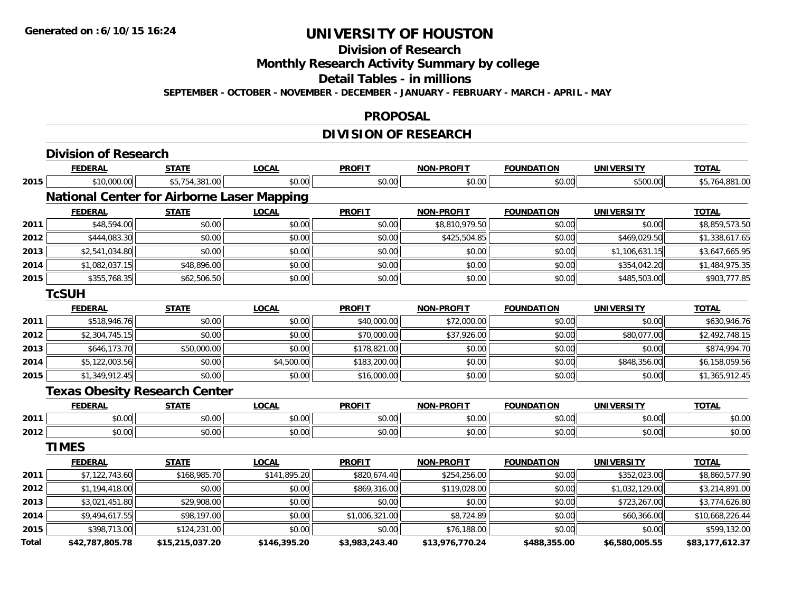**Division of Research**

**Monthly Research Activity Summary by college**

**Detail Tables - in millions**

**SEPTEMBER - OCTOBER - NOVEMBER - DECEMBER - JANUARY - FEBRUARY - MARCH - APRIL - MAY**

#### **PROPOSAL**

## **DIVISION OF RESEARCH**

|       | <b>Division of Research</b>                       |                 |              |                |                   |                   |                   |                 |
|-------|---------------------------------------------------|-----------------|--------------|----------------|-------------------|-------------------|-------------------|-----------------|
|       | <b>FEDERAL</b>                                    | <b>STATE</b>    | <b>LOCAL</b> | <b>PROFIT</b>  | <b>NON-PROFIT</b> | <b>FOUNDATION</b> | <b>UNIVERSITY</b> | <b>TOTAL</b>    |
| 2015  | \$10,000.00                                       | \$5,754,381.00  | \$0.00       | \$0.00         | \$0.00            | \$0.00            | \$500.00          | \$5,764,881.00  |
|       | <b>National Center for Airborne Laser Mapping</b> |                 |              |                |                   |                   |                   |                 |
|       | <b>FEDERAL</b>                                    | <b>STATE</b>    | <b>LOCAL</b> | <b>PROFIT</b>  | <b>NON-PROFIT</b> | <b>FOUNDATION</b> | <b>UNIVERSITY</b> | <b>TOTAL</b>    |
| 2011  | \$48,594.00                                       | \$0.00          | \$0.00       | \$0.00         | \$8,810,979.50    | \$0.00            | \$0.00            | \$8,859,573.50  |
| 2012  | \$444,083.30                                      | \$0.00          | \$0.00       | \$0.00         | \$425,504.85      | \$0.00            | \$469,029.50      | \$1,338,617.65  |
| 2013  | \$2,541,034.80                                    | \$0.00          | \$0.00       | \$0.00         | \$0.00            | \$0.00            | \$1,106,631.15    | \$3,647,665.95  |
| 2014  | \$1,082,037.15                                    | \$48,896.00     | \$0.00       | \$0.00         | \$0.00            | \$0.00            | \$354,042.20      | \$1,484,975.35  |
| 2015  | \$355,768.35                                      | \$62,506.50     | \$0.00       | \$0.00         | \$0.00            | \$0.00            | \$485,503.00      | \$903,777.85    |
|       | <b>TcSUH</b>                                      |                 |              |                |                   |                   |                   |                 |
|       | <b>FEDERAL</b>                                    | <b>STATE</b>    | <b>LOCAL</b> | <b>PROFIT</b>  | <b>NON-PROFIT</b> | <b>FOUNDATION</b> | <b>UNIVERSITY</b> | <b>TOTAL</b>    |
| 2011  | \$518,946.76                                      | \$0.00          | \$0.00       | \$40,000.00    | \$72,000.00       | \$0.00            | \$0.00            | \$630,946.76    |
| 2012  | \$2,304,745.15                                    | \$0.00          | \$0.00       | \$70,000.00    | \$37,926.00       | \$0.00            | \$80,077.00       | \$2,492,748.15  |
| 2013  | \$646,173.70                                      | \$50,000.00     | \$0.00       | \$178,821.00   | \$0.00            | \$0.00            | \$0.00            | \$874,994.70    |
| 2014  | \$5,122,003.56                                    | \$0.00          | \$4,500.00   | \$183,200.00   | \$0.00            | \$0.00            | \$848,356.00      | \$6,158,059.56  |
| 2015  | \$1,349,912.45                                    | \$0.00          | \$0.00       | \$16,000.00    | \$0.00            | \$0.00            | \$0.00            | \$1,365,912.45  |
|       | <b>Texas Obesity Research Center</b>              |                 |              |                |                   |                   |                   |                 |
|       | <b>FEDERAL</b>                                    | <b>STATE</b>    | <b>LOCAL</b> | <b>PROFIT</b>  | <b>NON-PROFIT</b> | <b>FOUNDATION</b> | <b>UNIVERSITY</b> | <b>TOTAL</b>    |
| 2011  | \$0.00                                            | \$0.00          | \$0.00       | \$0.00         | \$0.00            | \$0.00            | \$0.00            | \$0.00          |
| 2012  | \$0.00                                            | \$0.00          | \$0.00       | \$0.00         | \$0.00            | \$0.00            | \$0.00            | \$0.00          |
|       | <b>TIMES</b>                                      |                 |              |                |                   |                   |                   |                 |
|       | <b>FEDERAL</b>                                    | <b>STATE</b>    | <b>LOCAL</b> | <b>PROFIT</b>  | <b>NON-PROFIT</b> | <b>FOUNDATION</b> | <b>UNIVERSITY</b> | <b>TOTAL</b>    |
| 2011  | \$7,122,743.60                                    | \$168,985.70    | \$141,895.20 | \$820,674.40   | \$254,256.00      | \$0.00            | \$352,023.00      | \$8,860,577.90  |
| 2012  | \$1,194,418.00                                    | \$0.00          | \$0.00       | \$869,316.00   | \$119,028.00      | \$0.00            | \$1,032,129.00    | \$3,214,891.00  |
| 2013  | \$3,021,451.80                                    | \$29,908.00     | \$0.00       | \$0.00         | \$0.00            | \$0.00            | \$723,267.00      | \$3,774,626.80  |
| 2014  | \$9,494,617.55                                    | \$98,197.00     | \$0.00       | \$1,006,321.00 | \$8,724.89        | \$0.00            | \$60,366.00       | \$10,668,226.44 |
| 2015  | \$398,713.00                                      | \$124,231.00    | \$0.00       | \$0.00         | \$76,188.00       | \$0.00            | \$0.00            | \$599,132.00    |
| Total | \$42,787,805.78                                   | \$15,215,037.20 | \$146,395.20 | \$3,983,243.40 | \$13,976,770.24   | \$488,355.00      | \$6,580,005.55    | \$83,177,612.37 |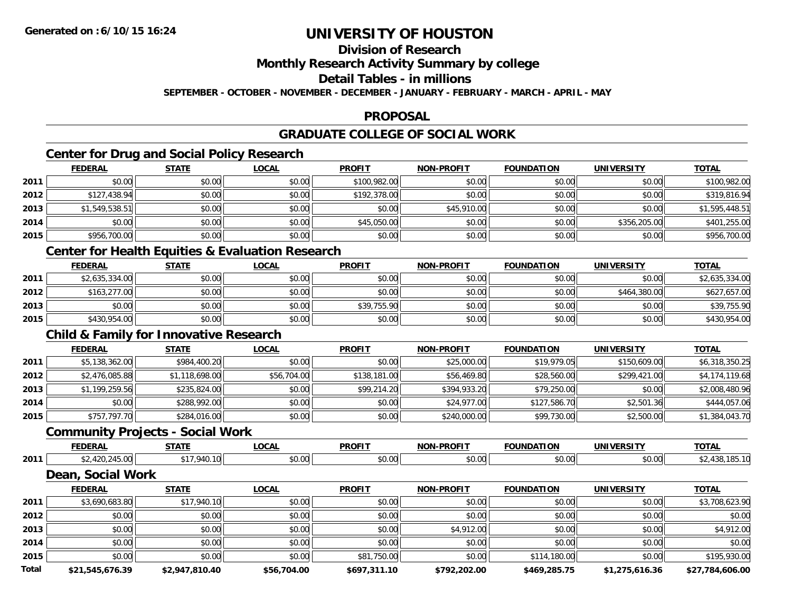### **Division of Research**

**Monthly Research Activity Summary by college**

**Detail Tables - in millions**

**SEPTEMBER - OCTOBER - NOVEMBER - DECEMBER - JANUARY - FEBRUARY - MARCH - APRIL - MAY**

### **PROPOSAL**

### **GRADUATE COLLEGE OF SOCIAL WORK**

## **Center for Drug and Social Policy Research**

|      | <b>FEDERAL</b> | <b>STATE</b> | <b>LOCAL</b> | <b>PROFIT</b> | <b>NON-PROFIT</b> | <b>FOUNDATION</b> | <b>UNIVERSITY</b> | <b>TOTAL</b>   |
|------|----------------|--------------|--------------|---------------|-------------------|-------------------|-------------------|----------------|
| 2011 | \$0.00         | \$0.00       | \$0.00       | \$100,982.00  | \$0.00            | \$0.00            | \$0.00            | \$100,982.00   |
| 2012 | \$127,438.94   | \$0.00       | \$0.00       | \$192,378.00  | \$0.00            | \$0.00            | \$0.00            | \$319,816.94   |
| 2013 | \$1,549,538.51 | \$0.00       | \$0.00       | \$0.00        | \$45,910.00       | \$0.00            | \$0.00            | \$1,595,448.51 |
| 2014 | \$0.00         | \$0.00       | \$0.00       | \$45,050.00   | \$0.00            | \$0.00            | \$356,205.00      | \$401,255.00   |
| 2015 | \$956,700.00   | \$0.00       | \$0.00       | \$0.00        | \$0.00            | \$0.00            | \$0.00            | \$956,700.00   |

### **Center for Health Equities & Evaluation Research**

|      | <b>FEDERAL</b> | <b>STATE</b> | <u>LOCAL</u> | <b>PROFIT</b> | <b>NON-PROFIT</b> | <b>FOUNDATION</b> | UNIVERSITY   | <b>TOTAL</b>   |
|------|----------------|--------------|--------------|---------------|-------------------|-------------------|--------------|----------------|
| 2011 | \$2,635,334.00 | \$0.00       | \$0.00       | \$0.00        | \$0.00            | \$0.00            | \$0.00       | \$2,635,334.00 |
| 2012 | \$163,277.00   | \$0.00       | \$0.00       | \$0.00        | \$0.00            | \$0.00            | \$464,380.00 | \$627,657.00   |
| 2013 | \$0.00         | \$0.00       | \$0.00       | \$39,755.90   | \$0.00            | \$0.00            | \$0.00       | \$39,755.90    |
| 2015 | \$430,954.00   | \$0.00       | \$0.00       | \$0.00        | \$0.00            | \$0.00            | \$0.00       | \$430,954.00   |

### **Child & Family for Innovative Research**

|      | <b>FEDERAL</b> | <b>STATE</b>   | <u>LOCAL</u> | <b>PROFIT</b> | <b>NON-PROFIT</b> | <b>FOUNDATION</b> | <b>UNIVERSITY</b> | <b>TOTAL</b>   |
|------|----------------|----------------|--------------|---------------|-------------------|-------------------|-------------------|----------------|
| 2011 | \$5,138,362.00 | \$984,400.20   | \$0.00       | \$0.00        | \$25,000.00       | \$19,979.05       | \$150,609.00      | \$6,318,350.25 |
| 2012 | \$2,476,085.88 | \$1,118,698.00 | \$56,704.00  | \$138,181.00  | \$56,469.80       | \$28,560.00       | \$299,421.00      | \$4,174,119.68 |
| 2013 | \$1,199,259.56 | \$235,824.00   | \$0.00       | \$99,214.20   | \$394,933.20      | \$79,250.00       | \$0.00            | \$2,008,480.96 |
| 2014 | \$0.00         | \$288,992.00   | \$0.00       | \$0.00        | \$24,977.00       | \$127,586.70      | \$2,501.36        | \$444,057.06   |
| 2015 | \$757,797.70   | \$284,016.00   | \$0.00       | \$0.00        | \$240,000.00      | \$99,730.00       | \$2,500.00        | \$1,384,043.70 |

### **Community Projects - Social Work**

|      | <b>FEDERAI</b> | -----                                    | $\sim$<br>.UUAI | <b>PROFIT</b>  | DDOE17<br><b>NION</b> |        | INIT<br>----- | <b>TOTAL</b> |
|------|----------------|------------------------------------------|-----------------|----------------|-----------------------|--------|---------------|--------------|
| 2011 | ט.י            | $\overline{\phantom{a}}$<br>$\mathbf{u}$ | . r<br>ט.טי     | ሐሴ ሰሰ<br>vv.vv | 0.00                  | \$0.00 | \$0.00        |              |

### **Dean, Social Work**

|              | <b>FEDERAL</b>  | <b>STATE</b>   | <u>LOCAL</u> | <b>PROFIT</b> | <b>NON-PROFIT</b> | <b>FOUNDATION</b> | <b>UNIVERSITY</b> | <b>TOTAL</b>    |
|--------------|-----------------|----------------|--------------|---------------|-------------------|-------------------|-------------------|-----------------|
| 2011         | \$3,690,683.80  | \$17,940.10    | \$0.00       | \$0.00        | \$0.00            | \$0.00            | \$0.00            | \$3,708,623.90  |
| 2012         | \$0.00          | \$0.00         | \$0.00       | \$0.00        | \$0.00            | \$0.00            | \$0.00            | \$0.00          |
| 2013         | \$0.00          | \$0.00         | \$0.00       | \$0.00        | \$4,912.00        | \$0.00            | \$0.00            | \$4,912.00      |
| 2014         | \$0.00          | \$0.00         | \$0.00       | \$0.00        | \$0.00            | \$0.00            | \$0.00            | \$0.00          |
| 2015         | \$0.00          | \$0.00         | \$0.00       | \$81,750.00   | \$0.00            | \$114,180.00      | \$0.00            | \$195,930.00    |
| <b>Total</b> | \$21,545,676.39 | \$2,947.810.40 | \$56,704.00  | \$697,311.10  | \$792,202.00      | \$469,285.75      | \$1,275,616.36    | \$27.784.606.00 |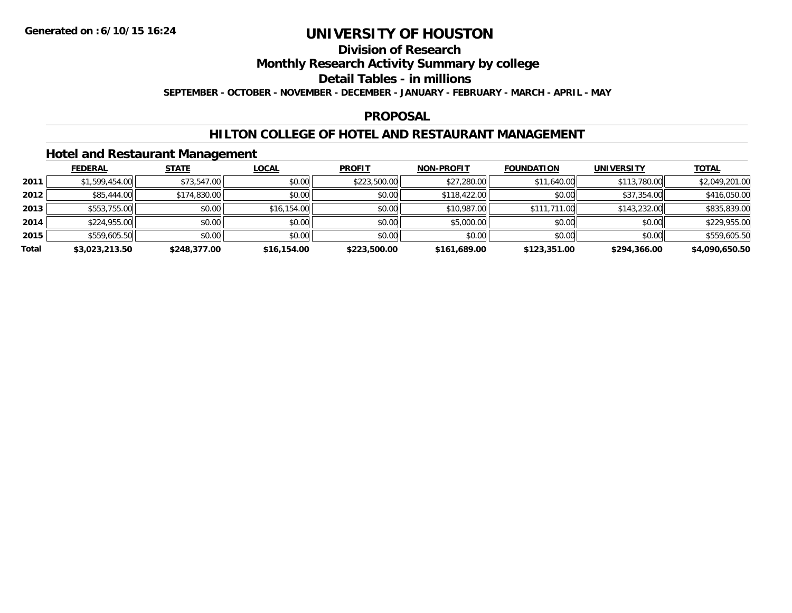## **Division of Research**

**Monthly Research Activity Summary by college**

**Detail Tables - in millions**

**SEPTEMBER - OCTOBER - NOVEMBER - DECEMBER - JANUARY - FEBRUARY - MARCH - APRIL - MAY**

#### **PROPOSAL**

### **HILTON COLLEGE OF HOTEL AND RESTAURANT MANAGEMENT**

### **Hotel and Restaurant Management**

|       | <b>FEDERAL</b> | <b>STATE</b> | <b>LOCAL</b> | <b>PROFIT</b> | <b>NON-PROFIT</b> | <b>FOUNDATION</b> | <b>UNIVERSITY</b> | <b>TOTAL</b>   |
|-------|----------------|--------------|--------------|---------------|-------------------|-------------------|-------------------|----------------|
| 2011  | \$1,599,454.00 | \$73,547.00  | \$0.00       | \$223,500.00  | \$27,280.00       | \$11,640.00       | \$113,780.00      | \$2,049,201.00 |
| 2012  | \$85,444.00    | \$174,830.00 | \$0.00       | \$0.00        | \$118,422.00      | \$0.00            | \$37,354.00       | \$416,050.00   |
| 2013  | \$553,755.00   | \$0.00       | \$16,154.00  | \$0.00        | \$10,987.00       | \$111,711.00      | \$143,232.00      | \$835,839.00   |
| 2014  | \$224,955.00   | \$0.00       | \$0.00       | \$0.00        | \$5,000.00        | \$0.00            | \$0.00            | \$229,955.00   |
| 2015  | \$559,605.50   | \$0.00       | \$0.00       | \$0.00        | \$0.00            | \$0.00            | \$0.00            | \$559,605.50   |
| Total | \$3,023,213.50 | \$248,377.00 | \$16,154.00  | \$223,500.00  | \$161,689.00      | \$123,351.00      | \$294,366.00      | \$4,090,650.50 |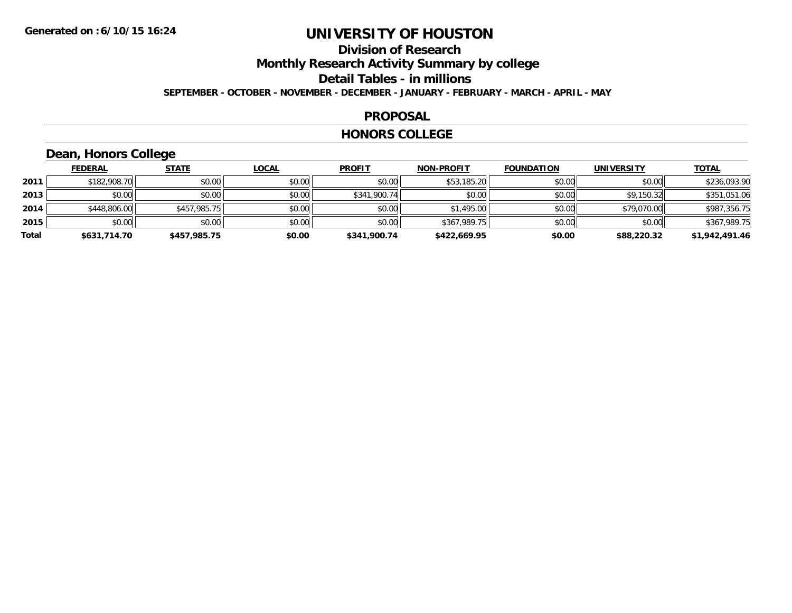### **Division of ResearchMonthly Research Activity Summary by college Detail Tables - in millions SEPTEMBER - OCTOBER - NOVEMBER - DECEMBER - JANUARY - FEBRUARY - MARCH - APRIL - MAY**

#### **PROPOSAL**

#### **HONORS COLLEGE**

## **Dean, Honors College**

|       | <b>FEDERAL</b> | <b>STATE</b> | <u>LOCAL</u> | <b>PROFIT</b> | <b>NON-PROFIT</b> | <b>FOUNDATION</b> | <b>UNIVERSITY</b> | <b>TOTAL</b>   |
|-------|----------------|--------------|--------------|---------------|-------------------|-------------------|-------------------|----------------|
| 2011  | \$182,908.70   | \$0.00       | \$0.00       | \$0.00        | \$53,185.20       | \$0.00            | \$0.00            | \$236,093.90   |
| 2013  | \$0.00         | \$0.00       | \$0.00       | \$341,900.74  | \$0.00            | \$0.00            | \$9,150.32        | \$351,051.06   |
| 2014  | \$448,806.00   | \$457,985.75 | \$0.00       | \$0.00        | \$1,495.00        | \$0.00            | \$79,070.00       | \$987,356.75   |
| 2015  | \$0.00         | \$0.00       | \$0.00       | \$0.00        | \$367,989.75      | \$0.00            | \$0.00            | \$367,989.75   |
| Total | \$631,714.70   | \$457,985.75 | \$0.00       | \$341,900.74  | \$422,669.95      | \$0.00            | \$88,220.32       | \$1,942,491.46 |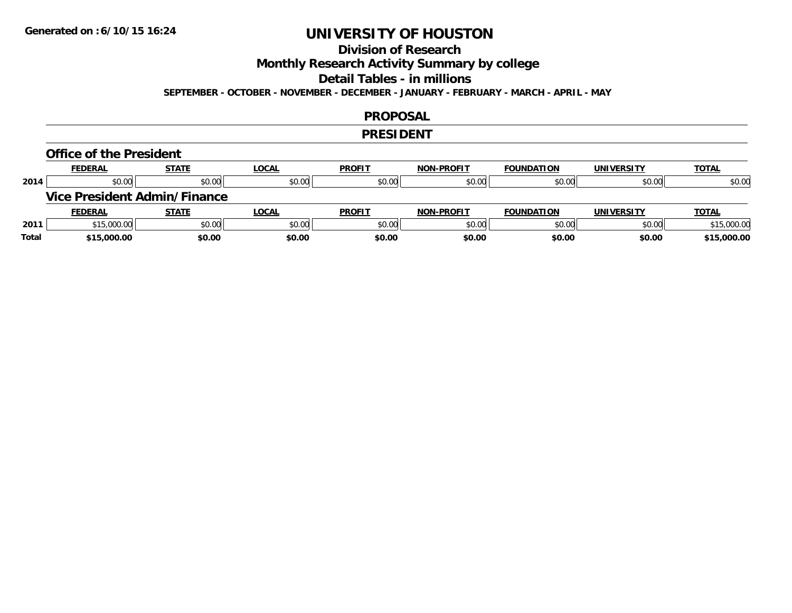### **Division of Research**

**Monthly Research Activity Summary by college**

**Detail Tables - in millions**

**SEPTEMBER - OCTOBER - NOVEMBER - DECEMBER - JANUARY - FEBRUARY - MARCH - APRIL - MAY**

#### **PROPOSAL**

#### **PRESIDENT**

#### **Office of the President**

|      | <b>FEDERAL</b>                      | <b>STATE</b> | <b>LOCAL</b> | <b>PROFIT</b> | <b>NON-PROFIT</b> | <b>FOUNDATION</b> | <b>UNIVERSITY</b> | <b>TOTAL</b> |
|------|-------------------------------------|--------------|--------------|---------------|-------------------|-------------------|-------------------|--------------|
| 2014 | \$0.00                              | \$0.00       | \$0.00       | \$0.00        | \$0.00            | \$0.00            | \$0.00            | \$0.00       |
|      | <b>Vice President Admin/Finance</b> |              |              |               |                   |                   |                   |              |
|      |                                     |              |              |               |                   |                   |                   |              |
|      | <b>FEDERAL</b>                      | <b>STATE</b> | <u>LOCAL</u> | <b>PROFIT</b> | <b>NON-PROFIT</b> | <b>FOUNDATION</b> | <b>UNIVERSITY</b> | <b>TOTAL</b> |
| 2011 | \$15,000.00                         | \$0.00       | \$0.00       | \$0.00        | \$0.00            | \$0.00            | \$0.00            | \$15,000.00  |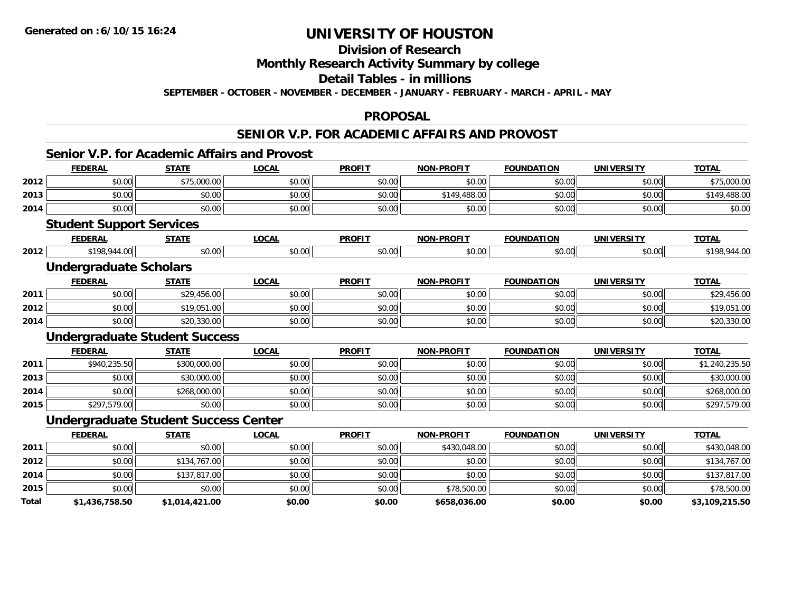**Total**

# **UNIVERSITY OF HOUSTON**

## **Division of Research**

**Monthly Research Activity Summary by college**

**Detail Tables - in millions**

**SEPTEMBER - OCTOBER - NOVEMBER - DECEMBER - JANUARY - FEBRUARY - MARCH - APRIL - MAY**

#### **PROPOSAL**

### **SENIOR V.P. FOR ACADEMIC AFFAIRS AND PROVOST**

|      | <b>FEDERAL</b>                              | <b>STATE</b> | <b>LOCAL</b> | <b>PROFIT</b> | <b>NON-PROFIT</b> | <b>FOUNDATION</b> | <b>UNIVERSITY</b> | <b>TOTAL</b>   |
|------|---------------------------------------------|--------------|--------------|---------------|-------------------|-------------------|-------------------|----------------|
| 2012 | \$0.00                                      | \$75,000.00  | \$0.00       | \$0.00        | \$0.00            | \$0.00            | \$0.00            | \$75,000.00    |
| 2013 | \$0.00                                      | \$0.00       | \$0.00       | \$0.00        | \$149,488.00      | \$0.00            | \$0.00            | \$149,488.00   |
| 2014 | \$0.00                                      | \$0.00       | \$0.00       | \$0.00        | \$0.00            | \$0.00            | \$0.00            | \$0.00         |
|      | <b>Student Support Services</b>             |              |              |               |                   |                   |                   |                |
|      | <b>FEDERAL</b>                              | <b>STATE</b> | <b>LOCAL</b> | <b>PROFIT</b> | <b>NON-PROFIT</b> | <b>FOUNDATION</b> | <b>UNIVERSITY</b> | <b>TOTAL</b>   |
| 2012 | \$198,944.00                                | \$0.00       | \$0.00       | \$0.00        | \$0.00            | \$0.00            | \$0.00            | \$198,944.00   |
|      | <b>Undergraduate Scholars</b>               |              |              |               |                   |                   |                   |                |
|      | <b>FEDERAL</b>                              | <b>STATE</b> | <b>LOCAL</b> | <b>PROFIT</b> | <b>NON-PROFIT</b> | <b>FOUNDATION</b> | <b>UNIVERSITY</b> | <b>TOTAL</b>   |
| 2011 | \$0.00                                      | \$29,456.00  | \$0.00       | \$0.00        | \$0.00            | \$0.00            | \$0.00            | \$29,456.00    |
| 2012 | \$0.00                                      | \$19,051.00  | \$0.00       | \$0.00        | \$0.00            | \$0.00            | \$0.00            | \$19,051.00    |
| 2014 | \$0.00                                      | \$20,330.00  | \$0.00       | \$0.00        | \$0.00            | \$0.00            | \$0.00            | \$20,330.00    |
|      | <b>Undergraduate Student Success</b>        |              |              |               |                   |                   |                   |                |
|      | <b>FEDERAL</b>                              | <b>STATE</b> | <b>LOCAL</b> | <b>PROFIT</b> | <b>NON-PROFIT</b> | <b>FOUNDATION</b> | <b>UNIVERSITY</b> | <b>TOTAL</b>   |
| 2011 | \$940,235.50                                | \$300,000.00 | \$0.00       | \$0.00        | \$0.00            | \$0.00            | \$0.00            | \$1,240,235.50 |
| 2013 | \$0.00                                      | \$30,000.00  | \$0.00       | \$0.00        | \$0.00            | \$0.00            | \$0.00            | \$30,000.00    |
| 2014 | \$0.00                                      | \$268,000.00 | \$0.00       | \$0.00        | \$0.00            | \$0.00            | \$0.00            | \$268,000.00   |
| 2015 | \$297,579.00                                | \$0.00       | \$0.00       | \$0.00        | \$0.00            | \$0.00            | \$0.00            | \$297,579.00   |
|      | <b>Undergraduate Student Success Center</b> |              |              |               |                   |                   |                   |                |
|      | <b>FEDERAL</b>                              | <b>STATE</b> | <b>LOCAL</b> | <b>PROFIT</b> | <b>NON-PROFIT</b> | <b>FOUNDATION</b> | <b>UNIVERSITY</b> | <b>TOTAL</b>   |
| 2011 | \$0.00                                      | \$0.00       | \$0.00       | \$0.00        | \$430,048.00      | \$0.00            | \$0.00            | \$430,048.00   |
| 2012 | \$0.00                                      | \$134,767.00 | \$0.00       | \$0.00        | \$0.00            | \$0.00            | \$0.00            | \$134,767.00   |
| 2014 | \$0.00                                      | \$137,817.00 | \$0.00       | \$0.00        | \$0.00            | \$0.00            | \$0.00            | \$137,817.00   |
| 2015 | \$0.00                                      | \$0.00       | \$0.00       | \$0.00        | \$78,500.00       | \$0.00            | \$0.00            | \$78,500.00    |

**\$1,436,758.50 \$1,014,421.00 \$0.00 \$0.00 \$658,036.00 \$0.00 \$0.00 \$3,109,215.50**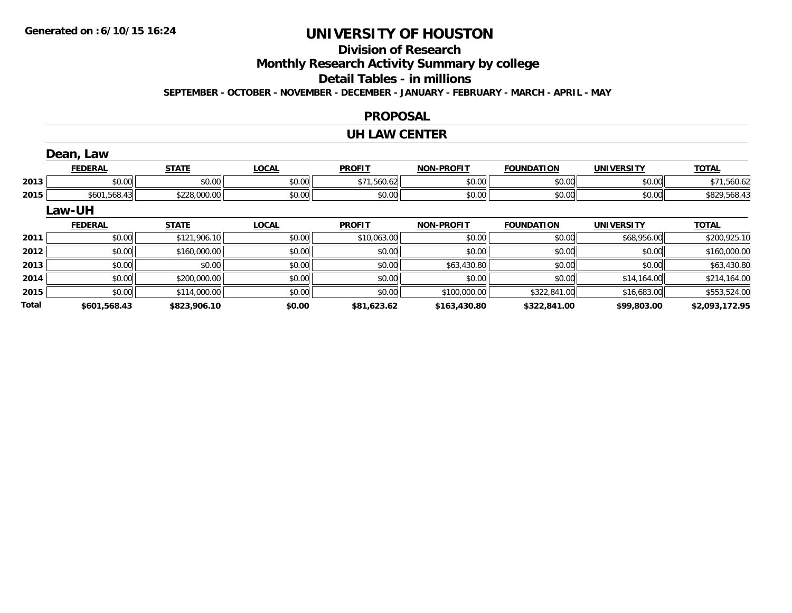## **Division of Research**

**Monthly Research Activity Summary by college**

**Detail Tables - in millions**

**SEPTEMBER - OCTOBER - NOVEMBER - DECEMBER - JANUARY - FEBRUARY - MARCH - APRIL - MAY**

### **PROPOSAL**

### **UH LAW CENTER**

|       | Dean, Law      |              |              |               |                   |                   |                   |                |
|-------|----------------|--------------|--------------|---------------|-------------------|-------------------|-------------------|----------------|
|       | <b>FEDERAL</b> | <b>STATE</b> | <b>LOCAL</b> | <b>PROFIT</b> | <b>NON-PROFIT</b> | <b>FOUNDATION</b> | <b>UNIVERSITY</b> | <b>TOTAL</b>   |
| 2013  | \$0.00         | \$0.00       | \$0.00       | \$71,560.62   | \$0.00            | \$0.00            | \$0.00            | \$71,560.62    |
| 2015  | \$601,568.43   | \$228,000.00 | \$0.00       | \$0.00        | \$0.00            | \$0.00            | \$0.00            | \$829,568.43   |
|       | Law-UH         |              |              |               |                   |                   |                   |                |
|       | <b>FEDERAL</b> | <b>STATE</b> | <b>LOCAL</b> | <b>PROFIT</b> | <b>NON-PROFIT</b> | <b>FOUNDATION</b> | <b>UNIVERSITY</b> | <b>TOTAL</b>   |
| 2011  | \$0.00         | \$121,906.10 | \$0.00       | \$10,063.00   | \$0.00            | \$0.00            | \$68,956.00       | \$200,925.10   |
| 2012  | \$0.00         | \$160,000.00 | \$0.00       | \$0.00        | \$0.00            | \$0.00            | \$0.00            | \$160,000.00   |
| 2013  | \$0.00         | \$0.00       | \$0.00       | \$0.00        | \$63,430.80       | \$0.00            | \$0.00            | \$63,430.80    |
| 2014  | \$0.00         | \$200,000.00 | \$0.00       | \$0.00        | \$0.00            | \$0.00            | \$14,164.00       | \$214,164.00   |
| 2015  | \$0.00         | \$114,000.00 | \$0.00       | \$0.00        | \$100,000.00      | \$322,841.00      | \$16,683.00       | \$553,524.00   |
| Total | \$601.568.43   | \$823.906.10 | \$0.00       | \$81.623.62   | \$163,430.80      | \$322,841.00      | \$99,803.00       | \$2,093,172.95 |

**\$601,568.43 \$823,906.10 \$0.00 \$81,623.62 \$163,430.80 \$322,841.00 \$99,803.00 \$2,093,172.95**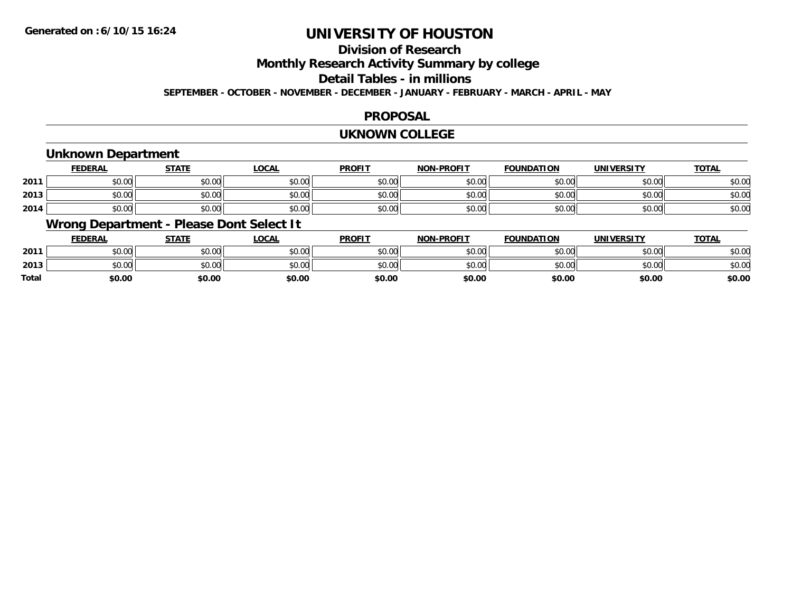## **Division of Research**

**Monthly Research Activity Summary by college**

**Detail Tables - in millions**

**SEPTEMBER - OCTOBER - NOVEMBER - DECEMBER - JANUARY - FEBRUARY - MARCH - APRIL - MAY**

#### **PROPOSAL**

#### **UKNOWN COLLEGE**

### **Unknown Department**

|      | FEDERAL | <b>STATE</b> | <u>LOCAI</u> | <b>PROFIT</b> | <b>NON-PROFIT</b> | <b>FOUNDATION</b> | <b>UNIVERSITY</b> | <b>TOTAL</b> |
|------|---------|--------------|--------------|---------------|-------------------|-------------------|-------------------|--------------|
| 2011 | \$0.00  | \$0.00       | \$0.00       | \$0.00        | ደሰ ሰሰ<br>JU.UU    | \$0.00            | \$0.00            | \$0.00       |
| 2013 | \$0.00  | \$0.00       | \$0.00       | \$0.00        | ku uy<br>ง∪.∪บ    | \$0.00            | \$0.00            | \$0.00       |
| 2014 | \$0.00  | \$0.00       | \$0.00       | \$0.00        | \$0.00            | \$0.00            | \$0.00            | \$0.00       |

### **Wrong Department - Please Dont Select It**

|              | <b>FEDERAL</b> | <b>STATE</b> | <u>LOCAL</u> | <b>PROFIT</b> | <b>NON-PROFIT</b> | <b>FOUNDATION</b> | <b>UNIVERSITY</b> | <u>TOTAL</u> |
|--------------|----------------|--------------|--------------|---------------|-------------------|-------------------|-------------------|--------------|
| 2011         | \$0.00         | \$0.00       | \$0.00       | \$0.00        | \$0.00            | \$0.00            | \$0.00            | \$0.00       |
| 2013         | \$0.00         | \$0.00       | \$0.00       | \$0.00        | \$0.00            | \$0.00            | \$0.00            | \$0.00       |
| <b>Total</b> | \$0.00         | \$0.00       | \$0.00       | \$0.00        | \$0.00            | \$0.00            | \$0.00            | \$0.00       |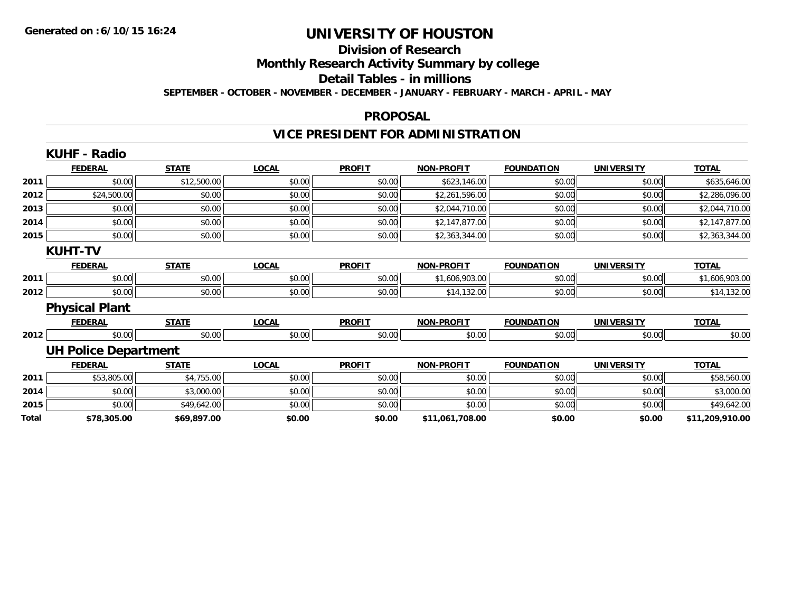# **Division of Research**

**Monthly Research Activity Summary by college**

**Detail Tables - in millions**

**SEPTEMBER - OCTOBER - NOVEMBER - DECEMBER - JANUARY - FEBRUARY - MARCH - APRIL - MAY**

#### **PROPOSAL**

## **VICE PRESIDENT FOR ADMINISTRATION**

|       | <b>KUHF - Radio</b>         |              |              |               |                   |                   |                   |                 |
|-------|-----------------------------|--------------|--------------|---------------|-------------------|-------------------|-------------------|-----------------|
|       | <b>FEDERAL</b>              | <b>STATE</b> | <b>LOCAL</b> | <b>PROFIT</b> | <b>NON-PROFIT</b> | <b>FOUNDATION</b> | <b>UNIVERSITY</b> | <b>TOTAL</b>    |
| 2011  | \$0.00                      | \$12,500.00  | \$0.00       | \$0.00        | \$623,146.00      | \$0.00            | \$0.00            | \$635,646.00    |
| 2012  | \$24,500.00                 | \$0.00       | \$0.00       | \$0.00        | \$2,261,596.00    | \$0.00            | \$0.00            | \$2,286,096.00  |
| 2013  | \$0.00                      | \$0.00       | \$0.00       | \$0.00        | \$2,044,710.00    | \$0.00            | \$0.00            | \$2,044,710.00  |
| 2014  | \$0.00                      | \$0.00       | \$0.00       | \$0.00        | \$2,147,877.00    | \$0.00            | \$0.00            | \$2,147,877.00  |
| 2015  | \$0.00                      | \$0.00       | \$0.00       | \$0.00        | \$2,363,344.00    | \$0.00            | \$0.00            | \$2,363,344.00  |
|       | <b>KUHT-TV</b>              |              |              |               |                   |                   |                   |                 |
|       | <b>FEDERAL</b>              | <b>STATE</b> | <b>LOCAL</b> | <b>PROFIT</b> | <b>NON-PROFIT</b> | <b>FOUNDATION</b> | <b>UNIVERSITY</b> | <b>TOTAL</b>    |
| 2011  | \$0.00                      | \$0.00       | \$0.00       | \$0.00        | \$1,606,903.00    | \$0.00            | \$0.00            | \$1,606,903.00  |
| 2012  | \$0.00                      | \$0.00       | \$0.00       | \$0.00        | \$14,132.00       | \$0.00            | \$0.00            | \$14,132.00     |
|       | <b>Physical Plant</b>       |              |              |               |                   |                   |                   |                 |
|       | <b>FEDERAL</b>              | <b>STATE</b> | <b>LOCAL</b> | <b>PROFIT</b> | <b>NON-PROFIT</b> | <b>FOUNDATION</b> | <b>UNIVERSITY</b> | <b>TOTAL</b>    |
| 2012  | \$0.00                      | \$0.00       | \$0.00       | \$0.00        | \$0.00            | \$0.00            | \$0.00            | \$0.00          |
|       | <b>UH Police Department</b> |              |              |               |                   |                   |                   |                 |
|       | <b>FEDERAL</b>              | <b>STATE</b> | <b>LOCAL</b> | <b>PROFIT</b> | <b>NON-PROFIT</b> | <b>FOUNDATION</b> | <b>UNIVERSITY</b> | <b>TOTAL</b>    |
| 2011  | \$53,805.00                 | \$4,755.00   | \$0.00       | \$0.00        | \$0.00            | \$0.00            | \$0.00            | \$58,560.00     |
| 2014  | \$0.00                      | \$3,000.00   | \$0.00       | \$0.00        | \$0.00            | \$0.00            | \$0.00            | \$3,000.00      |
| 2015  | \$0.00                      | \$49,642.00  | \$0.00       | \$0.00        | \$0.00            | \$0.00            | \$0.00            | \$49,642.00     |
| Total | \$78,305.00                 | \$69,897.00  | \$0.00       | \$0.00        | \$11,061,708.00   | \$0.00            | \$0.00            | \$11,209,910.00 |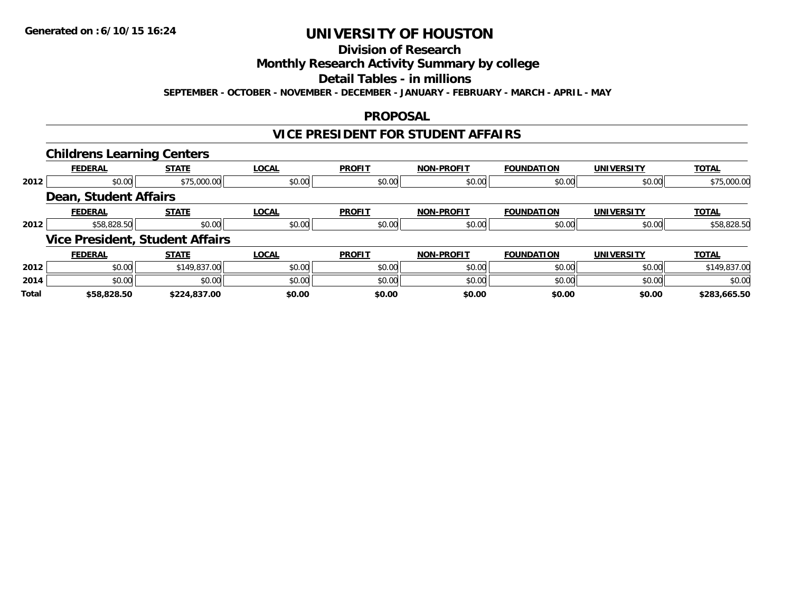#### **Division of Research**

**Monthly Research Activity Summary by college**

**Detail Tables - in millions**

**SEPTEMBER - OCTOBER - NOVEMBER - DECEMBER - JANUARY - FEBRUARY - MARCH - APRIL - MAY**

### **PROPOSAL**

### **VICE PRESIDENT FOR STUDENT AFFAIRS**

|              | <b>Childrens Learning Centers</b>      |              |              |               |                   |                   |                   |              |
|--------------|----------------------------------------|--------------|--------------|---------------|-------------------|-------------------|-------------------|--------------|
|              | <b>FEDERAL</b>                         | <b>STATE</b> | <b>LOCAL</b> | <b>PROFIT</b> | <b>NON-PROFIT</b> | <b>FOUNDATION</b> | UNIVERSITY        | <b>TOTAL</b> |
| 2012         | \$0.00                                 | \$75,000.00  | \$0.00       | \$0.00        | \$0.00            | \$0.00            | \$0.00            | \$75,000.00  |
|              | Dean, Student Affairs                  |              |              |               |                   |                   |                   |              |
|              | <b>FEDERAL</b>                         | <b>STATE</b> | <b>LOCAL</b> | <b>PROFIT</b> | <b>NON-PROFIT</b> | <b>FOUNDATION</b> | <b>UNIVERSITY</b> | <b>TOTAL</b> |
| 2012         | \$58,828.50                            | \$0.00       | \$0.00       | \$0.00        | \$0.00            | \$0.00            | \$0.00            | \$58,828.50  |
|              | <b>Vice President, Student Affairs</b> |              |              |               |                   |                   |                   |              |
|              | <b>FEDERAL</b>                         | <b>STATE</b> | <b>LOCAL</b> | <b>PROFIT</b> | <b>NON-PROFIT</b> | <b>FOUNDATION</b> | <b>UNIVERSITY</b> | <b>TOTAL</b> |
| 2012         | \$0.00                                 | \$149,837.00 | \$0.00       | \$0.00        | \$0.00            | \$0.00            | \$0.00            | \$149,837.00 |
| 2014         | \$0.00                                 | \$0.00       | \$0.00       | \$0.00        | \$0.00            | \$0.00            | \$0.00            | \$0.00       |
| <b>Total</b> | \$58,828.50                            | \$224,837.00 | \$0.00       | \$0.00        | \$0.00            | \$0.00            | \$0.00            | \$283,665.50 |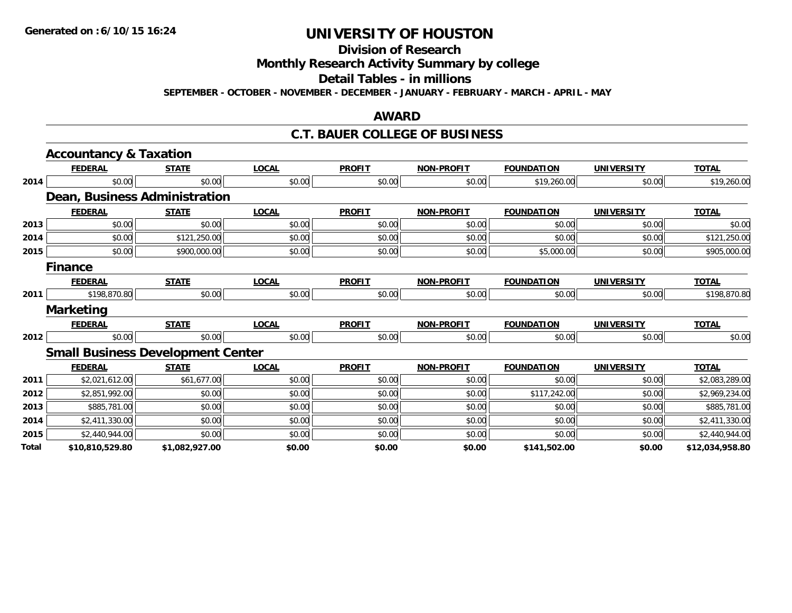**Division of Research**

**Monthly Research Activity Summary by college**

**Detail Tables - in millions**

**SEPTEMBER - OCTOBER - NOVEMBER - DECEMBER - JANUARY - FEBRUARY - MARCH - APRIL - MAY**

#### **AWARD**

### **C.T. BAUER COLLEGE OF BUSINESS**

|                                              | <b>Accountancy &amp; Taxation</b>        |                |              |               |                   |                   |                   |                 |
|----------------------------------------------|------------------------------------------|----------------|--------------|---------------|-------------------|-------------------|-------------------|-----------------|
|                                              | <b>FEDERAL</b>                           | <b>STATE</b>   | <b>LOCAL</b> | <b>PROFIT</b> | <b>NON-PROFIT</b> | <b>FOUNDATION</b> | <b>UNIVERSITY</b> | <b>TOTAL</b>    |
| 2014<br>2013<br>2014<br>2015<br>2011<br>2012 | \$0.00                                   | \$0.00         | \$0.00       | \$0.00        | \$0.00            | \$19,260.00       | \$0.00            | \$19,260.00     |
|                                              | Dean, Business Administration            |                |              |               |                   |                   |                   |                 |
|                                              | <b>FEDERAL</b>                           | <b>STATE</b>   | <b>LOCAL</b> | <b>PROFIT</b> | <b>NON-PROFIT</b> | <b>FOUNDATION</b> | <b>UNIVERSITY</b> | <b>TOTAL</b>    |
|                                              | \$0.00                                   | \$0.00         | \$0.00       | \$0.00        | \$0.00            | \$0.00            | \$0.00            | \$0.00          |
|                                              | \$0.00                                   | \$121,250.00   | \$0.00       | \$0.00        | \$0.00            | \$0.00            | \$0.00            | \$121,250.00    |
|                                              | \$0.00                                   | \$900,000.00   | \$0.00       | \$0.00        | \$0.00            | \$5,000.00        | \$0.00            | \$905,000.00    |
|                                              | <b>Finance</b>                           |                |              |               |                   |                   |                   |                 |
|                                              | <b>FEDERAL</b>                           | <b>STATE</b>   | <b>LOCAL</b> | <b>PROFIT</b> | <b>NON-PROFIT</b> | <b>FOUNDATION</b> | <b>UNIVERSITY</b> | <b>TOTAL</b>    |
|                                              | \$198,870.80                             | \$0.00         | \$0.00       | \$0.00        | \$0.00            | \$0.00            | \$0.00            | \$198,870.80    |
|                                              | <b>Marketing</b>                         |                |              |               |                   |                   |                   |                 |
|                                              | <b>FEDERAL</b>                           | <b>STATE</b>   | <b>LOCAL</b> | <b>PROFIT</b> | <b>NON-PROFIT</b> | <b>FOUNDATION</b> | <b>UNIVERSITY</b> | <b>TOTAL</b>    |
|                                              | \$0.00                                   | \$0.00         | \$0.00       | \$0.00        | \$0.00            | \$0.00            | \$0.00            | \$0.00          |
|                                              | <b>Small Business Development Center</b> |                |              |               |                   |                   |                   |                 |
|                                              | <b>FEDERAL</b>                           | <b>STATE</b>   | <b>LOCAL</b> | <b>PROFIT</b> | <b>NON-PROFIT</b> | <b>FOUNDATION</b> | <b>UNIVERSITY</b> | <b>TOTAL</b>    |
| 2011                                         | \$2,021,612.00                           | \$61,677.00    | \$0.00       | \$0.00        | \$0.00            | \$0.00            | \$0.00            | \$2,083,289.00  |
| 2012                                         | \$2,851,992.00                           | \$0.00         | \$0.00       | \$0.00        | \$0.00            | \$117,242.00      | \$0.00            | \$2,969,234.00  |
| 2013                                         | \$885,781.00                             | \$0.00         | \$0.00       | \$0.00        | \$0.00            | \$0.00            | \$0.00            | \$885,781.00    |
| 2014                                         | \$2,411,330.00                           | \$0.00         | \$0.00       | \$0.00        | \$0.00            | \$0.00            | \$0.00            | \$2,411,330.00  |
| 2015                                         | \$2,440,944.00                           | \$0.00         | \$0.00       | \$0.00        | \$0.00            | \$0.00            | \$0.00            | \$2,440,944.00  |
| Total                                        | \$10,810,529.80                          | \$1,082,927.00 | \$0.00       | \$0.00        | \$0.00            | \$141,502.00      | \$0.00            | \$12,034,958.80 |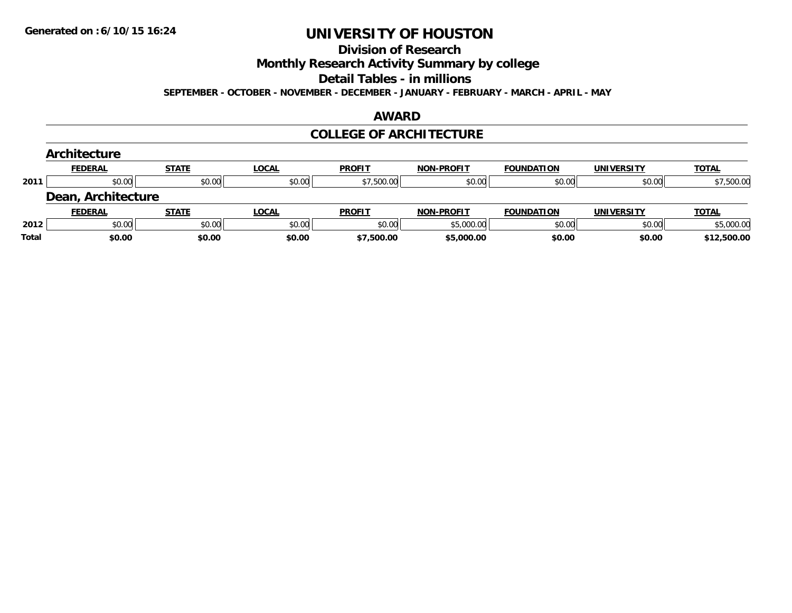#### **Division of Research**

**Monthly Research Activity Summary by college**

**Detail Tables - in millions**

**SEPTEMBER - OCTOBER - NOVEMBER - DECEMBER - JANUARY - FEBRUARY - MARCH - APRIL - MAY**

#### **AWARD**

#### **COLLEGE OF ARCHITECTURE**

|       | Architecture       |              |              |               |                   |                   |                   |              |
|-------|--------------------|--------------|--------------|---------------|-------------------|-------------------|-------------------|--------------|
|       | <b>FEDERAL</b>     | <b>STATE</b> | <b>LOCAL</b> | <b>PROFIT</b> | <b>NON-PROFIT</b> | <b>FOUNDATION</b> | <b>UNIVERSITY</b> | <b>TOTAL</b> |
| 2011  | \$0.00             | \$0.00       | \$0.00       | \$7,500.00    | \$0.00            | \$0.00            | \$0.00            | \$7,500.00   |
|       | Dean, Architecture |              |              |               |                   |                   |                   |              |
|       | <b>FEDERAL</b>     | <b>STATE</b> | <b>LOCAL</b> | <b>PROFIT</b> | <b>NON-PROFIT</b> | <b>FOUNDATION</b> | <b>UNIVERSITY</b> | <b>TOTAL</b> |
| 2012  | \$0.00             | \$0.00       | \$0.00       | \$0.00        | \$5,000.00        | \$0.00            | \$0.00            | \$5,000.00   |
| Total | \$0.00             | \$0.00       | \$0.00       | \$7,500.00    | \$5,000.00        | \$0.00            | \$0.00            | \$12,500.00  |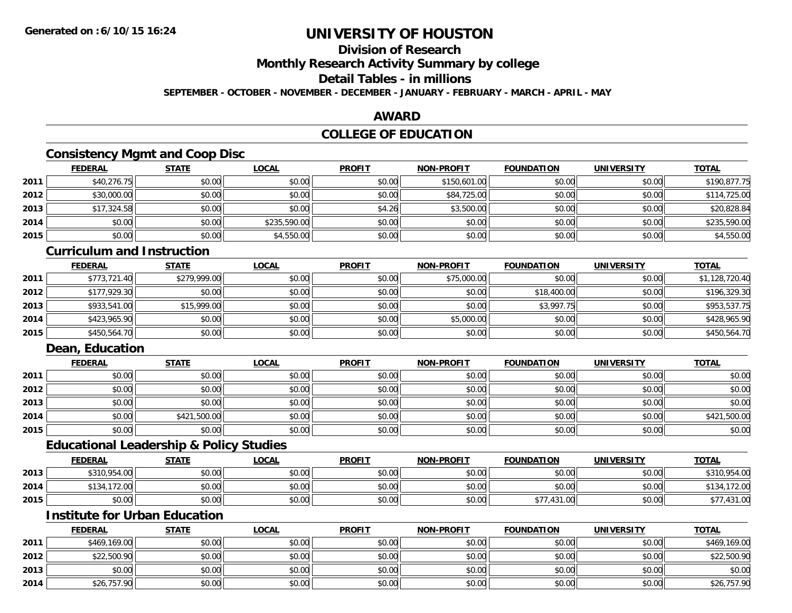## **Division of Research**

**Monthly Research Activity Summary by college**

### **Detail Tables - in millions**

**SEPTEMBER - OCTOBER - NOVEMBER - DECEMBER - JANUARY - FEBRUARY - MARCH - APRIL - MAY**

### **AWARD**

### **COLLEGE OF EDUCATION**

### **Consistency Mgmt and Coop Disc**

|      | <b>FEDERAL</b> | <b>STATE</b> | <b>LOCAL</b> | <b>PROFIT</b> | NON-PROFIT   | <b>FOUNDATION</b> | <b>UNIVERSITY</b> | <b>TOTAL</b> |
|------|----------------|--------------|--------------|---------------|--------------|-------------------|-------------------|--------------|
| 2011 | \$40,276.75    | \$0.00       | \$0.00       | \$0.00        | \$150,601.00 | \$0.00            | \$0.00            | \$190,877.75 |
| 2012 | \$30,000.00    | \$0.00       | \$0.00       | \$0.00        | \$84,725.00  | \$0.00            | \$0.00            | \$114,725.00 |
| 2013 | \$17,324.58    | \$0.00       | \$0.00       | \$4.26        | \$3,500.00   | \$0.00            | \$0.00            | \$20,828.84  |
| 2014 | \$0.00         | \$0.00       | \$235,590.00 | \$0.00        | \$0.00       | \$0.00            | \$0.00            | \$235,590.00 |
| 2015 | \$0.00         | \$0.00       | \$4,550.00   | \$0.00        | \$0.00       | \$0.00            | \$0.00            | \$4,550.00   |

### **Curriculum and Instruction**

|      | <b>FEDERAL</b> | <u>STATE</u> | <u>LOCAL</u> | <b>PROFIT</b> | <b>NON-PROFIT</b> | <b>FOUNDATION</b> | <b>UNIVERSITY</b> | <b>TOTAL</b>   |
|------|----------------|--------------|--------------|---------------|-------------------|-------------------|-------------------|----------------|
| 2011 | \$773,721.40   | \$279,999.00 | \$0.00       | \$0.00        | \$75,000.00       | \$0.00            | \$0.00            | \$1,128,720.40 |
| 2012 | \$177,929.30   | \$0.00       | \$0.00       | \$0.00        | \$0.00            | \$18,400.00       | \$0.00            | \$196,329.30   |
| 2013 | \$933,541.00   | \$15,999.00  | \$0.00       | \$0.00        | \$0.00            | \$3,997.75        | \$0.00            | \$953,537.75   |
| 2014 | \$423,965.90   | \$0.00       | \$0.00       | \$0.00        | \$5,000.00        | \$0.00            | \$0.00            | \$428,965.90   |
| 2015 | \$450,564.70   | \$0.00       | \$0.00       | \$0.00        | \$0.00            | \$0.00            | \$0.00            | \$450,564.70   |

### **Dean, Education**

|      | <b>FEDERAL</b> | <b>STATE</b> | <b>LOCAL</b> | <b>PROFIT</b> | <b>NON-PROFIT</b> | <b>FOUNDATION</b> | <b>UNIVERSITY</b> | <b>TOTAL</b> |
|------|----------------|--------------|--------------|---------------|-------------------|-------------------|-------------------|--------------|
| 2011 | \$0.00         | \$0.00       | \$0.00       | \$0.00        | \$0.00            | \$0.00            | \$0.00            | \$0.00       |
| 2012 | \$0.00         | \$0.00       | \$0.00       | \$0.00        | \$0.00            | \$0.00            | \$0.00            | \$0.00       |
| 2013 | \$0.00         | \$0.00       | \$0.00       | \$0.00        | \$0.00            | \$0.00            | \$0.00            | \$0.00       |
| 2014 | \$0.00         | \$421,500.00 | \$0.00       | \$0.00        | \$0.00            | \$0.00            | \$0.00            | \$421,500.00 |
| 2015 | \$0.00         | \$0.00       | \$0.00       | \$0.00        | \$0.00            | \$0.00            | \$0.00            | \$0.00       |

### **Educational Leadership & Policy Studies**

|      | <b>FEDERAL</b>   | <b>STATE</b> | <u>LOCAL</u> | <b>PROFIT</b> | <b>NON-PROFIT</b> | <b>FOUNDATION</b> | <b>UNIVERSITY</b> | <b>TOTAL</b> |
|------|------------------|--------------|--------------|---------------|-------------------|-------------------|-------------------|--------------|
| 2013 | \$310,954.00     | \$0.00       | \$0.00       | \$0.00        | \$0.00            | \$0.00            | \$0.00            | \$310,954.00 |
| 2014 | 172.00<br>- 34 / | \$0.00       | \$0.00       | \$0.00        | \$0.00            | \$0.00            | \$0.00            |              |
| 2015 | \$0.00           | \$0.00       | \$0.00       | \$0.00        | \$0.00            | \$77,431.00       | \$0.00            | \$77,431.00  |

## **Institute for Urban Education**

|      | <b>FEDERAL</b> | <u>STATE</u> | <u>LOCAL</u> | <b>PROFIT</b> | <b>NON-PROFIT</b> | <b>FOUNDATION</b> | <b>UNIVERSITY</b> | <b>TOTAL</b> |
|------|----------------|--------------|--------------|---------------|-------------------|-------------------|-------------------|--------------|
| 2011 | \$469,169.00   | \$0.00       | \$0.00       | \$0.00        | \$0.00            | \$0.00            | \$0.00            | \$469,169.00 |
| 2012 | \$22,500.90    | \$0.00       | \$0.00       | \$0.00        | \$0.00            | \$0.00            | \$0.00            | \$22,500.90  |
| 2013 | \$0.00         | \$0.00       | \$0.00       | \$0.00        | \$0.00            | \$0.00            | \$0.00            | \$0.00       |
| 2014 | \$26,757.90    | \$0.00       | \$0.00       | \$0.00        | \$0.00            | \$0.00            | \$0.00            | \$26,757.90  |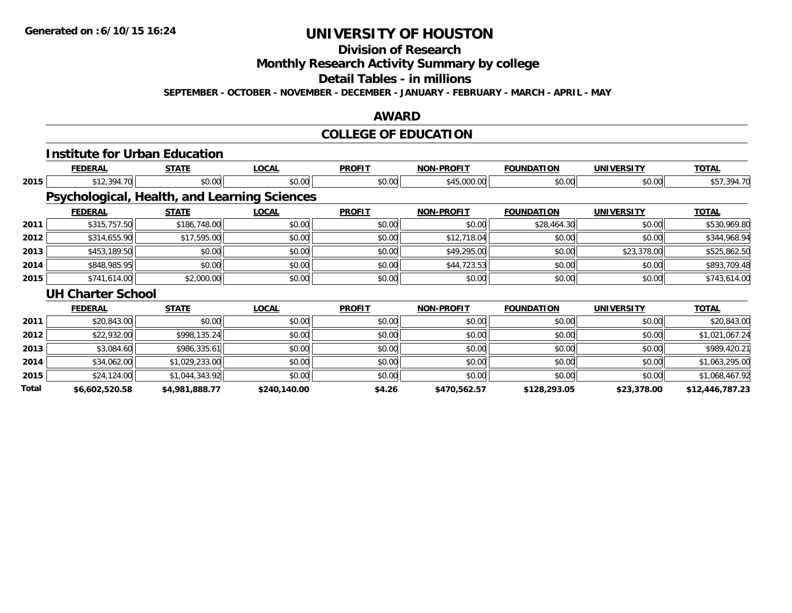## **Division of Research**

**Monthly Research Activity Summary by college**

**Detail Tables - in millions**

**SEPTEMBER - OCTOBER - NOVEMBER - DECEMBER - JANUARY - FEBRUARY - MARCH - APRIL - MAY**

### **AWARD**

## **COLLEGE OF EDUCATION**

|              | <b>Institute for Urban Education</b> |                |                                              |               |                   |                   |                   |                 |
|--------------|--------------------------------------|----------------|----------------------------------------------|---------------|-------------------|-------------------|-------------------|-----------------|
|              | <b>FEDERAL</b>                       | <b>STATE</b>   | <b>LOCAL</b>                                 | <b>PROFIT</b> | <b>NON-PROFIT</b> | <b>FOUNDATION</b> | <b>UNIVERSITY</b> | <b>TOTAL</b>    |
| 2015         | \$12,394.70                          | \$0.00         | \$0.00                                       | \$0.00        | \$45,000.00       | \$0.00            | \$0.00            | \$57,394.70     |
|              |                                      |                | Psychological, Health, and Learning Sciences |               |                   |                   |                   |                 |
|              | <b>FEDERAL</b>                       | <b>STATE</b>   | <b>LOCAL</b>                                 | <b>PROFIT</b> | <b>NON-PROFIT</b> | <b>FOUNDATION</b> | <b>UNIVERSITY</b> | <b>TOTAL</b>    |
| 2011         | \$315,757.50                         | \$186,748.00   | \$0.00                                       | \$0.00        | \$0.00            | \$28,464.30       | \$0.00            | \$530,969.80    |
| 2012         | \$314,655.90                         | \$17,595.00    | \$0.00                                       | \$0.00        | \$12,718.04       | \$0.00            | \$0.00            | \$344,968.94    |
| 2013         | \$453,189.50                         | \$0.00         | \$0.00                                       | \$0.00        | \$49,295.00       | \$0.00            | \$23,378.00       | \$525,862.50    |
| 2014         | \$848,985.95                         | \$0.00         | \$0.00                                       | \$0.00        | \$44,723.53       | \$0.00            | \$0.00            | \$893,709.48    |
| 2015         | \$741,614.00                         | \$2,000.00     | \$0.00                                       | \$0.00        | \$0.00            | \$0.00            | \$0.00            | \$743,614.00    |
|              | <b>UH Charter School</b>             |                |                                              |               |                   |                   |                   |                 |
|              | <b>FEDERAL</b>                       | <b>STATE</b>   | <b>LOCAL</b>                                 | <b>PROFIT</b> | <b>NON-PROFIT</b> | <b>FOUNDATION</b> | <b>UNIVERSITY</b> | <b>TOTAL</b>    |
| 2011         | \$20,843.00                          | \$0.00         | \$0.00                                       | \$0.00        | \$0.00            | \$0.00            | \$0.00            | \$20,843.00     |
| 2012         | \$22,932.00                          | \$998,135.24   | \$0.00                                       | \$0.00        | \$0.00            | \$0.00            | \$0.00            | \$1,021,067.24  |
| 2013         | \$3,084.60                           | \$986,335.61   | \$0.00                                       | \$0.00        | \$0.00            | \$0.00            | \$0.00            | \$989,420.21    |
| 2014         | \$34,062.00                          | \$1,029,233.00 | \$0.00                                       | \$0.00        | \$0.00            | \$0.00            | \$0.00            | \$1,063,295.00  |
| 2015         | \$24,124.00                          | \$1,044,343.92 | \$0.00                                       | \$0.00        | \$0.00            | \$0.00            | \$0.00            | \$1,068,467.92  |
| <b>Total</b> | \$6,602,520.58                       | \$4,981,888.77 | \$240,140.00                                 | \$4.26        | \$470,562.57      | \$128,293.05      | \$23,378.00       | \$12,446,787.23 |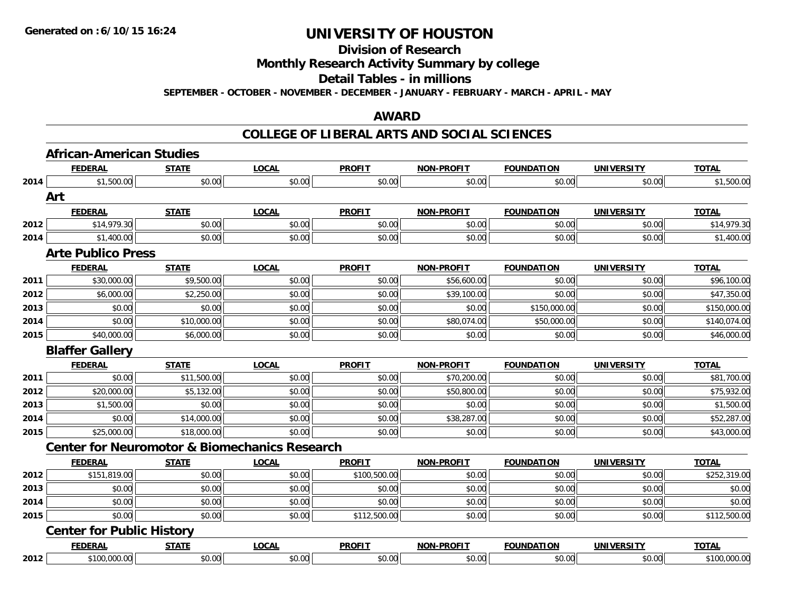**Division of Research**

**Monthly Research Activity Summary by college**

**Detail Tables - in millions**

**SEPTEMBER - OCTOBER - NOVEMBER - DECEMBER - JANUARY - FEBRUARY - MARCH - APRIL - MAY**

#### **AWARD**

|      | <b>African-American Studies</b>                          |              |              |               |                   |                   |                   |              |
|------|----------------------------------------------------------|--------------|--------------|---------------|-------------------|-------------------|-------------------|--------------|
|      | <b>FEDERAL</b>                                           | <b>STATE</b> | <b>LOCAL</b> | <b>PROFIT</b> | <b>NON-PROFIT</b> | <b>FOUNDATION</b> | <b>UNIVERSITY</b> | <b>TOTAL</b> |
| 2014 | \$1,500.00                                               | \$0.00       | \$0.00       | \$0.00        | \$0.00            | \$0.00            | \$0.00            | \$1,500.00   |
|      | Art                                                      |              |              |               |                   |                   |                   |              |
|      | <b>FEDERAL</b>                                           | <b>STATE</b> | <b>LOCAL</b> | <b>PROFIT</b> | <b>NON-PROFIT</b> | <b>FOUNDATION</b> | <b>UNIVERSITY</b> | <b>TOTAL</b> |
| 2012 | \$14,979.30                                              | \$0.00       | \$0.00       | \$0.00        | \$0.00            | \$0.00            | \$0.00            | \$14,979.30  |
| 2014 | \$1,400.00                                               | \$0.00       | \$0.00       | \$0.00        | \$0.00            | \$0.00            | \$0.00            | \$1,400.00   |
|      | <b>Arte Publico Press</b>                                |              |              |               |                   |                   |                   |              |
|      | <b>FEDERAL</b>                                           | <b>STATE</b> | <b>LOCAL</b> | <b>PROFIT</b> | <b>NON-PROFIT</b> | <b>FOUNDATION</b> | <b>UNIVERSITY</b> | <b>TOTAL</b> |
| 2011 | \$30,000.00                                              | \$9,500.00   | \$0.00       | \$0.00        | \$56,600.00       | \$0.00            | \$0.00            | \$96,100.00  |
| 2012 | \$6,000.00                                               | \$2,250.00   | \$0.00       | \$0.00        | \$39,100.00       | \$0.00            | \$0.00            | \$47,350.00  |
| 2013 | \$0.00                                                   | \$0.00       | \$0.00       | \$0.00        | \$0.00            | \$150,000.00      | \$0.00            | \$150,000.00 |
| 2014 | \$0.00                                                   | \$10,000.00  | \$0.00       | \$0.00        | \$80,074.00       | \$50,000.00       | \$0.00            | \$140,074.00 |
| 2015 | \$40,000.00                                              | \$6,000.00   | \$0.00       | \$0.00        | \$0.00            | \$0.00            | \$0.00            | \$46,000.00  |
|      | <b>Blaffer Gallery</b>                                   |              |              |               |                   |                   |                   |              |
|      | <b>FEDERAL</b>                                           | <b>STATE</b> | <b>LOCAL</b> | <b>PROFIT</b> | <b>NON-PROFIT</b> | <b>FOUNDATION</b> | <b>UNIVERSITY</b> | <b>TOTAL</b> |
|      |                                                          |              |              |               |                   |                   |                   |              |
| 2011 | \$0.00                                                   | \$11,500.00  | \$0.00       | \$0.00        | \$70,200.00       | \$0.00            | \$0.00            | \$81,700.00  |
| 2012 | \$20,000.00                                              | \$5,132.00   | \$0.00       | \$0.00        | \$50,800.00       | \$0.00            | \$0.00            | \$75,932.00  |
| 2013 | \$1,500.00                                               | \$0.00       | \$0.00       | \$0.00        | \$0.00            | \$0.00            | \$0.00            | \$1,500.00   |
| 2014 | \$0.00                                                   | \$14,000.00  | \$0.00       | \$0.00        | \$38,287.00       | \$0.00            | \$0.00            | \$52,287.00  |
| 2015 | \$25,000.00                                              | \$18,000.00  | \$0.00       | \$0.00        | \$0.00            | \$0.00            | \$0.00            | \$43,000.00  |
|      | <b>Center for Neuromotor &amp; Biomechanics Research</b> |              |              |               |                   |                   |                   |              |
|      | <b>FEDERAL</b>                                           | <b>STATE</b> | <b>LOCAL</b> | <b>PROFIT</b> | <b>NON-PROFIT</b> | <b>FOUNDATION</b> | <b>UNIVERSITY</b> | <b>TOTAL</b> |
| 2012 | \$151,819.00                                             | \$0.00       | \$0.00       | \$100,500.00  | \$0.00            | \$0.00            | \$0.00            | \$252,319.00 |
| 2013 | \$0.00                                                   | \$0.00       | \$0.00       | \$0.00        | \$0.00            | \$0.00            | \$0.00            | \$0.00       |
| 2014 | \$0.00                                                   | \$0.00       | \$0.00       | \$0.00        | \$0.00            | \$0.00            | \$0.00            | \$0.00       |
| 2015 | \$0.00                                                   | \$0.00       | \$0.00       | \$112,500.00  | \$0.00            | \$0.00            | \$0.00            | \$112,500.00 |
|      | <b>Center for Public History</b>                         |              |              |               |                   |                   |                   |              |
|      | <b>FEDERAL</b>                                           | <b>STATE</b> | <b>LOCAL</b> | <b>PROFIT</b> | <b>NON-PROFIT</b> | <b>FOUNDATION</b> | <b>UNIVERSITY</b> | <b>TOTAL</b> |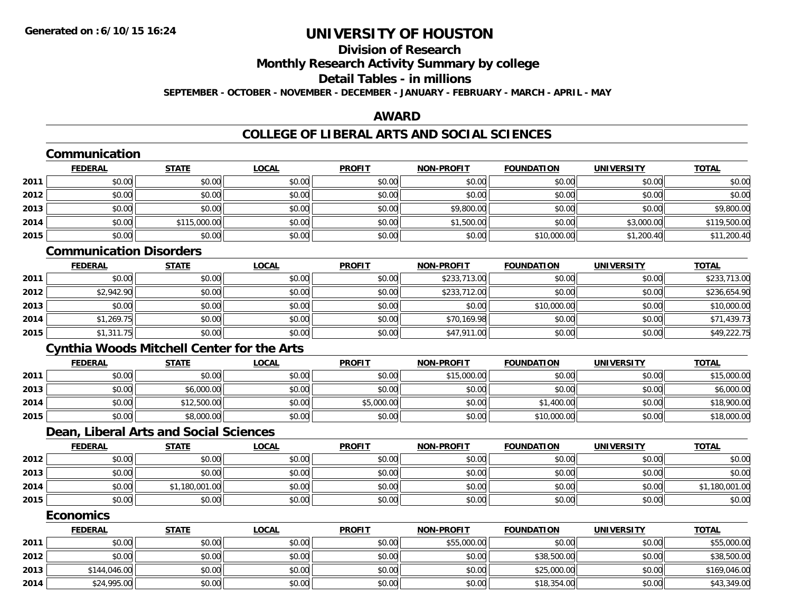### **Division of ResearchMonthly Research Activity Summary by college Detail Tables - in millions SEPTEMBER - OCTOBER - NOVEMBER - DECEMBER - JANUARY - FEBRUARY - MARCH - APRIL - MAY**

### **AWARD**

|      | Communication                                     |                |              |               |                   |                   |                   |                |
|------|---------------------------------------------------|----------------|--------------|---------------|-------------------|-------------------|-------------------|----------------|
|      | <b>FEDERAL</b>                                    | <b>STATE</b>   | <b>LOCAL</b> | <b>PROFIT</b> | <b>NON-PROFIT</b> | <b>FOUNDATION</b> | <b>UNIVERSITY</b> | <b>TOTAL</b>   |
| 2011 | \$0.00                                            | \$0.00         | \$0.00       | \$0.00        | \$0.00            | \$0.00            | \$0.00            | \$0.00         |
| 2012 | \$0.00                                            | \$0.00         | \$0.00       | \$0.00        | \$0.00            | \$0.00            | \$0.00            | \$0.00         |
| 2013 | \$0.00                                            | \$0.00         | \$0.00       | \$0.00        | \$9,800.00        | \$0.00            | \$0.00            | \$9,800.00     |
| 2014 | \$0.00                                            | \$115,000.00   | \$0.00       | \$0.00        | \$1,500.00        | \$0.00            | \$3,000.00        | \$119,500.00   |
| 2015 | \$0.00                                            | \$0.00         | \$0.00       | \$0.00        | \$0.00            | \$10,000.00       | \$1,200.40        | \$11,200.40    |
|      | <b>Communication Disorders</b>                    |                |              |               |                   |                   |                   |                |
|      | <b>FEDERAL</b>                                    | <b>STATE</b>   | <b>LOCAL</b> | <b>PROFIT</b> | <b>NON-PROFIT</b> | <b>FOUNDATION</b> | <b>UNIVERSITY</b> | <b>TOTAL</b>   |
| 2011 | \$0.00                                            | \$0.00         | \$0.00       | \$0.00        | \$233,713.00      | \$0.00            | \$0.00            | \$233,713.00   |
| 2012 | \$2,942.90                                        | \$0.00         | \$0.00       | \$0.00        | \$233,712.00      | \$0.00            | \$0.00            | \$236,654.90   |
| 2013 | \$0.00                                            | \$0.00         | \$0.00       | \$0.00        | \$0.00            | \$10,000.00       | \$0.00            | \$10,000.00    |
| 2014 | \$1,269.75                                        | \$0.00         | \$0.00       | \$0.00        | \$70,169.98       | \$0.00            | \$0.00            | \$71,439.73    |
| 2015 | \$1,311.75                                        | \$0.00         | \$0.00       | \$0.00        | \$47,911.00       | \$0.00            | \$0.00            | \$49,222.75    |
|      | <b>Cynthia Woods Mitchell Center for the Arts</b> |                |              |               |                   |                   |                   |                |
|      | <b>FEDERAL</b>                                    | <b>STATE</b>   | <b>LOCAL</b> | <b>PROFIT</b> | <b>NON-PROFIT</b> | <b>FOUNDATION</b> | <b>UNIVERSITY</b> | <b>TOTAL</b>   |
| 2011 | \$0.00                                            | \$0.00         | \$0.00       | \$0.00        | \$15,000.00       | \$0.00            | \$0.00            | \$15,000.00    |
| 2013 | \$0.00                                            | \$6,000.00     | \$0.00       | \$0.00        | \$0.00            | \$0.00            | \$0.00            | \$6,000.00     |
| 2014 | \$0.00                                            | \$12,500.00    | \$0.00       | \$5,000.00    | \$0.00            | \$1,400.00        | \$0.00            | \$18,900.00    |
| 2015 | \$0.00                                            | \$8,000.00     | \$0.00       | \$0.00        | \$0.00            | \$10,000.00       | \$0.00            | \$18,000.00    |
|      | Dean, Liberal Arts and Social Sciences            |                |              |               |                   |                   |                   |                |
|      | <b>FEDERAL</b>                                    | <b>STATE</b>   | <b>LOCAL</b> | <b>PROFIT</b> | <b>NON-PROFIT</b> | <b>FOUNDATION</b> | <b>UNIVERSITY</b> | <b>TOTAL</b>   |
| 2012 | \$0.00                                            | \$0.00         | \$0.00       | \$0.00        | \$0.00            | \$0.00            | \$0.00            | \$0.00         |
| 2013 | \$0.00                                            | \$0.00         | \$0.00       | \$0.00        | \$0.00            | \$0.00            | \$0.00            | \$0.00         |
| 2014 | \$0.00                                            | \$1,180,001.00 | \$0.00       | \$0.00        | \$0.00            | \$0.00            | \$0.00            | \$1,180,001.00 |
| 2015 | \$0.00                                            | \$0.00         | \$0.00       | \$0.00        | \$0.00            | \$0.00            | \$0.00            | \$0.00         |
|      | <b>Economics</b>                                  |                |              |               |                   |                   |                   |                |
|      | <b>FEDERAL</b>                                    | <b>STATE</b>   | <b>LOCAL</b> | <b>PROFIT</b> | <b>NON-PROFIT</b> | <b>FOUNDATION</b> | <b>UNIVERSITY</b> | <b>TOTAL</b>   |
| 2011 | \$0.00                                            | \$0.00         | \$0.00       | \$0.00        | \$55,000.00       | \$0.00            | \$0.00            | \$55,000.00    |
| 2012 | \$0.00                                            | \$0.00         | \$0.00       | \$0.00        | \$0.00            | \$38,500.00       | \$0.00            | \$38,500.00    |
| 2013 | \$144,046.00                                      | \$0.00         | \$0.00       | \$0.00        | \$0.00            | \$25,000.00       | \$0.00            | \$169,046.00   |
| 2014 | \$24,995.00                                       | \$0.00         | \$0.00       | \$0.00        | \$0.00            | \$18,354.00       | \$0.00            | \$43,349.00    |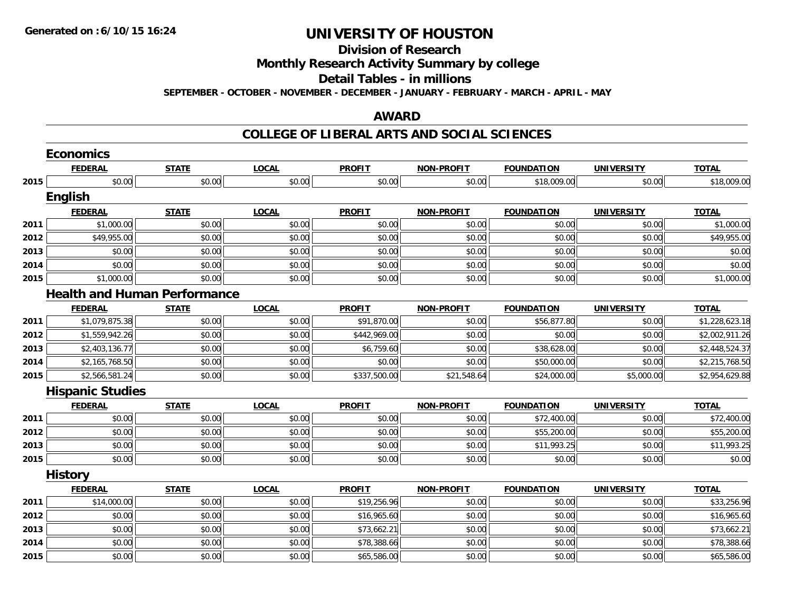## **Division of Research**

**Monthly Research Activity Summary by college**

**Detail Tables - in millions**

**SEPTEMBER - OCTOBER - NOVEMBER - DECEMBER - JANUARY - FEBRUARY - MARCH - APRIL - MAY**

### **AWARD**

### **COLLEGE OF LIBERAL ARTS AND SOCIAL SCIENCES**

|      | <b>Economics</b>                    |              |              |               |                   |                   |                   |                |
|------|-------------------------------------|--------------|--------------|---------------|-------------------|-------------------|-------------------|----------------|
|      | <b>FEDERAL</b>                      | <b>STATE</b> | <b>LOCAL</b> | <b>PROFIT</b> | <b>NON-PROFIT</b> | <b>FOUNDATION</b> | <b>UNIVERSITY</b> | <b>TOTAL</b>   |
| 2015 | \$0.00                              | \$0.00       | \$0.00       | \$0.00        | \$0.00            | \$18,009.00       | \$0.00            | \$18,009.00    |
|      | <b>English</b>                      |              |              |               |                   |                   |                   |                |
|      | <b>FEDERAL</b>                      | <b>STATE</b> | <b>LOCAL</b> | <b>PROFIT</b> | <b>NON-PROFIT</b> | <b>FOUNDATION</b> | <b>UNIVERSITY</b> | <b>TOTAL</b>   |
| 2011 | \$1,000.00                          | \$0.00       | \$0.00       | \$0.00        | \$0.00            | \$0.00            | \$0.00            | \$1,000.00     |
| 2012 | \$49,955.00                         | \$0.00       | \$0.00       | \$0.00        | \$0.00            | \$0.00            | \$0.00            | \$49,955.00    |
| 2013 | \$0.00                              | \$0.00       | \$0.00       | \$0.00        | \$0.00            | \$0.00            | \$0.00            | \$0.00         |
| 2014 | \$0.00                              | \$0.00       | \$0.00       | \$0.00        | \$0.00            | \$0.00            | \$0.00            | \$0.00         |
| 2015 | \$1,000.00                          | \$0.00       | \$0.00       | \$0.00        | \$0.00            | \$0.00            | \$0.00            | \$1,000.00     |
|      | <b>Health and Human Performance</b> |              |              |               |                   |                   |                   |                |
|      | <b>FEDERAL</b>                      | <b>STATE</b> | <b>LOCAL</b> | <b>PROFIT</b> | <b>NON-PROFIT</b> | <b>FOUNDATION</b> | <b>UNIVERSITY</b> | <b>TOTAL</b>   |
| 2011 | \$1,079,875.38                      | \$0.00       | \$0.00       | \$91,870.00   | \$0.00            | \$56,877.80       | \$0.00            | \$1,228,623.18 |
| 2012 | \$1,559,942.26                      | \$0.00       | \$0.00       | \$442,969.00  | \$0.00            | \$0.00            | \$0.00            | \$2,002,911.26 |
| 2013 | \$2,403,136.77                      | \$0.00       | \$0.00       | \$6,759.60    | \$0.00            | \$38,628.00       | \$0.00            | \$2,448,524.37 |
| 2014 | \$2,165,768.50                      | \$0.00       | \$0.00       | \$0.00        | \$0.00            | \$50,000.00       | \$0.00            | \$2,215,768.50 |
| 2015 | \$2,566,581.24                      | \$0.00       | \$0.00       | \$337,500.00  | \$21,548.64       | \$24,000.00       | \$5,000.00        | \$2,954,629.88 |
|      | <b>Hispanic Studies</b>             |              |              |               |                   |                   |                   |                |
|      | <b>FEDERAL</b>                      | <b>STATE</b> | <b>LOCAL</b> | <b>PROFIT</b> | <b>NON-PROFIT</b> | <b>FOUNDATION</b> | <b>UNIVERSITY</b> | <b>TOTAL</b>   |
| 2011 | \$0.00                              | \$0.00       | \$0.00       | \$0.00        | \$0.00            | \$72,400.00       | \$0.00            | \$72,400.00    |
| 2012 | \$0.00                              | \$0.00       | \$0.00       | \$0.00        | \$0.00            | \$55,200.00       | \$0.00            | \$55,200.00    |
| 2013 | \$0.00                              | \$0.00       | \$0.00       | \$0.00        | \$0.00            | \$11,993.25       | \$0.00            | \$11,993.25    |
| 2015 | \$0.00                              | \$0.00       | \$0.00       | \$0.00        | \$0.00            | \$0.00            | \$0.00            | \$0.00         |
|      | <b>History</b>                      |              |              |               |                   |                   |                   |                |
|      | <b>FEDERAL</b>                      | <b>STATE</b> | <b>LOCAL</b> | <b>PROFIT</b> | <b>NON-PROFIT</b> | <b>FOUNDATION</b> | <b>UNIVERSITY</b> | <b>TOTAL</b>   |
| 2011 | \$14,000.00                         | \$0.00       | \$0.00       | \$19,256.96   | \$0.00            | \$0.00            | \$0.00            | \$33,256.96    |
| 2012 | \$0.00                              | \$0.00       | \$0.00       | \$16,965.60   | \$0.00            | \$0.00            | \$0.00            | \$16,965.60    |
| 2013 | \$0.00                              | \$0.00       | \$0.00       | \$73,662.21   | \$0.00            | \$0.00            | \$0.00            | \$73,662.21    |
| 2014 | \$0.00                              | \$0.00       | \$0.00       | \$78,388.66   | \$0.00            | \$0.00            | \$0.00            | \$78,388.66    |
| 2015 | \$0.00                              | \$0.00       | \$0.00       | \$65,586.00   | \$0.00            | \$0.00            | \$0.00            | \$65,586.00    |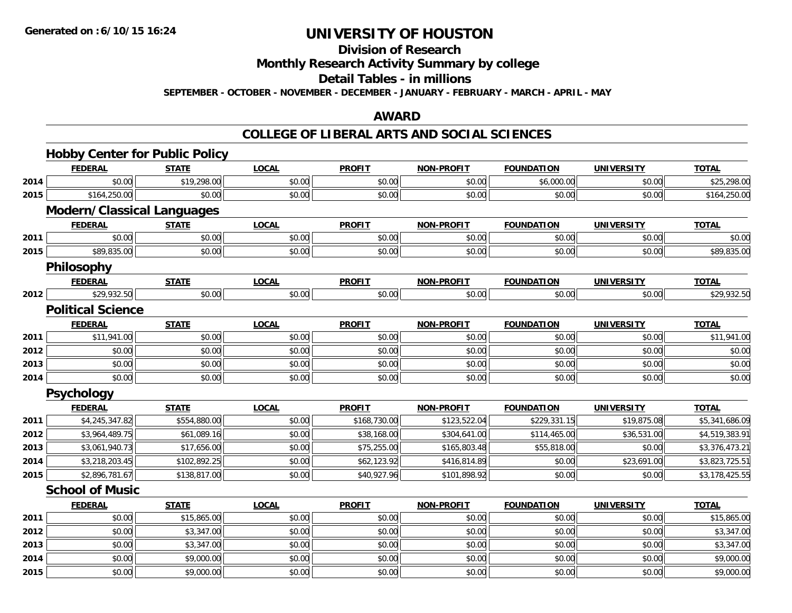## **Division of Research**

**Monthly Research Activity Summary by college**

**Detail Tables - in millions**

**SEPTEMBER - OCTOBER - NOVEMBER - DECEMBER - JANUARY - FEBRUARY - MARCH - APRIL - MAY**

### **AWARD**

### **COLLEGE OF LIBERAL ARTS AND SOCIAL SCIENCES**

|      | <b>Hobby Center for Public Policy</b> |              |              |               |                   |                   |                   |                |
|------|---------------------------------------|--------------|--------------|---------------|-------------------|-------------------|-------------------|----------------|
|      | <b>FEDERAL</b>                        | <b>STATE</b> | <b>LOCAL</b> | <b>PROFIT</b> | <b>NON-PROFIT</b> | <b>FOUNDATION</b> | <b>UNIVERSITY</b> | <b>TOTAL</b>   |
| 2014 | \$0.00                                | \$19,298.00  | \$0.00       | \$0.00        | \$0.00            | \$6,000.00        | \$0.00            | \$25,298.00    |
| 2015 | \$164,250.00                          | \$0.00       | \$0.00       | \$0.00        | \$0.00            | \$0.00            | \$0.00            | \$164,250.00   |
|      | <b>Modern/Classical Languages</b>     |              |              |               |                   |                   |                   |                |
|      | <b>FEDERAL</b>                        | <b>STATE</b> | <b>LOCAL</b> | <b>PROFIT</b> | <b>NON-PROFIT</b> | <b>FOUNDATION</b> | <b>UNIVERSITY</b> | <b>TOTAL</b>   |
| 2011 | \$0.00                                | \$0.00       | \$0.00       | \$0.00        | \$0.00            | \$0.00            | \$0.00            | \$0.00         |
| 2015 | \$89,835.00                           | \$0.00       | \$0.00       | \$0.00        | \$0.00            | \$0.00            | \$0.00            | \$89,835.00    |
|      | Philosophy                            |              |              |               |                   |                   |                   |                |
|      | <b>FEDERAL</b>                        | <b>STATE</b> | <b>LOCAL</b> | <b>PROFIT</b> | <b>NON-PROFIT</b> | <b>FOUNDATION</b> | <b>UNIVERSITY</b> | <b>TOTAL</b>   |
| 2012 | \$29,932.50                           | \$0.00       | \$0.00       | \$0.00        | \$0.00            | \$0.00            | \$0.00            | \$29,932.50    |
|      | <b>Political Science</b>              |              |              |               |                   |                   |                   |                |
|      | <b>FEDERAL</b>                        | <b>STATE</b> | <b>LOCAL</b> | <b>PROFIT</b> | <b>NON-PROFIT</b> | <b>FOUNDATION</b> | <b>UNIVERSITY</b> | <b>TOTAL</b>   |
| 2011 | \$11,941.00                           | \$0.00       | \$0.00       | \$0.00        | \$0.00            | \$0.00            | \$0.00            | \$11,941.00    |
| 2012 | \$0.00                                | \$0.00       | \$0.00       | \$0.00        | \$0.00            | \$0.00            | \$0.00            | \$0.00         |
| 2013 | \$0.00                                | \$0.00       | \$0.00       | \$0.00        | \$0.00            | \$0.00            | \$0.00            | \$0.00         |
| 2014 | \$0.00                                | \$0.00       | \$0.00       | \$0.00        | \$0.00            | \$0.00            | \$0.00            | \$0.00         |
|      | Psychology                            |              |              |               |                   |                   |                   |                |
|      | <b>FEDERAL</b>                        | <b>STATE</b> | <b>LOCAL</b> | <b>PROFIT</b> | <b>NON-PROFIT</b> | <b>FOUNDATION</b> | <b>UNIVERSITY</b> | <b>TOTAL</b>   |
| 2011 | \$4,245,347.82                        | \$554,880.00 | \$0.00       | \$168,730.00  | \$123,522.04      | \$229,331.15      | \$19,875.08       | \$5,341,686.09 |
| 2012 | \$3,964,489.75                        | \$61,089.16  | \$0.00       | \$38,168.00   | \$304,641.00      | \$114,465.00      | \$36,531.00       | \$4,519,383.91 |
| 2013 | \$3,061,940.73                        | \$17,656.00  | \$0.00       | \$75,255.00   | \$165,803.48      | \$55,818.00       | \$0.00            | \$3,376,473.21 |
| 2014 | \$3,218,203.45                        | \$102,892.25 | \$0.00       | \$62,123.92   | \$416,814.89      | \$0.00            | \$23,691.00       | \$3,823,725.51 |
| 2015 | \$2,896,781.67                        | \$138,817.00 | \$0.00       | \$40,927.96   | \$101,898.92      | \$0.00            | \$0.00            | \$3,178,425.55 |
|      | <b>School of Music</b>                |              |              |               |                   |                   |                   |                |
|      | <b>FEDERAL</b>                        | <b>STATE</b> | <b>LOCAL</b> | <b>PROFIT</b> | <b>NON-PROFIT</b> | <b>FOUNDATION</b> | <b>UNIVERSITY</b> | <b>TOTAL</b>   |
| 2011 | \$0.00                                | \$15,865.00  | \$0.00       | \$0.00        | \$0.00            | \$0.00            | \$0.00            | \$15,865.00    |
| 2012 | \$0.00                                | \$3,347.00   | \$0.00       | \$0.00        | \$0.00            | \$0.00            | \$0.00            | \$3,347.00     |
| 2013 | \$0.00                                | \$3,347.00   | \$0.00       | \$0.00        | \$0.00            | \$0.00            | \$0.00            | \$3,347.00     |
| 2014 | \$0.00                                | \$9,000.00   | \$0.00       | \$0.00        | \$0.00            | \$0.00            | \$0.00            | \$9,000.00     |
| 2015 | \$0.00                                | \$9,000.00   | \$0.00       | \$0.00        | \$0.00            | \$0.00            | \$0.00            | \$9,000.00     |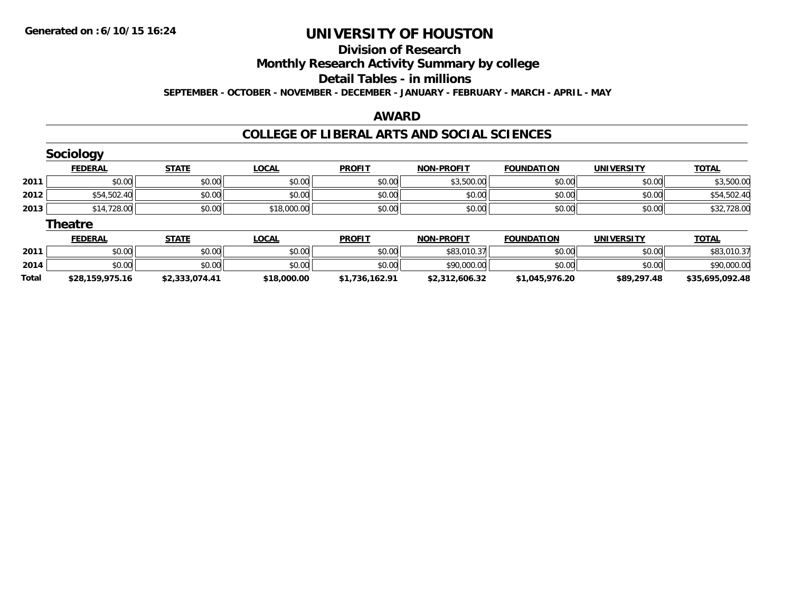**Total**

# **UNIVERSITY OF HOUSTON**

## **Division of Research**

**Monthly Research Activity Summary by college**

#### **Detail Tables - in millions**

**SEPTEMBER - OCTOBER - NOVEMBER - DECEMBER - JANUARY - FEBRUARY - MARCH - APRIL - MAY**

### **AWARD**

### **COLLEGE OF LIBERAL ARTS AND SOCIAL SCIENCES**

|      | <b>Sociology</b> |              |              |               |                   |                   |                   |              |
|------|------------------|--------------|--------------|---------------|-------------------|-------------------|-------------------|--------------|
|      | <b>FEDERAL</b>   | <b>STATE</b> | <b>LOCAL</b> | <b>PROFIT</b> | <b>NON-PROFIT</b> | <b>FOUNDATION</b> | <b>UNIVERSITY</b> | <b>TOTAL</b> |
| 2011 | \$0.00           | \$0.00       | \$0.00       | \$0.00        | \$3,500.00        | \$0.00            | \$0.00            | \$3,500.00   |
| 2012 | \$54,502.40      | \$0.00       | \$0.00       | \$0.00        | \$0.00            | \$0.00            | \$0.00            | \$54,502.40  |
| 2013 | \$14,728.00      | \$0.00       | \$18,000.00  | \$0.00        | \$0.00            | \$0.00            | \$0.00            | \$32,728.00  |
|      | <b>Theatre</b>   |              |              |               |                   |                   |                   |              |
|      | <b>FEDERAL</b>   | <b>STATE</b> | <b>LOCAL</b> | <b>PROFIT</b> | <b>NON-PROFIT</b> | <b>FOUNDATION</b> | <b>UNIVERSITY</b> | <b>TOTAL</b> |
| 2011 | \$0.00           | \$0.00       | \$0.00       | \$0.00        | \$83,010.37       | \$0.00            | \$0.00            | \$83,010.37  |
| 2014 | \$0.00           | \$0.00       | \$0.00       | \$0.00        | \$90,000.00       | \$0.00            | \$0.00            | \$90,000.00  |

**\$28,159,975.16 \$2,333,074.41 \$18,000.00 \$1,736,162.91 \$2,312,606.32 \$1,045,976.20 \$89,297.48 \$35,695,092.48**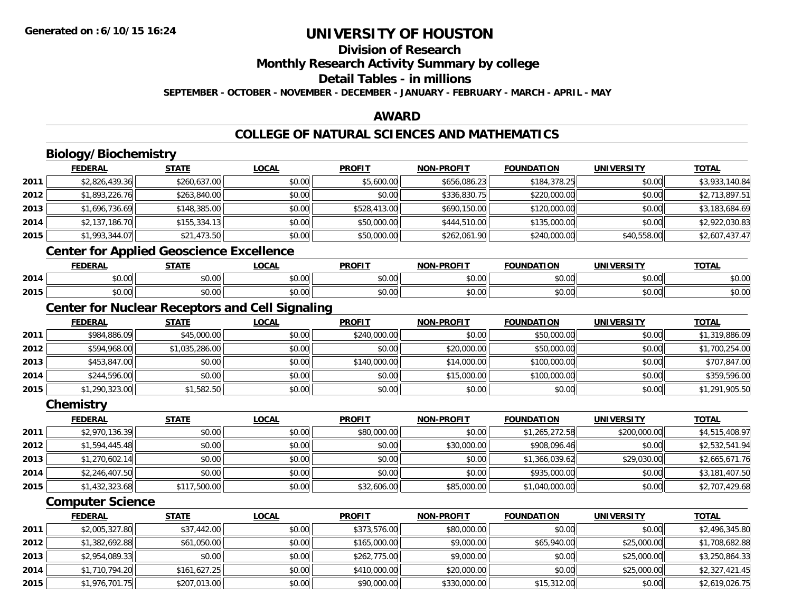# **Division of Research**

**Monthly Research Activity Summary by college**

#### **Detail Tables - in millions**

**SEPTEMBER - OCTOBER - NOVEMBER - DECEMBER - JANUARY - FEBRUARY - MARCH - APRIL - MAY**

### **AWARD**

### **COLLEGE OF NATURAL SCIENCES AND MATHEMATICS**

|      | Biology/Biochemistry                            |                |                                                        |               |                   |                   |                   |                |
|------|-------------------------------------------------|----------------|--------------------------------------------------------|---------------|-------------------|-------------------|-------------------|----------------|
|      | <b>FEDERAL</b>                                  | <b>STATE</b>   | <b>LOCAL</b>                                           | <b>PROFIT</b> | <b>NON-PROFIT</b> | <b>FOUNDATION</b> | <b>UNIVERSITY</b> | <b>TOTAL</b>   |
| 2011 | \$2,826,439.36                                  | \$260,637.00   | \$0.00                                                 | \$5,600.00    | \$656,086.23      | \$184,378.25      | \$0.00            | \$3,933,140.84 |
| 2012 | \$1,893,226.76                                  | \$263,840.00   | \$0.00                                                 | \$0.00        | \$336,830.75      | \$220,000.00      | \$0.00            | \$2,713,897.51 |
| 2013 | \$1,696,736.69                                  | \$148,385.00   | \$0.00                                                 | \$528,413.00  | \$690,150.00      | \$120,000.00      | \$0.00            | \$3,183,684.69 |
| 2014 | \$2,137,186.70                                  | \$155,334.13   | \$0.00                                                 | \$50,000.00   | \$444,510.00      | \$135,000.00      | \$0.00            | \$2,922,030.83 |
| 2015 | \$1,993,344.07                                  | \$21,473.50    | \$0.00                                                 | \$50,000.00   | \$262,061.90      | \$240,000.00      | \$40,558.00       | \$2,607,437.47 |
|      | <b>Center for Applied Geoscience Excellence</b> |                |                                                        |               |                   |                   |                   |                |
|      | <b>FEDERAL</b>                                  | <b>STATE</b>   | <b>LOCAL</b>                                           | <b>PROFIT</b> | <b>NON-PROFIT</b> | <b>FOUNDATION</b> | <b>UNIVERSITY</b> | <b>TOTAL</b>   |
| 2014 | \$0.00                                          | \$0.00         | \$0.00                                                 | \$0.00        | \$0.00            | \$0.00            | \$0.00            | \$0.00         |
| 2015 | \$0.00                                          | \$0.00         | \$0.00                                                 | \$0.00        | \$0.00            | \$0.00            | \$0.00            | \$0.00         |
|      |                                                 |                | <b>Center for Nuclear Receptors and Cell Signaling</b> |               |                   |                   |                   |                |
|      | <b>FEDERAL</b>                                  | <b>STATE</b>   | <b>LOCAL</b>                                           | <b>PROFIT</b> | <b>NON-PROFIT</b> | <b>FOUNDATION</b> | <b>UNIVERSITY</b> | <b>TOTAL</b>   |
| 2011 | \$984,886.09                                    | \$45,000.00    | \$0.00                                                 | \$240,000.00  | \$0.00            | \$50,000.00       | \$0.00            | \$1,319,886.09 |
| 2012 | \$594,968.00                                    | \$1,035,286.00 | \$0.00                                                 | \$0.00        | \$20,000.00       | \$50,000.00       | \$0.00            | \$1,700,254.00 |
| 2013 | \$453,847.00                                    | \$0.00         | \$0.00                                                 | \$140,000.00  | \$14,000.00       | \$100,000.00      | \$0.00            | \$707,847.00   |
| 2014 | \$244,596.00                                    | \$0.00         | \$0.00                                                 | \$0.00        | \$15,000.00       | \$100,000.00      | \$0.00            | \$359,596.00   |
| 2015 | \$1,290,323.00                                  | \$1,582.50     | \$0.00                                                 | \$0.00        | \$0.00            | \$0.00            | \$0.00            | \$1,291,905.50 |
|      | Chemistry                                       |                |                                                        |               |                   |                   |                   |                |
|      | <b>FEDERAL</b>                                  | <b>STATE</b>   | <b>LOCAL</b>                                           | <b>PROFIT</b> | <b>NON-PROFIT</b> | <b>FOUNDATION</b> | <b>UNIVERSITY</b> | <b>TOTAL</b>   |
| 2011 | \$2,970,136.39                                  | \$0.00         | \$0.00                                                 | \$80,000.00   | \$0.00            | \$1,265,272.58    | \$200,000.00      | \$4,515,408.97 |
| 2012 | \$1,594,445.48                                  | \$0.00         | \$0.00                                                 | \$0.00        | \$30,000.00       | \$908,096.46      | \$0.00            | \$2,532,541.94 |
| 2013 | \$1,270,602.14                                  | \$0.00         | \$0.00                                                 | \$0.00        | \$0.00            | \$1,366,039.62    | \$29,030.00       | \$2,665,671.76 |
| 2014 | \$2,246,407.50                                  | \$0.00         | \$0.00                                                 | \$0.00        | \$0.00            | \$935,000.00      | \$0.00            | \$3,181,407.50 |
| 2015 | \$1,432,323.68                                  | \$117,500.00   | \$0.00                                                 | \$32,606.00   | \$85,000.00       | \$1,040,000.00    | \$0.00            | \$2,707,429.68 |
|      | <b>Computer Science</b>                         |                |                                                        |               |                   |                   |                   |                |
|      | <b>FEDERAL</b>                                  | <b>STATE</b>   | <b>LOCAL</b>                                           | <b>PROFIT</b> | <b>NON-PROFIT</b> | <b>FOUNDATION</b> | <b>UNIVERSITY</b> | <b>TOTAL</b>   |
| 2011 | \$2,005,327.80                                  | \$37,442.00    | \$0.00                                                 | \$373,576.00  | \$80,000.00       | \$0.00            | \$0.00            | \$2,496,345.80 |
| 2012 | \$1,382,692.88                                  | \$61,050.00    | \$0.00                                                 | \$165,000.00  | \$9,000.00        | \$65,940.00       | \$25,000.00       | \$1,708,682.88 |
| 2013 | \$2,954,089.33                                  | \$0.00         | \$0.00                                                 | \$262,775.00  | \$9,000.00        | \$0.00            | \$25,000.00       | \$3,250,864.33 |
| 2014 | \$1,710,794.20                                  | \$161,627.25   | \$0.00                                                 | \$410,000.00  | \$20,000.00       | \$0.00            | \$25,000.00       | \$2,327,421.45 |
| 2015 | \$1,976,701.75                                  | \$207,013.00   | \$0.00                                                 | \$90,000.00   | \$330,000.00      | \$15,312.00       | \$0.00            | \$2,619,026.75 |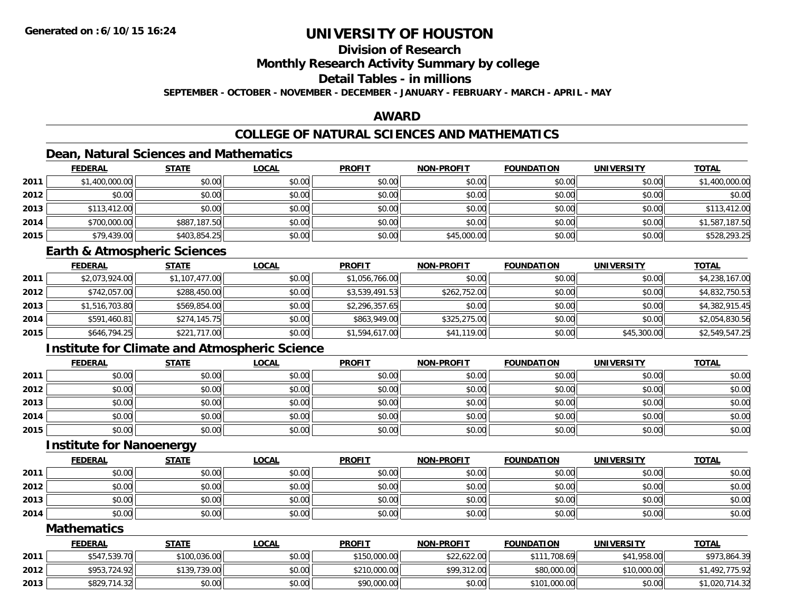## **Division of Research**

**Monthly Research Activity Summary by college**

## **Detail Tables - in millions**

**SEPTEMBER - OCTOBER - NOVEMBER - DECEMBER - JANUARY - FEBRUARY - MARCH - APRIL - MAY**

## **AWARD**

## **COLLEGE OF NATURAL SCIENCES AND MATHEMATICS**

## **Dean, Natural Sciences and Mathematics**

|      | <b>FEDERAL</b> | <b>STATE</b> | <u>LOCAL</u> | <b>PROFIT</b> | <b>NON-PROFIT</b> | <b>FOUNDATION</b> | <b>UNIVERSITY</b> | <b>TOTAL</b>   |
|------|----------------|--------------|--------------|---------------|-------------------|-------------------|-------------------|----------------|
| 2011 | \$1,400,000.00 | \$0.00       | \$0.00       | \$0.00        | \$0.00            | \$0.00            | \$0.00            | \$1,400,000.00 |
| 2012 | \$0.00         | \$0.00       | \$0.00       | \$0.00        | \$0.00            | \$0.00            | \$0.00            | \$0.00         |
| 2013 | \$113,412.00   | \$0.00       | \$0.00       | \$0.00        | \$0.00            | \$0.00            | \$0.00            | \$113,412.00   |
| 2014 | \$700,000.00   | \$887,187.50 | \$0.00       | \$0.00        | \$0.00            | \$0.00            | \$0.00            | \$1,587,187.50 |
| 2015 | \$79,439.00    | \$403,854.25 | \$0.00       | \$0.00        | \$45,000.00       | \$0.00            | \$0.00            | \$528,293.25   |

### **Earth & Atmospheric Sciences**

|      | <b>FEDERAL</b> | <b>STATE</b>   | <b>LOCAL</b> | <b>PROFIT</b>  | <b>NON-PROFIT</b> | <b>FOUNDATION</b> | <b>UNIVERSITY</b> | <b>TOTAL</b>   |
|------|----------------|----------------|--------------|----------------|-------------------|-------------------|-------------------|----------------|
| 2011 | \$2,073,924.00 | \$1,107,477.00 | \$0.00       | \$1,056,766.00 | \$0.00            | \$0.00            | \$0.00            | \$4,238,167.00 |
| 2012 | \$742,057.00   | \$288,450.00   | \$0.00       | \$3,539,491.53 | \$262,752.00      | \$0.00            | \$0.00            | \$4,832,750.53 |
| 2013 | \$1,516,703.80 | \$569,854.00   | \$0.00       | \$2,296,357.65 | \$0.00            | \$0.00            | \$0.00            | \$4,382,915.45 |
| 2014 | \$591,460.81   | \$274,145.75   | \$0.00       | \$863,949,00   | \$325,275.00      | \$0.00            | \$0.00            | \$2,054,830.56 |
| 2015 | \$646,794.25   | \$221,717.00   | \$0.00       | \$1,594,617.00 | \$41,119.00       | \$0.00            | \$45,300.00       | \$2,549,547.25 |

## **Institute for Climate and Atmospheric Science**

|      | <b>FEDERAL</b> | <b>STATE</b> | <b>LOCAL</b> | <b>PROFIT</b> | <b>NON-PROFIT</b> | <b>FOUNDATION</b> | <b>UNIVERSITY</b> | <b>TOTAL</b> |
|------|----------------|--------------|--------------|---------------|-------------------|-------------------|-------------------|--------------|
| 2011 | \$0.00         | \$0.00       | \$0.00       | \$0.00        | \$0.00            | \$0.00            | \$0.00            | \$0.00       |
| 2012 | \$0.00         | \$0.00       | \$0.00       | \$0.00        | \$0.00            | \$0.00            | \$0.00            | \$0.00       |
| 2013 | \$0.00         | \$0.00       | \$0.00       | \$0.00        | \$0.00            | \$0.00            | \$0.00            | \$0.00       |
| 2014 | \$0.00         | \$0.00       | \$0.00       | \$0.00        | \$0.00            | \$0.00            | \$0.00            | \$0.00       |
| 2015 | \$0.00         | \$0.00       | \$0.00       | \$0.00        | \$0.00            | \$0.00            | \$0.00            | \$0.00       |

### **Institute for Nanoenergy**

|      | <b>FEDERAL</b> | <u>STATE</u> | <b>LOCAL</b> | <b>PROFIT</b> | <b>NON-PROFIT</b> | <b>FOUNDATION</b> | <b>UNIVERSITY</b> | <b>TOTAL</b> |
|------|----------------|--------------|--------------|---------------|-------------------|-------------------|-------------------|--------------|
| 2011 | \$0.00         | \$0.00       | \$0.00       | \$0.00        | \$0.00            | \$0.00            | \$0.00            | \$0.00       |
| 2012 | \$0.00         | \$0.00       | \$0.00       | \$0.00        | \$0.00            | \$0.00            | \$0.00            | \$0.00       |
| 2013 | \$0.00         | \$0.00       | \$0.00       | \$0.00        | \$0.00            | \$0.00            | \$0.00            | \$0.00       |
| 2014 | \$0.00         | \$0.00       | \$0.00       | \$0.00        | \$0.00            | \$0.00            | \$0.00            | \$0.00       |

### **Mathematics**

|      | <b>FEDERAL</b> | <b>STATE</b> | <u>LOCAL</u> | <b>PROFIT</b> | <b>NON-PROFIT</b> | <b>FOUNDATION</b> | UNIVERSITY  | <b>TOTAL</b>   |
|------|----------------|--------------|--------------|---------------|-------------------|-------------------|-------------|----------------|
| 2011 | \$547,539.70   | \$100,036.00 | \$0.00       | \$150,000.00  | \$22,622.00       | \$111,708.69      | \$41,958.00 | \$973,864.39   |
| 2012 | \$953,724.92   | \$139,739.00 | \$0.00       | \$210,000.00  | \$99,312.00       | \$80,000.00       | \$10,000.00 | \$1,492,775.92 |
| 2013 | \$829,714.32   | \$0.00       | \$0.00       | \$90,000.00   | \$0.00            | \$101,000.00      | \$0.00      | \$1,020,714.32 |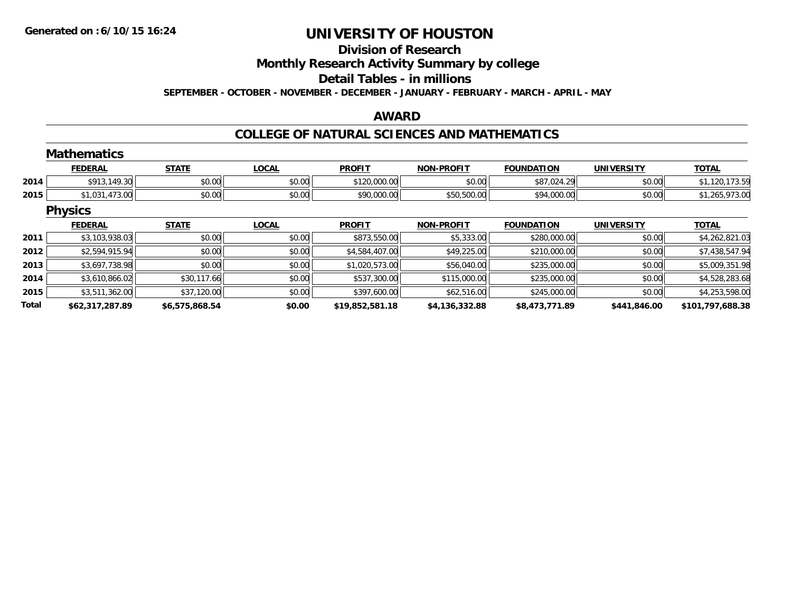# **Division of Research**

**Monthly Research Activity Summary by college**

#### **Detail Tables - in millions**

**SEPTEMBER - OCTOBER - NOVEMBER - DECEMBER - JANUARY - FEBRUARY - MARCH - APRIL - MAY**

### **AWARD**

## **COLLEGE OF NATURAL SCIENCES AND MATHEMATICS**

|              | <b>Mathematics</b> |                |              |                 |                   |                   |                   |                  |
|--------------|--------------------|----------------|--------------|-----------------|-------------------|-------------------|-------------------|------------------|
|              | <b>FEDERAL</b>     | <b>STATE</b>   | <b>LOCAL</b> | <b>PROFIT</b>   | <b>NON-PROFIT</b> | <b>FOUNDATION</b> | <b>UNIVERSITY</b> | <b>TOTAL</b>     |
| 2014         | \$913,149.30       | \$0.00         | \$0.00       | \$120,000.00    | \$0.00            | \$87,024.29       | \$0.00            | \$1,120,173.59   |
| 2015         | \$1,031,473.00     | \$0.00         | \$0.00       | \$90,000.00     | \$50,500.00       | \$94,000.00       | \$0.00            | \$1,265,973.00   |
|              | <b>Physics</b>     |                |              |                 |                   |                   |                   |                  |
|              | <b>FEDERAL</b>     | <b>STATE</b>   | <b>LOCAL</b> | <b>PROFIT</b>   | <b>NON-PROFIT</b> | <b>FOUNDATION</b> | <b>UNIVERSITY</b> | <b>TOTAL</b>     |
| 2011         | \$3,103,938.03     | \$0.00         | \$0.00       | \$873,550.00    | \$5,333.00        | \$280,000.00      | \$0.00            | \$4,262,821.03   |
| 2012         | \$2,594,915.94     | \$0.00         | \$0.00       | \$4,584,407.00  | \$49,225.00       | \$210,000.00      | \$0.00            | \$7,438,547.94   |
| 2013         | \$3,697,738.98     | \$0.00         | \$0.00       | \$1,020,573.00  | \$56,040.00       | \$235,000.00      | \$0.00            | \$5,009,351.98   |
| 2014         | \$3,610,866.02     | \$30,117.66    | \$0.00       | \$537,300.00    | \$115,000.00      | \$235,000.00      | \$0.00            | \$4,528,283.68   |
| 2015         | \$3,511,362.00     | \$37,120.00    | \$0.00       | \$397,600.00    | \$62,516.00       | \$245,000.00      | \$0.00            | \$4,253,598.00   |
| <b>Total</b> | \$62,317,287.89    | \$6,575,868.54 | \$0.00       | \$19,852,581.18 | \$4,136,332.88    | \$8,473,771.89    | \$441,846.00      | \$101,797,688.38 |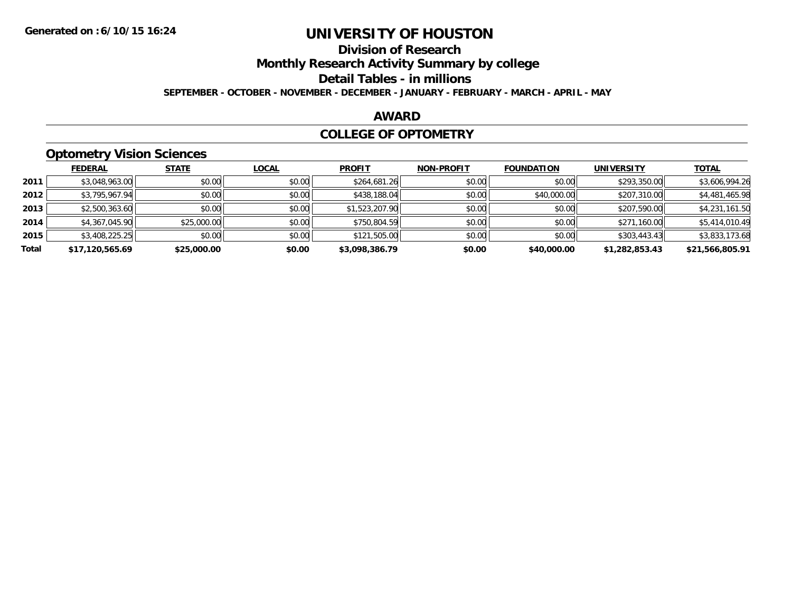# **Division of Research**

**Monthly Research Activity Summary by college**

**Detail Tables - in millions**

**SEPTEMBER - OCTOBER - NOVEMBER - DECEMBER - JANUARY - FEBRUARY - MARCH - APRIL - MAY**

### **AWARD**

### **COLLEGE OF OPTOMETRY**

## **Optometry Vision Sciences**

|       | <b>FEDERAL</b>  | <b>STATE</b> | <b>LOCAL</b> | <b>PROFIT</b>  | <b>NON-PROFIT</b> | <b>FOUNDATION</b> | <b>UNIVERSITY</b> | <u>TOTAL</u>    |
|-------|-----------------|--------------|--------------|----------------|-------------------|-------------------|-------------------|-----------------|
| 2011  | \$3,048,963.00  | \$0.00       | \$0.00       | \$264,681.26   | \$0.00            | \$0.00            | \$293,350.00      | \$3,606,994.26  |
| 2012  | \$3,795,967.94  | \$0.00       | \$0.00       | \$438,188.04   | \$0.00            | \$40,000.00       | \$207,310.00      | \$4,481,465.98  |
| 2013  | \$2,500,363.60  | \$0.00       | \$0.00       | \$1,523,207.90 | \$0.00            | \$0.00            | \$207,590.00      | \$4,231,161.50  |
| 2014  | \$4,367,045.90  | \$25,000.00  | \$0.00       | \$750,804.59   | \$0.00            | \$0.00            | \$271,160.00      | \$5,414,010.49  |
| 2015  | \$3,408,225.25  | \$0.00       | \$0.00       | \$121,505.00   | \$0.00            | \$0.00            | \$303,443.43      | \$3,833,173.68  |
| Total | \$17,120,565.69 | \$25,000.00  | \$0.00       | \$3,098,386.79 | \$0.00            | \$40,000.00       | \$1,282,853.43    | \$21,566,805.91 |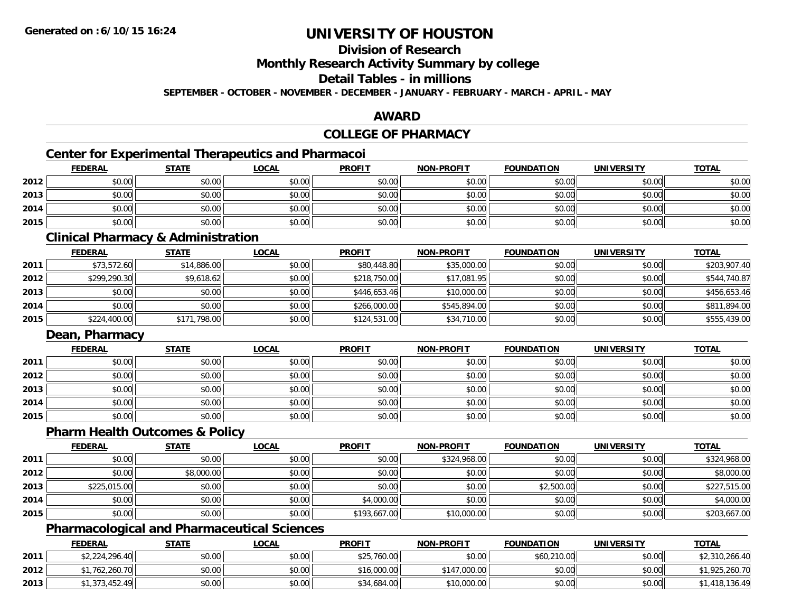## **Division of Research**

**Monthly Research Activity Summary by college**

**Detail Tables - in millions**

**SEPTEMBER - OCTOBER - NOVEMBER - DECEMBER - JANUARY - FEBRUARY - MARCH - APRIL - MAY**

### **AWARD**

## **COLLEGE OF PHARMACY**

## **Center for Experimental Therapeutics and Pharmacoi**

|      | <b>FEDERAL</b> | <b>STATE</b> | <u>LOCAL</u> | <b>PROFIT</b> | <b>NON-PROFIT</b> | <b>FOUNDATION</b> | <b>UNIVERSITY</b> | <b>TOTAL</b> |
|------|----------------|--------------|--------------|---------------|-------------------|-------------------|-------------------|--------------|
| 2012 | \$0.00         | \$0.00       | \$0.00       | \$0.00        | \$0.00            | \$0.00            | \$0.00            | \$0.00       |
| 2013 | \$0.00         | \$0.00       | \$0.00       | \$0.00        | \$0.00            | \$0.00            | \$0.00            | \$0.00       |
| 2014 | \$0.00         | \$0.00       | \$0.00       | \$0.00        | \$0.00            | \$0.00            | \$0.00            | \$0.00       |
| 2015 | \$0.00         | \$0.00       | \$0.00       | \$0.00        | \$0.00            | \$0.00            | \$0.00            | \$0.00       |

### **Clinical Pharmacy & Administration**

|      | <b>FEDERAL</b> | <b>STATE</b> | <b>LOCAL</b> | <b>PROFIT</b> | <b>NON-PROFIT</b> | <b>FOUNDATION</b> | <b>UNIVERSITY</b> | <b>TOTAL</b> |
|------|----------------|--------------|--------------|---------------|-------------------|-------------------|-------------------|--------------|
| 2011 | \$73,572.60    | \$14,886.00  | \$0.00       | \$80,448.80   | \$35,000.00       | \$0.00            | \$0.00            | \$203,907.40 |
| 2012 | \$299,290.30   | \$9,618.62   | \$0.00       | \$218,750.00  | \$17,081.95       | \$0.00            | \$0.00            | \$544,740.87 |
| 2013 | \$0.00         | \$0.00       | \$0.00       | \$446,653.46  | \$10,000.00       | \$0.00            | \$0.00            | \$456,653.46 |
| 2014 | \$0.00         | \$0.00       | \$0.00       | \$266,000.00  | \$545,894.00      | \$0.00            | \$0.00            | \$811,894.00 |
| 2015 | \$224,400.00   | \$171,798.00 | \$0.00       | \$124,531.00  | \$34,710.00       | \$0.00            | \$0.00            | \$555,439.00 |

### **Dean, Pharmacy**

|      | <u>FEDERAL</u> | <b>STATE</b> | <u>LOCAL</u> | <b>PROFIT</b> | <b>NON-PROFIT</b> | <b>FOUNDATION</b> | <b>UNIVERSITY</b> | <b>TOTAL</b> |
|------|----------------|--------------|--------------|---------------|-------------------|-------------------|-------------------|--------------|
| 2011 | \$0.00         | \$0.00       | \$0.00       | \$0.00        | \$0.00            | \$0.00            | \$0.00            | \$0.00       |
| 2012 | \$0.00         | \$0.00       | \$0.00       | \$0.00        | \$0.00            | \$0.00            | \$0.00            | \$0.00       |
| 2013 | \$0.00         | \$0.00       | \$0.00       | \$0.00        | \$0.00            | \$0.00            | \$0.00            | \$0.00       |
| 2014 | \$0.00         | \$0.00       | \$0.00       | \$0.00        | \$0.00            | \$0.00            | \$0.00            | \$0.00       |
| 2015 | \$0.00         | \$0.00       | \$0.00       | \$0.00        | \$0.00            | \$0.00            | \$0.00            | \$0.00       |

## **Pharm Health Outcomes & Policy**

|      | <u>FEDERAL</u> | <b>STATE</b> | <u>LOCAL</u> | <b>PROFIT</b> | <b>NON-PROFIT</b> | <b>FOUNDATION</b> | <b>UNIVERSITY</b> | <b>TOTAL</b> |
|------|----------------|--------------|--------------|---------------|-------------------|-------------------|-------------------|--------------|
| 2011 | \$0.00         | \$0.00       | \$0.00       | \$0.00        | \$324,968.00      | \$0.00            | \$0.00            | \$324,968.00 |
| 2012 | \$0.00         | \$8,000.00   | \$0.00       | \$0.00        | \$0.00            | \$0.00            | \$0.00            | \$8,000.00   |
| 2013 | \$225,015.00   | \$0.00       | \$0.00       | \$0.00        | \$0.00            | \$2,500.00        | \$0.00            | \$227,515.00 |
| 2014 | \$0.00         | \$0.00       | \$0.00       | \$4,000.00    | \$0.00            | \$0.00            | \$0.00            | \$4,000.00   |
| 2015 | \$0.00         | \$0.00       | \$0.00       | \$193,667.00  | \$10,000.00       | \$0.00            | \$0.00            | \$203,667.00 |

## **Pharmacological and Pharmaceutical Sciences**

|      | <b>FEDERAL</b> | <b>STATE</b> | <u>LOCAL</u> | <b>PROFIT</b> | <b>NON-PROFIT</b> | <b>FOUNDATION</b> | <b>UNIVERSITY</b> | <b>TOTAL</b>   |
|------|----------------|--------------|--------------|---------------|-------------------|-------------------|-------------------|----------------|
| 2011 | \$2,224,296.40 | \$0.00       | \$0.00       | \$25,760.00   | \$0.00            | \$60,210.00       | \$0.00            | \$2,310,266.40 |
| 2012 | ,762,260.70    | \$0.00       | \$0.00       | \$16,000.00   | \$147,000.00      | \$0.00            | \$0.00            | \$1,925,260.70 |
| 2013 | \$1,373,452.49 | \$0.00       | \$0.00       | \$34,684.00   | \$10,000.00       | \$0.00            | \$0.00            | 1,418,136.49   |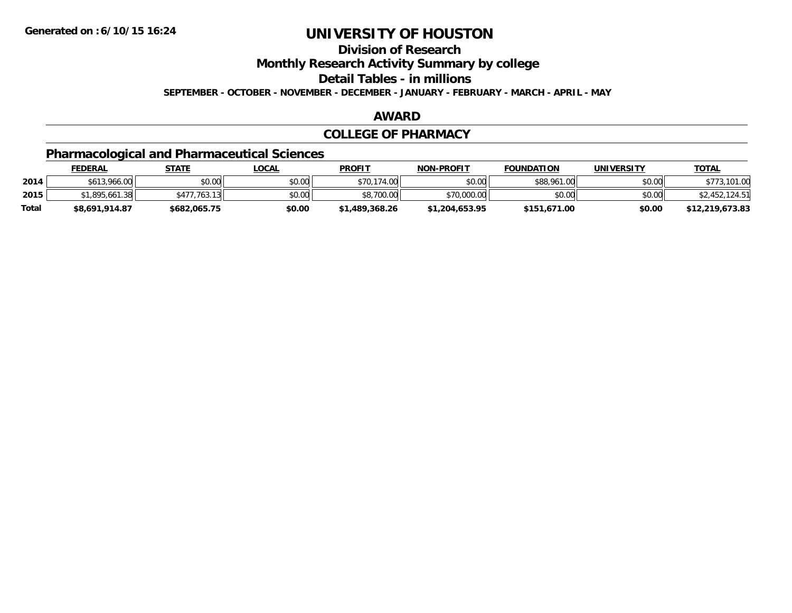**Division of Research**

**Monthly Research Activity Summary by college**

**Detail Tables - in millions**

**SEPTEMBER - OCTOBER - NOVEMBER - DECEMBER - JANUARY - FEBRUARY - MARCH - APRIL - MAY**

### **AWARD**

### **COLLEGE OF PHARMACY**

## **Pharmacological and Pharmaceutical Sciences**

|       | <b>FEDERAL</b> | STATE                            | <u>LOCAL</u> | <b>PROFIT</b>  | <b>NON-PROFIT</b> | <b>FOUNDATION</b> | <b>UNIVERSITY</b> | <u>TOTAL</u>    |
|-------|----------------|----------------------------------|--------------|----------------|-------------------|-------------------|-------------------|-----------------|
| 2014  | \$613,966.00   | \$0.00                           | \$0.00       | \$70,174.00    | \$0.00            | \$88,961.00       | \$0.00            | .101.00         |
| 2015  | .895.661.38    | $.763.13$ <sup>1</sup><br>\$477. | \$0.00       | \$8,700.00     | \$70,000.00       | \$0.00            | \$0.00            | \$2452          |
| Total | \$8,691,914.87 | \$682.065.75                     | \$0.00       | \$1,489,368.26 | \$1,204,653.95    | \$151,671.00      | \$0.00            | \$12,219,673.83 |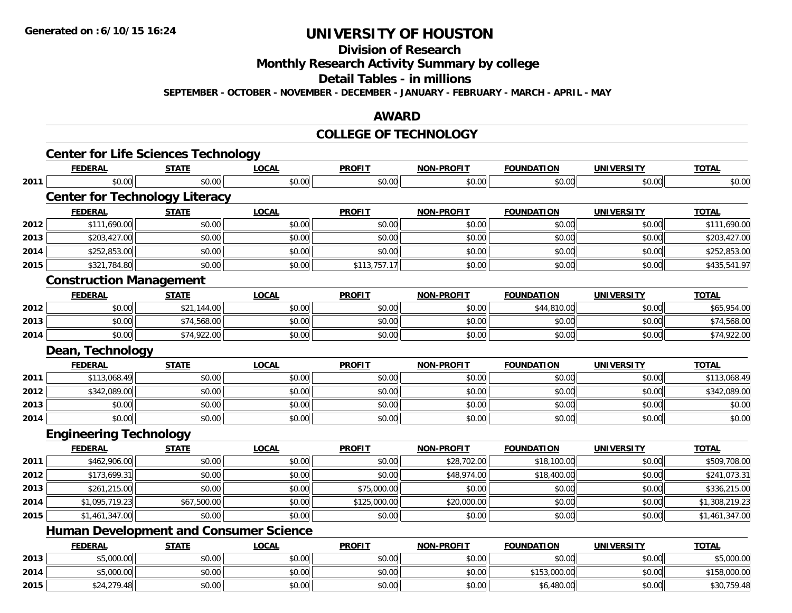**Division of Research**

**Monthly Research Activity Summary by college**

**Detail Tables - in millions**

**SEPTEMBER - OCTOBER - NOVEMBER - DECEMBER - JANUARY - FEBRUARY - MARCH - APRIL - MAY**

### **AWARD**

### **COLLEGE OF TECHNOLOGY**

|      | <b>Center for Life Sciences Technology</b>    |              |              |               |                   |                   |                   |                |
|------|-----------------------------------------------|--------------|--------------|---------------|-------------------|-------------------|-------------------|----------------|
|      | <b>FEDERAL</b>                                | <b>STATE</b> | <b>LOCAL</b> | <b>PROFIT</b> | <b>NON-PROFIT</b> | <b>FOUNDATION</b> | <b>UNIVERSITY</b> | <b>TOTAL</b>   |
| 2011 | \$0.00                                        | \$0.00       | \$0.00       | \$0.00        | \$0.00            | \$0.00            | \$0.00            | \$0.00         |
|      | <b>Center for Technology Literacy</b>         |              |              |               |                   |                   |                   |                |
|      | <b>FEDERAL</b>                                | <b>STATE</b> | <b>LOCAL</b> | <b>PROFIT</b> | <b>NON-PROFIT</b> | <b>FOUNDATION</b> | <b>UNIVERSITY</b> | <b>TOTAL</b>   |
| 2012 | \$111,690.00                                  | \$0.00       | \$0.00       | \$0.00        | \$0.00            | \$0.00            | \$0.00            | \$111,690.00   |
| 2013 | \$203,427.00                                  | \$0.00       | \$0.00       | \$0.00        | \$0.00            | \$0.00            | \$0.00            | \$203,427.00   |
| 2014 | \$252,853.00                                  | \$0.00       | \$0.00       | \$0.00        | \$0.00            | \$0.00            | \$0.00            | \$252,853.00   |
| 2015 | \$321,784.80                                  | \$0.00       | \$0.00       | \$113,757.17  | \$0.00            | \$0.00            | \$0.00            | \$435,541.97   |
|      | <b>Construction Management</b>                |              |              |               |                   |                   |                   |                |
|      | <b>FEDERAL</b>                                | <b>STATE</b> | <b>LOCAL</b> | <b>PROFIT</b> | <b>NON-PROFIT</b> | <b>FOUNDATION</b> | <b>UNIVERSITY</b> | <b>TOTAL</b>   |
| 2012 | \$0.00                                        | \$21,144.00  | \$0.00       | \$0.00        | \$0.00            | \$44,810.00       | \$0.00            | \$65,954.00    |
| 2013 | \$0.00                                        | \$74,568.00  | \$0.00       | \$0.00        | \$0.00            | \$0.00            | \$0.00            | \$74,568.00    |
| 2014 | \$0.00                                        | \$74,922.00  | \$0.00       | \$0.00        | \$0.00            | \$0.00            | \$0.00            | \$74,922.00    |
|      | Dean, Technology                              |              |              |               |                   |                   |                   |                |
|      | <b>FEDERAL</b>                                | <b>STATE</b> | <b>LOCAL</b> | <b>PROFIT</b> | <b>NON-PROFIT</b> | <b>FOUNDATION</b> | <b>UNIVERSITY</b> | <b>TOTAL</b>   |
| 2011 | \$113,068.49                                  | \$0.00       | \$0.00       | \$0.00        | \$0.00            | \$0.00            | \$0.00            | \$113,068.49   |
| 2012 | \$342,089.00                                  | \$0.00       | \$0.00       | \$0.00        | \$0.00            | \$0.00            | \$0.00            | \$342,089.00   |
| 2013 | \$0.00                                        | \$0.00       | \$0.00       | \$0.00        | \$0.00            | \$0.00            | \$0.00            | \$0.00         |
| 2014 | \$0.00                                        | \$0.00       | \$0.00       | \$0.00        | \$0.00            | \$0.00            | \$0.00            | \$0.00         |
|      | <b>Engineering Technology</b>                 |              |              |               |                   |                   |                   |                |
|      | <b>FEDERAL</b>                                | <b>STATE</b> | <b>LOCAL</b> | <b>PROFIT</b> | <b>NON-PROFIT</b> | <b>FOUNDATION</b> | <b>UNIVERSITY</b> | <b>TOTAL</b>   |
| 2011 | \$462,906.00                                  | \$0.00       | \$0.00       | \$0.00        | \$28,702.00       | \$18,100.00       | \$0.00            | \$509,708.00   |
| 2012 | \$173,699.31                                  | \$0.00       | \$0.00       | \$0.00        | \$48,974.00       | \$18,400.00       | \$0.00            | \$241,073.31   |
| 2013 | \$261,215.00                                  | \$0.00       | \$0.00       | \$75,000.00   | \$0.00            | \$0.00            | \$0.00            | \$336,215.00   |
| 2014 | \$1,095,719.23                                | \$67,500.00  | \$0.00       | \$125,000.00  | \$20,000.00       | \$0.00            | \$0.00            | \$1,308,219.23 |
| 2015 | \$1,461,347.00                                | \$0.00       | \$0.00       | \$0.00        | \$0.00            | \$0.00            | \$0.00            | \$1,461,347.00 |
|      | <b>Human Development and Consumer Science</b> |              |              |               |                   |                   |                   |                |
|      | <b>FEDERAL</b>                                | <b>STATE</b> | <b>LOCAL</b> | <b>PROFIT</b> | <b>NON-PROFIT</b> | <b>FOUNDATION</b> | <b>UNIVERSITY</b> | <b>TOTAL</b>   |
| 2013 | \$5,000.00                                    | \$0.00       | \$0.00       | \$0.00        | \$0.00            | \$0.00            | \$0.00            | \$5,000.00     |
| 2014 | \$5,000.00                                    | \$0.00       | \$0.00       | \$0.00        | \$0.00            | \$153,000.00      | \$0.00            | \$158,000.00   |
| 2015 | \$24,279.48                                   | \$0.00       | \$0.00       | \$0.00        | \$0.00            | \$6,480.00        | \$0.00            | \$30,759.48    |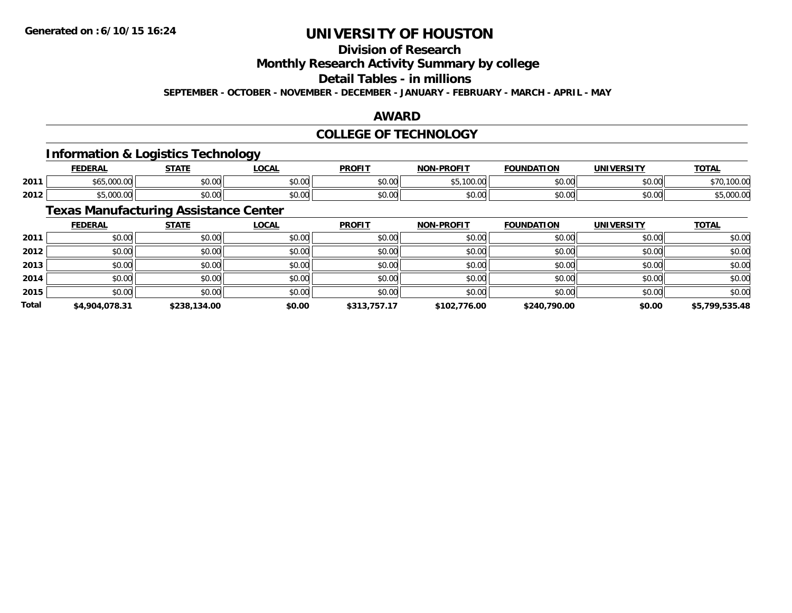## **Division of Research**

**Monthly Research Activity Summary by college**

**Detail Tables - in millions**

**SEPTEMBER - OCTOBER - NOVEMBER - DECEMBER - JANUARY - FEBRUARY - MARCH - APRIL - MAY**

### **AWARD**

### **COLLEGE OF TECHNOLOGY**

## **Information & Logistics Technology**

|      | <b>FEDERAL</b>           | <b>CTATE</b>       | LOCAL          | <b>PROFIT</b> | <b>-PROFIT</b><br>NON | <b>FOUNDATION</b> | UNIVERSITY | <b>TOTAL</b> |
|------|--------------------------|--------------------|----------------|---------------|-----------------------|-------------------|------------|--------------|
| 2011 | 000<br>$$ UUU.U          | $\sim$ 00<br>vu.vu | 0.00<br>JU.UU  | \$0.00        | $\leftarrow$<br>ັບ.   | \$0.00            | \$0.00     | 100<br>TUU.U |
| 2012 | $\sim$ 000<br>,,,,,,,,,, | nn nn<br>JU.UU     | 0.00<br>JU.UU. | \$0.00        | ልስ ለሰ<br>JU.UU        | \$0.00            | \$0.00     | ,uuu.u       |

## **Texas Manufacturing Assistance Center**

|              | <b>FEDERAL</b> | <b>STATE</b> | <u>LOCAL</u> | <b>PROFIT</b> | <b>NON-PROFIT</b> | <b>FOUNDATION</b> | <b>UNIVERSITY</b> | <b>TOTAL</b>   |
|--------------|----------------|--------------|--------------|---------------|-------------------|-------------------|-------------------|----------------|
| 2011         | \$0.00         | \$0.00       | \$0.00       | \$0.00        | \$0.00            | \$0.00            | \$0.00            | \$0.00         |
| 2012         | \$0.00         | \$0.00       | \$0.00       | \$0.00        | \$0.00            | \$0.00            | \$0.00            | \$0.00         |
| 2013         | \$0.00         | \$0.00       | \$0.00       | \$0.00        | \$0.00            | \$0.00            | \$0.00            | \$0.00         |
| 2014         | \$0.00         | \$0.00       | \$0.00       | \$0.00        | \$0.00            | \$0.00            | \$0.00            | \$0.00         |
| 2015         | \$0.00         | \$0.00       | \$0.00       | \$0.00        | \$0.00            | \$0.00            | \$0.00            | \$0.00         |
| <b>Total</b> | \$4,904,078.31 | \$238,134.00 | \$0.00       | \$313,757.17  | \$102,776.00      | \$240,790.00      | \$0.00            | \$5,799,535.48 |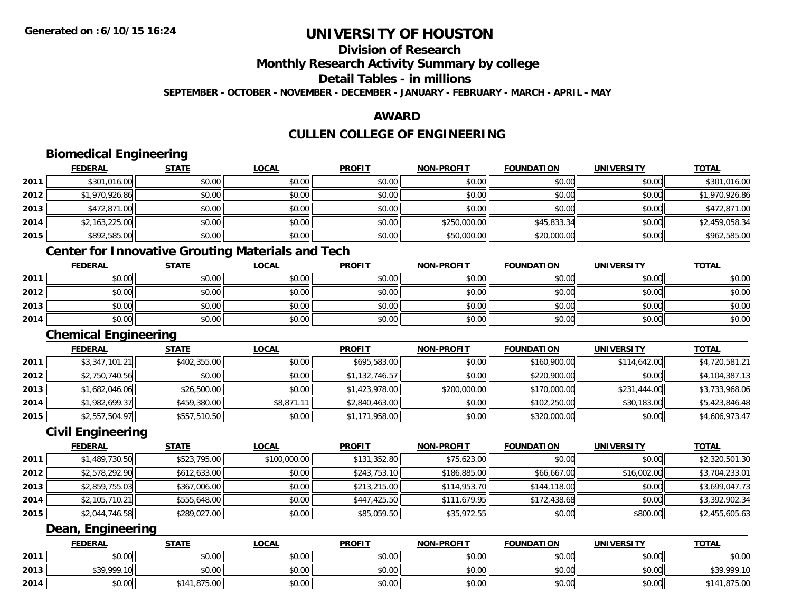## **Division of Research**

**Monthly Research Activity Summary by college**

**Detail Tables - in millions**

**SEPTEMBER - OCTOBER - NOVEMBER - DECEMBER - JANUARY - FEBRUARY - MARCH - APRIL - MAY**

## **AWARD**

## **CULLEN COLLEGE OF ENGINEERING**

|      | <b>FEDERAL</b>                                           | <b>STATE</b> | <b>LOCAL</b> | <b>PROFIT</b>  | <b>NON-PROFIT</b> | <b>FOUNDATION</b> | <b>UNIVERSITY</b> | <b>TOTAL</b>   |
|------|----------------------------------------------------------|--------------|--------------|----------------|-------------------|-------------------|-------------------|----------------|
| 2011 | \$301,016.00                                             | \$0.00       | \$0.00       | \$0.00         | \$0.00            | \$0.00            | \$0.00            | \$301,016.00   |
| 2012 | \$1,970,926.86                                           | \$0.00       | \$0.00       | \$0.00         | \$0.00            | \$0.00            | \$0.00            | \$1,970,926.86 |
| 2013 | \$472,871.00                                             | \$0.00       | \$0.00       | \$0.00         | \$0.00            | \$0.00            | \$0.00            | \$472,871.00   |
| 2014 | \$2,163,225.00                                           | \$0.00       | \$0.00       | \$0.00         | \$250,000.00      | \$45,833.34       | \$0.00            | \$2,459,058.34 |
| 2015 | \$892,585.00                                             | \$0.00       | \$0.00       | \$0.00         | \$50,000.00       | \$20,000.00       | \$0.00            | \$962,585.00   |
|      | <b>Center for Innovative Grouting Materials and Tech</b> |              |              |                |                   |                   |                   |                |
|      | <b>FEDERAL</b>                                           | <b>STATE</b> | <b>LOCAL</b> | <b>PROFIT</b>  | <b>NON-PROFIT</b> | <b>FOUNDATION</b> | <b>UNIVERSITY</b> | <b>TOTAL</b>   |
| 2011 | \$0.00                                                   | \$0.00       | \$0.00       | \$0.00         | \$0.00            | \$0.00            | \$0.00            | \$0.00         |
| 2012 | \$0.00                                                   | \$0.00       | \$0.00       | \$0.00         | \$0.00            | \$0.00            | \$0.00            | \$0.00         |
| 2013 | \$0.00                                                   | \$0.00       | \$0.00       | \$0.00         | \$0.00            | \$0.00            | \$0.00            | \$0.00         |
| 2014 | \$0.00                                                   | \$0.00       | \$0.00       | \$0.00         | \$0.00            | \$0.00            | \$0.00            | \$0.00         |
|      | <b>Chemical Engineering</b>                              |              |              |                |                   |                   |                   |                |
|      | <b>FEDERAL</b>                                           | <b>STATE</b> | <b>LOCAL</b> | <b>PROFIT</b>  | <b>NON-PROFIT</b> | <b>FOUNDATION</b> | <b>UNIVERSITY</b> | <b>TOTAL</b>   |
| 2011 | \$3,347,101.21                                           | \$402,355.00 | \$0.00       | \$695,583.00   | \$0.00            | \$160,900.00      | \$114,642.00      | \$4,720,581.21 |
| 2012 | \$2,750,740.56                                           | \$0.00       | \$0.00       | \$1,132,746.57 | \$0.00            | \$220,900.00      | \$0.00            | \$4,104,387.13 |
| 2013 | \$1,682,046.06                                           | \$26,500.00  | \$0.00       | \$1,423,978.00 | \$200,000.00      | \$170,000.00      | \$231,444.00      | \$3,733,968.06 |
| 2014 | \$1,982,699.37                                           | \$459,380.00 | \$8,871.11   | \$2,840,463.00 | \$0.00            | \$102,250.00      | \$30,183.00       | \$5,423,846.48 |
| 2015 | \$2,557,504.97                                           | \$557,510.50 | \$0.00       | \$1,171,958.00 | \$0.00            | \$320,000.00      | \$0.00            | \$4,606,973.47 |
|      | <b>Civil Engineering</b>                                 |              |              |                |                   |                   |                   |                |
|      | <b>FEDERAL</b>                                           | <b>STATE</b> | <b>LOCAL</b> | <b>PROFIT</b>  | <b>NON-PROFIT</b> | <b>FOUNDATION</b> | <b>UNIVERSITY</b> | <b>TOTAL</b>   |
| 2011 | \$1,489,730.50                                           | \$523,795.00 | \$100,000.00 | \$131,352.80   | \$75,623.00       | \$0.00            | \$0.00            | \$2,320,501.30 |
| 2012 | \$2,578,292.90                                           | \$612,633.00 | \$0.00       | \$243,753.10   | \$186,885.00      | \$66,667.00       | \$16,002.00       | \$3,704,233.01 |
| 2013 | \$2,859,755.03                                           | \$367,006.00 | \$0.00       | \$213,215.00   | \$114,953.70      | \$144,118.00      | \$0.00            | \$3,699,047.73 |
| 2014 | \$2,105,710.21                                           | \$555,648.00 | \$0.00       | \$447,425.50   | \$111,679.95      | \$172,438.68      | \$0.00            | \$3,392,902.34 |
| 2015 | \$2,044,746.58                                           | \$289,027.00 | \$0.00       | \$85,059.50    | \$35,972.55       | \$0.00            | \$800.00          | \$2,455,605.63 |
|      | Dean, Engineering                                        |              |              |                |                   |                   |                   |                |
|      | <b>FEDERAL</b>                                           | <b>STATE</b> | <b>LOCAL</b> | <b>PROFIT</b>  | <b>NON-PROFIT</b> | <b>FOUNDATION</b> | <b>UNIVERSITY</b> | <b>TOTAL</b>   |
| 2011 | \$0.00                                                   | \$0.00       | \$0.00       | \$0.00         | \$0.00            | \$0.00            | \$0.00            | \$0.00         |
| 2013 | \$39,999.10                                              | \$0.00       | \$0.00       | \$0.00         | \$0.00            | \$0.00            | \$0.00            | \$39,999.10    |
| 2014 | \$0.00                                                   | \$141,875.00 | \$0.00       | \$0.00         | \$0.00            | \$0.00            | \$0.00            | \$141,875.00   |

\$0.00 \$141,875.00 \$0.00 \$0.00 \$0.00 \$0.00 \$0.00 \$141,875.00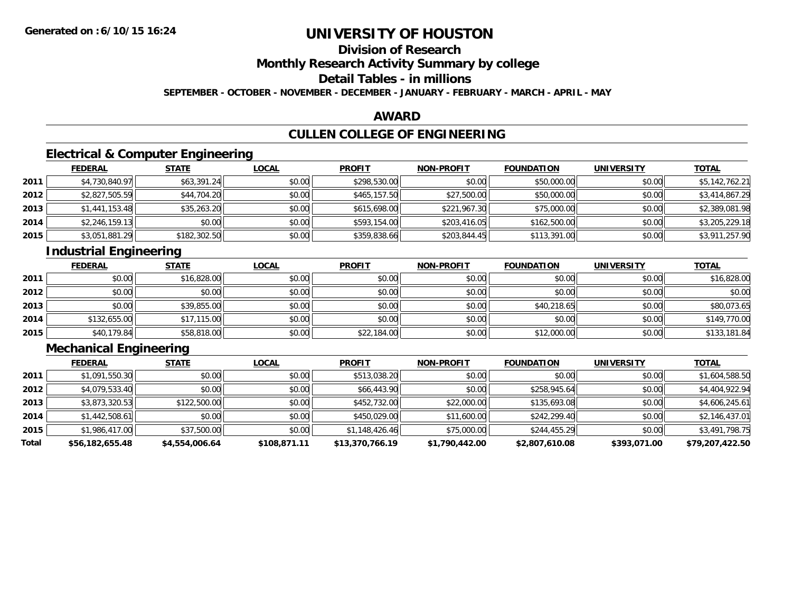# **Division of Research**

**Monthly Research Activity Summary by college**

**Detail Tables - in millions**

**SEPTEMBER - OCTOBER - NOVEMBER - DECEMBER - JANUARY - FEBRUARY - MARCH - APRIL - MAY**

### **AWARD**

# **CULLEN COLLEGE OF ENGINEERING**

## **Electrical & Computer Engineering**

|      | <u>FEDERAL</u> | <b>STATE</b> | <u>LOCAL</u> | <b>PROFIT</b> | <b>NON-PROFIT</b> | <b>FOUNDATION</b> | <b>UNIVERSITY</b> | <b>TOTAL</b>   |
|------|----------------|--------------|--------------|---------------|-------------------|-------------------|-------------------|----------------|
| 2011 | \$4,730,840.97 | \$63,391.24  | \$0.00       | \$298,530.00  | \$0.00            | \$50,000.00       | \$0.00            | \$5,142,762.21 |
| 2012 | \$2,827,505.59 | \$44,704.20  | \$0.00       | \$465,157.50  | \$27,500.00       | \$50,000.00       | \$0.00            | \$3,414,867.29 |
| 2013 | \$1,441,153.48 | \$35,263.20  | \$0.00       | \$615,698.00  | \$221,967.30      | \$75,000.00       | \$0.00            | \$2,389,081.98 |
| 2014 | \$2,246,159.13 | \$0.00       | \$0.00       | \$593,154.00  | \$203,416.05      | \$162,500.00      | \$0.00            | \$3,205,229.18 |
| 2015 | \$3,051,881.29 | \$182,302.50 | \$0.00       | \$359,838.66  | \$203,844.45      | \$113,391.00      | \$0.00            | \$3,911,257.90 |

## **Industrial Engineering**

|      | <u>FEDERAL</u> | <b>STATE</b> | <u>LOCAL</u> | <b>PROFIT</b> | <b>NON-PROFIT</b> | <b>FOUNDATION</b> | <b>UNIVERSITY</b> | <b>TOTAL</b> |
|------|----------------|--------------|--------------|---------------|-------------------|-------------------|-------------------|--------------|
| 2011 | \$0.00         | \$16,828.00  | \$0.00       | \$0.00        | \$0.00            | \$0.00            | \$0.00            | \$16,828.00  |
| 2012 | \$0.00         | \$0.00       | \$0.00       | \$0.00        | \$0.00            | \$0.00            | \$0.00            | \$0.00       |
| 2013 | \$0.00         | \$39,855.00  | \$0.00       | \$0.00        | \$0.00            | \$40,218.65       | \$0.00            | \$80,073.65  |
| 2014 | \$132,655.00   | \$17,115.00  | \$0.00       | \$0.00        | \$0.00            | \$0.00            | \$0.00            | \$149,770.00 |
| 2015 | \$40,179.84    | \$58,818.00  | \$0.00       | \$22,184.00   | \$0.00            | \$12,000.00       | \$0.00            | \$133,181.84 |

## **Mechanical Engineering**

|       | <b>FEDERAL</b>  | <b>STATE</b>   | <b>LOCAL</b> | <b>PROFIT</b>   | <b>NON-PROFIT</b> | <b>FOUNDATION</b> | <b>UNIVERSITY</b> | <b>TOTAL</b>    |
|-------|-----------------|----------------|--------------|-----------------|-------------------|-------------------|-------------------|-----------------|
| 2011  | \$1,091,550.30  | \$0.00         | \$0.00       | \$513,038.20    | \$0.00            | \$0.00            | \$0.00            | \$1,604,588.50  |
| 2012  | \$4,079,533.40  | \$0.00         | \$0.00       | \$66,443.90     | \$0.00            | \$258,945.64      | \$0.00            | \$4,404,922.94  |
| 2013  | \$3,873,320.53  | \$122,500.00   | \$0.00       | \$452,732.00    | \$22,000.00       | \$135,693.08      | \$0.00            | \$4,606,245.61  |
| 2014  | \$1,442,508.61  | \$0.00         | \$0.00       | \$450,029.00    | \$11,600.00       | \$242,299.40      | \$0.00            | \$2,146,437.01  |
| 2015  | \$1,986,417.00  | \$37,500.00    | \$0.00       | \$1,148,426.46  | \$75,000.00       | \$244,455.29      | \$0.00            | \$3,491,798.75  |
| Total | \$56,182,655.48 | \$4,554,006.64 | \$108,871.11 | \$13,370,766.19 | \$1,790,442.00    | \$2,807,610.08    | \$393,071.00      | \$79,207,422.50 |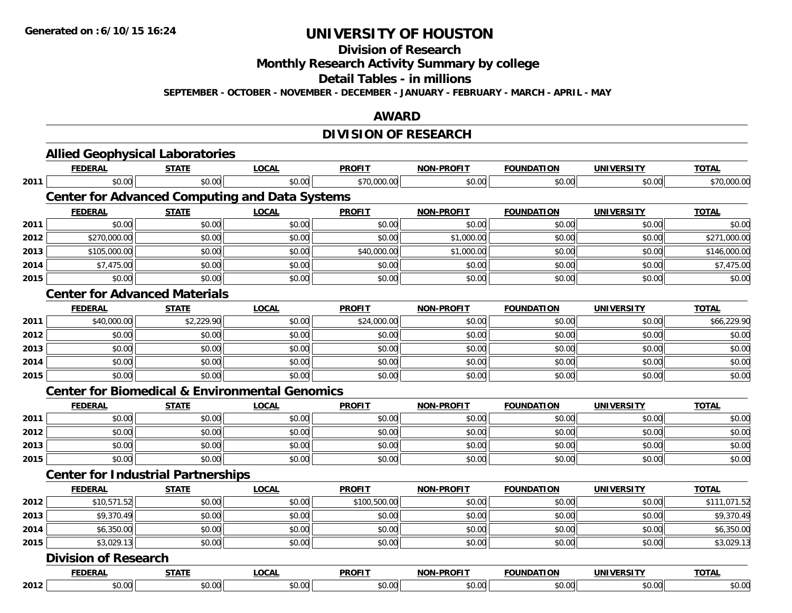**Division of Research**

**Monthly Research Activity Summary by college**

**Detail Tables - in millions**

**SEPTEMBER - OCTOBER - NOVEMBER - DECEMBER - JANUARY - FEBRUARY - MARCH - APRIL - MAY**

### **AWARD**

## **DIVISION OF RESEARCH**

|      | <b>Allied Geophysical Laboratories</b>                    |              |              |               |                   |                   |                   |              |
|------|-----------------------------------------------------------|--------------|--------------|---------------|-------------------|-------------------|-------------------|--------------|
|      | <b>FEDERAL</b>                                            | <b>STATE</b> | <b>LOCAL</b> | <b>PROFIT</b> | <b>NON-PROFIT</b> | <b>FOUNDATION</b> | <b>UNIVERSITY</b> | <b>TOTAL</b> |
| 2011 | \$0.00                                                    | \$0.00       | \$0.00       | \$70,000.00   | \$0.00            | \$0.00            | \$0.00            | \$70,000.00  |
|      | <b>Center for Advanced Computing and Data Systems</b>     |              |              |               |                   |                   |                   |              |
|      | <b>FEDERAL</b>                                            | <b>STATE</b> | <b>LOCAL</b> | <b>PROFIT</b> | <b>NON-PROFIT</b> | <b>FOUNDATION</b> | <b>UNIVERSITY</b> | <b>TOTAL</b> |
| 2011 | \$0.00                                                    | \$0.00       | \$0.00       | \$0.00        | \$0.00            | \$0.00            | \$0.00            | \$0.00       |
| 2012 | \$270,000.00                                              | \$0.00       | \$0.00       | \$0.00        | \$1,000.00        | \$0.00            | \$0.00            | \$271,000.00 |
| 2013 | \$105,000.00                                              | \$0.00       | \$0.00       | \$40,000.00   | \$1,000.00        | \$0.00            | \$0.00            | \$146,000.00 |
| 2014 | \$7,475.00                                                | \$0.00       | \$0.00       | \$0.00        | \$0.00            | \$0.00            | \$0.00            | \$7,475.00   |
| 2015 | \$0.00                                                    | \$0.00       | \$0.00       | \$0.00        | \$0.00            | \$0.00            | \$0.00            | \$0.00       |
|      | <b>Center for Advanced Materials</b>                      |              |              |               |                   |                   |                   |              |
|      | <b>FEDERAL</b>                                            | <b>STATE</b> | <b>LOCAL</b> | <b>PROFIT</b> | <b>NON-PROFIT</b> | <b>FOUNDATION</b> | <b>UNIVERSITY</b> | <b>TOTAL</b> |
| 2011 | \$40,000.00                                               | \$2,229.90   | \$0.00       | \$24,000.00   | \$0.00            | \$0.00            | \$0.00            | \$66,229.90  |
| 2012 | \$0.00                                                    | \$0.00       | \$0.00       | \$0.00        | \$0.00            | \$0.00            | \$0.00            | \$0.00       |
| 2013 | \$0.00                                                    | \$0.00       | \$0.00       | \$0.00        | \$0.00            | \$0.00            | \$0.00            | \$0.00       |
| 2014 | \$0.00                                                    | \$0.00       | \$0.00       | \$0.00        | \$0.00            | \$0.00            | \$0.00            | \$0.00       |
| 2015 | \$0.00                                                    | \$0.00       | \$0.00       | \$0.00        | \$0.00            | \$0.00            | \$0.00            | \$0.00       |
|      | <b>Center for Biomedical &amp; Environmental Genomics</b> |              |              |               |                   |                   |                   |              |
|      | <b>FEDERAL</b>                                            | <b>STATE</b> | <b>LOCAL</b> | <b>PROFIT</b> | <b>NON-PROFIT</b> | <b>FOUNDATION</b> | <b>UNIVERSITY</b> | <b>TOTAL</b> |
| 2011 | \$0.00                                                    | \$0.00       | \$0.00       | \$0.00        | \$0.00            | \$0.00            | \$0.00            | \$0.00       |
| 2012 | \$0.00                                                    | \$0.00       | \$0.00       | \$0.00        | \$0.00            | \$0.00            | \$0.00            | \$0.00       |
| 2013 | \$0.00                                                    | \$0.00       | \$0.00       | \$0.00        | \$0.00            | \$0.00            | \$0.00            | \$0.00       |
| 2015 | \$0.00                                                    | \$0.00       | \$0.00       | \$0.00        | \$0.00            | \$0.00            | \$0.00            | \$0.00       |
|      | <b>Center for Industrial Partnerships</b>                 |              |              |               |                   |                   |                   |              |
|      | <b>FEDERAL</b>                                            | <b>STATE</b> | <b>LOCAL</b> | <b>PROFIT</b> | <b>NON-PROFIT</b> | <b>FOUNDATION</b> | <b>UNIVERSITY</b> | <b>TOTAL</b> |
| 2012 | \$10,571.52                                               | \$0.00       | \$0.00       | \$100,500.00  | \$0.00            | \$0.00            | \$0.00            | \$111,071.52 |
| 2013 | \$9,370.49                                                | \$0.00       | \$0.00       | \$0.00        | \$0.00            | \$0.00            | \$0.00            | \$9,370.49   |
| 2014 | \$6,350.00                                                | \$0.00       | \$0.00       | \$0.00        | \$0.00            | \$0.00            | \$0.00            | \$6,350.00   |
| 2015 | \$3,029.13                                                | \$0.00       | \$0.00       | \$0.00        | \$0.00            | \$0.00            | \$0.00            | \$3,029.13   |
|      | <b>Division of Research</b>                               |              |              |               |                   |                   |                   |              |
|      | <b>FEDERAL</b>                                            | <b>STATE</b> | <b>LOCAL</b> | <b>PROFIT</b> | <b>NON-PROFIT</b> | <b>FOUNDATION</b> | <b>UNIVERSITY</b> | <b>TOTAL</b> |
| 2012 | \$0.00                                                    | \$0.00       | \$0.00       | \$0.00        | \$0.00            | \$0.00            | \$0.00            | \$0.00       |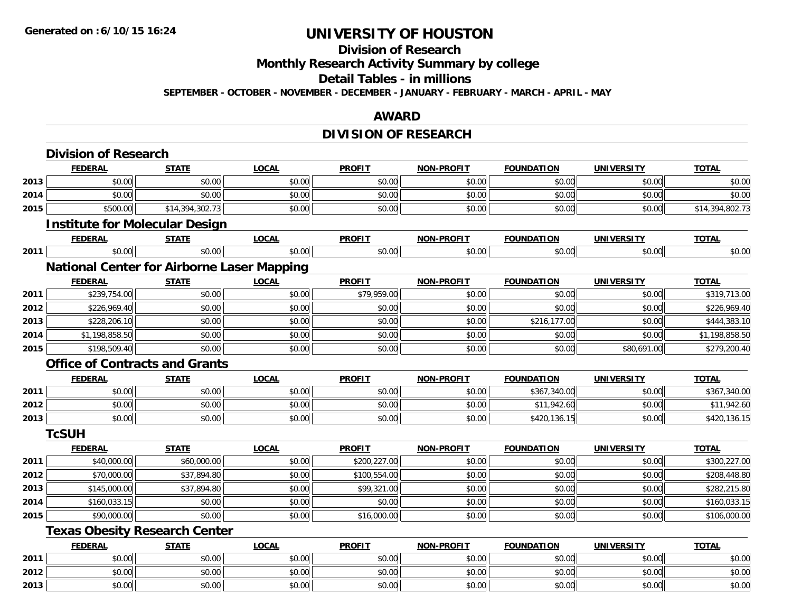#### **Division of Research**

**Monthly Research Activity Summary by college**

**Detail Tables - in millions**

**SEPTEMBER - OCTOBER - NOVEMBER - DECEMBER - JANUARY - FEBRUARY - MARCH - APRIL - MAY**

#### **AWARD**

# **DIVISION OF RESEARCH**

|      | <b>Division of Research</b>                       |                 |              |               |                   |                   |                   |                 |
|------|---------------------------------------------------|-----------------|--------------|---------------|-------------------|-------------------|-------------------|-----------------|
|      | <b>FEDERAL</b>                                    | <b>STATE</b>    | <b>LOCAL</b> | <b>PROFIT</b> | NON-PROFIT        | <b>FOUNDATION</b> | <b>UNIVERSITY</b> | <b>TOTAL</b>    |
| 2013 | \$0.00                                            | \$0.00          | \$0.00       | \$0.00        | \$0.00            | \$0.00            | \$0.00            | \$0.00          |
| 2014 | \$0.00                                            | \$0.00          | \$0.00       | \$0.00        | \$0.00            | \$0.00            | \$0.00            | \$0.00          |
| 2015 | \$500.00                                          | \$14,394,302.73 | \$0.00       | \$0.00        | \$0.00            | \$0.00            | \$0.00            | \$14,394,802.73 |
|      | <b>Institute for Molecular Design</b>             |                 |              |               |                   |                   |                   |                 |
|      | <b>FEDERAL</b>                                    | <b>STATE</b>    | <b>LOCAL</b> | <b>PROFIT</b> | <b>NON-PROFIT</b> | <b>FOUNDATION</b> | <b>UNIVERSITY</b> | <b>TOTAL</b>    |
| 2011 | \$0.00                                            | \$0.00          | \$0.00       | \$0.00        | \$0.00            | \$0.00            | \$0.00            | \$0.00          |
|      | <b>National Center for Airborne Laser Mapping</b> |                 |              |               |                   |                   |                   |                 |
|      | <b>FEDERAL</b>                                    | <b>STATE</b>    | <b>LOCAL</b> | <b>PROFIT</b> | <b>NON-PROFIT</b> | <b>FOUNDATION</b> | <b>UNIVERSITY</b> | <b>TOTAL</b>    |
| 2011 | \$239,754.00                                      | \$0.00          | \$0.00       | \$79,959.00   | \$0.00            | \$0.00            | \$0.00            | \$319,713.00    |
| 2012 | \$226,969.40                                      | \$0.00          | \$0.00       | \$0.00        | \$0.00            | \$0.00            | \$0.00            | \$226,969.40    |
| 2013 | \$228,206.10                                      | \$0.00          | \$0.00       | \$0.00        | \$0.00            | \$216,177.00      | \$0.00            | \$444,383.10    |
| 2014 | \$1,198,858.50                                    | \$0.00          | \$0.00       | \$0.00        | \$0.00            | \$0.00            | \$0.00            | \$1,198,858.50  |
| 2015 | \$198,509.40                                      | \$0.00          | \$0.00       | \$0.00        | \$0.00            | \$0.00            | \$80,691.00       | \$279,200.40    |
|      | <b>Office of Contracts and Grants</b>             |                 |              |               |                   |                   |                   |                 |
|      | <b>FEDERAL</b>                                    | <b>STATE</b>    | <b>LOCAL</b> | <b>PROFIT</b> | <b>NON-PROFIT</b> | <b>FOUNDATION</b> | <b>UNIVERSITY</b> | <b>TOTAL</b>    |
| 2011 | \$0.00                                            | \$0.00          | \$0.00       | \$0.00        | \$0.00            | \$367,340.00      | \$0.00            | \$367,340.00    |
| 2012 | \$0.00                                            | \$0.00          | \$0.00       | \$0.00        | \$0.00            | \$11,942.60       | \$0.00            | \$11,942.60     |
| 2013 | \$0.00                                            | \$0.00          | \$0.00       | \$0.00        | \$0.00            | \$420,136.15      | \$0.00            | \$420,136.15    |
|      | <b>TcSUH</b>                                      |                 |              |               |                   |                   |                   |                 |
|      | <b>FEDERAL</b>                                    | <b>STATE</b>    | <b>LOCAL</b> | <b>PROFIT</b> | <b>NON-PROFIT</b> | <b>FOUNDATION</b> | <b>UNIVERSITY</b> | <b>TOTAL</b>    |
| 2011 | \$40,000.00                                       | \$60,000.00     | \$0.00       | \$200,227.00  | \$0.00            | \$0.00            | \$0.00            | \$300,227.00    |
| 2012 | \$70,000.00                                       | \$37,894.80     | \$0.00       | \$100,554.00  | \$0.00            | \$0.00            | \$0.00            | \$208,448.80    |
| 2013 | \$145,000.00                                      | \$37,894.80     | \$0.00       | \$99,321.00   | \$0.00            | \$0.00            | \$0.00            | \$282,215.80    |
| 2014 | \$160,033.15                                      | \$0.00          | \$0.00       | \$0.00        | \$0.00            | \$0.00            | \$0.00            | \$160,033.15    |
| 2015 | \$90,000.00                                       | \$0.00          | \$0.00       | \$16,000.00   | \$0.00            | \$0.00            | \$0.00            | \$106,000.00    |
|      | <b>Texas Obesity Research Center</b>              |                 |              |               |                   |                   |                   |                 |
|      | <b>FEDERAL</b>                                    | <b>STATE</b>    | <b>LOCAL</b> | <b>PROFIT</b> | <b>NON-PROFIT</b> | <b>FOUNDATION</b> | <b>UNIVERSITY</b> | <b>TOTAL</b>    |
| 2011 | \$0.00                                            | \$0.00          | \$0.00       | \$0.00        | \$0.00            | \$0.00            | \$0.00            | \$0.00          |
| 2012 | \$0.00                                            | \$0.00          | \$0.00       | \$0.00        | \$0.00            | \$0.00            | \$0.00            | \$0.00          |
| 2013 | \$0.00                                            | \$0.00          | \$0.00       | \$0.00        | \$0.00            | \$0.00            | \$0.00            | \$0.00          |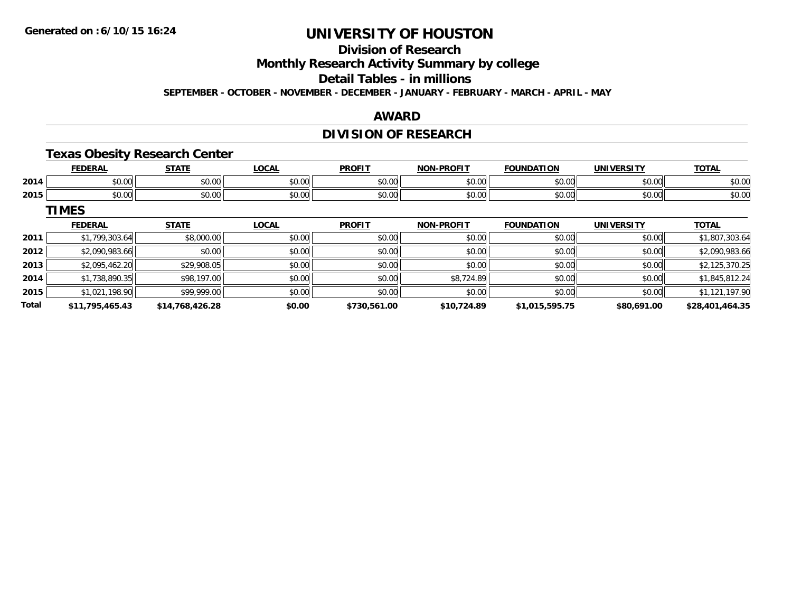## **Division of Research**

**Monthly Research Activity Summary by college**

**Detail Tables - in millions**

**SEPTEMBER - OCTOBER - NOVEMBER - DECEMBER - JANUARY - FEBRUARY - MARCH - APRIL - MAY**

### **AWARD**

## **DIVISION OF RESEARCH**

## **Texas Obesity Research Center**

|      | .                                        | $- - - - -$    | $\sim$<br>้บนค         | <b>PROFI</b> | -PROFIT<br><b>NON</b> | ΊΩΝ<br><b>CAUSE</b> |               | <b>TOTA</b><br>lΔI |
|------|------------------------------------------|----------------|------------------------|--------------|-----------------------|---------------------|---------------|--------------------|
| 2014 | $\sim$ $\sim$<br>JU.UU                   | ሐሴ ሰሰ<br>JU.UU | $\sim$ $\sim$<br>vu.vu | JU.J         | ტი იი<br>JU.UU        | 0.00<br>ט.טע        | 0000<br>JU.UU | 0000<br>JU.UU      |
| 2015 | $\uparrow$ $\uparrow$ $\uparrow$<br>וטט. | ሐሴ ሰሰ<br>DU.UU | 0000<br>vu.vu          | ۰, ب         | 0000<br>vv.vv         | 0.00<br>u.uu        | 0000<br>,u.uu | ሶስ ሰሰ<br>DU.UU     |

**TIMES**

|              | <b>FEDERAL</b>  | <b>STATE</b>    | <u>LOCAL</u> | <b>PROFIT</b> | <b>NON-PROFIT</b> | <b>FOUNDATION</b> | <b>UNIVERSITY</b> | <b>TOTAL</b>    |
|--------------|-----------------|-----------------|--------------|---------------|-------------------|-------------------|-------------------|-----------------|
| 2011         | \$1,799,303.64  | \$8,000.00      | \$0.00       | \$0.00        | \$0.00            | \$0.00            | \$0.00            | \$1,807,303.64  |
| 2012         | \$2,090,983.66  | \$0.00          | \$0.00       | \$0.00        | \$0.00            | \$0.00            | \$0.00            | \$2,090,983.66  |
| 2013         | \$2,095,462.20  | \$29,908.05     | \$0.00       | \$0.00        | \$0.00            | \$0.00            | \$0.00            | \$2,125,370.25  |
| 2014         | \$1,738,890.35  | \$98,197.00     | \$0.00       | \$0.00        | \$8,724.89        | \$0.00            | \$0.00            | \$1,845,812.24  |
| 2015         | \$1,021,198.90  | \$99,999.00     | \$0.00       | \$0.00        | \$0.00            | \$0.00            | \$0.00            | \$1,121,197.90  |
| <b>Total</b> | \$11,795,465.43 | \$14,768,426.28 | \$0.00       | \$730,561.00  | \$10,724.89       | \$1,015,595.75    | \$80,691.00       | \$28,401,464.35 |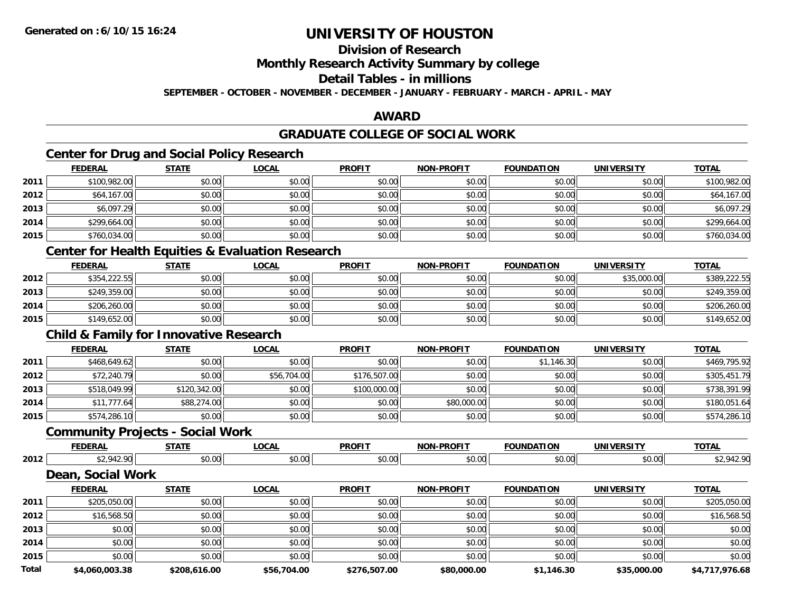## **Division of Research**

**Monthly Research Activity Summary by college**

**Detail Tables - in millions**

**SEPTEMBER - OCTOBER - NOVEMBER - DECEMBER - JANUARY - FEBRUARY - MARCH - APRIL - MAY**

## **AWARD**

### **GRADUATE COLLEGE OF SOCIAL WORK**

## **Center for Drug and Social Policy Research**

|      | <b>FEDERAL</b> | <b>STATE</b> | <u>LOCAL</u> | <b>PROFIT</b> | <b>NON-PROFIT</b> | <b>FOUNDATION</b> | <b>UNIVERSITY</b> | <b>TOTAL</b> |
|------|----------------|--------------|--------------|---------------|-------------------|-------------------|-------------------|--------------|
| 2011 | \$100,982.00   | \$0.00       | \$0.00       | \$0.00        | \$0.00            | \$0.00            | \$0.00            | \$100,982.00 |
| 2012 | \$64,167.00    | \$0.00       | \$0.00       | \$0.00        | \$0.00            | \$0.00            | \$0.00            | \$64,167.00  |
| 2013 | \$6,097.29     | \$0.00       | \$0.00       | \$0.00        | \$0.00            | \$0.00            | \$0.00            | \$6,097.29   |
| 2014 | \$299,664.00   | \$0.00       | \$0.00       | \$0.00        | \$0.00            | \$0.00            | \$0.00            | \$299,664.00 |
| 2015 | \$760,034.00   | \$0.00       | \$0.00       | \$0.00        | \$0.00            | \$0.00            | \$0.00            | \$760,034.00 |
|      |                |              |              |               |                   |                   |                   |              |

### **Center for Health Equities & Evaluation Research**

|      | <u>FEDERAL</u> | <u>STATE</u> | <u>LOCAL</u> | <b>PROFIT</b> | <b>NON-PROFIT</b> | <b>FOUNDATION</b> | <b>UNIVERSITY</b> | <b>TOTAL</b> |
|------|----------------|--------------|--------------|---------------|-------------------|-------------------|-------------------|--------------|
| 2012 | \$354,222.55   | \$0.00       | \$0.00       | \$0.00        | \$0.00            | \$0.00            | \$35,000.00       | \$389,222.55 |
| 2013 | \$249,359.00   | \$0.00       | \$0.00       | \$0.00        | \$0.00            | \$0.00            | \$0.00            | \$249,359.00 |
| 2014 | \$206,260.00   | \$0.00       | \$0.00       | \$0.00        | \$0.00            | \$0.00            | \$0.00            | \$206,260.00 |
| 2015 | \$149,652.00   | \$0.00       | \$0.00       | \$0.00        | \$0.00            | \$0.00            | \$0.00            | \$149,652.00 |

## **Child & Family for Innovative Research**

|      | <b>FEDERAL</b> | <b>STATE</b> | <u>LOCAL</u> | <b>PROFIT</b> | <b>NON-PROFIT</b> | <b>FOUNDATION</b> | <b>UNIVERSITY</b> | <b>TOTAL</b> |
|------|----------------|--------------|--------------|---------------|-------------------|-------------------|-------------------|--------------|
| 2011 | \$468,649.62   | \$0.00       | \$0.00       | \$0.00        | \$0.00            | \$1,146.30        | \$0.00            | \$469,795.92 |
| 2012 | \$72,240.79    | \$0.00       | \$56,704.00  | \$176,507.00  | \$0.00            | \$0.00            | \$0.00            | \$305,451.79 |
| 2013 | \$518,049.99   | \$120,342.00 | \$0.00       | \$100,000.00  | \$0.00            | \$0.00            | \$0.00            | \$738.391.99 |
| 2014 | \$11,777.64    | \$88,274.00  | \$0.00       | \$0.00        | \$80,000.00       | \$0.00            | \$0.00            | \$180,051.64 |
| 2015 | \$574,286.10   | \$0.00       | \$0.00       | \$0.00        | \$0.00            | \$0.00            | \$0.00            | \$574,286.10 |

### **Community Projects - Social Work**

|      | <b>FEDERAI</b> | $- - - - -$  | .OCAL | <b>PROFIT</b>  | <b>DDAEIT</b><br><b>MAR</b> | $\sim$<br><b>'INDA</b> | JNIV<br>$\cdots$ | <b>TOTA</b><br>'A |
|------|----------------|--------------|-------|----------------|-----------------------------|------------------------|------------------|-------------------|
| 2012 | $\sim$         | 0000<br>ט.טי | ש.ט   | ሶስ ሰሰ<br>vv.vv | \$0.00                      | \$0.00                 | \$0.00           | . .               |

## **Dean, Social Work**

|              | <b>FEDERAL</b> | <b>STATE</b> | <b>LOCAL</b> | <b>PROFIT</b> | <b>NON-PROFIT</b> | <b>FOUNDATION</b> | <b>UNIVERSITY</b> | <b>TOTAL</b>   |
|--------------|----------------|--------------|--------------|---------------|-------------------|-------------------|-------------------|----------------|
| 2011         | \$205,050.00   | \$0.00       | \$0.00       | \$0.00        | \$0.00            | \$0.00            | \$0.00            | \$205,050.00   |
| 2012         | \$16,568.50    | \$0.00       | \$0.00       | \$0.00        | \$0.00            | \$0.00            | \$0.00            | \$16,568.50    |
| 2013         | \$0.00         | \$0.00       | \$0.00       | \$0.00        | \$0.00            | \$0.00            | \$0.00            | \$0.00         |
| 2014         | \$0.00         | \$0.00       | \$0.00       | \$0.00        | \$0.00            | \$0.00            | \$0.00            | \$0.00         |
| 2015         | \$0.00         | \$0.00       | \$0.00       | \$0.00        | \$0.00            | \$0.00            | \$0.00            | \$0.00         |
| <b>Total</b> | \$4,060,003.38 | \$208,616.00 | \$56,704.00  | \$276,507.00  | \$80,000.00       | \$1,146.30        | \$35,000.00       | \$4,717,976.68 |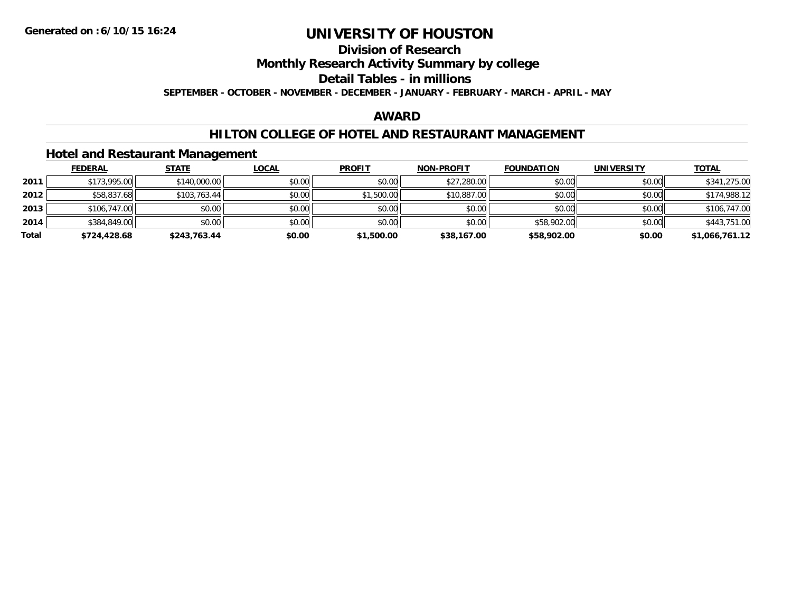# **Division of Research**

**Monthly Research Activity Summary by college**

**Detail Tables - in millions**

**SEPTEMBER - OCTOBER - NOVEMBER - DECEMBER - JANUARY - FEBRUARY - MARCH - APRIL - MAY**

### **AWARD**

### **HILTON COLLEGE OF HOTEL AND RESTAURANT MANAGEMENT**

### **Hotel and Restaurant Management**

|       | <b>FEDERAL</b> | <u>STATE</u> | <b>LOCAL</b> | <b>PROFIT</b> | <b>NON-PROFIT</b> | <b>FOUNDATION</b> | <b>UNIVERSITY</b> | <b>TOTAL</b>   |
|-------|----------------|--------------|--------------|---------------|-------------------|-------------------|-------------------|----------------|
| 2011  | \$173,995.00   | \$140,000.00 | \$0.00       | \$0.00        | \$27,280.00       | \$0.00            | \$0.00            | \$341,275.00   |
| 2012  | \$58,837.68    | \$103,763.44 | \$0.00       | \$1,500.00    | \$10,887.00       | \$0.00            | \$0.00            | \$174,988.12   |
| 2013  | \$106,747.00   | \$0.00       | \$0.00       | \$0.00        | \$0.00            | \$0.00            | \$0.00            | \$106,747.00   |
| 2014  | \$384,849.00   | \$0.00       | \$0.00       | \$0.00        | \$0.00            | \$58,902.00       | \$0.00            | \$443,751.00   |
| Total | \$724,428.68   | \$243,763.44 | \$0.00       | \$1,500.00    | \$38,167.00       | \$58,902.00       | \$0.00            | \$1,066,761.12 |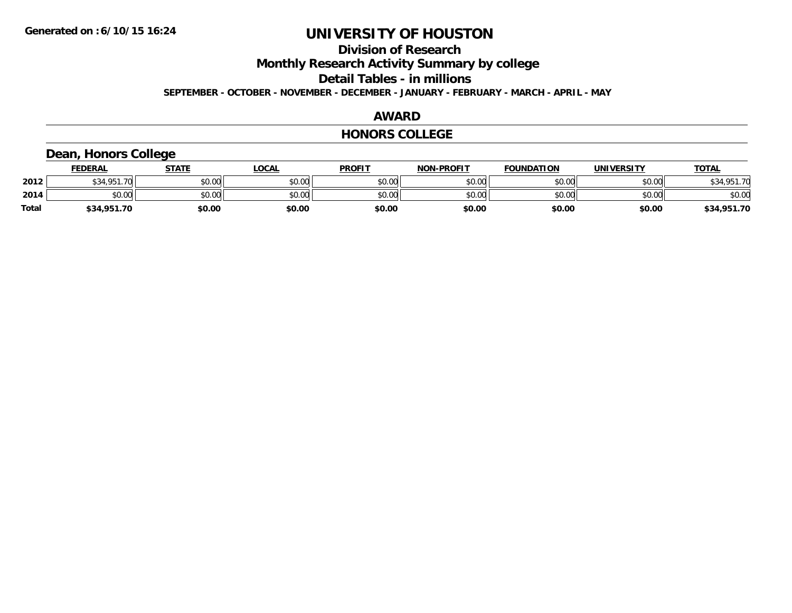## **Division of Research**

**Monthly Research Activity Summary by college**

**Detail Tables - in millions**

**SEPTEMBER - OCTOBER - NOVEMBER - DECEMBER - JANUARY - FEBRUARY - MARCH - APRIL - MAY**

#### **AWARD**

#### **HONORS COLLEGE**

## **Dean, Honors College**

|       | <b>FEDERAL</b>     | STATE  | <u>LOCAL</u> | <b>PROFIT</b> | <b>NON-PROFIT</b> | <b>FOUNDATION</b> | <b>UNIVERSITY</b> | <b>TOTAL</b> |
|-------|--------------------|--------|--------------|---------------|-------------------|-------------------|-------------------|--------------|
| 2012  | \$34.951.70<br>აა4 | \$0.00 | \$0.00       | \$0.00        | \$0.00            | \$0.00            | \$0.00            | \$34,951.70  |
| 2014  | \$0.00             | \$0.00 | \$0.00       | \$0.00        | \$0.00            | \$0.00            | \$0.00            | \$0.00       |
| Total | \$34,951.70        | \$0.00 | \$0.00       | \$0.00        | \$0.00            | \$0.00            | \$0.00            | \$34,951.70  |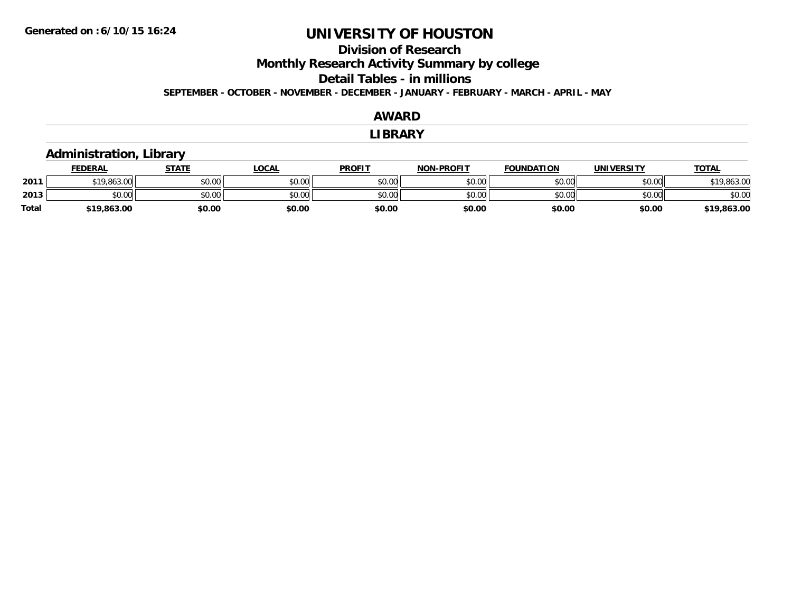**2011**

**Total**

# **UNIVERSITY OF HOUSTON**

## **Division of ResearchMonthly Research Activity Summary by college Detail Tables - in millions SEPTEMBER - OCTOBER - NOVEMBER - DECEMBER - JANUARY - FEBRUARY - MARCH - APRIL - MAY**

#### **AWARDLIBRARY Administration, Library FEDERAL STATE LOCAL PROFIT NON-PROFIT FOUNDATION UNIVERSITY TOTALTOTAL** 1 \$19,863.00 \$0.00 \$0.00 \$0.00 \$0.00 \$0.00 \$0.00 \$0.00 \$0.00 \$0.00 \$0.00 \$0.00 \$19,863.00 \$19,863.00 **2013** $\textbf{3} \quad \textbf{\textcolor{blue}{\textbf{50.00}}} \quad \textbf{\textcolor{blue}{\textbf{50.00}}} \quad \textbf{\textcolor{blue}{\textbf{50.00}}} \quad \textbf{\textcolor{blue}{\textbf{50.00}}} \quad \textbf{\textcolor{blue}{\textbf{50.00}}} \quad \textbf{\textcolor{blue}{\textbf{50.00}}} \quad \textbf{\textcolor{blue}{\textbf{50.00}}} \quad \textbf{\textcolor{blue}{\textbf{50.00}}} \quad \textbf{\textcolor{blue}{\textbf{50.00}}} \quad \textbf{\textcolor{blue}{\textbf{50.00}}} \quad \text$ **\$19,863.00 \$0.00 \$0.00 \$0.00 \$0.00 \$0.00 \$0.00 \$19,863.00**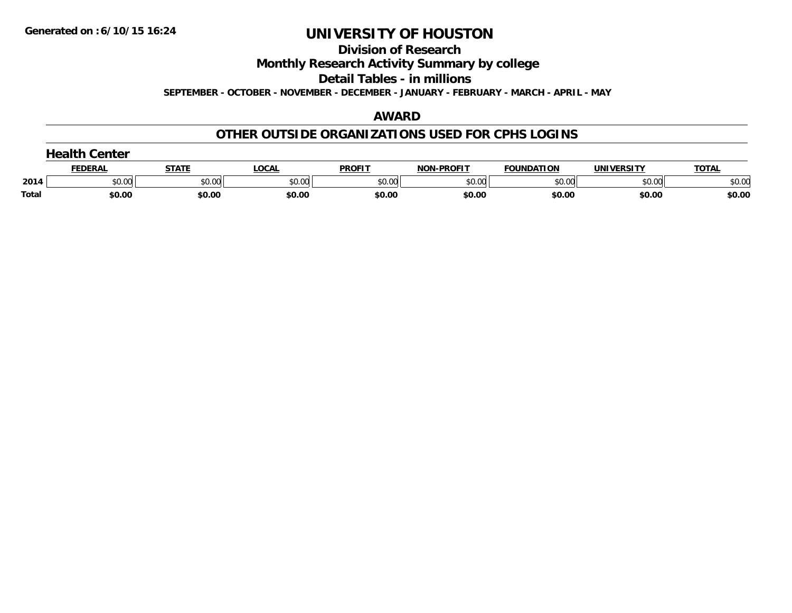#### **Division of Research**

**Monthly Research Activity Summary by college**

**Detail Tables - in millions**

**SEPTEMBER - OCTOBER - NOVEMBER - DECEMBER - JANUARY - FEBRUARY - MARCH - APRIL - MAY**

#### **AWARD**

### **OTHER OUTSIDE ORGANIZATIONS USED FOR CPHS LOGINS**

|       | Center  |        |        |               |                   |                   |            |              |  |  |
|-------|---------|--------|--------|---------------|-------------------|-------------------|------------|--------------|--|--|
|       | FEDERAI |        | LOCAL  | <b>PROFIT</b> | <b>NON-PROFIT</b> | <b>FOUNDATION</b> | UNIVERSITY | <b>TOTAL</b> |  |  |
| 2014  | \$0.00  | \$0.00 | \$0.00 | \$0.00        | \$0.00            | \$0.00            | \$0.00     | \$0.00       |  |  |
| Total | \$0.00  | \$0.00 | \$0.00 | \$0.00        | \$0.00            | \$0.00            | \$0.00     | \$0.00       |  |  |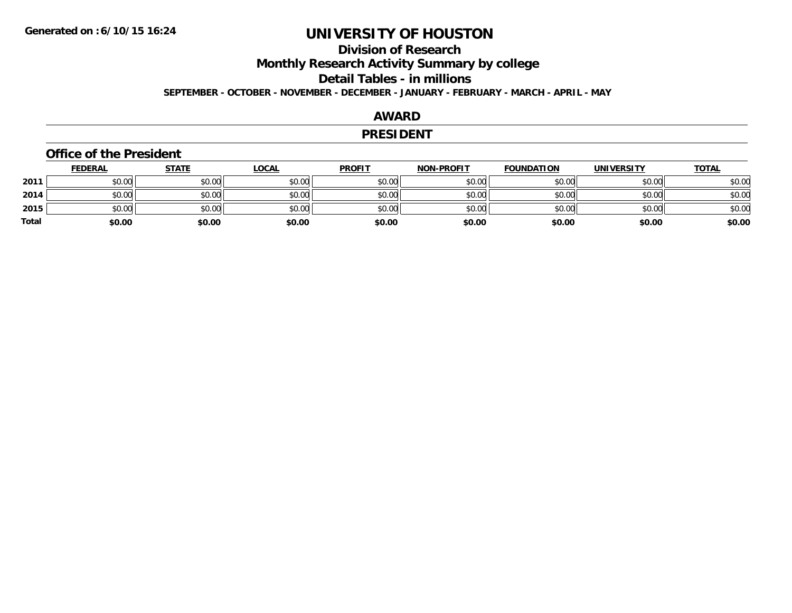## **Division of ResearchMonthly Research Activity Summary by college Detail Tables - in millions SEPTEMBER - OCTOBER - NOVEMBER - DECEMBER - JANUARY - FEBRUARY - MARCH - APRIL - MAY**

#### **AWARD**

#### **PRESIDENT**

#### **Office of the President**

|       | <b>FEDERAL</b> | <b>STATE</b> | <b>LOCAL</b> | <b>PROFIT</b> | <b>NON-PROFIT</b> | <b>FOUNDATION</b> | <b>UNIVERSITY</b> | <b>TOTAL</b> |
|-------|----------------|--------------|--------------|---------------|-------------------|-------------------|-------------------|--------------|
| 2011  | \$0.00         | \$0.00       | \$0.00       | \$0.00        | \$0.00            | \$0.00            | \$0.00            | \$0.00       |
| 2014  | \$0.00         | \$0.00       | \$0.00       | \$0.00        | \$0.00            | \$0.00            | \$0.00            | \$0.00       |
| 2015  | \$0.00         | \$0.00       | \$0.00       | \$0.00        | \$0.00            | \$0.00            | \$0.00            | \$0.00       |
| Total | \$0.00         | \$0.00       | \$0.00       | \$0.00        | \$0.00            | \$0.00            | \$0.00            | \$0.00       |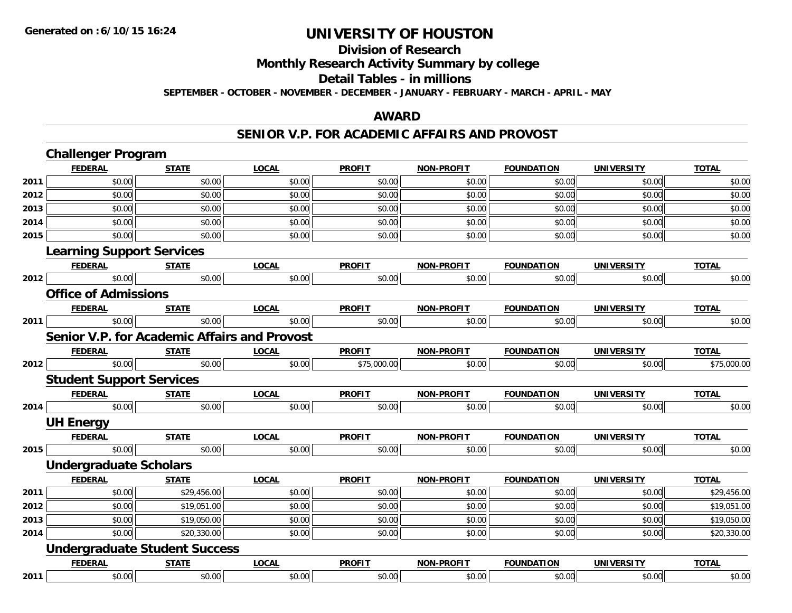## **Division of Research**

**Monthly Research Activity Summary by college**

**Detail Tables - in millions**

**SEPTEMBER - OCTOBER - NOVEMBER - DECEMBER - JANUARY - FEBRUARY - MARCH - APRIL - MAY**

## **AWARD**

### **SENIOR V.P. FOR ACADEMIC AFFAIRS AND PROVOST**

|      | <b>Challenger Program</b>                           |              |              |               |                   |                   |                   |              |  |  |
|------|-----------------------------------------------------|--------------|--------------|---------------|-------------------|-------------------|-------------------|--------------|--|--|
|      | <b>FEDERAL</b>                                      | <b>STATE</b> | <b>LOCAL</b> | <b>PROFIT</b> | <b>NON-PROFIT</b> | <b>FOUNDATION</b> | <b>UNIVERSITY</b> | <b>TOTAL</b> |  |  |
| 2011 | \$0.00                                              | \$0.00       | \$0.00       | \$0.00        | \$0.00            | \$0.00            | \$0.00            | \$0.00       |  |  |
| 2012 | \$0.00                                              | \$0.00       | \$0.00       | \$0.00        | \$0.00            | \$0.00            | \$0.00            | \$0.00       |  |  |
| 2013 | \$0.00                                              | \$0.00       | \$0.00       | \$0.00        | \$0.00            | \$0.00            | \$0.00            | \$0.00       |  |  |
| 2014 | \$0.00                                              | \$0.00       | \$0.00       | \$0.00        | \$0.00            | \$0.00            | \$0.00            | \$0.00       |  |  |
| 2015 | \$0.00                                              | \$0.00       | \$0.00       | \$0.00        | \$0.00            | \$0.00            | \$0.00            | \$0.00       |  |  |
|      | <b>Learning Support Services</b>                    |              |              |               |                   |                   |                   |              |  |  |
|      | <b>FEDERAL</b>                                      | <b>STATE</b> | <b>LOCAL</b> | <b>PROFIT</b> | <b>NON-PROFIT</b> | <b>FOUNDATION</b> | <b>UNIVERSITY</b> | <b>TOTAL</b> |  |  |
| 2012 | \$0.00                                              | \$0.00       | \$0.00       | \$0.00        | \$0.00            | \$0.00            | \$0.00            | \$0.00       |  |  |
|      | <b>Office of Admissions</b>                         |              |              |               |                   |                   |                   |              |  |  |
|      | <b>FEDERAL</b>                                      | <b>STATE</b> | <b>LOCAL</b> | <b>PROFIT</b> | NON-PROFIT        | <b>FOUNDATION</b> | UNIVERSITY        | <b>TOTAL</b> |  |  |
| 2011 | \$0.00                                              | \$0.00       | \$0.00       | \$0.00        | \$0.00            | \$0.00            | \$0.00            | \$0.00       |  |  |
|      | <b>Senior V.P. for Academic Affairs and Provost</b> |              |              |               |                   |                   |                   |              |  |  |
|      | <b>FEDERAL</b>                                      | <b>STATE</b> | <b>LOCAL</b> | <b>PROFIT</b> | <b>NON-PROFIT</b> | <b>FOUNDATION</b> | <b>UNIVERSITY</b> | <b>TOTAL</b> |  |  |
| 2012 | \$0.00                                              | \$0.00       | \$0.00       | \$75,000.00   | \$0.00            | \$0.00            | \$0.00            | \$75,000.00  |  |  |
|      | <b>Student Support Services</b>                     |              |              |               |                   |                   |                   |              |  |  |
|      | <b>FEDERAL</b>                                      | <b>STATE</b> | <b>LOCAL</b> | <b>PROFIT</b> | <b>NON-PROFIT</b> | <b>FOUNDATION</b> | <b>UNIVERSITY</b> | <b>TOTAL</b> |  |  |
| 2014 | \$0.00                                              | \$0.00       | \$0.00       | \$0.00        | \$0.00            | \$0.00            | \$0.00            | \$0.00       |  |  |
|      | <b>UH Energy</b>                                    |              |              |               |                   |                   |                   |              |  |  |
|      | <b>FEDERAL</b>                                      | <b>STATE</b> | <b>LOCAL</b> | <b>PROFIT</b> | <b>NON-PROFIT</b> | <b>FOUNDATION</b> | <b>UNIVERSITY</b> | <b>TOTAL</b> |  |  |
| 2015 | \$0.00                                              | \$0.00       | \$0.00       | \$0.00        | \$0.00            | \$0.00            | \$0.00            | \$0.00       |  |  |
|      | <b>Undergraduate Scholars</b>                       |              |              |               |                   |                   |                   |              |  |  |
|      | <b>FEDERAL</b>                                      | <b>STATE</b> | <b>LOCAL</b> | <b>PROFIT</b> | <b>NON-PROFIT</b> | <b>FOUNDATION</b> | <b>UNIVERSITY</b> | <b>TOTAL</b> |  |  |
| 2011 | \$0.00                                              | \$29,456.00  | \$0.00       | \$0.00        | \$0.00            | \$0.00            | \$0.00            | \$29,456.00  |  |  |
| 2012 | \$0.00                                              | \$19,051.00  | \$0.00       | \$0.00        | \$0.00            | \$0.00            | \$0.00            | \$19,051.00  |  |  |
| 2013 | \$0.00                                              | \$19,050.00  | \$0.00       | \$0.00        | \$0.00            | \$0.00            | \$0.00            | \$19,050.00  |  |  |
| 2014 | \$0.00                                              | \$20,330.00  | \$0.00       | \$0.00        | \$0.00            | \$0.00            | \$0.00            | \$20,330.00  |  |  |
|      | <b>Undergraduate Student Success</b>                |              |              |               |                   |                   |                   |              |  |  |
|      | <b>FEDERAL</b>                                      | <b>STATE</b> | <b>LOCAL</b> | <b>PROFIT</b> | NON-PROFIT        | <b>FOUNDATION</b> | <b>UNIVERSITY</b> | <b>TOTAL</b> |  |  |
| 2011 | \$0.00                                              | \$0.00       | \$0.00       | \$0.00        | \$0.00            | \$0.00            | \$0.00            | \$0.00       |  |  |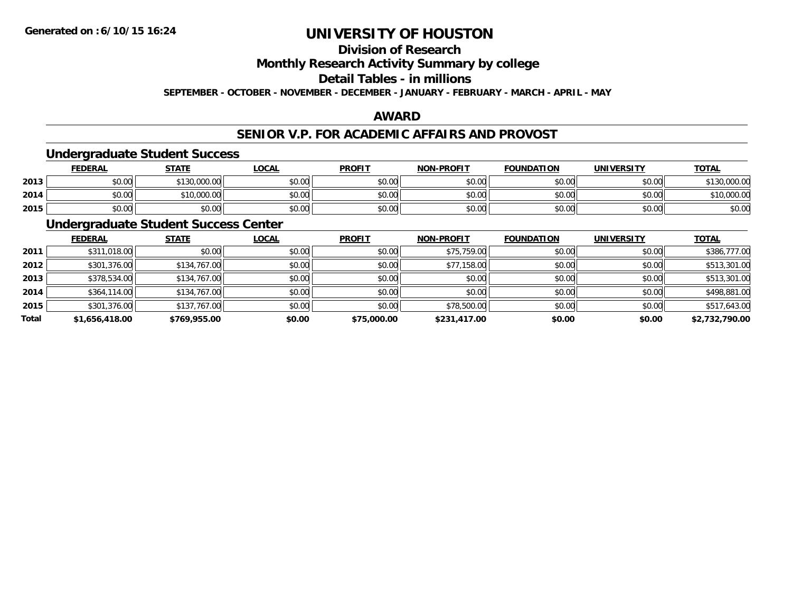## **Division of Research**

**Monthly Research Activity Summary by college**

**Detail Tables - in millions**

**SEPTEMBER - OCTOBER - NOVEMBER - DECEMBER - JANUARY - FEBRUARY - MARCH - APRIL - MAY**

## **AWARD**

## **SENIOR V.P. FOR ACADEMIC AFFAIRS AND PROVOST**

### **Undergraduate Student Success**

|      | FEDERAL | <b>STATE</b> | <u>LOCAL</u> | <b>PROFIT</b> | <b>NON-PROFIT</b> | <b>FOUNDATION</b> | <b>UNIVERSITY</b> | <b>TOTAL</b> |
|------|---------|--------------|--------------|---------------|-------------------|-------------------|-------------------|--------------|
| 2013 | \$0.00  | \$130,000.00 | \$0.00       | \$0.00        | \$0.00            | \$0.00            | \$0.00            | \$130,000.00 |
| 2014 | \$0.00  | 510,000.00   | \$0.00       | \$0.00        | \$0.00            | \$0.00            | \$0.00            | \$10,000.00  |
| 2015 | \$0.00  | \$0.00       | \$0.00       | \$0.00        | \$0.00            | \$0.00            | \$0.00            | \$0.00       |

## **Undergraduate Student Success Center**

|       | <b>FEDERAL</b> | <b>STATE</b> | <b>LOCAL</b> | <b>PROFIT</b> | <b>NON-PROFIT</b> | <b>FOUNDATION</b> | <b>UNIVERSITY</b> | <b>TOTAL</b>   |
|-------|----------------|--------------|--------------|---------------|-------------------|-------------------|-------------------|----------------|
| 2011  | \$311,018.00   | \$0.00       | \$0.00       | \$0.00        | \$75,759.00       | \$0.00            | \$0.00            | \$386,777.00   |
| 2012  | \$301,376.00   | \$134,767.00 | \$0.00       | \$0.00        | \$77,158.00       | \$0.00            | \$0.00            | \$513,301.00   |
| 2013  | \$378,534.00   | \$134,767.00 | \$0.00       | \$0.00        | \$0.00            | \$0.00            | \$0.00            | \$513,301.00   |
| 2014  | \$364,114.00   | \$134,767.00 | \$0.00       | \$0.00        | \$0.00            | \$0.00            | \$0.00            | \$498,881.00   |
| 2015  | \$301,376.00   | \$137,767.00 | \$0.00       | \$0.00        | \$78,500.00       | \$0.00            | \$0.00            | \$517,643.00   |
| Total | \$1,656,418.00 | \$769,955.00 | \$0.00       | \$75,000.00   | \$231,417.00      | \$0.00            | \$0.00            | \$2,732,790.00 |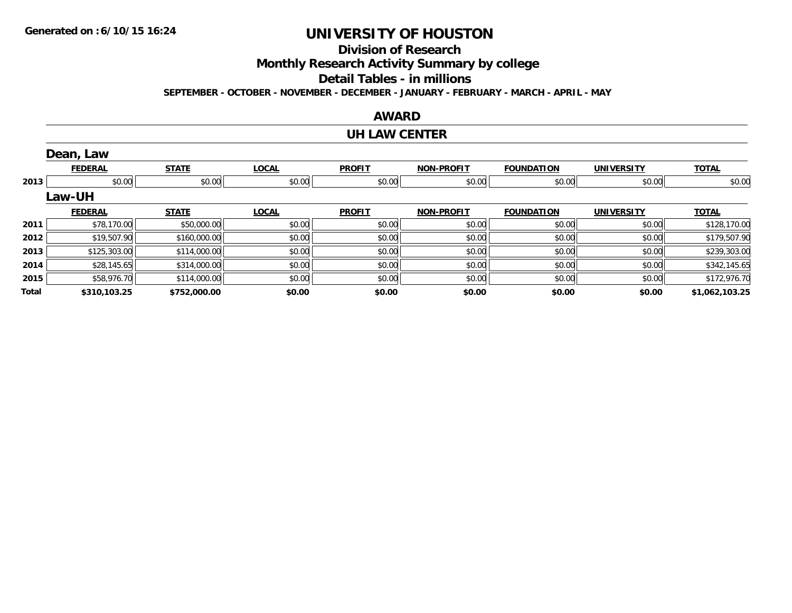## **Division of Research**

**Monthly Research Activity Summary by college**

**Detail Tables - in millions**

**SEPTEMBER - OCTOBER - NOVEMBER - DECEMBER - JANUARY - FEBRUARY - MARCH - APRIL - MAY**

### **AWARD**

#### **UH LAW CENTER**

|       | Dean, Law      |              |              |               |                   |                   |                   |                |
|-------|----------------|--------------|--------------|---------------|-------------------|-------------------|-------------------|----------------|
|       | <b>FEDERAL</b> | <b>STATE</b> | <b>LOCAL</b> | <b>PROFIT</b> | <b>NON-PROFIT</b> | <b>FOUNDATION</b> | <b>UNIVERSITY</b> | <b>TOTAL</b>   |
| 2013  | \$0.00         | \$0.00       | \$0.00       | \$0.00        | \$0.00            | \$0.00            | \$0.00            | \$0.00         |
|       | <b>Law-UH</b>  |              |              |               |                   |                   |                   |                |
|       | <b>FEDERAL</b> | <b>STATE</b> | <b>LOCAL</b> | <b>PROFIT</b> | <b>NON-PROFIT</b> | <b>FOUNDATION</b> | <b>UNIVERSITY</b> | <b>TOTAL</b>   |
| 2011  | \$78,170.00    | \$50,000.00  | \$0.00       | \$0.00        | \$0.00            | \$0.00            | \$0.00            | \$128,170.00   |
| 2012  | \$19,507.90    | \$160,000.00 | \$0.00       | \$0.00        | \$0.00            | \$0.00            | \$0.00            | \$179,507.90   |
| 2013  | \$125,303.00   | \$114,000.00 | \$0.00       | \$0.00        | \$0.00            | \$0.00            | \$0.00            | \$239,303.00   |
| 2014  | \$28,145.65    | \$314,000.00 | \$0.00       | \$0.00        | \$0.00            | \$0.00            | \$0.00            | \$342,145.65   |
| 2015  | \$58,976.70    | \$114,000.00 | \$0.00       | \$0.00        | \$0.00            | \$0.00            | \$0.00            | \$172,976.70   |
| Total | \$310,103.25   | \$752,000.00 | \$0.00       | \$0.00        | \$0.00            | \$0.00            | \$0.00            | \$1,062,103.25 |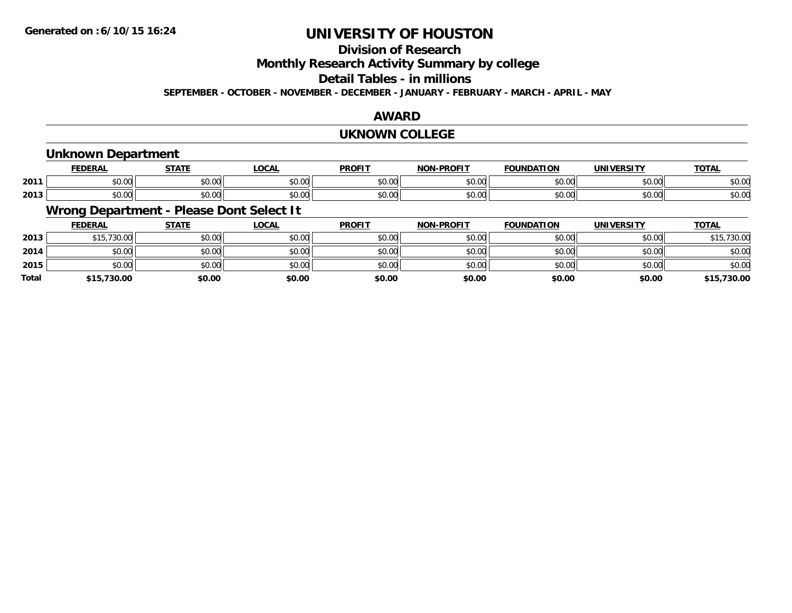## **Division of Research**

**Monthly Research Activity Summary by college**

**Detail Tables - in millions**

**SEPTEMBER - OCTOBER - NOVEMBER - DECEMBER - JANUARY - FEBRUARY - MARCH - APRIL - MAY**

### **AWARD**

#### **UKNOWN COLLEGE**

## **Unknown Department**

|      | <b>FEDERAI</b>         | <b>CTATE</b>        | LOCAL                | <b>DDOFIT</b> | <b>-PROFIT</b><br>NON | <b>FOUNDATION</b> | <b>UNIVERSITY</b><br>75. J I | <b>TOTAL</b>          |
|------|------------------------|---------------------|----------------------|---------------|-----------------------|-------------------|------------------------------|-----------------------|
| 2011 | $\sim$ $\sim$<br>vu.uu | $\sim$ 00<br>vu.vu  | 0.00<br><b>JU.UU</b> | \$0.00        | 0000<br>vv.vv         | \$0.00            | \$0.00                       | ቀስ ሰሰ<br><b>JU.UU</b> |
| 2013 | $\sim$ 00<br>vv.vv     | $\sim$ 00<br>wu.uu. | 0.00<br><b>DU.UU</b> | \$0.00        | 0000<br>JU.UU         | \$0.00            | \$0.00                       | nn nr<br>DU.UU        |

## **Wrong Department - Please Dont Select It**

|              | <b>FEDERAL</b> | <b>STATE</b> | <b>LOCAL</b> | <b>PROFIT</b> | <b>NON-PROFIT</b> | <b>FOUNDATION</b> | <b>UNIVERSITY</b> | <b>TOTAL</b> |
|--------------|----------------|--------------|--------------|---------------|-------------------|-------------------|-------------------|--------------|
| 2013         | \$15,730.00    | \$0.00       | \$0.00       | \$0.00        | \$0.00            | \$0.00            | \$0.00            | \$15,730.00  |
| 2014         | \$0.00         | \$0.00       | \$0.00       | \$0.00        | \$0.00            | \$0.00            | \$0.00            | \$0.00       |
| 2015         | \$0.00         | \$0.00       | \$0.00       | \$0.00        | \$0.00            | \$0.00            | \$0.00            | \$0.00       |
| <b>Total</b> | \$15,730.00    | \$0.00       | \$0.00       | \$0.00        | \$0.00            | \$0.00            | \$0.00            | \$15,730.00  |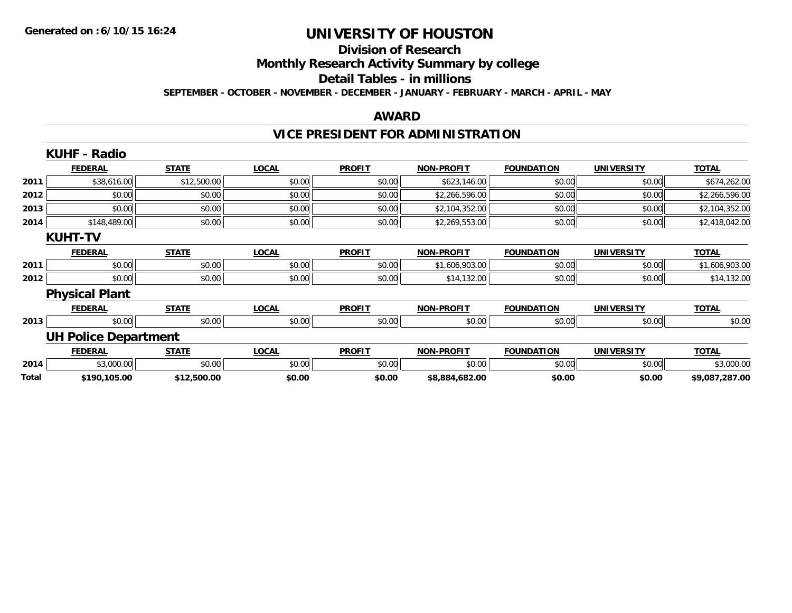## **Division of Research**

**Monthly Research Activity Summary by college**

**Detail Tables - in millions**

**SEPTEMBER - OCTOBER - NOVEMBER - DECEMBER - JANUARY - FEBRUARY - MARCH - APRIL - MAY**

#### **AWARD**

## **VICE PRESIDENT FOR ADMINISTRATION**

|       | <b>KUHF - Radio</b>         |              |              |               |                   |                   |                   |                |
|-------|-----------------------------|--------------|--------------|---------------|-------------------|-------------------|-------------------|----------------|
|       | <b>FEDERAL</b>              | <b>STATE</b> | <b>LOCAL</b> | <b>PROFIT</b> | <b>NON-PROFIT</b> | <b>FOUNDATION</b> | <b>UNIVERSITY</b> | <b>TOTAL</b>   |
| 2011  | \$38,616.00                 | \$12,500.00  | \$0.00       | \$0.00        | \$623,146.00      | \$0.00            | \$0.00            | \$674,262.00   |
| 2012  | \$0.00                      | \$0.00       | \$0.00       | \$0.00        | \$2,266,596.00    | \$0.00            | \$0.00            | \$2,266,596.00 |
| 2013  | \$0.00                      | \$0.00       | \$0.00       | \$0.00        | \$2,104,352.00    | \$0.00            | \$0.00            | \$2,104,352.00 |
| 2014  | \$148,489.00                | \$0.00       | \$0.00       | \$0.00        | \$2,269,553.00    | \$0.00            | \$0.00            | \$2,418,042.00 |
|       | <b>KUHT-TV</b>              |              |              |               |                   |                   |                   |                |
|       | <b>FEDERAL</b>              | <b>STATE</b> | <b>LOCAL</b> | <b>PROFIT</b> | <b>NON-PROFIT</b> | <b>FOUNDATION</b> | <b>UNIVERSITY</b> | <b>TOTAL</b>   |
| 2011  | \$0.00                      | \$0.00       | \$0.00       | \$0.00        | \$1,606,903.00    | \$0.00            | \$0.00            | \$1,606,903.00 |
| 2012  | \$0.00                      | \$0.00       | \$0.00       | \$0.00        | \$14,132.00       | \$0.00            | \$0.00            | \$14,132.00    |
|       | <b>Physical Plant</b>       |              |              |               |                   |                   |                   |                |
|       | <b>FEDERAL</b>              | <b>STATE</b> | <b>LOCAL</b> | <b>PROFIT</b> | <b>NON-PROFIT</b> | <b>FOUNDATION</b> | <b>UNIVERSITY</b> | <b>TOTAL</b>   |
| 2013  | \$0.00                      | \$0.00       | \$0.00       | \$0.00        | \$0.00            | \$0.00            | \$0.00            | \$0.00         |
|       | <b>UH Police Department</b> |              |              |               |                   |                   |                   |                |
|       | <b>FEDERAL</b>              | <b>STATE</b> | <b>LOCAL</b> | <b>PROFIT</b> | <b>NON-PROFIT</b> | <b>FOUNDATION</b> | <b>UNIVERSITY</b> | <b>TOTAL</b>   |
| 2014  | \$3,000.00                  | \$0.00       | \$0.00       | \$0.00        | \$0.00            | \$0.00            | \$0.00            | \$3,000.00     |
| Total | \$190,105.00                | \$12,500.00  | \$0.00       | \$0.00        | \$8,884,682.00    | \$0.00            | \$0.00            | \$9,087,287.00 |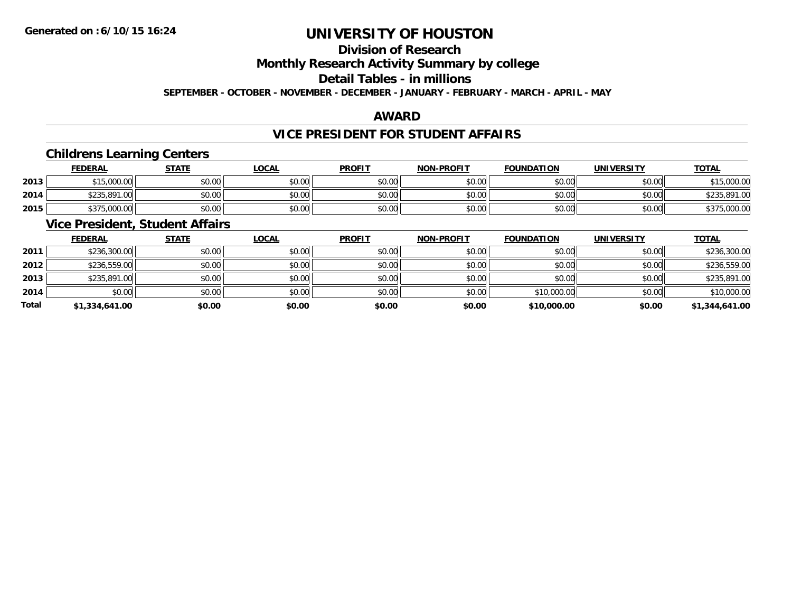## **Division of Research**

**Monthly Research Activity Summary by college**

**Detail Tables - in millions**

**SEPTEMBER - OCTOBER - NOVEMBER - DECEMBER - JANUARY - FEBRUARY - MARCH - APRIL - MAY**

## **AWARD**

## **VICE PRESIDENT FOR STUDENT AFFAIRS**

## **Childrens Learning Centers**

|      | <b>FEDERAL</b> | <b>STATE</b>      | <u>LOCAL</u>                                | <b>PROFIT</b> | <b>NON-PROFIT</b> | <b>FOUNDATION</b> | <b>UNIVERSITY</b> | <b>TOTAL</b> |
|------|----------------|-------------------|---------------------------------------------|---------------|-------------------|-------------------|-------------------|--------------|
| 2013 | \$15,000.00    | ¢Λ<br>റവ<br>JU.UU | \$0.00                                      | \$0.00        | \$0.00            | \$0.00            | \$0.00            | \$15,000.00  |
| 2014 | \$235,891.00   | \$0.00            | $\mathfrak{c}\cap\mathfrak{a}\cap$<br>DU.UU | \$0.00        | \$0.00            | \$0.00            | \$0.00            | \$235,891,00 |
| 2015 | \$375,000.00   | \$0.00            | \$0.00                                      | \$0.00        | \$0.00            | \$0.00            | \$0.00            | 000.00,،     |

## **Vice President, Student Affairs**

|       | <b>FEDERAL</b> | <b>STATE</b> | <b>LOCAL</b> | <b>PROFIT</b> | <b>NON-PROFIT</b> | <b>FOUNDATION</b> | <b>UNIVERSITY</b> | <b>TOTAL</b>   |
|-------|----------------|--------------|--------------|---------------|-------------------|-------------------|-------------------|----------------|
| 2011  | \$236,300.00   | \$0.00       | \$0.00       | \$0.00        | \$0.00            | \$0.00            | \$0.00            | \$236,300.00   |
| 2012  | \$236,559.00   | \$0.00       | \$0.00       | \$0.00        | \$0.00            | \$0.00            | \$0.00            | \$236,559.00   |
| 2013  | \$235,891.00   | \$0.00       | \$0.00       | \$0.00        | \$0.00            | \$0.00            | \$0.00            | \$235,891.00   |
| 2014  | \$0.00         | \$0.00       | \$0.00       | \$0.00        | \$0.00            | \$10,000.00       | \$0.00            | \$10,000.00    |
| Total | \$1,334,641.00 | \$0.00       | \$0.00       | \$0.00        | \$0.00            | \$10,000.00       | \$0.00            | \$1,344,641.00 |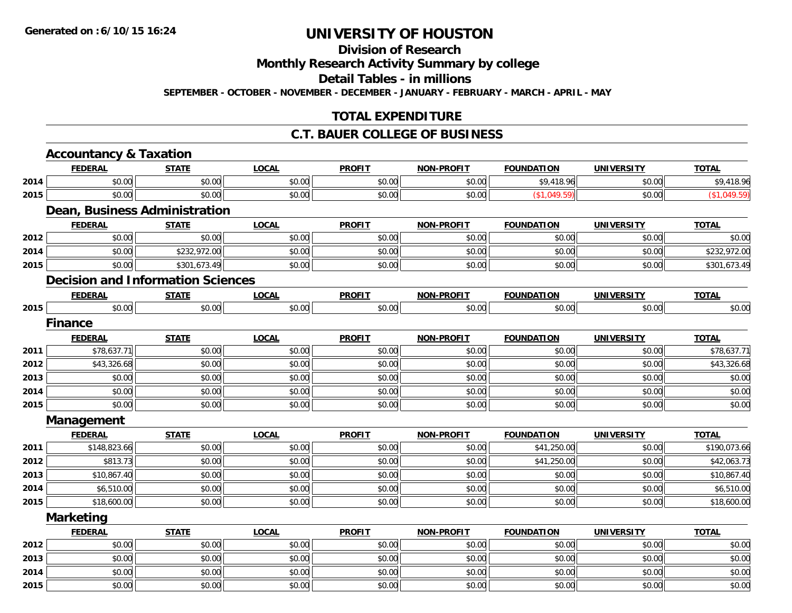## **Division of Research**

**Monthly Research Activity Summary by college**

**Detail Tables - in millions**

**SEPTEMBER - OCTOBER - NOVEMBER - DECEMBER - JANUARY - FEBRUARY - MARCH - APRIL - MAY**

## **TOTAL EXPENDITURE**

### **C.T. BAUER COLLEGE OF BUSINESS**

|      | <b>Accountancy &amp; Taxation</b>        |              |              |               |                   |                   |                   |              |
|------|------------------------------------------|--------------|--------------|---------------|-------------------|-------------------|-------------------|--------------|
|      | <b>FEDERAL</b>                           | <b>STATE</b> | <b>LOCAL</b> | <b>PROFIT</b> | <b>NON-PROFIT</b> | <b>FOUNDATION</b> | <b>UNIVERSITY</b> | <b>TOTAL</b> |
| 2014 | \$0.00                                   | \$0.00       | \$0.00       | \$0.00        | \$0.00            | \$9,418.96        | \$0.00            | \$9,418.96   |
| 2015 | \$0.00                                   | \$0.00       | \$0.00       | \$0.00        | \$0.00            | (\$1,049.59)      | \$0.00            | (\$1,049.59) |
|      | <b>Dean, Business Administration</b>     |              |              |               |                   |                   |                   |              |
|      | <b>FEDERAL</b>                           | <b>STATE</b> | <b>LOCAL</b> | <b>PROFIT</b> | <b>NON-PROFIT</b> | <b>FOUNDATION</b> | <b>UNIVERSITY</b> | <b>TOTAL</b> |
| 2012 | \$0.00                                   | \$0.00       | \$0.00       | \$0.00        | \$0.00            | \$0.00            | \$0.00            | \$0.00       |
| 2014 | \$0.00                                   | \$232,972.00 | \$0.00       | \$0.00        | \$0.00            | \$0.00            | \$0.00            | \$232,972.00 |
| 2015 | \$0.00                                   | \$301,673.49 | \$0.00       | \$0.00        | \$0.00            | \$0.00            | \$0.00            | \$301,673.49 |
|      | <b>Decision and Information Sciences</b> |              |              |               |                   |                   |                   |              |
|      | <b>FEDERAL</b>                           | <b>STATE</b> | <b>LOCAL</b> | <b>PROFIT</b> | <b>NON-PROFIT</b> | <b>FOUNDATION</b> | <b>UNIVERSITY</b> | <b>TOTAL</b> |
| 2015 | \$0.00                                   | \$0.00       | \$0.00       | \$0.00        | \$0.00            | \$0.00            | \$0.00            | \$0.00       |
|      | <b>Finance</b>                           |              |              |               |                   |                   |                   |              |
|      | <b>FEDERAL</b>                           | <b>STATE</b> | <b>LOCAL</b> | <b>PROFIT</b> | <b>NON-PROFIT</b> | <b>FOUNDATION</b> | <b>UNIVERSITY</b> | <b>TOTAL</b> |
| 2011 | \$78,637.71                              | \$0.00       | \$0.00       | \$0.00        | \$0.00            | \$0.00            | \$0.00            | \$78,637.71  |
| 2012 | \$43,326.68                              | \$0.00       | \$0.00       | \$0.00        | \$0.00            | \$0.00            | \$0.00            | \$43,326.68  |
| 2013 | \$0.00                                   | \$0.00       | \$0.00       | \$0.00        | \$0.00            | \$0.00            | \$0.00            | \$0.00       |
| 2014 | \$0.00                                   | \$0.00       | \$0.00       | \$0.00        | \$0.00            | \$0.00            | \$0.00            | \$0.00       |
| 2015 | \$0.00                                   | \$0.00       | \$0.00       | \$0.00        | \$0.00            | \$0.00            | \$0.00            | \$0.00       |
|      | Management                               |              |              |               |                   |                   |                   |              |
|      | <b>FEDERAL</b>                           | <b>STATE</b> | <b>LOCAL</b> | <b>PROFIT</b> | <b>NON-PROFIT</b> | <b>FOUNDATION</b> | <b>UNIVERSITY</b> | <b>TOTAL</b> |
| 2011 | \$148,823.66                             | \$0.00       | \$0.00       | \$0.00        | \$0.00            | \$41,250.00       | \$0.00            | \$190,073.66 |
| 2012 | \$813.73                                 | \$0.00       | \$0.00       | \$0.00        | \$0.00            | \$41,250.00       | \$0.00            | \$42,063.73  |
| 2013 | \$10,867.40                              | \$0.00       | \$0.00       | \$0.00        | \$0.00            | \$0.00            | \$0.00            | \$10,867.40  |
| 2014 | \$6,510.00                               | \$0.00       | \$0.00       | \$0.00        | \$0.00            | \$0.00            | \$0.00            | \$6,510.00   |
| 2015 | \$18,600.00                              | \$0.00       | \$0.00       | \$0.00        | \$0.00            | \$0.00            | \$0.00            | \$18,600.00  |
|      | <b>Marketing</b>                         |              |              |               |                   |                   |                   |              |
|      | <b>FEDERAL</b>                           | <b>STATE</b> | <b>LOCAL</b> | <b>PROFIT</b> | <b>NON-PROFIT</b> | <b>FOUNDATION</b> | <b>UNIVERSITY</b> | <b>TOTAL</b> |
| 2012 | \$0.00                                   | \$0.00       | \$0.00       | \$0.00        | \$0.00            | \$0.00            | \$0.00            | \$0.00       |
| 2013 | \$0.00                                   | \$0.00       | \$0.00       | \$0.00        | \$0.00            | \$0.00            | \$0.00            | \$0.00       |
| 2014 | \$0.00                                   | \$0.00       | \$0.00       | \$0.00        | \$0.00            | \$0.00            | \$0.00            | \$0.00       |
| 2015 | \$0.00                                   | \$0.00       | \$0.00       | \$0.00        | \$0.00            | \$0.00            | \$0.00            | \$0.00       |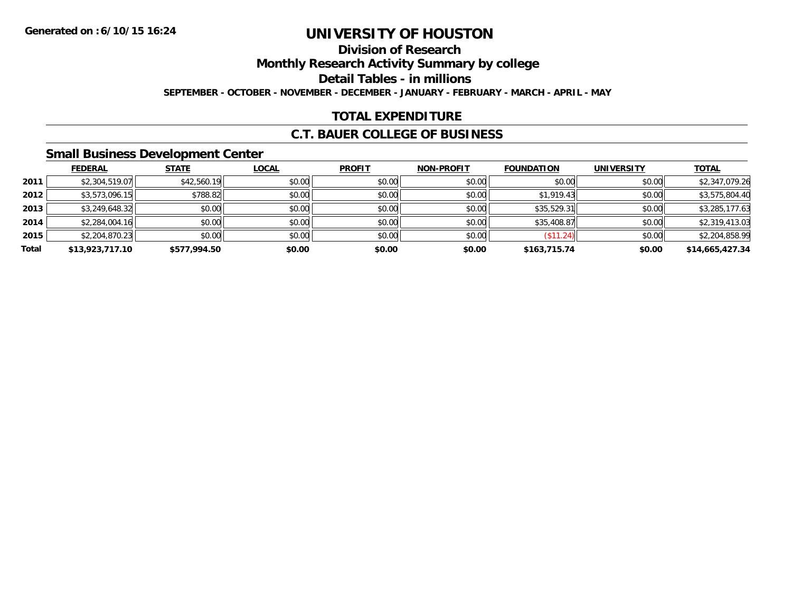# **Division of Research**

**Monthly Research Activity Summary by college**

**Detail Tables - in millions**

**SEPTEMBER - OCTOBER - NOVEMBER - DECEMBER - JANUARY - FEBRUARY - MARCH - APRIL - MAY**

## **TOTAL EXPENDITURE**

## **C.T. BAUER COLLEGE OF BUSINESS**

## **Small Business Development Center**

|       | <b>FEDERAL</b>  | <b>STATE</b> | <b>LOCAL</b> | <b>PROFIT</b> | <b>NON-PROFIT</b> | <b>FOUNDATION</b>        | <b>UNIVERSITY</b> | <b>TOTAL</b>    |
|-------|-----------------|--------------|--------------|---------------|-------------------|--------------------------|-------------------|-----------------|
| 2011  | \$2,304,519.07  | \$42,560.19  | \$0.00       | \$0.00        | \$0.00            | \$0.00                   | \$0.00            | \$2,347,079.26  |
| 2012  | \$3,573,096.15  | \$788.82     | \$0.00       | \$0.00        | \$0.00            | \$1,919.43               | \$0.00            | \$3,575,804.40  |
| 2013  | \$3,249,648.32  | \$0.00       | \$0.00       | \$0.00        | \$0.00            | \$35,529.31              | \$0.00            | \$3,285,177.63  |
| 2014  | \$2,284,004.16  | \$0.00       | \$0.00       | \$0.00        | \$0.00            | \$35,408.87              | \$0.00            | \$2,319,413.03  |
| 2015  | \$2,204,870.23  | \$0.00       | \$0.00       | \$0.00        | \$0.00            | $($ \$11.24) $\parallel$ | \$0.00            | \$2,204,858.99  |
| Total | \$13,923,717.10 | \$577,994.50 | \$0.00       | \$0.00        | \$0.00            | \$163,715.74             | \$0.00            | \$14,665,427.34 |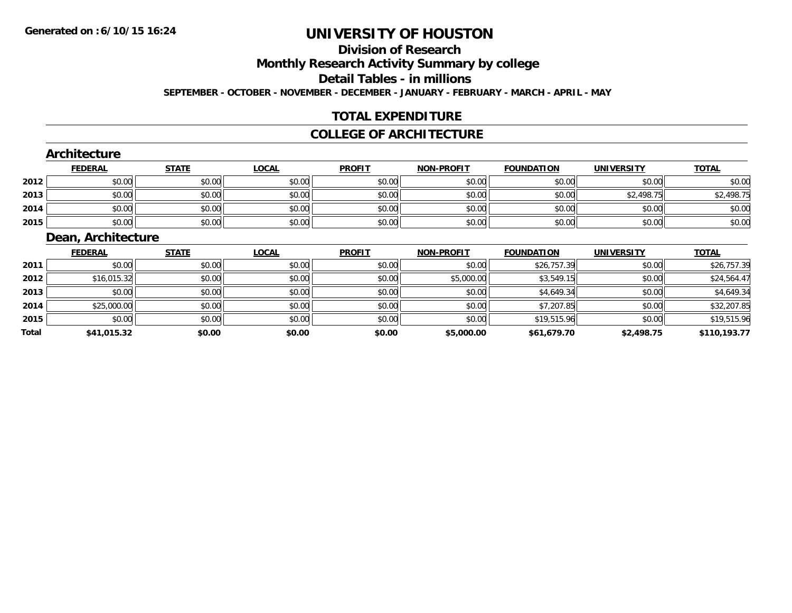# **Division of Research**

**Monthly Research Activity Summary by college**

**Detail Tables - in millions**

**SEPTEMBER - OCTOBER - NOVEMBER - DECEMBER - JANUARY - FEBRUARY - MARCH - APRIL - MAY**

## **TOTAL EXPENDITURE**

### **COLLEGE OF ARCHITECTURE**

### **Architecture**

|      | <b>FEDERAL</b> | <b>STATE</b> | <b>LOCAL</b> | <b>PROFIT</b> | <b>NON-PROFIT</b> | <b>FOUNDATION</b> | <b>UNIVERSITY</b> | <b>TOTAL</b> |
|------|----------------|--------------|--------------|---------------|-------------------|-------------------|-------------------|--------------|
| 2012 | \$0.00         | \$0.00       | \$0.00       | \$0.00        | \$0.00            | \$0.00            | \$0.00            | \$0.00       |
| 2013 | \$0.00         | \$0.00       | \$0.00       | \$0.00        | \$0.00            | \$0.00            | \$2,498.75        | \$2,498.75   |
| 2014 | \$0.00         | \$0.00       | \$0.00       | \$0.00        | \$0.00            | \$0.00            | \$0.00            | \$0.00       |
| 2015 | \$0.00         | \$0.00       | \$0.00       | \$0.00        | \$0.00            | \$0.00            | \$0.00            | \$0.00       |

### **Dean, Architecture**

|       | <b>FEDERAL</b> | <b>STATE</b> | <b>LOCAL</b> | <b>PROFIT</b> | <b>NON-PROFIT</b> | <b>FOUNDATION</b> | <b>UNIVERSITY</b> | <b>TOTAL</b> |
|-------|----------------|--------------|--------------|---------------|-------------------|-------------------|-------------------|--------------|
| 2011  | \$0.00         | \$0.00       | \$0.00       | \$0.00        | \$0.00            | \$26,757.39       | \$0.00            | \$26,757.39  |
| 2012  | \$16,015.32    | \$0.00       | \$0.00       | \$0.00        | \$5,000.00        | \$3,549.15        | \$0.00            | \$24,564.47  |
| 2013  | \$0.00         | \$0.00       | \$0.00       | \$0.00        | \$0.00            | \$4,649.34        | \$0.00            | \$4,649.34   |
| 2014  | \$25,000.00    | \$0.00       | \$0.00       | \$0.00        | \$0.00            | \$7,207.85        | \$0.00            | \$32,207.85  |
| 2015  | \$0.00         | \$0.00       | \$0.00       | \$0.00        | \$0.00            | \$19,515.96       | \$0.00            | \$19,515.96  |
| Total | \$41,015.32    | \$0.00       | \$0.00       | \$0.00        | \$5,000.00        | \$61,679.70       | \$2,498.75        | \$110,193.77 |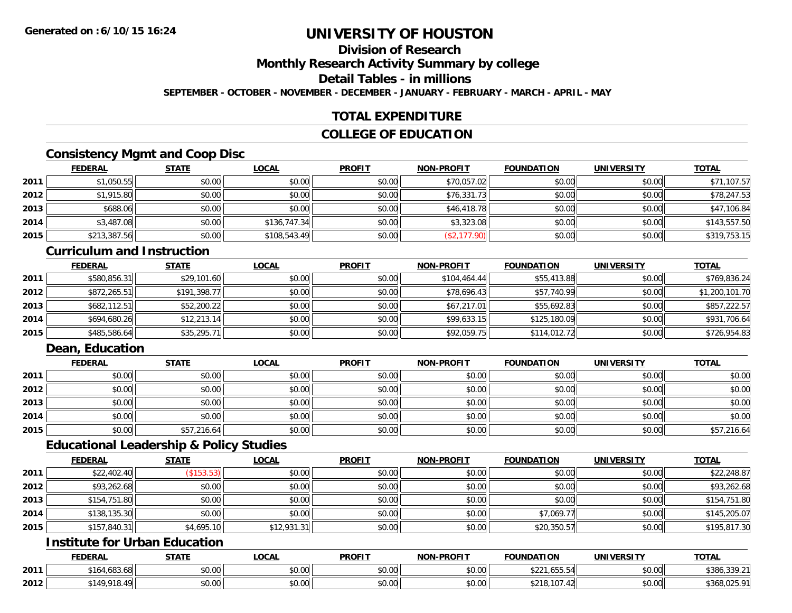## **Division of Research**

**Monthly Research Activity Summary by college**

**Detail Tables - in millions**

**SEPTEMBER - OCTOBER - NOVEMBER - DECEMBER - JANUARY - FEBRUARY - MARCH - APRIL - MAY**

## **TOTAL EXPENDITURE**

## **COLLEGE OF EDUCATION**

## **Consistency Mgmt and Coop Disc**

|      | <u>FEDERAL</u> | <b>STATE</b> | <u>LOCAL</u> | <b>PROFIT</b> | <b>NON-PROFIT</b> | <b>FOUNDATION</b> | <b>UNIVERSITY</b> | <b>TOTAL</b> |
|------|----------------|--------------|--------------|---------------|-------------------|-------------------|-------------------|--------------|
| 2011 | \$1,050.55     | \$0.00       | \$0.00       | \$0.00        | \$70,057.02       | \$0.00            | \$0.00            | \$71,107.57  |
| 2012 | \$1,915.80     | \$0.00       | \$0.00       | \$0.00        | \$76,331.73       | \$0.00            | \$0.00            | \$78,247.53  |
| 2013 | \$688.06       | \$0.00       | \$0.00       | \$0.00        | \$46,418.78       | \$0.00            | \$0.00            | \$47,106.84  |
| 2014 | \$3,487.08     | \$0.00       | \$136,747.34 | \$0.00        | \$3,323.08        | \$0.00            | \$0.00            | \$143,557.50 |
| 2015 | \$213,387.56   | \$0.00       | \$108,543.49 | \$0.00        | (\$2,177.90)      | \$0.00            | \$0.00            | \$319,753.15 |

#### **Curriculum and Instruction**

|      | <b>FEDERAL</b> | <b>STATE</b> | <u>LOCAL</u> | <b>PROFIT</b> | <b>NON-PROFIT</b> | <b>FOUNDATION</b> | <b>UNIVERSITY</b> | <b>TOTAL</b>   |
|------|----------------|--------------|--------------|---------------|-------------------|-------------------|-------------------|----------------|
| 2011 | \$580,856.31   | \$29,101.60  | \$0.00       | \$0.00        | \$104,464.44      | \$55,413.88       | \$0.00            | \$769,836.24   |
| 2012 | \$872,265.51   | \$191,398.77 | \$0.00       | \$0.00        | \$78,696.43       | \$57,740.99       | \$0.00            | \$1,200,101.70 |
| 2013 | \$682,112.51   | \$52,200.22  | \$0.00       | \$0.00        | \$67,217.01       | \$55,692.83       | \$0.00            | \$857,222.57   |
| 2014 | \$694,680.26   | \$12,213.14  | \$0.00       | \$0.00        | \$99,633.15       | \$125,180.09      | \$0.00            | \$931,706.64   |
| 2015 | \$485,586.64   | \$35,295.71  | \$0.00       | \$0.00        | \$92,059.75       | \$114,012.72      | \$0.00            | \$726,954.83   |

## **Dean, Education**

|      | <b>FEDERAL</b> | <b>STATE</b> | <u>LOCAL</u> | <b>PROFIT</b> | <b>NON-PROFIT</b> | <b>FOUNDATION</b> | <b>UNIVERSITY</b> | <b>TOTAL</b> |
|------|----------------|--------------|--------------|---------------|-------------------|-------------------|-------------------|--------------|
| 2011 | \$0.00         | \$0.00       | \$0.00       | \$0.00        | \$0.00            | \$0.00            | \$0.00            | \$0.00       |
| 2012 | \$0.00         | \$0.00       | \$0.00       | \$0.00        | \$0.00            | \$0.00            | \$0.00            | \$0.00       |
| 2013 | \$0.00         | \$0.00       | \$0.00       | \$0.00        | \$0.00            | \$0.00            | \$0.00            | \$0.00       |
| 2014 | \$0.00         | \$0.00       | \$0.00       | \$0.00        | \$0.00            | \$0.00            | \$0.00            | \$0.00       |
| 2015 | \$0.00         | \$57,216.64  | \$0.00       | \$0.00        | \$0.00            | \$0.00            | \$0.00            | \$57,216.64  |

## **Educational Leadership & Policy Studies**

|      | <b>FEDERAL</b> | <b>STATE</b> | <u>LOCAL</u> | <b>PROFIT</b> | <b>NON-PROFIT</b> | <b>FOUNDATION</b> | <b>UNIVERSITY</b> | <b>TOTAL</b> |
|------|----------------|--------------|--------------|---------------|-------------------|-------------------|-------------------|--------------|
| 2011 | \$22,402.40    | (\$153.53)   | \$0.00       | \$0.00        | \$0.00            | \$0.00            | \$0.00            | \$22,248.87  |
| 2012 | \$93,262.68    | \$0.00       | \$0.00       | \$0.00        | \$0.00            | \$0.00            | \$0.00            | \$93,262.68  |
| 2013 | \$154,751.80   | \$0.00       | \$0.00       | \$0.00        | \$0.00            | \$0.00            | \$0.00            | \$154,751.80 |
| 2014 | \$138,135.30   | \$0.00       | \$0.00       | \$0.00        | \$0.00            | \$7,069.77        | \$0.00            | \$145,205.07 |
| 2015 | \$157,840.31   | \$4,695.10   | \$12,931.31  | \$0.00        | \$0.00            | \$20,350.57       | \$0.00            | \$195,817.30 |

## **Institute for Urban Education**

|      | <b>FEDERAL</b>       | <b>STATE</b><br>$1$ m i f | LOCAL                     | <b>PROFIT</b>              | <b>NON-PROFIT</b> | <b>FOUNDATION</b>                                 | UNIVERSITY | <b>TOTAL</b>                   |
|------|----------------------|---------------------------|---------------------------|----------------------------|-------------------|---------------------------------------------------|------------|--------------------------------|
| 2011 | \$164,683.68         | \$0.00                    | $\sim$<br>$\sim$<br>pu.uu | $*$ $\cap$ $\cap$<br>DU.UU | \$0.00            | $\uparrow$ $\uparrow$ $\uparrow$<br>כ.ככס,<br>╜∠∠ | \$0.00     | $\sim$ $\sim$<br>\$386.339.211 |
| 2012 | \$149 918<br>49<br>. | \$0.00                    | $\sim$ 00<br>PU.UU        | 0000<br><b>DU.UU</b>       | \$0.00            | .107<br>$\sim$<br>$A \cap A$<br>44                | \$0.00     | $\lambda$<br>0.250             |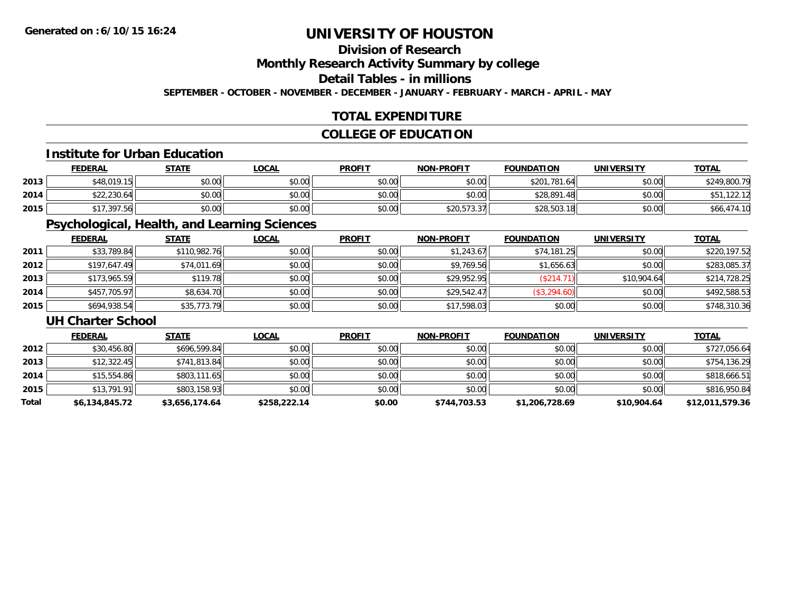## **Division of Research**

**Monthly Research Activity Summary by college**

**Detail Tables - in millions**

**SEPTEMBER - OCTOBER - NOVEMBER - DECEMBER - JANUARY - FEBRUARY - MARCH - APRIL - MAY**

## **TOTAL EXPENDITURE**

## **COLLEGE OF EDUCATION**

#### **Institute for Urban Education**

|      | <b>FEDERAL</b> | <b>STATE</b> | <b>LOCAL</b> | <b>PROFIT</b> | <b>NON-PROFIT</b> | <b>FOUNDATION</b> | UNIVERSITY | <u>TOTAL</u> |
|------|----------------|--------------|--------------|---------------|-------------------|-------------------|------------|--------------|
| 2013 | \$48,019.15    | \$0.00       | \$0.00       | \$0.00        | \$0.00            | \$201,781.64      | \$0.00     | \$249,800.79 |
| 2014 | \$22,230.64    | \$0.00       | \$0.00       | \$0.00        | \$0.00            | \$28,891<br>.48   | \$0.00     | 122. I       |
| 2015 |                | \$0.00       | \$0.00       | \$0.00        | \$20,573.37       | \$28,503.18       | \$0.00     | \$66,474.10  |

## **Psychological, Health, and Learning Sciences**

|      | <b>FEDERAL</b> | <b>STATE</b> | <b>LOCAL</b> | <b>PROFIT</b> | <b>NON-PROFIT</b> | <b>FOUNDATION</b> | <b>UNIVERSITY</b> | <b>TOTAL</b> |
|------|----------------|--------------|--------------|---------------|-------------------|-------------------|-------------------|--------------|
| 2011 | \$33,789.84    | \$110,982.76 | \$0.00       | \$0.00        | \$1,243.67        | \$74,181.25       | \$0.00            | \$220,197.52 |
| 2012 | \$197,647.49   | \$74,011.69  | \$0.00       | \$0.00        | \$9,769.56        | \$1,656.63        | \$0.00            | \$283,085.37 |
| 2013 | \$173,965.59   | \$119.78     | \$0.00       | \$0.00        | \$29,952.95       | (\$214.71)        | \$10,904.64       | \$214,728.25 |
| 2014 | \$457,705.97   | \$8,634.70   | \$0.00       | \$0.00        | \$29.542.47       | \$3,294.60        | \$0.00            | \$492,588.53 |
| 2015 | \$694,938.54   | \$35,773.79  | \$0.00       | \$0.00        | \$17,598.03       | \$0.00            | \$0.00            | \$748,310.36 |

#### **UH Charter School**

|       | <b>FEDERAL</b> | <b>STATE</b>   | <u>LOCAL</u> | <b>PROFIT</b> | <b>NON-PROFIT</b> | <b>FOUNDATION</b> | <b>UNIVERSITY</b> | <b>TOTAL</b>    |
|-------|----------------|----------------|--------------|---------------|-------------------|-------------------|-------------------|-----------------|
| 2012  | \$30,456.80    | \$696,599.84   | \$0.00       | \$0.00        | \$0.00            | \$0.00            | \$0.00            | \$727,056.64    |
| 2013  | \$12,322.45    | \$741,813.84   | \$0.00       | \$0.00        | \$0.00            | \$0.00            | \$0.00            | \$754,136.29    |
| 2014  | \$15,554.86    | \$803,111.65   | \$0.00       | \$0.00        | \$0.00            | \$0.00            | \$0.00            | \$818,666.51    |
| 2015  | \$13,791.91    | \$803,158.93   | \$0.00       | \$0.00        | \$0.00            | \$0.00            | \$0.00            | \$816,950.84    |
| Total | \$6,134,845.72 | \$3,656,174.64 | \$258,222.14 | \$0.00        | \$744,703.53      | \$1,206,728.69    | \$10,904.64       | \$12,011,579.36 |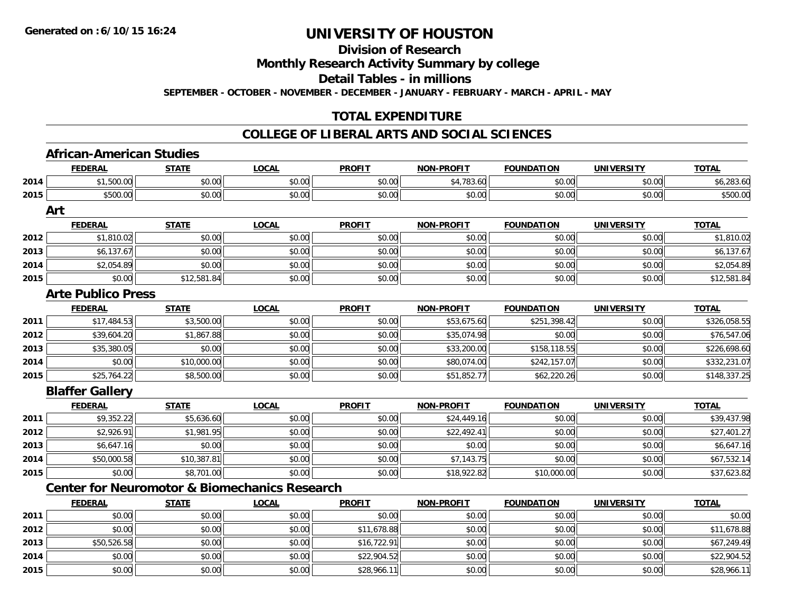**Division of Research**

**Monthly Research Activity Summary by college**

**Detail Tables - in millions**

**SEPTEMBER - OCTOBER - NOVEMBER - DECEMBER - JANUARY - FEBRUARY - MARCH - APRIL - MAY**

## **TOTAL EXPENDITURE**

### **COLLEGE OF LIBERAL ARTS AND SOCIAL SCIENCES**

|      | <b>FEDERAL</b>            | <b>STATE</b> | <b>LOCAL</b>                                             | <b>PROFIT</b> | <b>NON-PROFIT</b> | <b>FOUNDATION</b> | <b>UNIVERSITY</b> | <b>TOTAL</b> |
|------|---------------------------|--------------|----------------------------------------------------------|---------------|-------------------|-------------------|-------------------|--------------|
| 2014 | \$1,500.00                | \$0.00       | \$0.00                                                   | \$0.00        | \$4,783.60        | \$0.00            | \$0.00            | \$6,283.60   |
| 2015 | \$500.00                  | \$0.00       | \$0.00                                                   | \$0.00        | \$0.00            | \$0.00            | \$0.00            | \$500.00     |
|      | Art                       |              |                                                          |               |                   |                   |                   |              |
|      | <b>FEDERAL</b>            | <b>STATE</b> | <b>LOCAL</b>                                             | <b>PROFIT</b> | <b>NON-PROFIT</b> | <b>FOUNDATION</b> | <b>UNIVERSITY</b> | <b>TOTAL</b> |
| 2012 | \$1,810.02                | \$0.00       | \$0.00                                                   | \$0.00        | \$0.00            | \$0.00            | \$0.00            | \$1,810.02   |
| 2013 | \$6,137.67                | \$0.00       | \$0.00                                                   | \$0.00        | \$0.00            | \$0.00            | \$0.00            | \$6,137.67   |
| 2014 | \$2,054.89                | \$0.00       | \$0.00                                                   | \$0.00        | \$0.00            | \$0.00            | \$0.00            | \$2,054.89   |
| 2015 | \$0.00                    | \$12,581.84  | \$0.00                                                   | \$0.00        | \$0.00            | \$0.00            | \$0.00            | \$12,581.84  |
|      | <b>Arte Publico Press</b> |              |                                                          |               |                   |                   |                   |              |
|      | <b>FEDERAL</b>            | <b>STATE</b> | <b>LOCAL</b>                                             | <b>PROFIT</b> | <b>NON-PROFIT</b> | <b>FOUNDATION</b> | <b>UNIVERSITY</b> | <b>TOTAL</b> |
| 2011 | \$17,484.53               | \$3,500.00   | \$0.00                                                   | \$0.00        | \$53,675.60       | \$251,398.42      | \$0.00            | \$326,058.55 |
| 2012 | \$39,604.20               | \$1,867.88   | \$0.00                                                   | \$0.00        | \$35,074.98       | \$0.00            | \$0.00            | \$76,547.06  |
| 2013 | \$35,380.05               | \$0.00       | \$0.00                                                   | \$0.00        | \$33,200.00       | \$158,118.55      | \$0.00            | \$226,698.60 |
| 2014 | \$0.00                    | \$10,000.00  | \$0.00                                                   | \$0.00        | \$80,074.00       | \$242,157.07      | \$0.00            | \$332,231.07 |
| 2015 | \$25,764.22               | \$8,500.00   | \$0.00                                                   | \$0.00        | \$51,852.77       | \$62,220.26       | \$0.00            | \$148,337.25 |
|      | <b>Blaffer Gallery</b>    |              |                                                          |               |                   |                   |                   |              |
|      | <b>FEDERAL</b>            | <b>STATE</b> | <b>LOCAL</b>                                             | <b>PROFIT</b> | <b>NON-PROFIT</b> | <b>FOUNDATION</b> | <b>UNIVERSITY</b> | <b>TOTAL</b> |
| 2011 | \$9,352.22                | \$5,636.60   | \$0.00                                                   | \$0.00        | \$24,449.16       | \$0.00            | \$0.00            | \$39,437.98  |
| 2012 | \$2,926.91                | \$1,981.95   | \$0.00                                                   | \$0.00        | \$22,492.41       | \$0.00            | \$0.00            | \$27,401.27  |
| 2013 | \$6,647.16                | \$0.00       | \$0.00                                                   | \$0.00        | \$0.00            | \$0.00            | \$0.00            | \$6,647.16   |
| 2014 | \$50,000.58               | \$10,387.81  | \$0.00                                                   | \$0.00        | \$7,143.75        | \$0.00            | \$0.00            | \$67,532.14  |
| 2015 | \$0.00                    | \$8,701.00   | \$0.00                                                   | \$0.00        | \$18,922.82       | \$10,000.00       | \$0.00            | \$37,623.82  |
|      |                           |              | <b>Center for Neuromotor &amp; Biomechanics Research</b> |               |                   |                   |                   |              |
|      | <b>FEDERAL</b>            | <b>STATE</b> | <b>LOCAL</b>                                             | <b>PROFIT</b> | <b>NON-PROFIT</b> | <b>FOUNDATION</b> | <b>UNIVERSITY</b> | <b>TOTAL</b> |
| 2011 | \$0.00                    | \$0.00       | \$0.00                                                   | \$0.00        | \$0.00            | \$0.00            | \$0.00            | \$0.00       |
| 2012 | \$0.00                    | \$0.00       | \$0.00                                                   | \$11,678.88   | \$0.00            | \$0.00            | \$0.00            | \$11,678.88  |
| 2013 | \$50,526.58               | \$0.00       | \$0.00                                                   | \$16,722.91   | \$0.00            | \$0.00            | \$0.00            | \$67,249.49  |
| 2014 | \$0.00                    | \$0.00       | \$0.00                                                   | \$22,904.52   | \$0.00            | \$0.00            | \$0.00            | \$22,904.52  |
| 2015 | \$0.00                    | \$0.00       | \$0.00                                                   | \$28,966.11   | \$0.00            | \$0.00            | \$0.00            | \$28,966.11  |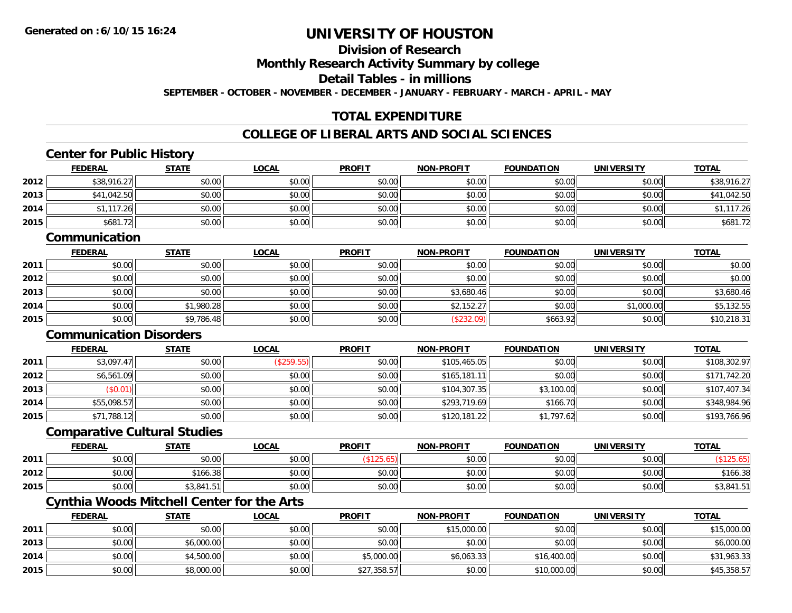**2015**

# **UNIVERSITY OF HOUSTON**

## **Division of Research**

**Monthly Research Activity Summary by college**

**Detail Tables - in millions**

**SEPTEMBER - OCTOBER - NOVEMBER - DECEMBER - JANUARY - FEBRUARY - MARCH - APRIL - MAY**

## **TOTAL EXPENDITURE**

### **COLLEGE OF LIBERAL ARTS AND SOCIAL SCIENCES**

|      | <b>FEDERAL</b>                                    | <b>STATE</b> | <b>LOCAL</b> | <b>PROFIT</b> | <b>NON-PROFIT</b> | <b>FOUNDATION</b> | <b>UNIVERSITY</b> | <b>TOTAL</b> |
|------|---------------------------------------------------|--------------|--------------|---------------|-------------------|-------------------|-------------------|--------------|
| 2012 | \$38,916.27                                       | \$0.00       | \$0.00       | \$0.00        | \$0.00            | \$0.00            | \$0.00            | \$38,916.27  |
| 2013 | \$41,042.50                                       | \$0.00       | \$0.00       | \$0.00        | \$0.00            | \$0.00            | \$0.00            | \$41,042.50  |
| 2014 | \$1,117.26                                        | \$0.00       | \$0.00       | \$0.00        | \$0.00            | \$0.00            | \$0.00            | \$1,117.26   |
| 2015 | \$681.72                                          | \$0.00       | \$0.00       | \$0.00        | \$0.00            | \$0.00            | \$0.00            | \$681.72     |
|      | Communication                                     |              |              |               |                   |                   |                   |              |
|      | <b>FEDERAL</b>                                    | <b>STATE</b> | <b>LOCAL</b> | <b>PROFIT</b> | <b>NON-PROFIT</b> | <b>FOUNDATION</b> | <b>UNIVERSITY</b> | <b>TOTAL</b> |
| 2011 | \$0.00                                            | \$0.00       | \$0.00       | \$0.00        | \$0.00            | \$0.00            | \$0.00            | \$0.00       |
| 2012 | \$0.00                                            | \$0.00       | \$0.00       | \$0.00        | \$0.00            | \$0.00            | \$0.00            | \$0.00       |
| 2013 | \$0.00                                            | \$0.00       | \$0.00       | \$0.00        | \$3,680.46        | \$0.00            | \$0.00            | \$3,680.46   |
| 2014 | \$0.00                                            | \$1,980.28   | \$0.00       | \$0.00        | \$2,152.27        | \$0.00            | \$1,000.00        | \$5,132.55   |
| 2015 | \$0.00                                            | \$9,786.48   | \$0.00       | \$0.00        | (\$232.09)        | \$663.92          | \$0.00            | \$10,218.31  |
|      | <b>Communication Disorders</b>                    |              |              |               |                   |                   |                   |              |
|      | <b>FEDERAL</b>                                    | <b>STATE</b> | <b>LOCAL</b> | <b>PROFIT</b> | <b>NON-PROFIT</b> | <b>FOUNDATION</b> | <b>UNIVERSITY</b> | <b>TOTAL</b> |
| 2011 | \$3,097.47                                        | \$0.00       | (\$259.55)   | \$0.00        | \$105,465.05      | \$0.00            | \$0.00            | \$108,302.97 |
| 2012 | \$6,561.09                                        | \$0.00       | \$0.00       | \$0.00        | \$165,181.11      | \$0.00            | \$0.00            | \$171,742.20 |
| 2013 | (\$0.01)                                          | \$0.00       | \$0.00       | \$0.00        | \$104,307.35      | \$3,100.00        | \$0.00            | \$107,407.34 |
| 2014 | \$55,098.57                                       | \$0.00       | \$0.00       | \$0.00        | \$293,719.69      | \$166.70          | \$0.00            | \$348,984.96 |
| 2015 | \$71,788.12                                       | \$0.00       | \$0.00       | \$0.00        | \$120,181.22      | \$1,797.62        | \$0.00            | \$193,766.96 |
|      | <b>Comparative Cultural Studies</b>               |              |              |               |                   |                   |                   |              |
|      | <b>FEDERAL</b>                                    | <b>STATE</b> | <b>LOCAL</b> | <b>PROFIT</b> | <b>NON-PROFIT</b> | <b>FOUNDATION</b> | <b>UNIVERSITY</b> | <b>TOTAL</b> |
| 2011 | \$0.00                                            | \$0.00       | \$0.00       | (\$125.65)    | \$0.00            | \$0.00            | \$0.00            | (\$125.65)   |
| 2012 | \$0.00                                            | \$166.38     | \$0.00       | \$0.00        | \$0.00            | \$0.00            | \$0.00            | \$166.38     |
| 2015 | \$0.00                                            | \$3,841.51   | \$0.00       | \$0.00        | \$0.00            | \$0.00            | \$0.00            | \$3,841.51   |
|      | <b>Cynthia Woods Mitchell Center for the Arts</b> |              |              |               |                   |                   |                   |              |
|      | <b>FEDERAL</b>                                    | <b>STATE</b> | <b>LOCAL</b> | <b>PROFIT</b> | <b>NON-PROFIT</b> | <b>FOUNDATION</b> | <b>UNIVERSITY</b> | <b>TOTAL</b> |
| 2011 | \$0.00                                            | \$0.00       | \$0.00       | \$0.00        | \$15,000.00       | \$0.00            | \$0.00            | \$15,000.00  |
| 2013 | \$0.00                                            | \$6,000.00   | \$0.00       | \$0.00        | \$0.00            | \$0.00            | \$0.00            | \$6,000.00   |
| 2014 | \$0.00                                            | \$4,500.00   | \$0.00       | \$5,000.00    | \$6,063.33        | \$16,400.00       | \$0.00            | \$31,963.33  |

\$0.00 \$8,000.00 \$0.00 \$27,358.57 \$0.00 \$10,000.00 \$0.00 \$45,358.57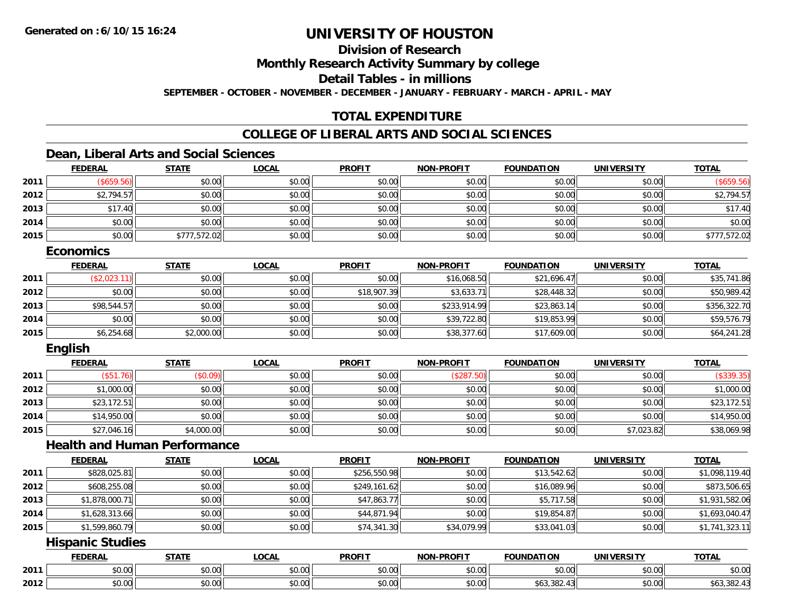## **Division of Research**

**Monthly Research Activity Summary by college**

**Detail Tables - in millions**

**SEPTEMBER - OCTOBER - NOVEMBER - DECEMBER - JANUARY - FEBRUARY - MARCH - APRIL - MAY**

## **TOTAL EXPENDITURE**

## **COLLEGE OF LIBERAL ARTS AND SOCIAL SCIENCES**

## **Dean, Liberal Arts and Social Sciences**

|      | <b>FEDERAL</b> | <b>STATE</b> | <b>LOCAL</b> | <b>PROFIT</b> | <b>NON-PROFIT</b> | <b>FOUNDATION</b> | <b>UNIVERSITY</b> | <b>TOTAL</b> |
|------|----------------|--------------|--------------|---------------|-------------------|-------------------|-------------------|--------------|
| 2011 | \$659.56       | \$0.00       | \$0.00       | \$0.00        | \$0.00            | \$0.00            | \$0.00            | (\$659.56)   |
| 2012 | \$2,794.57     | \$0.00       | \$0.00       | \$0.00        | \$0.00            | \$0.00            | \$0.00            | \$2,794.57   |
| 2013 | \$17.40        | \$0.00       | \$0.00       | \$0.00        | \$0.00            | \$0.00            | \$0.00            | \$17.40      |
| 2014 | \$0.00         | \$0.00       | \$0.00       | \$0.00        | \$0.00            | \$0.00            | \$0.00            | \$0.00       |
| 2015 | \$0.00         | \$777,572.02 | \$0.00       | \$0.00        | \$0.00            | \$0.00            | \$0.00            | \$777,572.02 |

#### **Economics**

|      | <u>FEDERAL</u> | <b>STATE</b> | <b>LOCAL</b> | <b>PROFIT</b> | <b>NON-PROFIT</b> | <b>FOUNDATION</b> | <b>UNIVERSITY</b> | <b>TOTAL</b> |
|------|----------------|--------------|--------------|---------------|-------------------|-------------------|-------------------|--------------|
| 2011 | (\$2,023.11)   | \$0.00       | \$0.00       | \$0.00        | \$16,068.50       | \$21,696.47       | \$0.00            | \$35,741.86  |
| 2012 | \$0.00         | \$0.00       | \$0.00       | \$18,907.39   | \$3,633.71        | \$28,448.32       | \$0.00            | \$50,989.42  |
| 2013 | \$98,544.57    | \$0.00       | \$0.00       | \$0.00        | \$233,914.99      | \$23,863.14       | \$0.00            | \$356,322.70 |
| 2014 | \$0.00         | \$0.00       | \$0.00       | \$0.00        | \$39,722.80       | \$19,853.99       | \$0.00            | \$59,576.79  |
| 2015 | \$6,254.68     | \$2,000.00   | \$0.00       | \$0.00        | \$38,377.60       | \$17,609.00       | \$0.00            | \$64,241.28  |

### **English**

|      | <b>FEDERAL</b>  | <b>STATE</b> | <b>LOCAL</b> | <b>PROFIT</b> | <b>NON-PROFIT</b> | <b>FOUNDATION</b> | <b>UNIVERSITY</b> | <b>TOTAL</b> |
|------|-----------------|--------------|--------------|---------------|-------------------|-------------------|-------------------|--------------|
| 2011 | (\$51<br>(0.76) | (\$0.09)     | \$0.00       | \$0.00        | (\$287            | \$0.00            | \$0.00            | (\$339.35)   |
| 2012 | \$1,000.00      | \$0.00       | \$0.00       | \$0.00        | \$0.00            | \$0.00            | \$0.00            | \$1,000.00   |
| 2013 | \$23,172.51     | \$0.00       | \$0.00       | \$0.00        | \$0.00            | \$0.00            | \$0.00            | \$23,172.51  |
| 2014 | \$14,950.00     | \$0.00       | \$0.00       | \$0.00        | \$0.00            | \$0.00            | \$0.00            | \$14,950.00  |
| 2015 | \$27,046.16     | \$4,000.00   | \$0.00       | \$0.00        | \$0.00            | \$0.00            | \$7,023.82        | \$38,069.98  |

### **Health and Human Performance**

|      | <b>FEDERAL</b> | <b>STATE</b> | <b>LOCAL</b> | <b>PROFIT</b> | <b>NON-PROFIT</b> | <b>FOUNDATION</b> | <b>UNIVERSITY</b> | <b>TOTAL</b>   |
|------|----------------|--------------|--------------|---------------|-------------------|-------------------|-------------------|----------------|
| 2011 | \$828,025.81   | \$0.00       | \$0.00       | \$256,550.98  | \$0.00            | \$13,542.62       | \$0.00            | \$1,098,119.40 |
| 2012 | \$608,255.08   | \$0.00       | \$0.00       | \$249,161.62  | \$0.00            | \$16,089.96       | \$0.00            | \$873,506.65   |
| 2013 | \$1,878,000.71 | \$0.00       | \$0.00       | \$47,863.77   | \$0.00            | \$5,717.58        | \$0.00            | \$1,931,582.06 |
| 2014 | \$1,628,313.66 | \$0.00       | \$0.00       | \$44,871.94   | \$0.00            | \$19,854.87       | \$0.00            | \$1,693,040.47 |
| 2015 | \$1,599,860.79 | \$0.00       | \$0.00       | \$74,341.30   | \$34,079.99       | \$33,041.03       | \$0.00            | \$1,741,323.11 |

## **Hispanic Studies**

|      | <b>FEDERAL</b> | <b>STATE</b><br>,,,,,, | LOCAI              | <b>PROFIT</b> | <b>NON-PROFIT</b> | <b>FOUNDATION</b>                         | <b>UNIVERSITY</b>             | <b>TOTAL</b>    |
|------|----------------|------------------------|--------------------|---------------|-------------------|-------------------------------------------|-------------------------------|-----------------|
| 2011 | \$0.00         | ሖ へ<br>$\sim$<br>טט.טע | ሶስ ሰሰ<br>DU.UG     | \$0.00        | \$0.00            | 0 <sub>n</sub><br>JU.UU                   | $\sim$ $\sim$<br><b>PU.UU</b> | 0.000<br>\$U.UU |
| 2012 | \$0.00         | ÷0.<br>PU.UU           | $\sim$ 00<br>JU.UU | \$0.00        | \$0.00            | າດາ<br>$\sim$<br>ახ <i>ა.ა</i> ŏ∠.<br>4., | nn nn<br><b>DU.UG</b>         | \$63,382.43     |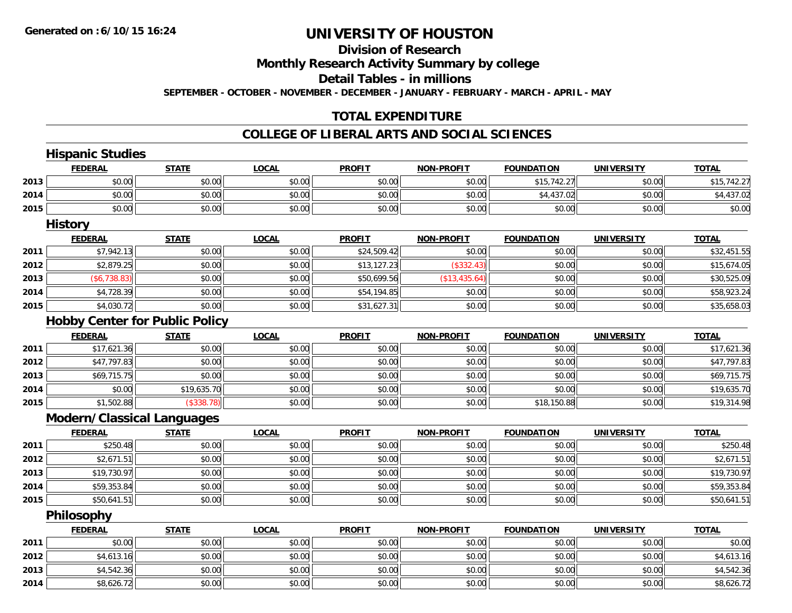**2014**

# **UNIVERSITY OF HOUSTON**

## **Division of Research**

**Monthly Research Activity Summary by college**

**Detail Tables - in millions**

**SEPTEMBER - OCTOBER - NOVEMBER - DECEMBER - JANUARY - FEBRUARY - MARCH - APRIL - MAY**

### **TOTAL EXPENDITURE**

#### **COLLEGE OF LIBERAL ARTS AND SOCIAL SCIENCES**

|      | <b>Hispanic Studies</b> |                                       |              |               |                   |                   |                   |              |
|------|-------------------------|---------------------------------------|--------------|---------------|-------------------|-------------------|-------------------|--------------|
|      | <b>FEDERAL</b>          | <b>STATE</b>                          | <b>LOCAL</b> | <b>PROFIT</b> | <b>NON-PROFIT</b> | <b>FOUNDATION</b> | <b>UNIVERSITY</b> | <b>TOTAL</b> |
| 2013 | \$0.00                  | \$0.00                                | \$0.00       | \$0.00        | \$0.00            | \$15,742.27       | \$0.00            | \$15,742.27  |
| 2014 | \$0.00                  | \$0.00                                | \$0.00       | \$0.00        | \$0.00            | \$4,437.02        | \$0.00            | \$4,437.02   |
| 2015 | \$0.00                  | \$0.00                                | \$0.00       | \$0.00        | \$0.00            | \$0.00            | \$0.00            | \$0.00       |
|      | <b>History</b>          |                                       |              |               |                   |                   |                   |              |
|      | <b>FEDERAL</b>          | <b>STATE</b>                          | <b>LOCAL</b> | <b>PROFIT</b> | <b>NON-PROFIT</b> | <b>FOUNDATION</b> | <b>UNIVERSITY</b> | <b>TOTAL</b> |
| 2011 | \$7,942.13              | \$0.00                                | \$0.00       | \$24,509.42   | \$0.00            | \$0.00            | \$0.00            | \$32,451.55  |
| 2012 | \$2,879.25              | \$0.00                                | \$0.00       | \$13,127.23   | (\$332.43)        | \$0.00            | \$0.00            | \$15,674.05  |
| 2013 | (\$6,738.83)            | \$0.00                                | \$0.00       | \$50,699.56   | (\$13,435.64)     | \$0.00            | \$0.00            | \$30,525.09  |
| 2014 | \$4,728.39              | \$0.00                                | \$0.00       | \$54,194.85   | \$0.00            | \$0.00            | \$0.00            | \$58,923.24  |
| 2015 | \$4,030.72              | \$0.00                                | \$0.00       | \$31,627.31   | \$0.00            | \$0.00            | \$0.00            | \$35,658.03  |
|      |                         | <b>Hobby Center for Public Policy</b> |              |               |                   |                   |                   |              |
|      | <b>FEDERAL</b>          | <b>STATE</b>                          | <b>LOCAL</b> | <b>PROFIT</b> | <b>NON-PROFIT</b> | <b>FOUNDATION</b> | <b>UNIVERSITY</b> | <b>TOTAL</b> |
| 2011 | \$17,621.36             | \$0.00                                | \$0.00       | \$0.00        | \$0.00            | \$0.00            | \$0.00            | \$17,621.36  |
| 2012 | \$47,797.83             | \$0.00                                | \$0.00       | \$0.00        | \$0.00            | \$0.00            | \$0.00            | \$47,797.83  |
| 2013 | \$69,715.75             | \$0.00                                | \$0.00       | \$0.00        | \$0.00            | \$0.00            | \$0.00            | \$69,715.75  |
| 2014 | \$0.00                  | \$19,635.70                           | \$0.00       | \$0.00        | \$0.00            | \$0.00            | \$0.00            | \$19,635.70  |
| 2015 | \$1,502.88              | (\$338.78)                            | \$0.00       | \$0.00        | \$0.00            | \$18,150.88       | \$0.00            | \$19,314.98  |
|      |                         | Modern/Classical Languages            |              |               |                   |                   |                   |              |
|      | <b>FEDERAL</b>          | <b>STATE</b>                          | <b>LOCAL</b> | <b>PROFIT</b> | <b>NON-PROFIT</b> | <b>FOUNDATION</b> | <b>UNIVERSITY</b> | <b>TOTAL</b> |
| 2011 | \$250.48                | \$0.00                                | \$0.00       | \$0.00        | \$0.00            | \$0.00            | \$0.00            | \$250.48     |
| 2012 | \$2,671.51              | \$0.00                                | \$0.00       | \$0.00        | \$0.00            | \$0.00            | \$0.00            | \$2,671.51   |
| 2013 | \$19,730.97             | \$0.00                                | \$0.00       | \$0.00        | \$0.00            | \$0.00            | \$0.00            | \$19,730.97  |
| 2014 | \$59,353.84             | \$0.00                                | \$0.00       | \$0.00        | \$0.00            | \$0.00            | \$0.00            | \$59,353.84  |
| 2015 | \$50,641.51             | \$0.00                                | \$0.00       | \$0.00        | \$0.00            | \$0.00            | \$0.00            | \$50,641.51  |
|      | Philosophy              |                                       |              |               |                   |                   |                   |              |
|      | <b>FEDERAL</b>          | <b>STATE</b>                          | <b>LOCAL</b> | <b>PROFIT</b> | <b>NON-PROFIT</b> | <b>FOUNDATION</b> | <b>UNIVERSITY</b> | <b>TOTAL</b> |
| 2011 | \$0.00                  | \$0.00                                | \$0.00       | \$0.00        | \$0.00            | \$0.00            | \$0.00            | \$0.00       |
| 2012 | \$4,613.16              | \$0.00                                | \$0.00       | \$0.00        | \$0.00            | \$0.00            | \$0.00            | \$4,613.16   |
| 2013 | \$4,542.36              | \$0.00                                | \$0.00       | \$0.00        | \$0.00            | \$0.00            | \$0.00            | \$4,542.36   |

4 \$8,626.72 \$0.00 \$0.00 \$0.00 \$0.00 \$0.00 \$0.00 \$0.00 \$0.00 \$0.00 \$0.00 \$0.00 \$0.00 \$8,626.72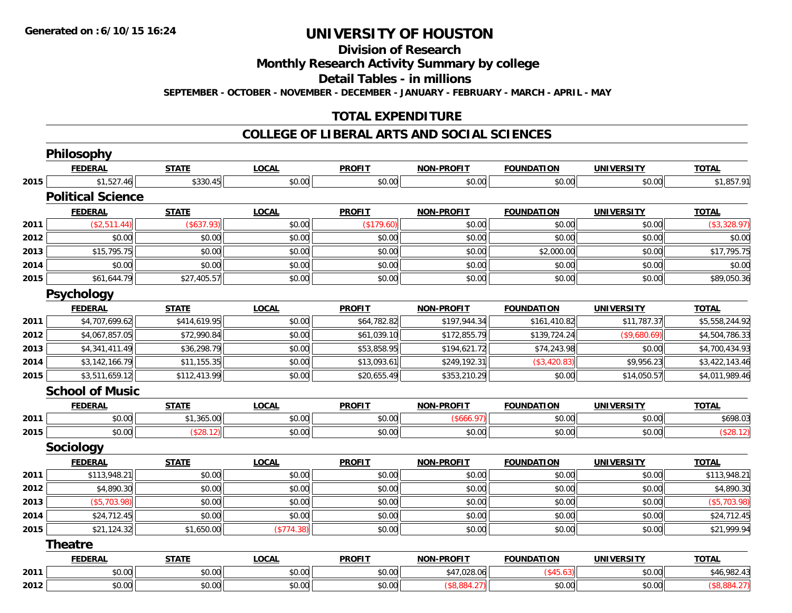**Division of Research**

**Monthly Research Activity Summary by college**

**Detail Tables - in millions**

**SEPTEMBER - OCTOBER - NOVEMBER - DECEMBER - JANUARY - FEBRUARY - MARCH - APRIL - MAY**

#### **TOTAL EXPENDITURE**

#### **COLLEGE OF LIBERAL ARTS AND SOCIAL SCIENCES**

|      | Philosophy               |              |              |               |                   |                   |                   |                |
|------|--------------------------|--------------|--------------|---------------|-------------------|-------------------|-------------------|----------------|
|      | <b>FEDERAL</b>           | <b>STATE</b> | <b>LOCAL</b> | <b>PROFIT</b> | <b>NON-PROFIT</b> | <b>FOUNDATION</b> | <b>UNIVERSITY</b> | <b>TOTAL</b>   |
| 2015 | \$1,527.46               | \$330.45     | \$0.00       | \$0.00        | \$0.00            | \$0.00            | \$0.00            | \$1,857.91     |
|      | <b>Political Science</b> |              |              |               |                   |                   |                   |                |
|      | <b>FEDERAL</b>           | <b>STATE</b> | <b>LOCAL</b> | <b>PROFIT</b> | <b>NON-PROFIT</b> | <b>FOUNDATION</b> | <b>UNIVERSITY</b> | <b>TOTAL</b>   |
| 2011 | (\$2,511.44)             | (\$637.93)   | \$0.00       | (\$179.60)    | \$0.00            | \$0.00            | \$0.00            | (\$3,328.97)   |
| 2012 | \$0.00                   | \$0.00       | \$0.00       | \$0.00        | \$0.00            | \$0.00            | \$0.00            | \$0.00         |
| 2013 | \$15,795.75              | \$0.00       | \$0.00       | \$0.00        | \$0.00            | \$2,000.00        | \$0.00            | \$17,795.75    |
| 2014 | \$0.00                   | \$0.00       | \$0.00       | \$0.00        | \$0.00            | \$0.00            | \$0.00            | \$0.00         |
| 2015 | \$61,644.79              | \$27,405.57  | \$0.00       | \$0.00        | \$0.00            | \$0.00            | \$0.00            | \$89,050.36    |
|      | <b>Psychology</b>        |              |              |               |                   |                   |                   |                |
|      | <b>FEDERAL</b>           | <b>STATE</b> | <b>LOCAL</b> | <b>PROFIT</b> | <b>NON-PROFIT</b> | <b>FOUNDATION</b> | <b>UNIVERSITY</b> | <b>TOTAL</b>   |
| 2011 | \$4,707,699.62           | \$414,619.95 | \$0.00       | \$64,782.82   | \$197,944.34      | \$161,410.82      | \$11,787.37       | \$5,558,244.92 |
| 2012 | \$4,067,857.05           | \$72,990.84  | \$0.00       | \$61,039.10   | \$172,855.79      | \$139,724.24      | (\$9,680.69)      | \$4,504,786.33 |
| 2013 | \$4,341,411.49           | \$36,298.79  | \$0.00       | \$53,858.95   | \$194,621.72      | \$74,243.98       | \$0.00            | \$4,700,434.93 |
| 2014 | \$3,142,166.79           | \$11,155.35  | \$0.00       | \$13,093.61   | \$249,192.31      | (\$3,420.83)      | \$9,956.23        | \$3,422,143.46 |
| 2015 | \$3,511,659.12           | \$112,413.99 | \$0.00       | \$20,655.49   | \$353,210.29      | \$0.00            | \$14,050.57       | \$4,011,989.46 |
|      | <b>School of Music</b>   |              |              |               |                   |                   |                   |                |
|      | <b>FEDERAL</b>           | <b>STATE</b> | <b>LOCAL</b> | <b>PROFIT</b> | <b>NON-PROFIT</b> | <b>FOUNDATION</b> | <b>UNIVERSITY</b> | <b>TOTAL</b>   |
| 2011 | \$0.00                   | \$1,365.00   | \$0.00       | \$0.00        | (\$666.97)        | \$0.00            | \$0.00            | \$698.03       |
| 2015 | \$0.00                   | (\$28.12)    | \$0.00       | \$0.00        | \$0.00            | \$0.00            | \$0.00            | (\$28.12)      |
|      | <b>Sociology</b>         |              |              |               |                   |                   |                   |                |
|      | <b>FEDERAL</b>           | <b>STATE</b> | <b>LOCAL</b> | <b>PROFIT</b> | <b>NON-PROFIT</b> | <b>FOUNDATION</b> | <b>UNIVERSITY</b> | <b>TOTAL</b>   |
| 2011 | \$113,948.21             | \$0.00       | \$0.00       | \$0.00        | \$0.00            | \$0.00            | \$0.00            | \$113,948.21   |
| 2012 | \$4,890.30               | \$0.00       | \$0.00       | \$0.00        | \$0.00            | \$0.00            | \$0.00            | \$4,890.30     |
| 2013 | (\$5,703.98)             | \$0.00       | \$0.00       | \$0.00        | \$0.00            | \$0.00            | \$0.00            | (\$5,703.98)   |
| 2014 | \$24,712.45              | \$0.00       | \$0.00       | \$0.00        | \$0.00            | \$0.00            | \$0.00            | \$24,712.45    |
| 2015 | \$21,124.32              | \$1,650.00   | (\$774.38)   | \$0.00        | \$0.00            | \$0.00            | \$0.00            | \$21,999.94    |
|      | <b>Theatre</b>           |              |              |               |                   |                   |                   |                |
|      | <b>FEDERAL</b>           | <b>STATE</b> | <b>LOCAL</b> | <b>PROFIT</b> | <b>NON-PROFIT</b> | <b>FOUNDATION</b> | <b>UNIVERSITY</b> | <b>TOTAL</b>   |
| 2011 | \$0.00                   | \$0.00       | \$0.00       | \$0.00        | \$47,028.06       | (\$45.63)         | \$0.00            | \$46,982.43    |
| 2012 | \$0.00                   | \$0.00       | \$0.00       | \$0.00        | (\$8,884.27)      | \$0.00            | \$0.00            | (\$8,884.27)   |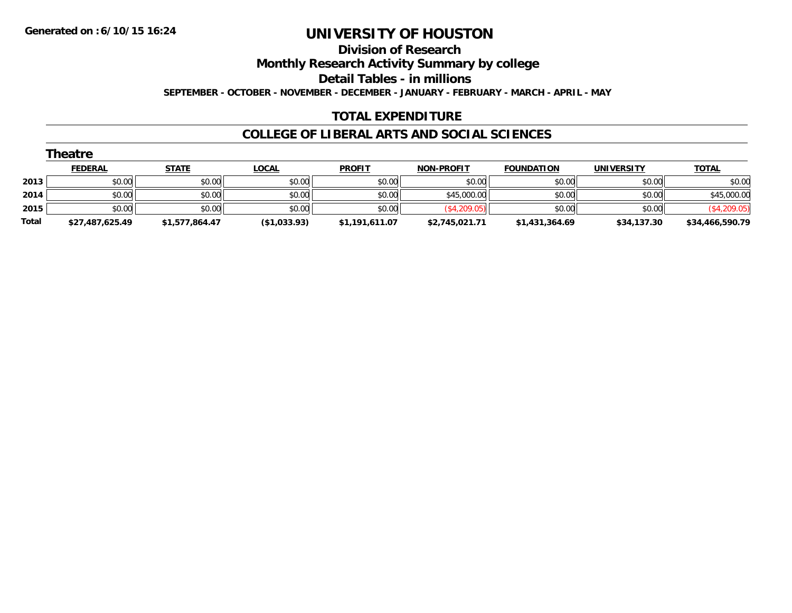**Division of Research**

**Monthly Research Activity Summary by college**

**Detail Tables - in millions**

**SEPTEMBER - OCTOBER - NOVEMBER - DECEMBER - JANUARY - FEBRUARY - MARCH - APRIL - MAY**

#### **TOTAL EXPENDITURE**

#### **COLLEGE OF LIBERAL ARTS AND SOCIAL SCIENCES**

|       | Theatre         |                |              |                |                   |                   |                   |                 |  |  |  |  |
|-------|-----------------|----------------|--------------|----------------|-------------------|-------------------|-------------------|-----------------|--|--|--|--|
|       | <b>FEDERAL</b>  | <b>STATE</b>   | <u>LOCAL</u> | <b>PROFIT</b>  | <b>NON-PROFIT</b> | <b>FOUNDATION</b> | <b>UNIVERSITY</b> | <b>TOTAL</b>    |  |  |  |  |
| 2013  | \$0.00          | \$0.00         | \$0.00       | \$0.00         | \$0.00            | \$0.00            | \$0.00            | \$0.00          |  |  |  |  |
| 2014  | \$0.00          | \$0.00         | \$0.00       | \$0.00         | \$45,000.00       | \$0.00            | \$0.00            | \$45,000.00     |  |  |  |  |
| 2015  | \$0.00          | \$0.00         | \$0.00       | \$0.00         | (\$4,209.05)      | \$0.00            | \$0.00            | (\$4,209.05)    |  |  |  |  |
| Total | \$27,487,625.49 | \$1,577,864.47 | (\$1,033.93) | \$1,191,611.07 | \$2,745,021.71    | \$1,431,364.69    | \$34,137.30       | \$34,466,590.79 |  |  |  |  |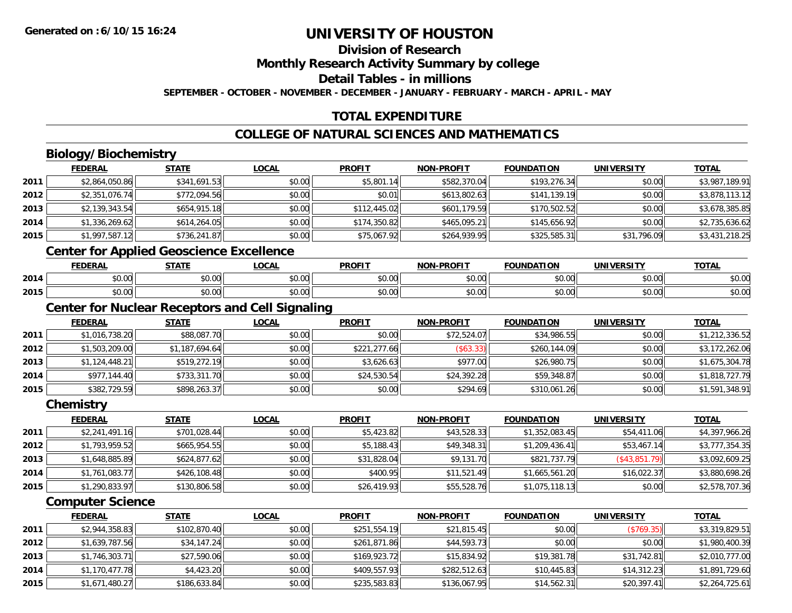# **Division of Research**

**Monthly Research Activity Summary by college**

**Detail Tables - in millions**

**SEPTEMBER - OCTOBER - NOVEMBER - DECEMBER - JANUARY - FEBRUARY - MARCH - APRIL - MAY**

### **TOTAL EXPENDITURE**

### **COLLEGE OF NATURAL SCIENCES AND MATHEMATICS**

### **Biology/Biochemistry**

|      | <b>FEDERAL</b> | <b>STATE</b>                                    | <b>LOCAL</b> | <b>PROFIT</b> | <b>NON-PROFIT</b> | <b>FOUNDATION</b>         | <b>UNIVERSITY</b>   | <b>TOTAL</b>   |
|------|----------------|-------------------------------------------------|--------------|---------------|-------------------|---------------------------|---------------------|----------------|
| 2011 | \$2,864,050.86 | \$341,691.53                                    | \$0.00       | \$5,801.14    | \$582,370.04      | \$193,276.34              | \$0.00              | \$3,987,189.91 |
| 2012 | \$2,351,076.74 | \$772,094.56                                    | \$0.00       | \$0.01        | \$613,802.63      | \$141,139.19              | \$0.00              | \$3,878,113.12 |
| 2013 | \$2,139,343.54 | \$654,915.18                                    | \$0.00       | \$112,445.02  | \$601,179.59      | \$170,502.52              | \$0.00              | \$3,678,385.85 |
| 2014 | \$1,336,269.62 | \$614,264.05                                    | \$0.00       | \$174,350.82  | \$465,095.21      | \$145,656.92              | \$0.00              | \$2,735,636.62 |
| 2015 | \$1,997,587.12 | \$736,241.87                                    | \$0.00       | \$75,067.92   | \$264,939.95      | \$325,585.31              | \$31,796.09         | \$3,431,218.25 |
|      |                | <b>Center for Applied Geoscience Excellence</b> |              |               |                   |                           |                     |                |
|      | <b>FEBEBAL</b> | <b>CTATE</b>                                    | 10011        | <b>DDAFIT</b> | NAN DDAFIT        | <b><i>FAUNIDATIAN</i></b> | <b>IINIIVEDCITY</b> | <b>TOTAL</b>   |

#### **FEDERAL STATE LOCAL PROFIT NON-PROFIT FOUNDATION UNIVERSITY TOTAL**<u>TOTAL</u> **2014**4 \$0.00 \$0.00 \$0.00 \$0.00 \$0.00 \$0.00 \$0.00 \$0.00 \$0.00 \$0.00 \$0.00 \$0.00 \$0.00 \$0.00 \$0.00 \$0.00 **2015**5 | \$0.00 \$0.00 \$0.00 \$0.00 \$0.00 \$0.00 \$0.00 \$0.00 \$0.00 \$0.00 \$0.00 \$0.00 \$0.00 \$0.00 \$0.00 \$0.00 \$0.00

#### **Center for Nuclear Receptors and Cell Signaling**

|      | <b>FEDERAL</b> | <b>STATE</b>   | <b>LOCAL</b> | <b>PROFIT</b> | <b>NON-PROFIT</b> | <b>FOUNDATION</b> | <b>UNIVERSITY</b> | <b>TOTAL</b>   |
|------|----------------|----------------|--------------|---------------|-------------------|-------------------|-------------------|----------------|
| 2011 | \$1,016,738.20 | \$88,087.70    | \$0.00       | \$0.00        | \$72,524.07       | \$34,986.55       | \$0.00            | \$1,212,336.52 |
| 2012 | \$1,503,209.00 | \$1,187,694.64 | \$0.00       | \$221,277.66  | (\$63.33)         | \$260,144.09      | \$0.00            | \$3,172,262.06 |
| 2013 | \$1,124,448.21 | \$519,272.19   | \$0.00       | \$3,626.63    | \$977.00          | \$26,980.75       | \$0.00            | \$1,675,304.78 |
| 2014 | \$977,144.40   | \$733,311.70   | \$0.00       | \$24,530.54   | \$24,392.28       | \$59,348.87       | \$0.00            | \$1,818,727.79 |
| 2015 | \$382,729.59   | \$898,263.37   | \$0.00       | \$0.00        | \$294.69          | \$310,061.26      | \$0.00            | \$1,591,348.91 |

**Chemistry**

|      | <b>FEDERAL</b> | <b>STATE</b> | <b>LOCAL</b> | <b>PROFIT</b> | <b>NON-PROFIT</b> | <b>FOUNDATION</b> | <b>UNIVERSITY</b> | <b>TOTAL</b>   |
|------|----------------|--------------|--------------|---------------|-------------------|-------------------|-------------------|----------------|
| 2011 | \$2,241,491.16 | \$701,028.44 | \$0.00       | \$5,423.82    | \$43,528.33       | \$1,352,083.45    | \$54,411.06       | \$4,397,966.26 |
| 2012 | \$1,793,959.52 | \$665,954.55 | \$0.00       | \$5,188.43    | \$49,348.31       | \$1,209,436.41    | \$53,467.14       | \$3,777,354.35 |
| 2013 | \$1,648,885.89 | \$624,877.62 | \$0.00       | \$31,828.04   | \$9,131.70        | \$821,737.79      | (S43.851.79)      | \$3,092,609.25 |
| 2014 | \$1,761,083.77 | \$426,108.48 | \$0.00       | \$400.95      | \$11,521.49       | \$1,665,561.20    | \$16,022.37       | \$3,880,698.26 |
| 2015 | \$1,290,833.97 | \$130,806.58 | \$0.00       | \$26,419.93   | \$55,528.76       | \$1,075,118.13    | \$0.00            | \$2,578,707.36 |

#### **Computer Science**

|      | <b>FEDERAL</b> | <b>STATE</b> | <b>LOCAL</b> | <b>PROFIT</b> | <b>NON-PROFIT</b> | <b>FOUNDATION</b> | <b>UNIVERSITY</b> | <b>TOTAL</b>   |
|------|----------------|--------------|--------------|---------------|-------------------|-------------------|-------------------|----------------|
| 2011 | \$2,944,358.83 | \$102,870.40 | \$0.00       | \$251,554.19  | \$21,815.45       | \$0.00            | (\$769.35)        | \$3,319,829.51 |
| 2012 | \$1,639,787.56 | \$34,147.24  | \$0.00       | \$261,871.86  | \$44,593.73       | \$0.00            | \$0.00            | \$1,980,400.39 |
| 2013 | \$1,746,303.71 | \$27,590.06  | \$0.00       | \$169,923.72  | \$15,834.92       | \$19,381.78       | \$31,742.81       | \$2,010,777.00 |
| 2014 | \$1,170,477.78 | \$4,423.20   | \$0.00       | \$409,557.93  | \$282,512.63      | \$10.445.83       | \$14,312.23       | \$1,891,729.60 |
| 2015 | \$1,671,480.27 | \$186,633.84 | \$0.00       | \$235,583.83  | \$136,067.95      | \$14,562.31       | \$20,397.41       | \$2,264,725.61 |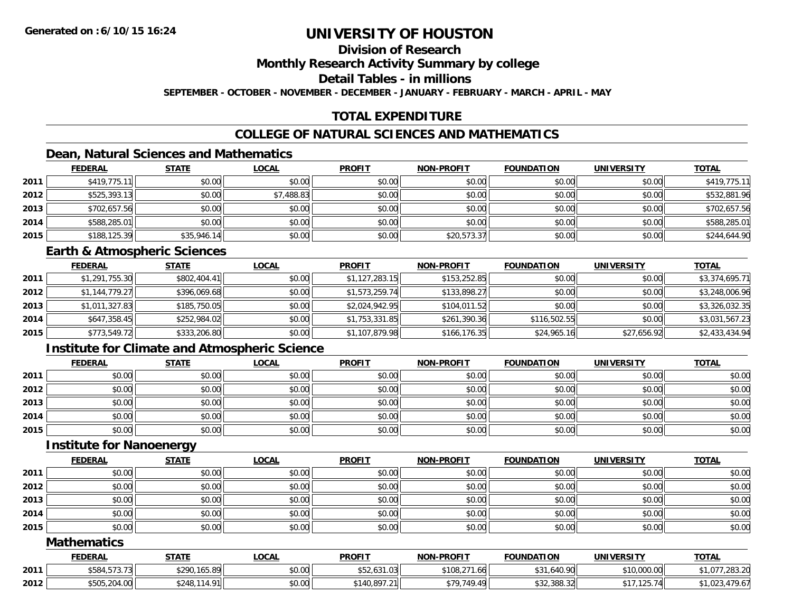### **Division of Research**

**Monthly Research Activity Summary by college**

**Detail Tables - in millions**

**SEPTEMBER - OCTOBER - NOVEMBER - DECEMBER - JANUARY - FEBRUARY - MARCH - APRIL - MAY**

### **TOTAL EXPENDITURE**

#### **COLLEGE OF NATURAL SCIENCES AND MATHEMATICS**

#### **Dean, Natural Sciences and Mathematics**

|      | <b>FEDERAL</b> | <b>STATE</b> | <u>LOCAL</u> | <b>PROFIT</b> | <b>NON-PROFIT</b> | <b>FOUNDATION</b> | <b>UNIVERSITY</b> | <b>TOTAL</b> |
|------|----------------|--------------|--------------|---------------|-------------------|-------------------|-------------------|--------------|
| 2011 | \$419,775.11   | \$0.00       | \$0.00       | \$0.00        | \$0.00            | \$0.00            | \$0.00            | \$419,775.11 |
| 2012 | \$525,393.13   | \$0.00       | \$7,488.83   | \$0.00        | \$0.00            | \$0.00            | \$0.00            | \$532,881.96 |
| 2013 | \$702,657.56   | \$0.00       | \$0.00       | \$0.00        | \$0.00            | \$0.00            | \$0.00            | \$702,657.56 |
| 2014 | \$588,285.01   | \$0.00       | \$0.00       | \$0.00        | \$0.00            | \$0.00            | \$0.00            | \$588,285.01 |
| 2015 | \$188,125.39   | \$35,946.14  | \$0.00       | \$0.00        | \$20,573.37       | \$0.00            | \$0.00            | \$244,644.90 |

#### **Earth & Atmospheric Sciences**

|      | <b>FEDERAL</b> | <b>STATE</b> | <b>LOCAL</b> | <b>PROFIT</b>  | <b>NON-PROFIT</b> | <b>FOUNDATION</b> | <b>UNIVERSITY</b> | <b>TOTAL</b>   |
|------|----------------|--------------|--------------|----------------|-------------------|-------------------|-------------------|----------------|
| 2011 | \$1,291,755.30 | \$802,404.41 | \$0.00       | \$1,127,283.15 | \$153,252.85      | \$0.00            | \$0.00            | \$3,374,695.71 |
| 2012 | \$1,144,779.27 | \$396,069.68 | \$0.00       | \$1,573,259.74 | \$133,898.27      | \$0.00            | \$0.00            | \$3,248,006.96 |
| 2013 | \$1,011,327.83 | \$185,750.05 | \$0.00       | \$2,024,942.95 | \$104,011.52      | \$0.00            | \$0.00            | \$3,326,032.35 |
| 2014 | \$647,358.45   | \$252,984.02 | \$0.00       | \$1,753,331.85 | \$261,390.36      | \$116,502.55      | \$0.00            | \$3,031,567.23 |
| 2015 | \$773,549.72   | \$333,206.80 | \$0.00       | \$1,107,879.98 | \$166, 176.35     | \$24,965.16       | \$27,656.92       | \$2,433,434.94 |

### **Institute for Climate and Atmospheric Science**

|      | <b>FEDERAL</b> | <b>STATE</b> | <b>LOCAL</b> | <b>PROFIT</b> | <b>NON-PROFIT</b> | <b>FOUNDATION</b> | <b>UNIVERSITY</b> | <b>TOTAL</b> |
|------|----------------|--------------|--------------|---------------|-------------------|-------------------|-------------------|--------------|
| 2011 | \$0.00         | \$0.00       | \$0.00       | \$0.00        | \$0.00            | \$0.00            | \$0.00            | \$0.00       |
| 2012 | \$0.00         | \$0.00       | \$0.00       | \$0.00        | \$0.00            | \$0.00            | \$0.00            | \$0.00       |
| 2013 | \$0.00         | \$0.00       | \$0.00       | \$0.00        | \$0.00            | \$0.00            | \$0.00            | \$0.00       |
| 2014 | \$0.00         | \$0.00       | \$0.00       | \$0.00        | \$0.00            | \$0.00            | \$0.00            | \$0.00       |
| 2015 | \$0.00         | \$0.00       | \$0.00       | \$0.00        | \$0.00            | \$0.00            | \$0.00            | \$0.00       |

#### **Institute for Nanoenergy**

|      | <b>FEDERAL</b> | <b>STATE</b> | <b>LOCAL</b> | <b>PROFIT</b> | <b>NON-PROFIT</b> | <b>FOUNDATION</b> | <b>UNIVERSITY</b> | <b>TOTAL</b> |
|------|----------------|--------------|--------------|---------------|-------------------|-------------------|-------------------|--------------|
| 2011 | \$0.00         | \$0.00       | \$0.00       | \$0.00        | \$0.00            | \$0.00            | \$0.00            | \$0.00       |
| 2012 | \$0.00         | \$0.00       | \$0.00       | \$0.00        | \$0.00            | \$0.00            | \$0.00            | \$0.00       |
| 2013 | \$0.00         | \$0.00       | \$0.00       | \$0.00        | \$0.00            | \$0.00            | \$0.00            | \$0.00       |
| 2014 | \$0.00         | \$0.00       | \$0.00       | \$0.00        | \$0.00            | \$0.00            | \$0.00            | \$0.00       |
| 2015 | \$0.00         | \$0.00       | \$0.00       | \$0.00        | \$0.00            | \$0.00            | \$0.00            | \$0.00       |

#### **Mathematics**

|      | FEDERAL                                | <b>STATE</b>                 | LOCAI  | <b>PROFIT</b>                             | <b>NON-PROFIT</b>             | <b>FOUNDATION</b>                      | <b>UNIVERSIT</b> | <b>TOTAL</b>             |
|------|----------------------------------------|------------------------------|--------|-------------------------------------------|-------------------------------|----------------------------------------|------------------|--------------------------|
| 2011 | $- - - - -$<br>טי<br>$\cdot$ . $\cdot$ | \$290,165.89                 | \$0.00 | $\sqrt{2}$<br>$\sim$ $\sim$<br>402,001.00 | $*400.274$<br>.66<br>. LUÖ, Z | \$31,640.90<br>$\mathbf{A} \mathbf{A}$ | \$10,000.00      | ור כסר<br>20J.Z<br>, U I |
| 2012 | \$505,204.00<br><b>COL</b>             | <b>0 N C も</b><br>$\Omega$ 1 | \$0.00 | \$140,897.21                              | 0.70710<br>$\Lambda$          | \$32,388.32                            | 125.74           | ,UZ                      |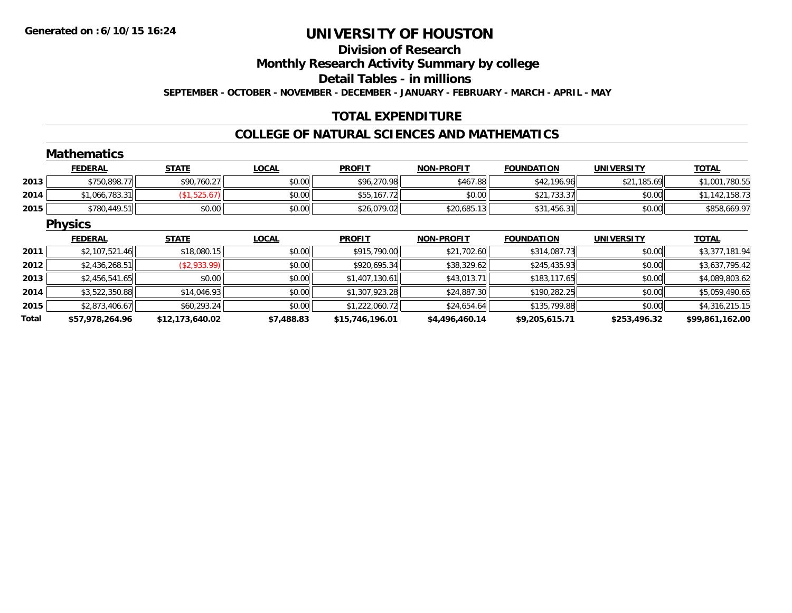#### **Division of Research**

**Monthly Research Activity Summary by college**

**Detail Tables - in millions**

**SEPTEMBER - OCTOBER - NOVEMBER - DECEMBER - JANUARY - FEBRUARY - MARCH - APRIL - MAY**

### **TOTAL EXPENDITURE**

#### **COLLEGE OF NATURAL SCIENCES AND MATHEMATICS**

|       | <b>Mathematics</b> |                 |              |                 |                   |                   |                   |                 |
|-------|--------------------|-----------------|--------------|-----------------|-------------------|-------------------|-------------------|-----------------|
|       | <b>FEDERAL</b>     | <b>STATE</b>    | <b>LOCAL</b> | <b>PROFIT</b>   | <b>NON-PROFIT</b> | <b>FOUNDATION</b> | <b>UNIVERSITY</b> | <b>TOTAL</b>    |
| 2013  | \$750,898.77       | \$90,760.27     | \$0.00       | \$96,270.98     | \$467.88          | \$42,196.96       | \$21,185.69       | \$1,001,780.55  |
| 2014  | \$1,066,783.31     | (\$1,525.67)    | \$0.00       | \$55,167.72     | \$0.00            | \$21,733.37       | \$0.00            | \$1,142,158.73  |
| 2015  | \$780,449.51       | \$0.00          | \$0.00       | \$26,079.02     | \$20,685.13       | \$31,456.31       | \$0.00            | \$858,669.97    |
|       | <b>Physics</b>     |                 |              |                 |                   |                   |                   |                 |
|       | <b>FEDERAL</b>     | <b>STATE</b>    | <b>LOCAL</b> | <b>PROFIT</b>   | <b>NON-PROFIT</b> | <b>FOUNDATION</b> | <b>UNIVERSITY</b> | <b>TOTAL</b>    |
| 2011  | \$2,107,521.46     | \$18,080.15     | \$0.00       | \$915,790.00    | \$21,702.60       | \$314,087.73      | \$0.00            | \$3,377,181.94  |
| 2012  | \$2,436,268.51     | (\$2,933.99)    | \$0.00       | \$920,695.34    | \$38,329.62       | \$245,435.93      | \$0.00            | \$3,637,795.42  |
| 2013  | \$2,456,541.65     | \$0.00          | \$0.00       | \$1,407,130.61  | \$43,013.71       | \$183,117.65      | \$0.00            | \$4,089,803.62  |
| 2014  | \$3,522,350.88     | \$14,046.93     | \$0.00       | \$1,307,923.28  | \$24,887.30       | \$190,282.25      | \$0.00            | \$5,059,490.65  |
| 2015  | \$2,873,406.67     | \$60,293.24     | \$0.00       | \$1,222,060.72  | \$24,654.64       | \$135,799.88      | \$0.00            | \$4,316,215.15  |
| Total | \$57,978,264.96    | \$12,173,640.02 | \$7,488.83   | \$15,746,196.01 | \$4,496,460.14    | \$9,205,615.71    | \$253,496.32      | \$99,861,162.00 |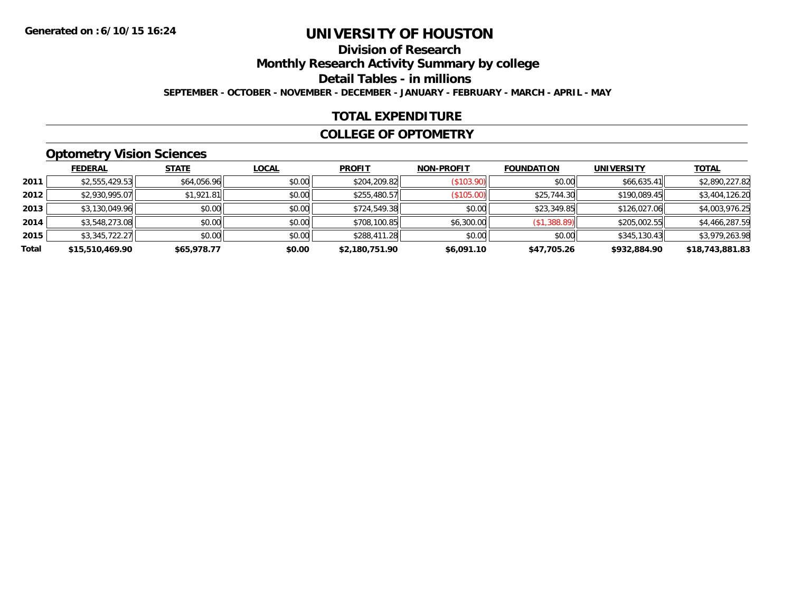### **Division of ResearchMonthly Research Activity Summary by college Detail Tables - in millions SEPTEMBER - OCTOBER - NOVEMBER - DECEMBER - JANUARY - FEBRUARY - MARCH - APRIL - MAY**

#### **TOTAL EXPENDITURE**

#### **COLLEGE OF OPTOMETRY**

### **Optometry Vision Sciences**

|       | <b>FEDERAL</b>  | <b>STATE</b> | <b>LOCAL</b> | <b>PROFIT</b>  | <b>NON-PROFIT</b> | <b>FOUNDATION</b> | <b>UNIVERSITY</b> | <b>TOTAL</b>    |
|-------|-----------------|--------------|--------------|----------------|-------------------|-------------------|-------------------|-----------------|
| 2011  | \$2,555,429.53  | \$64,056.96  | \$0.00       | \$204,209.82   | (S103.90)         | \$0.00            | \$66,635.41       | \$2,890,227.82  |
| 2012  | \$2,930,995.07  | \$1,921.81   | \$0.00       | \$255,480.57   | (\$105.00)        | \$25,744.30       | \$190,089.45      | \$3,404,126.20  |
| 2013  | \$3,130,049.96  | \$0.00       | \$0.00       | \$724,549.38   | \$0.00            | \$23,349.85       | \$126,027.06      | \$4,003,976.25  |
| 2014  | \$3,548,273.08  | \$0.00       | \$0.00       | \$708,100.85   | \$6,300.00        | (\$1,388.89)      | \$205,002.55      | \$4,466,287.59  |
| 2015  | \$3,345,722.27  | \$0.00       | \$0.00       | \$288,411.28   | \$0.00            | \$0.00            | \$345,130.43      | \$3,979,263.98  |
| Total | \$15,510,469.90 | \$65,978.77  | \$0.00       | \$2,180,751.90 | \$6,091.10        | \$47,705.26       | \$932,884.90      | \$18,743,881.83 |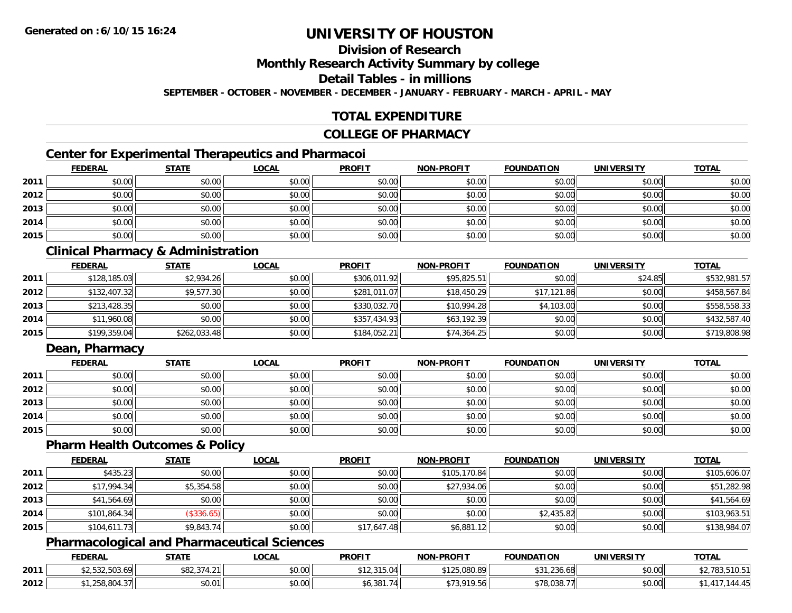### **Division of Research**

**Monthly Research Activity Summary by college**

**Detail Tables - in millions**

**SEPTEMBER - OCTOBER - NOVEMBER - DECEMBER - JANUARY - FEBRUARY - MARCH - APRIL - MAY**

### **TOTAL EXPENDITURE**

#### **COLLEGE OF PHARMACY**

### **Center for Experimental Therapeutics and Pharmacoi**

|      | <b>FEDERAL</b> | <b>STATE</b> | <b>LOCAL</b> | <b>PROFIT</b> | <b>NON-PROFIT</b> | <b>FOUNDATION</b> | <b>UNIVERSITY</b> | <b>TOTAL</b> |
|------|----------------|--------------|--------------|---------------|-------------------|-------------------|-------------------|--------------|
| 2011 | \$0.00         | \$0.00       | \$0.00       | \$0.00        | \$0.00            | \$0.00            | \$0.00            | \$0.00       |
| 2012 | \$0.00         | \$0.00       | \$0.00       | \$0.00        | \$0.00            | \$0.00            | \$0.00            | \$0.00       |
| 2013 | \$0.00         | \$0.00       | \$0.00       | \$0.00        | \$0.00            | \$0.00            | \$0.00            | \$0.00       |
| 2014 | \$0.00         | \$0.00       | \$0.00       | \$0.00        | \$0.00            | \$0.00            | \$0.00            | \$0.00       |
| 2015 | \$0.00         | \$0.00       | \$0.00       | \$0.00        | \$0.00            | \$0.00            | \$0.00            | \$0.00       |

### **Clinical Pharmacy & Administration**

|      | <b>FEDERAL</b> | <b>STATE</b> | <u>LOCAL</u> | <b>PROFIT</b> | <b>NON-PROFIT</b> | <b>FOUNDATION</b> | <b>UNIVERSITY</b> | <b>TOTAL</b> |
|------|----------------|--------------|--------------|---------------|-------------------|-------------------|-------------------|--------------|
| 2011 | \$128,185.03   | \$2,934.26   | \$0.00       | \$306,011.92  | \$95,825.51       | \$0.00            | \$24.85           | \$532,981.57 |
| 2012 | \$132,407.32   | \$9,577.30   | \$0.00       | \$281,011.07  | \$18,450.29       | \$17,121.86       | \$0.00            | \$458,567.84 |
| 2013 | \$213,428.35   | \$0.00       | \$0.00       | \$330,032.70  | \$10,994.28       | \$4,103.00        | \$0.00            | \$558,558.33 |
| 2014 | \$11,960.08    | \$0.00       | \$0.00       | \$357,434.93  | \$63,192.39       | \$0.00            | \$0.00            | \$432,587.40 |
| 2015 | \$199,359.04   | \$262,033.48 | \$0.00       | \$184,052.21  | \$74,364.25       | \$0.00            | \$0.00            | \$719,808.98 |

### **Dean, Pharmacy**

|      | <u>FEDERAL</u> | <u>STATE</u> | <u>LOCAL</u> | <b>PROFIT</b> | <b>NON-PROFIT</b> | <b>FOUNDATION</b> | <b>UNIVERSITY</b> | <b>TOTAL</b> |
|------|----------------|--------------|--------------|---------------|-------------------|-------------------|-------------------|--------------|
| 2011 | \$0.00         | \$0.00       | \$0.00       | \$0.00        | \$0.00            | \$0.00            | \$0.00            | \$0.00       |
| 2012 | \$0.00         | \$0.00       | \$0.00       | \$0.00        | \$0.00            | \$0.00            | \$0.00            | \$0.00       |
| 2013 | \$0.00         | \$0.00       | \$0.00       | \$0.00        | \$0.00            | \$0.00            | \$0.00            | \$0.00       |
| 2014 | \$0.00         | \$0.00       | \$0.00       | \$0.00        | \$0.00            | \$0.00            | \$0.00            | \$0.00       |
| 2015 | \$0.00         | \$0.00       | \$0.00       | \$0.00        | \$0.00            | \$0.00            | \$0.00            | \$0.00       |

#### **Pharm Health Outcomes & Policy**

|      | <b>FEDERAL</b> | <b>STATE</b> | <b>LOCAL</b> | <b>PROFIT</b> | <b>NON-PROFIT</b> | <b>FOUNDATION</b> | <b>UNIVERSITY</b> | <b>TOTAL</b> |
|------|----------------|--------------|--------------|---------------|-------------------|-------------------|-------------------|--------------|
| 2011 | \$435.23       | \$0.00       | \$0.00       | \$0.00        | \$105,170.84      | \$0.00            | \$0.00            | \$105,606.07 |
| 2012 | \$17,994.34    | \$5,354.58   | \$0.00       | \$0.00        | \$27,934.06       | \$0.00            | \$0.00            | \$51,282.98  |
| 2013 | \$41,564.69    | \$0.00       | \$0.00       | \$0.00        | \$0.00            | \$0.00            | \$0.00            | \$41,564.69  |
| 2014 | \$101,864.34   | (\$336.65)   | \$0.00       | \$0.00        | \$0.00            | \$2,435.82        | \$0.00            | \$103,963.51 |
| 2015 | \$104,611.73   | \$9,843.74   | \$0.00       | \$17,647.48   | \$6,881.12        | \$0.00            | \$0.00            | \$138,984.07 |

### **Pharmacological and Pharmaceutical Sciences**

|      | <b>FEDERAL</b>                                                                                                                                                                                                                                                                                                                                                                                                                                      | <b>STATE</b>                           | LOCAI              | <b>PROFIT</b>              | <b>NON-PROFIT</b>                       | <b>FOUNDATION</b> | UNIVERSITY | <b>TOTAL</b> |
|------|-----------------------------------------------------------------------------------------------------------------------------------------------------------------------------------------------------------------------------------------------------------------------------------------------------------------------------------------------------------------------------------------------------------------------------------------------------|----------------------------------------|--------------------|----------------------------|-----------------------------------------|-------------------|------------|--------------|
| 2011 | $\uparrow$ $\uparrow$ $\uparrow$ $\uparrow$ $\uparrow$ $\uparrow$ $\uparrow$ $\uparrow$ $\uparrow$ $\uparrow$ $\uparrow$ $\uparrow$ $\uparrow$ $\uparrow$ $\uparrow$ $\uparrow$ $\uparrow$ $\uparrow$ $\uparrow$ $\uparrow$ $\uparrow$ $\uparrow$ $\uparrow$ $\uparrow$ $\uparrow$ $\uparrow$ $\uparrow$ $\uparrow$ $\uparrow$ $\uparrow$ $\uparrow$ $\uparrow$ $\uparrow$ $\uparrow$ $\uparrow$ $\uparrow$ $\uparrow$<br>n<br>$W = 1000, 000, 000$ | <b>¢ O 2</b><br>$27121$<br>DOL, J.4.2. | $\sim$ 00<br>PU.UU | $\Omega$<br>12, J 13, V TI | $\bullet \bullet \bullet$<br>125,080.89 | $\sim$<br>80.08 / | \$0.00     | 783.510.51   |
| 2012 | 1,258,804.37                                                                                                                                                                                                                                                                                                                                                                                                                                        | \$0.01                                 | vu.vu              | າດ1                        | 010 54<br>19.561<br>.                   | \$78,038.7        | \$0.00     | ٬¬٬¬٬        |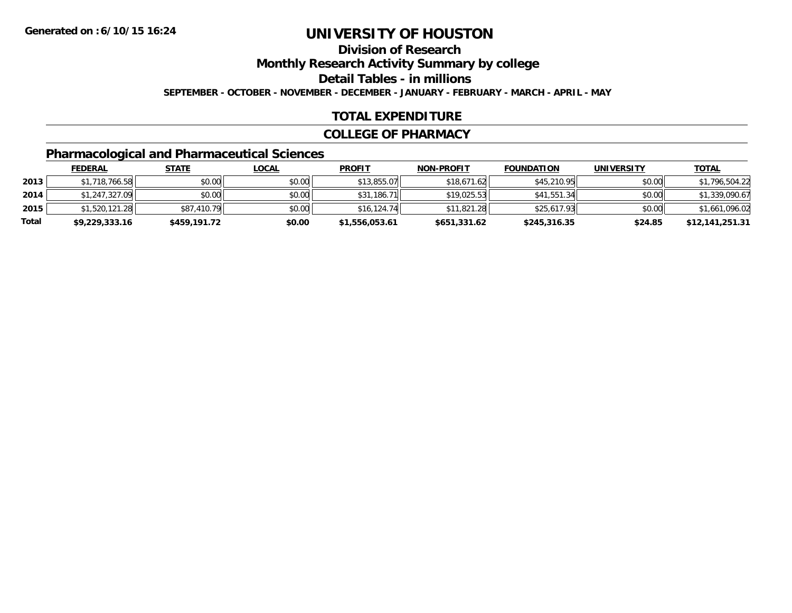**Division of Research**

**Monthly Research Activity Summary by college**

**Detail Tables - in millions**

**SEPTEMBER - OCTOBER - NOVEMBER - DECEMBER - JANUARY - FEBRUARY - MARCH - APRIL - MAY**

### **TOTAL EXPENDITURE**

#### **COLLEGE OF PHARMACY**

### **Pharmacological and Pharmaceutical Sciences**

|       | <b>FEDERAL</b> | <u>STATE</u> | <u>LOCAL</u> | <b>PROFIT</b>  | <b>NON-PROFIT</b> | <b>FOUNDATION</b> | <b>UNIVERSITY</b> | <b>TOTAL</b>    |
|-------|----------------|--------------|--------------|----------------|-------------------|-------------------|-------------------|-----------------|
| 2013  | \$1,718,766.58 | \$0.00       | \$0.00       | \$13,855.07    | \$18,671.62       | \$45,210.95       | \$0.00            | \$1,796,504.22  |
| 2014  | \$1,247,327.09 | \$0.00       | \$0.00       | \$31,186.71    | \$19.025.53       | \$41,551.34       | \$0.00            | \$1,339,090.67  |
| 2015  | \$1,520,121.28 | \$87,410.79  | \$0.00       | \$16.124.74    | \$11,821.28       | \$25,617.93       | \$0.00            | \$1,661,096.02  |
| Total | \$9,229,333.16 | \$459,191.72 | \$0.00       | \$1,556,053.61 | \$651,331.62      | \$245,316.35      | \$24.85           | \$12,141,251.31 |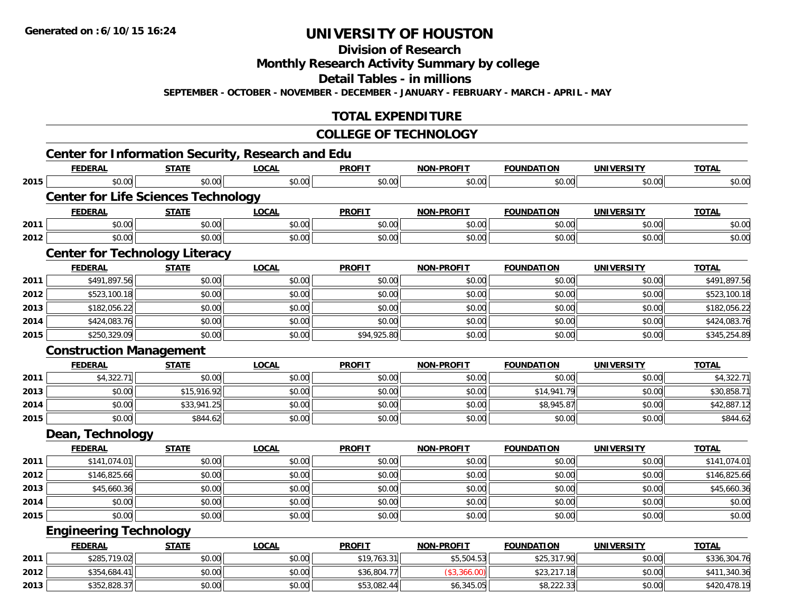**Division of Research**

**Monthly Research Activity Summary by college**

**Detail Tables - in millions**

**SEPTEMBER - OCTOBER - NOVEMBER - DECEMBER - JANUARY - FEBRUARY - MARCH - APRIL - MAY**

### **TOTAL EXPENDITURE**

#### **COLLEGE OF TECHNOLOGY**

|      |                                            |              | <b>Center for Information Security, Research and Edu</b> |               |                   |                   |                   |              |
|------|--------------------------------------------|--------------|----------------------------------------------------------|---------------|-------------------|-------------------|-------------------|--------------|
|      | <b>FEDERAL</b>                             | <b>STATE</b> | <b>LOCAL</b>                                             | <b>PROFIT</b> | <b>NON-PROFIT</b> | <b>FOUNDATION</b> | <b>UNIVERSITY</b> | <b>TOTAL</b> |
| 2015 | \$0.00                                     | \$0.00       | \$0.00                                                   | \$0.00        | \$0.00            | \$0.00            | \$0.00            | \$0.00       |
|      | <b>Center for Life Sciences Technology</b> |              |                                                          |               |                   |                   |                   |              |
|      | <b>FEDERAL</b>                             | <b>STATE</b> | <b>LOCAL</b>                                             | <b>PROFIT</b> | <b>NON-PROFIT</b> | <b>FOUNDATION</b> | <b>UNIVERSITY</b> | <b>TOTAL</b> |
| 2011 | \$0.00                                     | \$0.00       | \$0.00                                                   | \$0.00        | \$0.00            | \$0.00            | \$0.00            | \$0.00       |
| 2012 | \$0.00                                     | \$0.00       | \$0.00                                                   | \$0.00        | \$0.00            | \$0.00            | \$0.00            | \$0.00       |
|      | <b>Center for Technology Literacy</b>      |              |                                                          |               |                   |                   |                   |              |
|      | <b>FEDERAL</b>                             | <b>STATE</b> | <b>LOCAL</b>                                             | <b>PROFIT</b> | <b>NON-PROFIT</b> | <b>FOUNDATION</b> | <b>UNIVERSITY</b> | <b>TOTAL</b> |
| 2011 | \$491,897.56                               | \$0.00       | \$0.00                                                   | \$0.00        | \$0.00            | \$0.00            | \$0.00            | \$491,897.56 |
| 2012 | \$523,100.18                               | \$0.00       | \$0.00                                                   | \$0.00        | \$0.00            | \$0.00            | \$0.00            | \$523,100.18 |
| 2013 | \$182,056.22                               | \$0.00       | \$0.00                                                   | \$0.00        | \$0.00            | \$0.00            | \$0.00            | \$182,056.22 |
| 2014 | \$424,083.76                               | \$0.00       | \$0.00                                                   | \$0.00        | \$0.00            | \$0.00            | \$0.00            | \$424,083.76 |
| 2015 | \$250,329.09                               | \$0.00       | \$0.00                                                   | \$94,925.80   | \$0.00            | \$0.00            | \$0.00            | \$345,254.89 |
|      | <b>Construction Management</b>             |              |                                                          |               |                   |                   |                   |              |
|      | <b>FEDERAL</b>                             | <b>STATE</b> | <b>LOCAL</b>                                             | <b>PROFIT</b> | <b>NON-PROFIT</b> | <b>FOUNDATION</b> | <b>UNIVERSITY</b> | <b>TOTAL</b> |
| 2011 | \$4,322.71                                 | \$0.00       | \$0.00                                                   | \$0.00        | \$0.00            | \$0.00            | \$0.00            | \$4,322.71   |
| 2013 | \$0.00                                     | \$15,916.92  | \$0.00                                                   | \$0.00        | \$0.00            | \$14,941.79       | \$0.00            | \$30,858.71  |
| 2014 | \$0.00                                     | \$33,941.25  | \$0.00                                                   | \$0.00        | \$0.00            | \$8,945.87        | \$0.00            | \$42,887.12  |
| 2015 | \$0.00                                     | \$844.62     | \$0.00                                                   | \$0.00        | \$0.00            | \$0.00            | \$0.00            | \$844.62     |
|      | Dean, Technology                           |              |                                                          |               |                   |                   |                   |              |
|      | <b>FEDERAL</b>                             | <b>STATE</b> | <b>LOCAL</b>                                             | <b>PROFIT</b> | <b>NON-PROFIT</b> | <b>FOUNDATION</b> | <b>UNIVERSITY</b> | <b>TOTAL</b> |
| 2011 | \$141,074.01                               | \$0.00       | \$0.00                                                   | \$0.00        | \$0.00            | \$0.00            | \$0.00            | \$141,074.01 |
| 2012 | \$146,825.66                               | \$0.00       | \$0.00                                                   | \$0.00        | \$0.00            | \$0.00            | \$0.00            | \$146,825.66 |
| 2013 | \$45,660.36                                | \$0.00       | \$0.00                                                   | \$0.00        | \$0.00            | \$0.00            | \$0.00            | \$45,660.36  |
| 2014 | \$0.00                                     | \$0.00       | \$0.00                                                   | \$0.00        | \$0.00            | \$0.00            | \$0.00            | \$0.00       |
| 2015 | \$0.00                                     | \$0.00       | \$0.00                                                   | \$0.00        | \$0.00            | \$0.00            | \$0.00            | \$0.00       |
|      | <b>Engineering Technology</b>              |              |                                                          |               |                   |                   |                   |              |
|      | <b>FEDERAL</b>                             | <b>STATE</b> | <b>LOCAL</b>                                             | <b>PROFIT</b> | <b>NON-PROFIT</b> | <b>FOUNDATION</b> | <b>UNIVERSITY</b> | <b>TOTAL</b> |
| 2011 | \$285,719.02                               | \$0.00       | \$0.00                                                   | \$19,763.31   | \$5,504.53        | \$25,317.90       | \$0.00            | \$336,304.76 |
| 2012 | \$354,684.41                               | \$0.00       | \$0.00                                                   | \$36,804.77   | (\$3,366.00)      | \$23,217.18       | \$0.00            | \$411,340.36 |
| 2013 | \$352,828.37                               | \$0.00       | \$0.00                                                   | \$53,082.44   | \$6,345.05        | \$8,222.33        | \$0.00            | \$420,478.19 |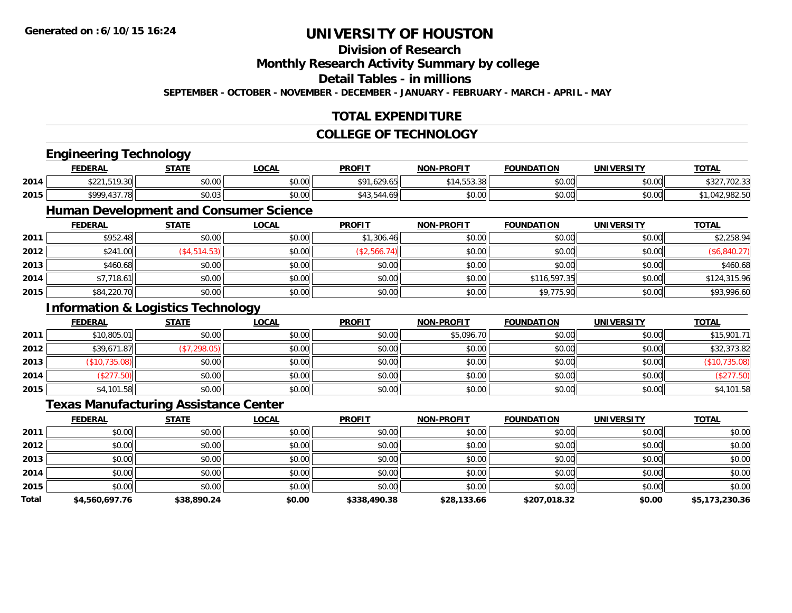#### **Division of Research**

**Monthly Research Activity Summary by college**

**Detail Tables - in millions**

**SEPTEMBER - OCTOBER - NOVEMBER - DECEMBER - JANUARY - FEBRUARY - MARCH - APRIL - MAY**

### **TOTAL EXPENDITURE**

#### **COLLEGE OF TECHNOLOGY**

|       | <b>Engineering Technology</b>                 |              |              |               |                   |                   |                   |                |
|-------|-----------------------------------------------|--------------|--------------|---------------|-------------------|-------------------|-------------------|----------------|
|       | <b>FEDERAL</b>                                | <b>STATE</b> | <b>LOCAL</b> | <b>PROFIT</b> | <b>NON-PROFIT</b> | <b>FOUNDATION</b> | <b>UNIVERSITY</b> | <b>TOTAL</b>   |
| 2014  | \$221,519.30                                  | \$0.00       | \$0.00       | \$91,629.65   | \$14,553.38       | \$0.00            | \$0.00            | \$327,702.33   |
| 2015  | \$999,437.78                                  | \$0.03       | \$0.00       | \$43,544.69   | \$0.00            | \$0.00            | \$0.00            | \$1,042,982.50 |
|       | <b>Human Development and Consumer Science</b> |              |              |               |                   |                   |                   |                |
|       | <b>FEDERAL</b>                                | <b>STATE</b> | <b>LOCAL</b> | <b>PROFIT</b> | <b>NON-PROFIT</b> | <b>FOUNDATION</b> | <b>UNIVERSITY</b> | <b>TOTAL</b>   |
| 2011  | \$952.48                                      | \$0.00       | \$0.00       | \$1,306.46    | \$0.00            | \$0.00            | \$0.00            | \$2,258.94     |
| 2012  | \$241.00                                      | (\$4,514.53) | \$0.00       | (\$2,566.74)  | \$0.00            | \$0.00            | \$0.00            | (\$6,840.27)   |
| 2013  | \$460.68                                      | \$0.00       | \$0.00       | \$0.00        | \$0.00            | \$0.00            | \$0.00            | \$460.68       |
| 2014  | \$7,718.61                                    | \$0.00       | \$0.00       | \$0.00        | \$0.00            | \$116,597.35      | \$0.00            | \$124,315.96   |
| 2015  | \$84,220.70                                   | \$0.00       | \$0.00       | \$0.00        | \$0.00            | \$9,775.90        | \$0.00            | \$93,996.60    |
|       | <b>Information &amp; Logistics Technology</b> |              |              |               |                   |                   |                   |                |
|       | <b>FEDERAL</b>                                | <b>STATE</b> | <b>LOCAL</b> | <b>PROFIT</b> | <b>NON-PROFIT</b> | <b>FOUNDATION</b> | <b>UNIVERSITY</b> | <b>TOTAL</b>   |
| 2011  | \$10,805.01                                   | \$0.00       | \$0.00       | \$0.00        | \$5,096.70        | \$0.00            | \$0.00            | \$15,901.71    |
| 2012  | \$39,671.87                                   | (\$7,298.05) | \$0.00       | \$0.00        | \$0.00            | \$0.00            | \$0.00            | \$32,373.82    |
| 2013  | (\$10,735.08)                                 | \$0.00       | \$0.00       | \$0.00        | \$0.00            | \$0.00            | \$0.00            | (\$10,735.08)  |
| 2014  | (\$277.50)                                    | \$0.00       | \$0.00       | \$0.00        | \$0.00            | \$0.00            | \$0.00            | (\$277.50)     |
| 2015  | \$4,101.58                                    | \$0.00       | \$0.00       | \$0.00        | \$0.00            | \$0.00            | \$0.00            | \$4,101.58     |
|       | <b>Texas Manufacturing Assistance Center</b>  |              |              |               |                   |                   |                   |                |
|       | <b>FEDERAL</b>                                | <b>STATE</b> | <b>LOCAL</b> | <b>PROFIT</b> | <b>NON-PROFIT</b> | <b>FOUNDATION</b> | <b>UNIVERSITY</b> | <b>TOTAL</b>   |
| 2011  | \$0.00                                        | \$0.00       | \$0.00       | \$0.00        | \$0.00            | \$0.00            | \$0.00            | \$0.00         |
| 2012  | \$0.00                                        | \$0.00       | \$0.00       | \$0.00        | \$0.00            | \$0.00            | \$0.00            | \$0.00         |
| 2013  | \$0.00                                        | \$0.00       | \$0.00       | \$0.00        | \$0.00            | \$0.00            | \$0.00            | \$0.00         |
| 2014  | \$0.00                                        | \$0.00       | \$0.00       | \$0.00        | \$0.00            | \$0.00            | \$0.00            | \$0.00         |
| 2015  | \$0.00                                        | \$0.00       | \$0.00       | \$0.00        | \$0.00            | \$0.00            | \$0.00            | \$0.00         |
| Total | \$4,560,697.76                                | \$38,890.24  | \$0.00       | \$338,490.38  | \$28,133.66       | \$207,018.32      | \$0.00            | \$5,173,230.36 |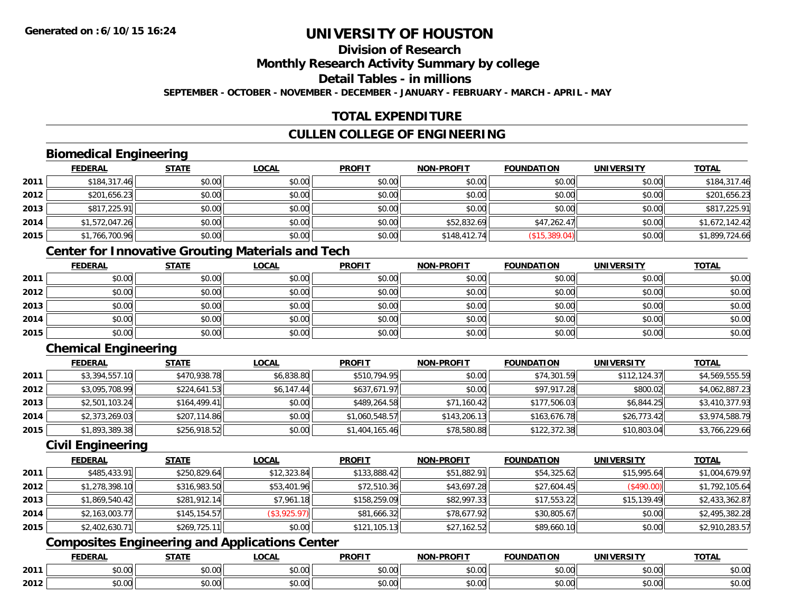# **Division of Research**

**Monthly Research Activity Summary by college**

**Detail Tables - in millions**

**SEPTEMBER - OCTOBER - NOVEMBER - DECEMBER - JANUARY - FEBRUARY - MARCH - APRIL - MAY**

### **TOTAL EXPENDITURE**

### **CULLEN COLLEGE OF ENGINEERING**

### **Biomedical Engineering**

|      | <b>FEDERAL</b> | <b>STATE</b> | <b>LOCAL</b> | <b>PROFIT</b> | <b>NON-PROFIT</b> | <b>FOUNDATION</b> | <b>UNIVERSITY</b> | <b>TOTAL</b>   |
|------|----------------|--------------|--------------|---------------|-------------------|-------------------|-------------------|----------------|
| 2011 | \$184,317.46   | \$0.00       | \$0.00       | \$0.00        | \$0.00            | \$0.00            | \$0.00            | \$184,317.46   |
| 2012 | \$201,656.23   | \$0.00       | \$0.00       | \$0.00        | \$0.00            | \$0.00            | \$0.00            | \$201,656.23   |
| 2013 | \$817,225.91   | \$0.00       | \$0.00       | \$0.00        | \$0.00            | \$0.00            | \$0.00            | \$817,225.91   |
| 2014 | \$1,572,047.26 | \$0.00       | \$0.00       | \$0.00        | \$52,832.69       | \$47,262.47       | \$0.00            | \$1,672,142.42 |
| 2015 | \$1,766,700.96 | \$0.00       | \$0.00       | \$0.00        | \$148,412.74      | (\$15,389.04)     | \$0.00            | \$1,899,724.66 |

### **Center for Innovative Grouting Materials and Tech**

|      | <u>FEDERAL</u> | <u>STATE</u> | <u>LOCAL</u> | <b>PROFIT</b> | <b>NON-PROFIT</b> | <b>FOUNDATION</b> | <b>UNIVERSITY</b> | <b>TOTAL</b> |
|------|----------------|--------------|--------------|---------------|-------------------|-------------------|-------------------|--------------|
| 2011 | \$0.00         | \$0.00       | \$0.00       | \$0.00        | \$0.00            | \$0.00            | \$0.00            | \$0.00       |
| 2012 | \$0.00         | \$0.00       | \$0.00       | \$0.00        | \$0.00            | \$0.00            | \$0.00            | \$0.00       |
| 2013 | \$0.00         | \$0.00       | \$0.00       | \$0.00        | \$0.00            | \$0.00            | \$0.00            | \$0.00       |
| 2014 | \$0.00         | \$0.00       | \$0.00       | \$0.00        | \$0.00            | \$0.00            | \$0.00            | \$0.00       |
| 2015 | \$0.00         | \$0.00       | \$0.00       | \$0.00        | \$0.00            | \$0.00            | \$0.00            | \$0.00       |

### **Chemical Engineering**

|      | <b>FEDERAL</b> | <b>STATE</b> | <b>LOCAL</b> | <b>PROFIT</b>  | <b>NON-PROFIT</b> | <b>FOUNDATION</b> | <b>UNIVERSITY</b> | <b>TOTAL</b>   |
|------|----------------|--------------|--------------|----------------|-------------------|-------------------|-------------------|----------------|
| 2011 | \$3,394,557.10 | \$470,938.78 | \$6,838.80   | \$510,794.95   | \$0.00            | \$74,301.59       | \$112,124.37      | \$4,569,555.59 |
| 2012 | \$3,095,708.99 | \$224,641.53 | \$6,147.44   | \$637,671.97   | \$0.00            | \$97,917.28       | \$800.02          | \$4,062,887.23 |
| 2013 | \$2,501,103.24 | \$164,499.41 | \$0.00       | \$489,264.58   | \$71,160.42       | \$177,506.03      | \$6,844.25        | \$3,410,377.93 |
| 2014 | \$2,373,269.03 | \$207,114.86 | \$0.00       | \$1,060,548.57 | \$143,206.13      | \$163,676.78      | \$26,773.42       | \$3,974,588.79 |
| 2015 | \$1,893,389.38 | \$256,918.52 | \$0.00       | \$1,404,165.46 | \$78,580.88       | \$122,372.38      | \$10,803.04       | \$3,766,229.66 |

### **Civil Engineering**

|      | <b>FEDERAL</b> | <b>STATE</b> | <b>LOCAL</b> | <b>PROFIT</b> | <b>NON-PROFIT</b> | <b>FOUNDATION</b> | <b>UNIVERSITY</b> | <b>TOTAL</b>   |
|------|----------------|--------------|--------------|---------------|-------------------|-------------------|-------------------|----------------|
| 2011 | \$485,433.91   | \$250,829.64 | \$12,323.84  | \$133,888.42  | \$51,882.91       | \$54,325.62       | \$15,995.64       | \$1,004,679.97 |
| 2012 | \$1,278,398.10 | \$316,983.50 | \$53,401.96  | \$72,510.36   | \$43,697.28       | \$27,604.45       | (\$490.00)        | \$1,792,105.64 |
| 2013 | \$1,869,540.42 | \$281,912.14 | \$7,961.18   | \$158,259.09  | \$82,997.33       | \$17,553.22       | \$15,139.49       | \$2,433,362.87 |
| 2014 | \$2,163,003.77 | \$145,154.57 | (\$3,925.97) | \$81,666.32   | \$78,677.92       | \$30,805.67       | \$0.00            | \$2,495,382.28 |
| 2015 | \$2,402,630.71 | \$269,725.11 | \$0.00       | \$121,105.13  | \$27,162.52       | \$89,660.10       | \$0.00            | \$2,910,283.57 |

### **Composites Engineering and Applications Center**

|      | DERAI  | CTATI     | .OCAL     | <b>PROFIT</b> | <b>DDOCIT</b><br><b>ארות</b> | ΓΙΩΝ    | UNIVERSITY                                   | <b>TOTAL</b> |
|------|--------|-----------|-----------|---------------|------------------------------|---------|----------------------------------------------|--------------|
| 2011 | $\sim$ | $\sim$    | $\sim$    | $\cdots$      | 0000                         | 0.00    | $\mathsf{A} \cap \mathsf{A} \cap \mathsf{A}$ | 0000         |
|      | ∕∪.∪⊍  | JU.UU     | vv.vv     | vu.vu         | J∪.∪∪                        | - JU.UU | PO.OO                                        | <b>JU.UU</b> |
|      | 0.00   | $\sim$ 00 | $\sim$ 00 | $\cdots$      | 0.00                         | 0.00    | $\sim$ 00                                    | $\cdots$     |
| 2012 | וט.טי  | JU.L      | JU.UU     | vv.vv         | JU.UU                        | ww.uu   | PO.OO                                        | <b>JU.UU</b> |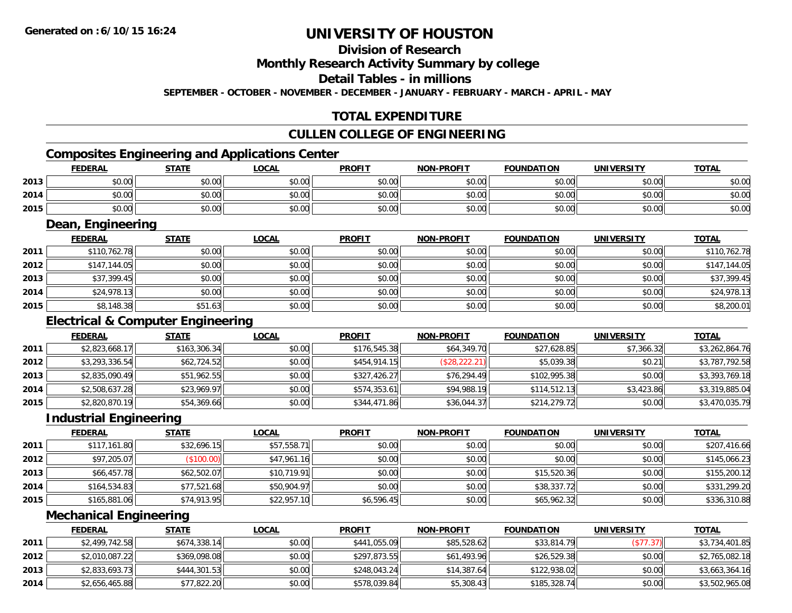### **Division of Research**

**Monthly Research Activity Summary by college**

**Detail Tables - in millions**

**SEPTEMBER - OCTOBER - NOVEMBER - DECEMBER - JANUARY - FEBRUARY - MARCH - APRIL - MAY**

### **TOTAL EXPENDITURE**

#### **CULLEN COLLEGE OF ENGINEERING**

### **Composites Engineering and Applications Center**

|      | <b>FEDERAL</b> | <b>STATE</b> | <b>LOCAL</b> | <b>PROFIT</b> | <b>NON-PROFIT</b> | <b>FOUNDATION</b> | <b>UNIVERSITY</b><br>EMƏI | <b>TOTAL</b> |
|------|----------------|--------------|--------------|---------------|-------------------|-------------------|---------------------------|--------------|
| 2013 | \$0.00         | \$0.00       | \$0.00       | \$0.00        | \$0.00            | \$0.00            | \$0.00                    | \$0.00       |
| 2014 | \$0.00         | \$0.00       | \$0.00       | \$0.00        | \$0.00            | \$0.00            | \$0.00                    | \$0.00       |
| 2015 | \$0.00         | \$0.00       | \$0.00       | \$0.00        | \$0.00            | \$0.00            | \$0.00                    | \$0.00       |

<u> 1989 - Johann Stoff, deutscher Stoffen und der Stoffen und der Stoffen und der Stoffen und der Stoffen und der</u>

#### **Dean, Engineering**

|      | <b>FEDERAL</b> | <b>STATE</b> | <u>LOCAL</u> | <b>PROFIT</b> | <b>NON-PROFIT</b> | <b>FOUNDATION</b> | <b>UNIVERSITY</b> | <b>TOTAL</b> |
|------|----------------|--------------|--------------|---------------|-------------------|-------------------|-------------------|--------------|
| 2011 | \$110,762.78   | \$0.00       | \$0.00       | \$0.00        | \$0.00            | \$0.00            | \$0.00            | \$110,762.78 |
| 2012 | \$147,144.05   | \$0.00       | \$0.00       | \$0.00        | \$0.00            | \$0.00            | \$0.00            | \$147,144.05 |
| 2013 | \$37,399.45    | \$0.00       | \$0.00       | \$0.00        | \$0.00            | \$0.00            | \$0.00            | \$37,399.45  |
| 2014 | \$24,978.13    | \$0.00       | \$0.00       | \$0.00        | \$0.00            | \$0.00            | \$0.00            | \$24,978.13  |
| 2015 | \$8,148.38     | \$51.63      | \$0.00       | \$0.00        | \$0.00            | \$0.00            | \$0.00            | \$8,200.01   |

#### **Electrical & Computer Engineering**

|      | <b>FEDERAL</b> | <b>STATE</b> | <b>LOCAL</b> | <b>PROFIT</b> | <b>NON-PROFIT</b> | <b>FOUNDATION</b> | <b>UNIVERSITY</b> | <b>TOTAL</b>   |
|------|----------------|--------------|--------------|---------------|-------------------|-------------------|-------------------|----------------|
| 2011 | \$2,823,668.17 | \$163,306.34 | \$0.00       | \$176,545.38  | \$64,349.70       | \$27,628.85       | \$7.366.32        | \$3,262,864.76 |
| 2012 | \$3,293,336.54 | \$62,724.52  | \$0.00       | \$454,914.15  | (S28, 222.21)     | \$5,039.38        | \$0.21            | \$3,787,792.58 |
| 2013 | \$2,835,090.49 | \$51,962.55  | \$0.00       | \$327,426.27  | \$76,294.49       | \$102,995.38      | \$0.00            | \$3,393,769.18 |
| 2014 | \$2,508,637.28 | \$23,969.97  | \$0.00       | \$574,353.61  | \$94,988.19       | \$114,512.13      | \$3,423.86        | \$3,319,885.04 |
| 2015 | \$2,820,870.19 | \$54,369.66  | \$0.00       | \$344,471.86  | \$36,044.37       | \$214,279.72      | \$0.00            | \$3,470,035.79 |

#### **Industrial Engineering**

|      | <b>FEDERAL</b> | <b>STATE</b> | <u>LOCAL</u> | <b>PROFIT</b> | <b>NON-PROFIT</b> | <b>FOUNDATION</b> | <b>UNIVERSITY</b> | <b>TOTAL</b> |
|------|----------------|--------------|--------------|---------------|-------------------|-------------------|-------------------|--------------|
| 2011 | \$117,161.80   | \$32,696.15  | \$57,558.71  | \$0.00        | \$0.00            | \$0.00            | \$0.00            | \$207,416.66 |
| 2012 | \$97,205.07    | (\$100.00)   | \$47,961.16  | \$0.00        | \$0.00            | \$0.00            | \$0.00            | \$145,066.23 |
| 2013 | \$66,457.78    | \$62,502.07  | \$10,719.91  | \$0.00        | \$0.00            | \$15,520.36       | \$0.00            | \$155,200.12 |
| 2014 | \$164,534.83   | \$77,521.68  | \$50,904.97  | \$0.00        | \$0.00            | \$38,337.72       | \$0.00            | \$331,299.20 |
| 2015 | \$165,881.06   | \$74,913.95  | \$22,957.10  | \$6,596.45    | \$0.00            | \$65,962.32       | \$0.00            | \$336,310.88 |

#### **Mechanical Engineering**

|      | <b>FEDERAL</b> | <u>STATE</u> | <u>LOCAL</u> | <b>PROFIT</b> | <b>NON-PROFIT</b> | <b>FOUNDATION</b> | UNIVERSITY | <b>TOTAL</b>   |
|------|----------------|--------------|--------------|---------------|-------------------|-------------------|------------|----------------|
| 2011 | \$2,499,742.58 | \$674,338.14 | \$0.00       | \$441,055.09  | \$85,528,62       | \$33,814.79       | (\$77.37)  | \$3,734,401.85 |
| 2012 | \$2,010,087.22 | \$369,098.08 | \$0.00       | \$297,873.55  | \$61,493.96       | \$26,529.38       | \$0.00     | \$2,765,082.18 |
| 2013 | \$2,833,693.73 | \$444,301.53 | \$0.00       | \$248,043.24  | \$14,387.64       | \$122,938.02      | \$0.00     | \$3,663,364.16 |
| 2014 | \$2,656,465.88 | \$77,822.20  | \$0.00       | \$578,039.84  | \$5,308.43        | \$185,328.74      | \$0.00     | \$3,502,965.08 |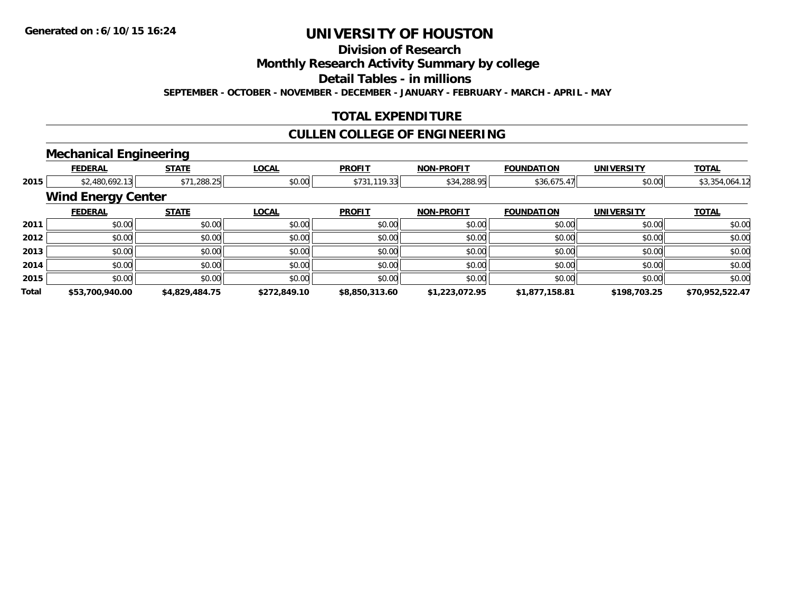**Division of Research**

**Monthly Research Activity Summary by college**

**Detail Tables - in millions**

**SEPTEMBER - OCTOBER - NOVEMBER - DECEMBER - JANUARY - FEBRUARY - MARCH - APRIL - MAY**

### **TOTAL EXPENDITURE**

#### **CULLEN COLLEGE OF ENGINEERING**

#### **Mechanical Engineering**

|       | <b>FEDERAL</b>            | <b>STATE</b>   | <b>LOCAL</b> | <b>PROFIT</b>  | <b>NON-PROFIT</b> | <b>FOUNDATION</b> | <b>UNIVERSITY</b> | <b>TOTAL</b>    |
|-------|---------------------------|----------------|--------------|----------------|-------------------|-------------------|-------------------|-----------------|
| 2015  | \$2,480,692.13            | \$71,288.25    | \$0.00       | \$731,119.33   | \$34,288.95       | \$36,675.47       | \$0.00            | \$3,354,064.12  |
|       | <b>Wind Energy Center</b> |                |              |                |                   |                   |                   |                 |
|       | <b>FEDERAL</b>            | <b>STATE</b>   | <b>LOCAL</b> | <b>PROFIT</b>  | <b>NON-PROFIT</b> | <b>FOUNDATION</b> | <b>UNIVERSITY</b> | <b>TOTAL</b>    |
| 2011  | \$0.00                    | \$0.00         | \$0.00       | \$0.00         | \$0.00            | \$0.00            | \$0.00            | \$0.00          |
| 2012  | \$0.00                    | \$0.00         | \$0.00       | \$0.00         | \$0.00            | \$0.00            | \$0.00            | \$0.00          |
| 2013  | \$0.00                    | \$0.00         | \$0.00       | \$0.00         | \$0.00            | \$0.00            | \$0.00            | \$0.00          |
| 2014  | \$0.00                    | \$0.00         | \$0.00       | \$0.00         | \$0.00            | \$0.00            | \$0.00            | \$0.00          |
| 2015  | \$0.00                    | \$0.00         | \$0.00       | \$0.00         | \$0.00            | \$0.00            | \$0.00            | \$0.00          |
| Total | \$53,700,940.00           | \$4,829,484.75 | \$272,849.10 | \$8,850,313.60 | \$1,223,072.95    | \$1,877,158.81    | \$198,703.25      | \$70,952,522.47 |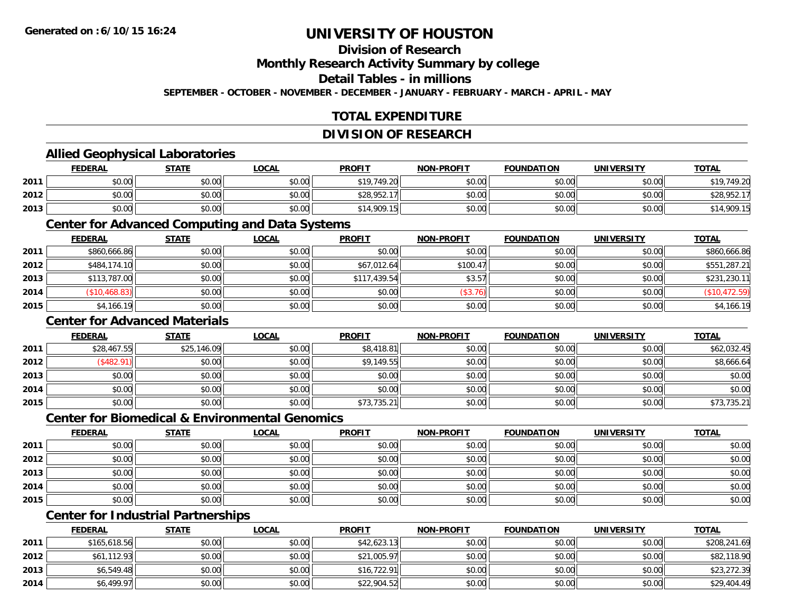### **Division of Research**

**Monthly Research Activity Summary by college**

**Detail Tables - in millions**

**SEPTEMBER - OCTOBER - NOVEMBER - DECEMBER - JANUARY - FEBRUARY - MARCH - APRIL - MAY**

### **TOTAL EXPENDITURE**

#### **DIVISION OF RESEARCH**

#### **Allied Geophysical Laboratories**

|      | <b>FEDERAL</b> | <b>STATE</b> | <u>LOCAL</u>                                                | <b>PROFIT</b> | <b>NON-PROFIT</b> | <b>FOUNDATION</b> | <b>UNIVERSITY</b> | <b>TOTAL</b>         |
|------|----------------|--------------|-------------------------------------------------------------|---------------|-------------------|-------------------|-------------------|----------------------|
| 2011 | \$0.00         | \$0.00       | \$0.00                                                      | \$19,749.20   | \$0.00            | \$0.00            | \$0.00            | \$19 749 20          |
| 2012 | \$0.00         | \$0.00       | $\mathfrak{g} \cap \mathfrak{g} \cap \mathfrak{g}$<br>DU.U¢ | \$28,952.17   | \$0.00            | \$0.00            | \$0.00            | \$28,95 <sup>^</sup> |
| 2013 | \$0.00         | \$0.00       | \$0.00                                                      | \$14,909.15   | \$0.00            | \$0.00            | \$0.00            | \$14,909.15          |

#### **Center for Advanced Computing and Data Systems**

|      | <b>FEDERAL</b> | <b>STATE</b> | <b>LOCAL</b> | <b>PROFIT</b> | <b>NON-PROFIT</b> | <b>FOUNDATION</b> | <b>UNIVERSITY</b> | <b>TOTAL</b>  |
|------|----------------|--------------|--------------|---------------|-------------------|-------------------|-------------------|---------------|
| 2011 | \$860,666.86   | \$0.00       | \$0.00       | \$0.00        | \$0.00            | \$0.00            | \$0.00            | \$860,666.86  |
| 2012 | \$484,174.10   | \$0.00       | \$0.00       | \$67,012.64   | \$100.47          | \$0.00            | \$0.00            | \$551,287.21  |
| 2013 | \$113,787.00   | \$0.00       | \$0.00       | \$117,439.54  | \$3.57            | \$0.00            | \$0.00            | \$231,230.11  |
| 2014 | (\$10,468.83)  | \$0.00       | \$0.00       | \$0.00        | (\$3.76)          | \$0.00            | \$0.00            | (\$10,472.59) |
| 2015 | \$4,166.19     | \$0.00       | \$0.00       | \$0.00        | \$0.00            | \$0.00            | \$0.00            | \$4,166.19    |

#### **Center for Advanced Materials**

|      | <b>FEDERAL</b> | <b>STATE</b> | <u>LOCAL</u> | <b>PROFIT</b> | <b>NON-PROFIT</b> | <b>FOUNDATION</b> | <b>UNIVERSITY</b> | <b>TOTAL</b> |
|------|----------------|--------------|--------------|---------------|-------------------|-------------------|-------------------|--------------|
| 2011 | \$28,467.55    | \$25,146.09  | \$0.00       | \$8,418.81    | \$0.00            | \$0.00            | \$0.00            | \$62,032.45  |
| 2012 | \$482.91       | \$0.00       | \$0.00       | \$9,149.55    | \$0.00            | \$0.00            | \$0.00            | \$8,666.64   |
| 2013 | \$0.00         | \$0.00       | \$0.00       | \$0.00        | \$0.00            | \$0.00            | \$0.00            | \$0.00       |
| 2014 | \$0.00         | \$0.00       | \$0.00       | \$0.00        | \$0.00            | \$0.00            | \$0.00            | \$0.00       |
| 2015 | \$0.00         | \$0.00       | \$0.00       | \$73,735.21   | \$0.00            | \$0.00            | \$0.00            | \$73,735.21  |

#### **Center for Biomedical & Environmental Genomics**

|      | <u>FEDERAL</u> | <b>STATE</b> | <b>LOCAL</b> | <b>PROFIT</b> | NON-PROFIT | <b>FOUNDATION</b> | <b>UNIVERSITY</b> | <b>TOTAL</b> |
|------|----------------|--------------|--------------|---------------|------------|-------------------|-------------------|--------------|
| 2011 | \$0.00         | \$0.00       | \$0.00       | \$0.00        | \$0.00     | \$0.00            | \$0.00            | \$0.00       |
| 2012 | \$0.00         | \$0.00       | \$0.00       | \$0.00        | \$0.00     | \$0.00            | \$0.00            | \$0.00       |
| 2013 | \$0.00         | \$0.00       | \$0.00       | \$0.00        | \$0.00     | \$0.00            | \$0.00            | \$0.00       |
| 2014 | \$0.00         | \$0.00       | \$0.00       | \$0.00        | \$0.00     | \$0.00            | \$0.00            | \$0.00       |
| 2015 | \$0.00         | \$0.00       | \$0.00       | \$0.00        | \$0.00     | \$0.00            | \$0.00            | \$0.00       |

### **Center for Industrial Partnerships**

|      | <b>FEDERAL</b> | <b>STATE</b> | <b>LOCAL</b> | <b>PROFIT</b> | <b>NON-PROFIT</b> | <b>FOUNDATION</b> | <b>UNIVERSITY</b> | <b>TOTAL</b> |
|------|----------------|--------------|--------------|---------------|-------------------|-------------------|-------------------|--------------|
| 2011 | \$165,618.56   | \$0.00       | \$0.00       | \$42,623.13   | \$0.00            | \$0.00            | \$0.00            | \$208,241.69 |
| 2012 | \$61,112.93    | \$0.00       | \$0.00       | \$21,005.97   | \$0.00            | \$0.00            | \$0.00            | \$82,118.90  |
| 2013 | \$6,549.48     | \$0.00       | \$0.00       | \$16,722.91   | \$0.00            | \$0.00            | \$0.00            | \$23,272.39  |
| 2014 | \$6,499.97     | \$0.00       | \$0.00       | \$22,904.52   | \$0.00            | \$0.00            | \$0.00            | \$29,404.49  |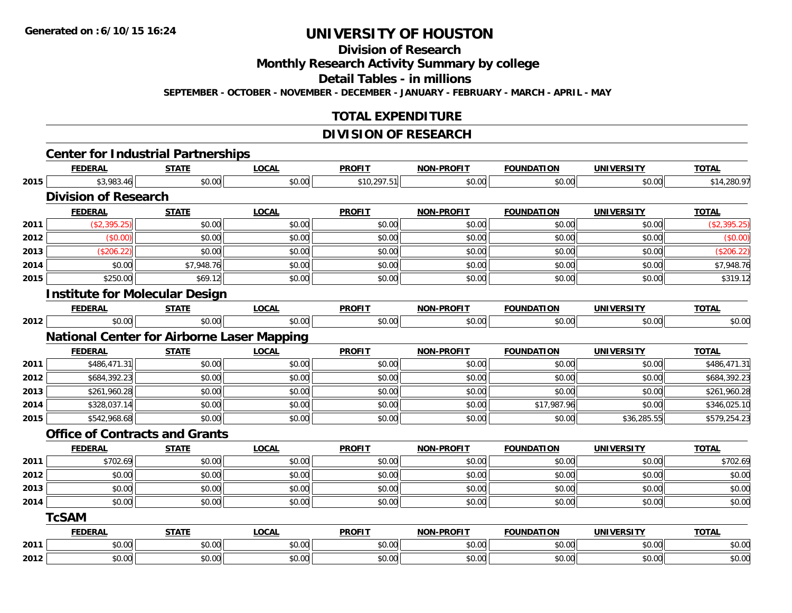**Division of Research**

**Monthly Research Activity Summary by college**

**Detail Tables - in millions**

**SEPTEMBER - OCTOBER - NOVEMBER - DECEMBER - JANUARY - FEBRUARY - MARCH - APRIL - MAY**

#### **TOTAL EXPENDITURE**

#### **DIVISION OF RESEARCH**

|      | <b>Center for Industrial Partnerships</b>         |              |              |               |                   |                   |                   |              |
|------|---------------------------------------------------|--------------|--------------|---------------|-------------------|-------------------|-------------------|--------------|
|      | <b>FEDERAL</b>                                    | <b>STATE</b> | <b>LOCAL</b> | <b>PROFIT</b> | <b>NON-PROFIT</b> | <b>FOUNDATION</b> | <b>UNIVERSITY</b> | <b>TOTAL</b> |
| 2015 | \$3,983.46                                        | \$0.00       | \$0.00       | \$10,297.51   | \$0.00            | \$0.00            | \$0.00            | \$14,280.97  |
|      | <b>Division of Research</b>                       |              |              |               |                   |                   |                   |              |
|      | <b>FEDERAL</b>                                    | <b>STATE</b> | <b>LOCAL</b> | <b>PROFIT</b> | <b>NON-PROFIT</b> | <b>FOUNDATION</b> | <b>UNIVERSITY</b> | <b>TOTAL</b> |
| 2011 | (\$2,395.25)                                      | \$0.00       | \$0.00       | \$0.00        | \$0.00            | \$0.00            | \$0.00            | (\$2,395.25) |
| 2012 | (\$0.00)                                          | \$0.00       | \$0.00       | \$0.00        | \$0.00            | \$0.00            | \$0.00            | (\$0.00)     |
| 2013 | (\$206.22)                                        | \$0.00       | \$0.00       | \$0.00        | \$0.00            | \$0.00            | \$0.00            | (\$206.22)   |
| 2014 | \$0.00                                            | \$7,948.76   | \$0.00       | \$0.00        | \$0.00            | \$0.00            | \$0.00            | \$7,948.76   |
| 2015 | \$250.00                                          | \$69.12      | \$0.00       | \$0.00        | \$0.00            | \$0.00            | \$0.00            | \$319.12     |
|      | <b>Institute for Molecular Design</b>             |              |              |               |                   |                   |                   |              |
|      | <b>FEDERAL</b>                                    | <b>STATE</b> | <b>LOCAL</b> | <b>PROFIT</b> | <b>NON-PROFIT</b> | <b>FOUNDATION</b> | <b>UNIVERSITY</b> | <b>TOTAL</b> |
| 2012 | \$0.00                                            | \$0.00       | \$0.00       | \$0.00        | \$0.00            | \$0.00            | \$0.00            | \$0.00       |
|      | <b>National Center for Airborne Laser Mapping</b> |              |              |               |                   |                   |                   |              |
|      | <b>FEDERAL</b>                                    | <b>STATE</b> | <b>LOCAL</b> | <b>PROFIT</b> | <b>NON-PROFIT</b> | <b>FOUNDATION</b> | <b>UNIVERSITY</b> | <b>TOTAL</b> |
| 2011 | \$486,471.31                                      | \$0.00       | \$0.00       | \$0.00        | \$0.00            | \$0.00            | \$0.00            | \$486,471.31 |
| 2012 | \$684,392.23                                      | \$0.00       | \$0.00       | \$0.00        | \$0.00            | \$0.00            | \$0.00            | \$684,392.23 |
| 2013 | \$261,960.28                                      | \$0.00       | \$0.00       | \$0.00        | \$0.00            | \$0.00            | \$0.00            | \$261,960.28 |
| 2014 | \$328,037.14                                      | \$0.00       | \$0.00       | \$0.00        | \$0.00            | \$17,987.96       | \$0.00            | \$346,025.10 |
| 2015 | \$542,968.68                                      | \$0.00       | \$0.00       | \$0.00        | \$0.00            | \$0.00            | \$36,285.55       | \$579,254.23 |
|      | <b>Office of Contracts and Grants</b>             |              |              |               |                   |                   |                   |              |
|      | <b>FEDERAL</b>                                    | <b>STATE</b> | <b>LOCAL</b> | <b>PROFIT</b> | <b>NON-PROFIT</b> | <b>FOUNDATION</b> | <b>UNIVERSITY</b> | <b>TOTAL</b> |
| 2011 | \$702.69                                          | \$0.00       | \$0.00       | \$0.00        | \$0.00            | \$0.00            | \$0.00            | \$702.69     |
| 2012 | \$0.00                                            | \$0.00       | \$0.00       | \$0.00        | \$0.00            | \$0.00            | \$0.00            | \$0.00       |
| 2013 | \$0.00                                            | \$0.00       | \$0.00       | \$0.00        | \$0.00            | \$0.00            | \$0.00            | \$0.00       |
| 2014 | \$0.00                                            | \$0.00       | \$0.00       | \$0.00        | \$0.00            | \$0.00            | \$0.00            | \$0.00       |
|      | <b>TcSAM</b>                                      |              |              |               |                   |                   |                   |              |
|      | <b>FEDERAL</b>                                    | <b>STATE</b> | <b>LOCAL</b> | <b>PROFIT</b> | <b>NON-PROFIT</b> | <b>FOUNDATION</b> | <b>UNIVERSITY</b> | <b>TOTAL</b> |
| 2011 | \$0.00                                            | \$0.00       | \$0.00       | \$0.00        | \$0.00            | \$0.00            | \$0.00            | \$0.00       |
| 2012 | \$0.00                                            | \$0.00       | \$0.00       | \$0.00        | \$0.00            | \$0.00            | \$0.00            | \$0.00       |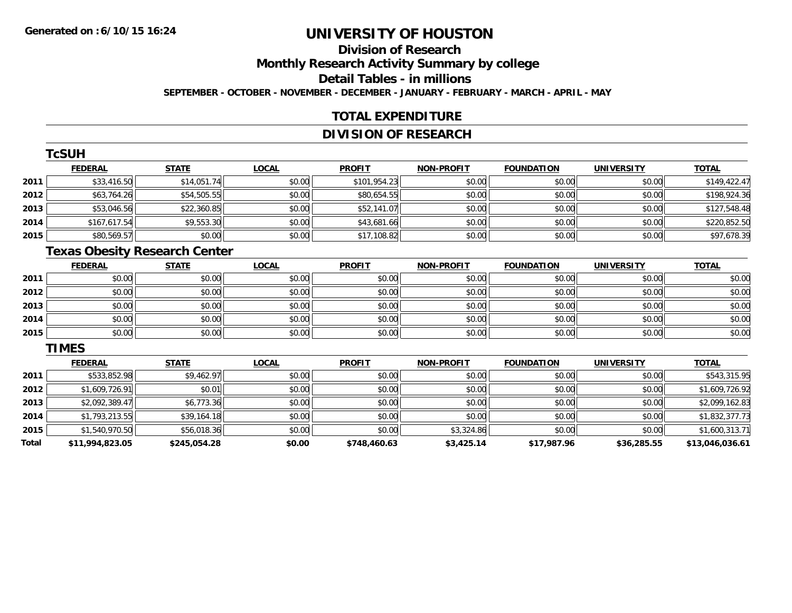### **Division of ResearchMonthly Research Activity Summary by college Detail Tables - in millions**

**SEPTEMBER - OCTOBER - NOVEMBER - DECEMBER - JANUARY - FEBRUARY - MARCH - APRIL - MAY**

### **TOTAL EXPENDITURE**

#### **DIVISION OF RESEARCH**

|      | TcSUH          |              |              |               |                   |                   |                   |              |
|------|----------------|--------------|--------------|---------------|-------------------|-------------------|-------------------|--------------|
|      | <b>FEDERAL</b> | <b>STATE</b> | <b>LOCAL</b> | <b>PROFIT</b> | <b>NON-PROFIT</b> | <b>FOUNDATION</b> | <b>UNIVERSITY</b> | <b>TOTAL</b> |
| 2011 | \$33,416.50    | \$14,051.74  | \$0.00       | \$101,954.23  | \$0.00            | \$0.00            | \$0.00            | \$149,422.47 |
| 2012 | \$63,764.26    | \$54,505.55  | \$0.00       | \$80,654.55   | \$0.00            | \$0.00            | \$0.00            | \$198,924.36 |
| 2013 | \$53,046.56    | \$22,360.85  | \$0.00       | \$52,141.07   | \$0.00            | \$0.00            | \$0.00            | \$127,548.48 |
| 2014 | \$167,617.54   | \$9,553.30   | \$0.00       | \$43,681.66   | \$0.00            | \$0.00            | \$0.00            | \$220,852.50 |
| 2015 | \$80,569.57    | \$0.00       | \$0.00       | \$17,108.82   | \$0.00            | \$0.00            | \$0.00            | \$97,678.39  |

### **Texas Obesity Research Center**

|      | <b>FEDERAL</b> | <b>STATE</b> | <b>LOCAL</b> | <b>PROFIT</b> | <b>NON-PROFIT</b> | <b>FOUNDATION</b> | <b>UNIVERSITY</b> | <b>TOTAL</b> |
|------|----------------|--------------|--------------|---------------|-------------------|-------------------|-------------------|--------------|
| 2011 | \$0.00         | \$0.00       | \$0.00       | \$0.00        | \$0.00            | \$0.00            | \$0.00            | \$0.00       |
| 2012 | \$0.00         | \$0.00       | \$0.00       | \$0.00        | \$0.00            | \$0.00            | \$0.00            | \$0.00       |
| 2013 | \$0.00         | \$0.00       | \$0.00       | \$0.00        | \$0.00            | \$0.00            | \$0.00            | \$0.00       |
| 2014 | \$0.00         | \$0.00       | \$0.00       | \$0.00        | \$0.00            | \$0.00            | \$0.00            | \$0.00       |
| 2015 | \$0.00         | \$0.00       | \$0.00       | \$0.00        | \$0.00            | \$0.00            | \$0.00            | \$0.00       |

#### **TIMES**

|       | <b>FEDERAL</b>  | <b>STATE</b> | <b>LOCAL</b> | <b>PROFIT</b> | <b>NON-PROFIT</b> | <b>FOUNDATION</b> | <b>UNIVERSITY</b> | <b>TOTAL</b>    |
|-------|-----------------|--------------|--------------|---------------|-------------------|-------------------|-------------------|-----------------|
| 2011  | \$533,852.98    | \$9,462.97   | \$0.00       | \$0.00        | \$0.00            | \$0.00            | \$0.00            | \$543,315.95    |
| 2012  | \$1,609,726.91  | \$0.01       | \$0.00       | \$0.00        | \$0.00            | \$0.00            | \$0.00            | \$1,609,726.92  |
| 2013  | \$2,092,389.47  | \$6,773.36   | \$0.00       | \$0.00        | \$0.00            | \$0.00            | \$0.00            | \$2,099,162.83  |
| 2014  | \$1,793,213,55  | \$39,164.18  | \$0.00       | \$0.00        | \$0.00            | \$0.00            | \$0.00            | \$1,832,377.73  |
| 2015  | \$1,540,970.50  | \$56,018.36  | \$0.00       | \$0.00        | \$3,324.86        | \$0.00            | \$0.00            | \$1,600,313.71  |
| Total | \$11,994,823.05 | \$245,054.28 | \$0.00       | \$748,460.63  | \$3,425.14        | \$17,987.96       | \$36,285.55       | \$13,046,036.61 |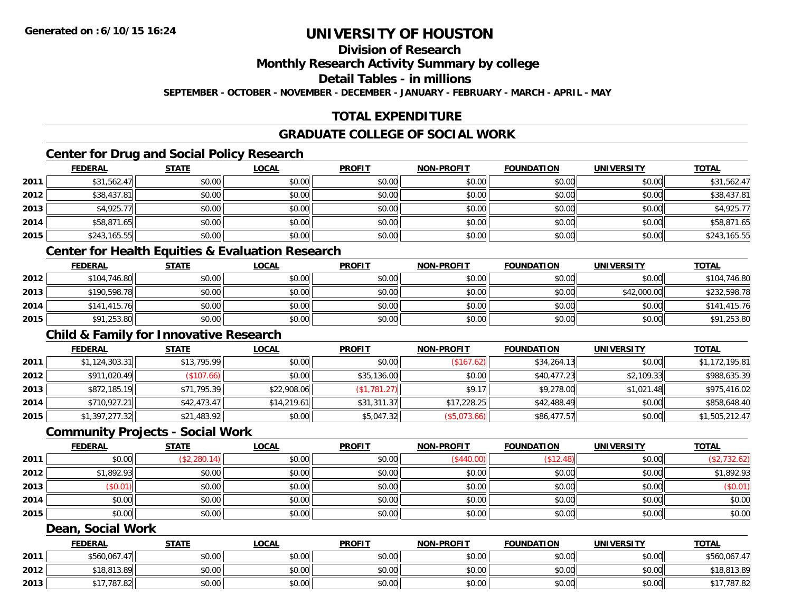### **Division of Research**

**Monthly Research Activity Summary by college**

**Detail Tables - in millions**

**SEPTEMBER - OCTOBER - NOVEMBER - DECEMBER - JANUARY - FEBRUARY - MARCH - APRIL - MAY**

### **TOTAL EXPENDITURE**

### **GRADUATE COLLEGE OF SOCIAL WORK**

### **Center for Drug and Social Policy Research**

|      | <b>FEDERAL</b> | <b>STATE</b> | <u>LOCAL</u> | <b>PROFIT</b> | <b>NON-PROFIT</b> | <b>FOUNDATION</b> | <b>UNIVERSITY</b> | <b>TOTAL</b> |
|------|----------------|--------------|--------------|---------------|-------------------|-------------------|-------------------|--------------|
| 2011 | \$31,562.47    | \$0.00       | \$0.00       | \$0.00        | \$0.00            | \$0.00            | \$0.00            | \$31,562.47  |
| 2012 | \$38,437.81    | \$0.00       | \$0.00       | \$0.00        | \$0.00            | \$0.00            | \$0.00            | \$38,437.81  |
| 2013 | \$4,925.77     | \$0.00       | \$0.00       | \$0.00        | \$0.00            | \$0.00            | \$0.00            | \$4,925.77   |
| 2014 | \$58,871.65    | \$0.00       | \$0.00       | \$0.00        | \$0.00            | \$0.00            | \$0.00            | \$58,871.65  |
| 2015 | \$243,165.55   | \$0.00       | \$0.00       | \$0.00        | \$0.00            | \$0.00            | \$0.00            | \$243,165.55 |

### **Center for Health Equities & Evaluation Research**

|      | <b>FEDERAL</b> | <b>STATE</b> | <u>LOCAL</u> | <b>PROFIT</b> | <b>NON-PROFIT</b> | <b>FOUNDATION</b> | <b>UNIVERSITY</b> | <b>TOTAL</b> |
|------|----------------|--------------|--------------|---------------|-------------------|-------------------|-------------------|--------------|
| 2012 | \$104,746.80   | \$0.00       | \$0.00       | \$0.00        | \$0.00            | \$0.00            | \$0.00            | \$104,746.80 |
| 2013 | \$190,598.78   | \$0.00       | \$0.00       | \$0.00        | \$0.00            | \$0.00            | \$42,000.00       | \$232,598.78 |
| 2014 | \$141,415.76   | \$0.00       | \$0.00       | \$0.00        | \$0.00            | \$0.00            | \$0.00            | \$141,415.76 |
| 2015 | \$91,253.80    | \$0.00       | \$0.00       | \$0.00        | \$0.00            | \$0.00            | \$0.00            | \$91,253.80  |

#### **Child & Family for Innovative Research**

|      | <b>FEDERAL</b> | <b>STATE</b> | <b>LOCAL</b> | <b>PROFIT</b>       | <b>NON-PROFIT</b> | <b>FOUNDATION</b> | <b>UNIVERSITY</b> | <b>TOTAL</b>   |
|------|----------------|--------------|--------------|---------------------|-------------------|-------------------|-------------------|----------------|
| 2011 | \$1,124,303.31 | \$13,795.99  | \$0.00       | \$0.00              | (\$167.62)        | \$34,264.13       | \$0.00            | \$1,172,195.81 |
| 2012 | \$911,020.49   | (\$107.66)   | \$0.00       | \$35,136.00         | \$0.00            | \$40,477.23       | \$2,109.33        | \$988,635.39   |
| 2013 | \$872,185.19   | \$71,795.39  | \$22,908.06  | $($ \$1,781.27) $ $ | \$9.17            | \$9,278.00        | \$1.021.48        | \$975,416.02   |
| 2014 | \$710,927.21   | \$42,473.47  | \$14,219.61  | \$31,311.37         | \$17,228.25       | \$42,488.49       | \$0.00            | \$858,648.40   |
| 2015 | \$1,397,277.32 | \$21,483.92  | \$0.00       | \$5,047.32          | (\$5,073.66)      | \$86,477.57       | \$0.00            | \$1,505,212.47 |

#### **Community Projects - Social Work**

|      | <b>FEDERAL</b> | <b>STATE</b> | <b>LOCAL</b> | <b>PROFIT</b> | <b>NON-PROFIT</b> | <b>FOUNDATION</b> | <b>UNIVERSITY</b> | <b>TOTAL</b> |
|------|----------------|--------------|--------------|---------------|-------------------|-------------------|-------------------|--------------|
| 2011 | \$0.00         | (\$2,280.14) | \$0.00       | \$0.00        | (\$440.00)        | \$12.48           | \$0.00            | \$2,732.62"  |
| 2012 | \$1,892.93     | \$0.00       | \$0.00       | \$0.00        | \$0.00            | \$0.00            | \$0.00            | \$1,892.93   |
| 2013 | \$0.01         | \$0.00       | \$0.00       | \$0.00        | \$0.00            | \$0.00            | \$0.00            | (\$0.01)     |
| 2014 | \$0.00         | \$0.00       | \$0.00       | \$0.00        | \$0.00            | \$0.00            | \$0.00            | \$0.00       |
| 2015 | \$0.00         | \$0.00       | \$0.00       | \$0.00        | \$0.00            | \$0.00            | \$0.00            | \$0.00       |

#### **Dean, Social Work**

|      | FEDERAL           | <u>STATE</u> | <u>LOCAL</u> | <b>PROFIT</b> | <b>NON-PROFIT</b> | <b>FOUNDATION</b> | <b>UNIVERSITY</b> | <b>TOTAL</b> |
|------|-------------------|--------------|--------------|---------------|-------------------|-------------------|-------------------|--------------|
| 2011 | \$560,067.4<br>47 | \$0.00       | \$0.00       | \$0.00        | \$0.00            | \$0.00            | \$0.00            | \$560,067.47 |
| 2012 | \$18,813.89       | \$0.00       | \$0.00       | \$0.00        | \$0.00            | \$0.00            | \$0.00            | \$18,813.89  |
| 2013 | .787.82           | \$0.00       | \$0.00       | \$0.00        | \$0.00            | \$0.00            | \$0.00            | \$17,787.82  |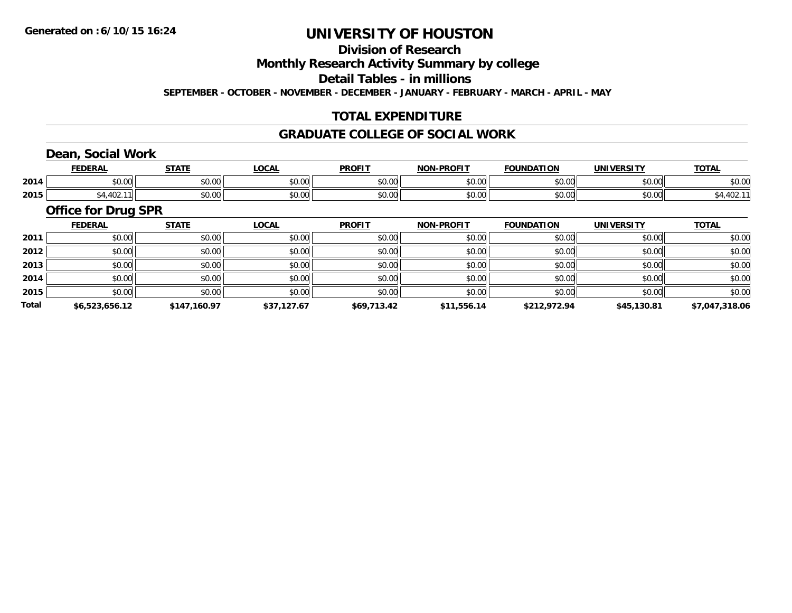#### **Division of Research**

**Monthly Research Activity Summary by college**

**Detail Tables - in millions**

**SEPTEMBER - OCTOBER - NOVEMBER - DECEMBER - JANUARY - FEBRUARY - MARCH - APRIL - MAY**

### **TOTAL EXPENDITURE**

#### **GRADUATE COLLEGE OF SOCIAL WORK**

### **Dean, Social Work**

|      | FEDERAI            | C T A T T      | ∟OCA                                      | <b>PROFIT</b> | <b>DDAEIT</b><br><b>NICHI</b> | <b>FOUNDATION</b> | UNIVERSITY         | <b>TOTAL</b> |
|------|--------------------|----------------|-------------------------------------------|---------------|-------------------------------|-------------------|--------------------|--------------|
| 2014 | $\sim$ 00<br>pu.uu | 0.00<br>ູມບ.ບບ | $\uparrow$ $\uparrow$ $\uparrow$<br>vv.vv | 0000<br>vv.vv | $\sim$ $\sim$<br>pv.uu        | $\cap$            | 0000<br>ייש∪. ∪⊸   | \$0.00       |
| 2015 | v.                 | 0.00<br>⊸JU.UU | $\uparrow$ $\uparrow$ $\uparrow$<br>vv.vv | 0000<br>JU.UU | .<br>PU.UU                    | ስ ሰሰ              | $\sim$ 00<br>JU.UU |              |

#### **Office for Drug SPR**

|              | <b>FEDERAL</b> | <b>STATE</b> | LOCAL       | <b>PROFIT</b> | <b>NON-PROFIT</b> | <b>FOUNDATION</b> | <b>UNIVERSITY</b> | <b>TOTAL</b>   |
|--------------|----------------|--------------|-------------|---------------|-------------------|-------------------|-------------------|----------------|
| 2011         | \$0.00         | \$0.00       | \$0.00      | \$0.00        | \$0.00            | \$0.00            | \$0.00            | \$0.00         |
| 2012         | \$0.00         | \$0.00       | \$0.00      | \$0.00        | \$0.00            | \$0.00            | \$0.00            | \$0.00         |
| 2013         | \$0.00         | \$0.00       | \$0.00      | \$0.00        | \$0.00            | \$0.00            | \$0.00            | \$0.00         |
| 2014         | \$0.00         | \$0.00       | \$0.00      | \$0.00        | \$0.00            | \$0.00            | \$0.00            | \$0.00         |
| 2015         | \$0.00         | \$0.00       | \$0.00      | \$0.00        | \$0.00            | \$0.00            | \$0.00            | \$0.00         |
| <b>Total</b> | \$6,523,656.12 | \$147,160.97 | \$37,127.67 | \$69,713.42   | \$11,556.14       | \$212,972.94      | \$45,130.81       | \$7,047,318.06 |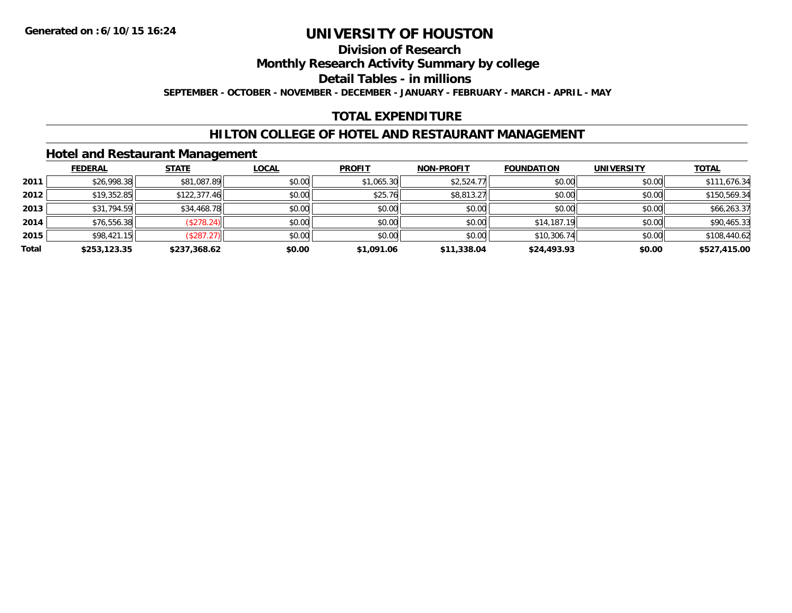#### **Division of Research**

**Monthly Research Activity Summary by college**

**Detail Tables - in millions**

**SEPTEMBER - OCTOBER - NOVEMBER - DECEMBER - JANUARY - FEBRUARY - MARCH - APRIL - MAY**

### **TOTAL EXPENDITURE**

#### **HILTON COLLEGE OF HOTEL AND RESTAURANT MANAGEMENT**

#### **Hotel and Restaurant Management**

|       | <b>FEDERAL</b> | <b>STATE</b>      | <u>LOCAL</u> | <b>PROFIT</b> | <b>NON-PROFIT</b> | <b>FOUNDATION</b> | <b>UNIVERSITY</b> | <b>TOTAL</b> |
|-------|----------------|-------------------|--------------|---------------|-------------------|-------------------|-------------------|--------------|
| 2011  | \$26,998.38    | \$81,087.89       | \$0.00       | \$1,065.30    | \$2,524.77        | \$0.00            | \$0.00            | \$111,676.34 |
| 2012  | \$19,352.85    | \$122,377.46      | \$0.00       | \$25.76       | \$8,813.27        | \$0.00            | \$0.00            | \$150,569.34 |
| 2013  | \$31,794.59    | \$34,468.78       | \$0.00       | \$0.00        | \$0.00            | \$0.00            | \$0.00            | \$66,263.37  |
| 2014  | \$76,556.38    | (\$278.24)        | \$0.00       | \$0.00        | \$0.00            | \$14,187.19       | \$0.00            | \$90,465.33  |
| 2015  | \$98,421.15    | $($ \$287.27) $ $ | \$0.00       | \$0.00        | \$0.00            | \$10,306.74       | \$0.00            | \$108,440.62 |
| Total | \$253,123.35   | \$237,368.62      | \$0.00       | \$1,091.06    | \$11,338.04       | \$24,493.93       | \$0.00            | \$527,415.00 |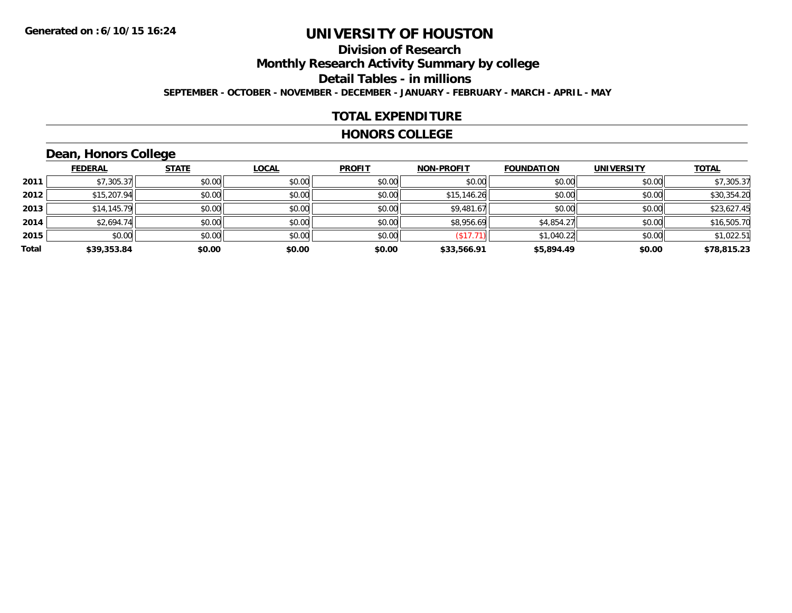### **Division of ResearchMonthly Research Activity Summary by college Detail Tables - in millions SEPTEMBER - OCTOBER - NOVEMBER - DECEMBER - JANUARY - FEBRUARY - MARCH - APRIL - MAY**

#### **TOTAL EXPENDITURE**

#### **HONORS COLLEGE**

## **Dean, Honors College**

|       |                | $\sim$       |              |               |                   |                   |                   |              |
|-------|----------------|--------------|--------------|---------------|-------------------|-------------------|-------------------|--------------|
|       | <b>FEDERAL</b> | <b>STATE</b> | <b>LOCAL</b> | <b>PROFIT</b> | <b>NON-PROFIT</b> | <b>FOUNDATION</b> | <b>UNIVERSITY</b> | <b>TOTAL</b> |
| 2011  | \$7,305.37     | \$0.00       | \$0.00       | \$0.00        | \$0.00            | \$0.00            | \$0.00            | \$7,305.37   |
| 2012  | \$15,207.94    | \$0.00       | \$0.00       | \$0.00        | \$15,146.26       | \$0.00            | \$0.00            | \$30,354.20  |
| 2013  | \$14,145.79    | \$0.00       | \$0.00       | \$0.00        | \$9,481.67        | \$0.00            | \$0.00            | \$23,627.45  |
| 2014  | \$2,694.74     | \$0.00       | \$0.00       | \$0.00        | \$8,956.69        | \$4,854.27        | \$0.00            | \$16,505.70  |
| 2015  | \$0.00         | \$0.00       | \$0.00       | \$0.00        | \$17.71           | \$1,040.22        | \$0.00            | \$1,022.51   |
| Total | \$39,353.84    | \$0.00       | \$0.00       | \$0.00        | \$33,566.91       | \$5,894.49        | \$0.00            | \$78,815.23  |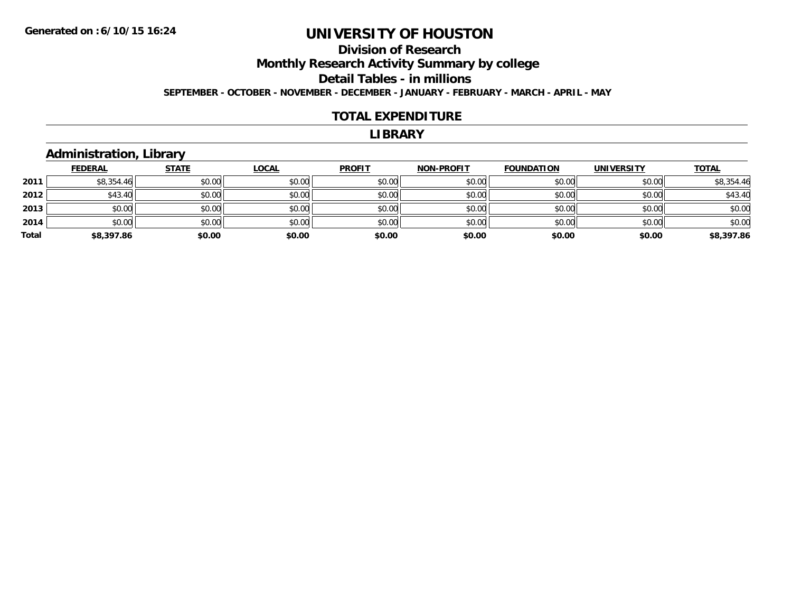### **Division of ResearchMonthly Research Activity Summary by college Detail Tables - in millions SEPTEMBER - OCTOBER - NOVEMBER - DECEMBER - JANUARY - FEBRUARY - MARCH - APRIL - MAY**

#### **TOTAL EXPENDITURE**

#### **LIBRARY**

#### **Administration, Library**

|       | <b>FEDERAL</b> | <b>STATE</b> | <b>LOCAL</b> | <b>PROFIT</b> | <b>NON-PROFIT</b> | <b>FOUNDATION</b> | <b>UNIVERSITY</b> | <b>TOTAL</b> |
|-------|----------------|--------------|--------------|---------------|-------------------|-------------------|-------------------|--------------|
| 2011  | \$8,354.46     | \$0.00       | \$0.00       | \$0.00        | \$0.00            | \$0.00            | \$0.00            | \$8,354.46   |
| 2012  | \$43.40        | \$0.00       | \$0.00       | \$0.00        | \$0.00            | \$0.00            | \$0.00            | \$43.40      |
| 2013  | \$0.00         | \$0.00       | \$0.00       | \$0.00        | \$0.00            | \$0.00            | \$0.00            | \$0.00       |
| 2014  | \$0.00         | \$0.00       | \$0.00       | \$0.00        | \$0.00            | \$0.00            | \$0.00            | \$0.00       |
| Total | \$8,397.86     | \$0.00       | \$0.00       | \$0.00        | \$0.00            | \$0.00            | \$0.00            | \$8,397.86   |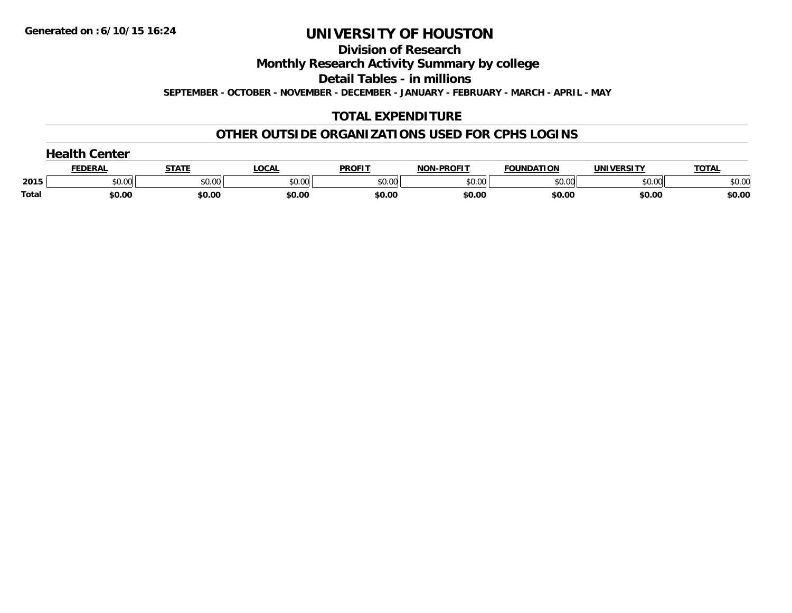**Division of Research**

**Monthly Research Activity Summary by college**

**Detail Tables - in millions**

**SEPTEMBER - OCTOBER - NOVEMBER - DECEMBER - JANUARY - FEBRUARY - MARCH - APRIL - MAY**

### **TOTAL EXPENDITURE**

#### **OTHER OUTSIDE ORGANIZATIONS USED FOR CPHS LOGINS**

|              | nealth ∂<br>Center |              |              |               |                   |                   |                   |              |
|--------------|--------------------|--------------|--------------|---------------|-------------------|-------------------|-------------------|--------------|
|              | <b>FEDERAL</b>     | <b>STATE</b> | <b>LOCAL</b> | <b>PROFIT</b> | <b>NON-PROFIT</b> | <b>FOUNDATION</b> | <b>UNIVERSITY</b> | <b>TOTAL</b> |
| 2015         | \$0.00             | \$0.00       | \$0.00       | \$0.00        | \$0.00            | \$0.00            | \$0.00            | \$0.00       |
| <b>Total</b> | \$0.00             | \$0.00       | \$0.00       | \$0.00        | \$0.00            | \$0.00            | \$0.00            | \$0.00       |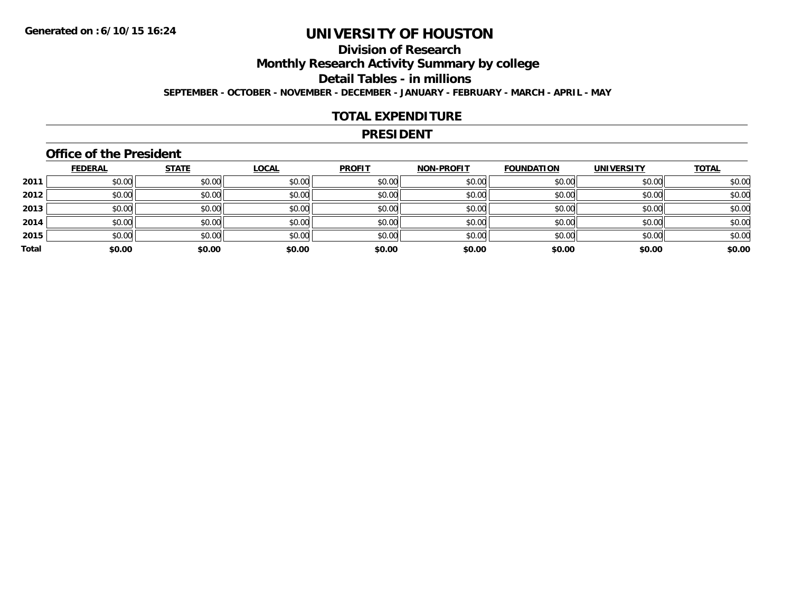### **Division of ResearchMonthly Research Activity Summary by college Detail Tables - in millions SEPTEMBER - OCTOBER - NOVEMBER - DECEMBER - JANUARY - FEBRUARY - MARCH - APRIL - MAY**

#### **TOTAL EXPENDITURE**

#### **PRESIDENT**

#### **Office of the President**

|       | <b>FEDERAL</b> | <b>STATE</b> | <b>LOCAL</b> | <b>PROFIT</b> | <b>NON-PROFIT</b> | <b>FOUNDATION</b> | <b>UNIVERSITY</b> | <b>TOTAL</b> |
|-------|----------------|--------------|--------------|---------------|-------------------|-------------------|-------------------|--------------|
| 2011  | \$0.00         | \$0.00       | \$0.00       | \$0.00        | \$0.00            | \$0.00            | \$0.00            | \$0.00       |
| 2012  | \$0.00         | \$0.00       | \$0.00       | \$0.00        | \$0.00            | \$0.00            | \$0.00            | \$0.00       |
| 2013  | \$0.00         | \$0.00       | \$0.00       | \$0.00        | \$0.00            | \$0.00            | \$0.00            | \$0.00       |
| 2014  | \$0.00         | \$0.00       | \$0.00       | \$0.00        | \$0.00            | \$0.00            | \$0.00            | \$0.00       |
| 2015  | \$0.00         | \$0.00       | \$0.00       | \$0.00        | \$0.00            | \$0.00            | \$0.00            | \$0.00       |
| Total | \$0.00         | \$0.00       | \$0.00       | \$0.00        | \$0.00            | \$0.00            | \$0.00            | \$0.00       |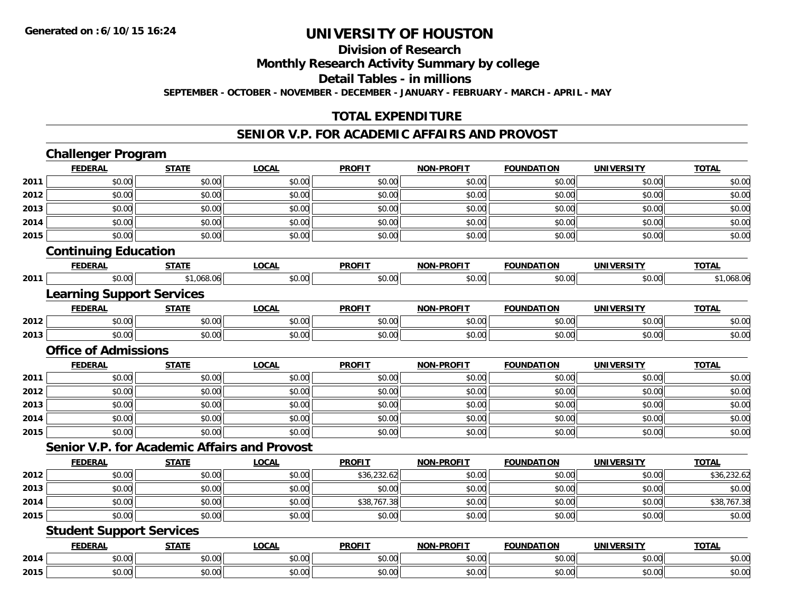#### **Division of Research**

**Monthly Research Activity Summary by college**

**Detail Tables - in millions**

**SEPTEMBER - OCTOBER - NOVEMBER - DECEMBER - JANUARY - FEBRUARY - MARCH - APRIL - MAY**

#### **TOTAL EXPENDITURE**

#### **SENIOR V.P. FOR ACADEMIC AFFAIRS AND PROVOST**

| <b>FEDERAL</b><br><b>LOCAL</b><br><b>PROFIT</b><br><b>NON-PROFIT</b><br><b>TOTAL</b><br><b>STATE</b><br><b>FOUNDATION</b><br><b>UNIVERSITY</b><br>\$0.00<br>\$0.00<br>\$0.00<br>\$0.00<br>\$0.00<br>\$0.00<br>\$0.00<br>2011<br>\$0.00<br>\$0.00<br>\$0.00<br>2012<br>\$0.00<br>\$0.00<br>\$0.00<br>\$0.00<br>2013<br>\$0.00<br>\$0.00<br>\$0.00<br>\$0.00<br>\$0.00<br>\$0.00<br>\$0.00<br>\$0.00<br>\$0.00<br>\$0.00<br>2014<br>\$0.00<br>\$0.00<br>\$0.00<br>\$0.00<br>\$0.00<br>\$0.00<br>\$0.00<br>\$0.00<br>\$0.00<br>\$0.00<br>\$0.00<br>2015<br><b>Continuing Education</b><br><b>LOCAL</b><br><b>PROFIT</b><br><b>TOTAL</b><br><b>FEDERAL</b><br><b>STATE</b><br><b>NON-PROFIT</b><br><b>FOUNDATION</b><br><b>UNIVERSITY</b><br>\$0.00<br>\$1,068.06<br>\$0.00<br>\$0.00<br>\$0.00<br>\$0.00<br>\$0.00<br>2011<br><b>Learning Support Services</b><br><b>LOCAL</b><br><b>PROFIT</b><br><b>FEDERAL</b><br><b>STATE</b><br><b>NON-PROFIT</b><br><b>FOUNDATION</b><br><b>UNIVERSITY</b><br><b>TOTAL</b><br>\$0.00<br>\$0.00<br>\$0.00<br>\$0.00<br>\$0.00<br>2012<br>\$0.00<br>\$0.00<br>\$0.00<br>\$0.00<br>2013<br>\$0.00<br>\$0.00<br>\$0.00<br>\$0.00<br>\$0.00<br><b>Office of Admissions</b><br><b>LOCAL</b><br><b>PROFIT</b><br>NON-PROFIT<br><b>FEDERAL</b><br><b>STATE</b><br><b>FOUNDATION</b><br><b>UNIVERSITY</b><br><b>TOTAL</b><br>\$0.00<br>\$0.00<br>\$0.00<br>\$0.00<br>\$0.00<br>\$0.00<br>\$0.00<br>2011<br>\$0.00<br>\$0.00<br>\$0.00<br>2012<br>\$0.00<br>\$0.00<br>\$0.00<br>\$0.00<br>\$0.00<br>\$0.00<br>\$0.00<br>\$0.00<br>2013<br>\$0.00<br>\$0.00<br>\$0.00<br>\$0.00<br>\$0.00<br>\$0.00<br>\$0.00<br>\$0.00<br>2014<br>\$0.00<br>\$0.00<br>\$0.00<br>2015<br>\$0.00<br>\$0.00<br>\$0.00<br>\$0.00<br>\$0.00<br>\$0.00<br><b>Senior V.P. for Academic Affairs and Provost</b><br><b>PROFIT</b><br><b>TOTAL</b><br><b>FEDERAL</b><br><b>STATE</b><br><b>LOCAL</b><br><b>NON-PROFIT</b><br><b>FOUNDATION</b><br><b>UNIVERSITY</b><br>\$0.00<br>\$0.00<br>\$0.00<br>\$36,232.62<br>\$0.00<br>\$0.00<br>\$0.00<br>2012<br>\$0.00<br>\$0.00<br>2013<br>\$0.00<br>\$0.00<br>\$0.00<br>\$0.00<br>\$0.00<br>\$0.00<br>\$0.00<br>\$38,767.38<br>2014<br>\$0.00<br>\$0.00<br>\$0.00<br>\$0.00<br>\$0.00<br>\$0.00<br>2015<br>\$0.00<br>\$0.00<br>\$0.00<br>\$0.00<br>\$0.00<br><b>Student Support Services</b><br><b>PROFIT</b><br><b>FEDERAL</b><br><b>STATE</b><br><b>LOCAL</b><br><b>NON-PROFIT</b><br><b>FOUNDATION</b><br><b>UNIVERSITY</b><br><b>TOTAL</b><br>\$0.00<br>\$0.00<br>\$0.00<br>\$0.00<br>\$0.00<br>\$0.00<br>\$0.00<br>\$0.00<br>\$0.00<br>\$0.00<br>\$0.00<br>2015<br>\$0.00<br>\$0.00<br>\$0.00 | <b>Challenger Program</b> |  |  |  |             |
|-----------------------------------------------------------------------------------------------------------------------------------------------------------------------------------------------------------------------------------------------------------------------------------------------------------------------------------------------------------------------------------------------------------------------------------------------------------------------------------------------------------------------------------------------------------------------------------------------------------------------------------------------------------------------------------------------------------------------------------------------------------------------------------------------------------------------------------------------------------------------------------------------------------------------------------------------------------------------------------------------------------------------------------------------------------------------------------------------------------------------------------------------------------------------------------------------------------------------------------------------------------------------------------------------------------------------------------------------------------------------------------------------------------------------------------------------------------------------------------------------------------------------------------------------------------------------------------------------------------------------------------------------------------------------------------------------------------------------------------------------------------------------------------------------------------------------------------------------------------------------------------------------------------------------------------------------------------------------------------------------------------------------------------------------------------------------------------------------------------------------------------------------------------------------------------------------------------------------------------------------------------------------------------------------------------------------------------------------------------------------------------------------------------------------------------------------------------------------------------------------------------------------------------------------------------------------------------------------------------------------------------------------|---------------------------|--|--|--|-------------|
|                                                                                                                                                                                                                                                                                                                                                                                                                                                                                                                                                                                                                                                                                                                                                                                                                                                                                                                                                                                                                                                                                                                                                                                                                                                                                                                                                                                                                                                                                                                                                                                                                                                                                                                                                                                                                                                                                                                                                                                                                                                                                                                                                                                                                                                                                                                                                                                                                                                                                                                                                                                                                                               |                           |  |  |  |             |
|                                                                                                                                                                                                                                                                                                                                                                                                                                                                                                                                                                                                                                                                                                                                                                                                                                                                                                                                                                                                                                                                                                                                                                                                                                                                                                                                                                                                                                                                                                                                                                                                                                                                                                                                                                                                                                                                                                                                                                                                                                                                                                                                                                                                                                                                                                                                                                                                                                                                                                                                                                                                                                               |                           |  |  |  | \$0.00      |
|                                                                                                                                                                                                                                                                                                                                                                                                                                                                                                                                                                                                                                                                                                                                                                                                                                                                                                                                                                                                                                                                                                                                                                                                                                                                                                                                                                                                                                                                                                                                                                                                                                                                                                                                                                                                                                                                                                                                                                                                                                                                                                                                                                                                                                                                                                                                                                                                                                                                                                                                                                                                                                               |                           |  |  |  | \$0.00      |
|                                                                                                                                                                                                                                                                                                                                                                                                                                                                                                                                                                                                                                                                                                                                                                                                                                                                                                                                                                                                                                                                                                                                                                                                                                                                                                                                                                                                                                                                                                                                                                                                                                                                                                                                                                                                                                                                                                                                                                                                                                                                                                                                                                                                                                                                                                                                                                                                                                                                                                                                                                                                                                               |                           |  |  |  | \$0.00      |
|                                                                                                                                                                                                                                                                                                                                                                                                                                                                                                                                                                                                                                                                                                                                                                                                                                                                                                                                                                                                                                                                                                                                                                                                                                                                                                                                                                                                                                                                                                                                                                                                                                                                                                                                                                                                                                                                                                                                                                                                                                                                                                                                                                                                                                                                                                                                                                                                                                                                                                                                                                                                                                               |                           |  |  |  | \$0.00      |
|                                                                                                                                                                                                                                                                                                                                                                                                                                                                                                                                                                                                                                                                                                                                                                                                                                                                                                                                                                                                                                                                                                                                                                                                                                                                                                                                                                                                                                                                                                                                                                                                                                                                                                                                                                                                                                                                                                                                                                                                                                                                                                                                                                                                                                                                                                                                                                                                                                                                                                                                                                                                                                               |                           |  |  |  | \$0.00      |
|                                                                                                                                                                                                                                                                                                                                                                                                                                                                                                                                                                                                                                                                                                                                                                                                                                                                                                                                                                                                                                                                                                                                                                                                                                                                                                                                                                                                                                                                                                                                                                                                                                                                                                                                                                                                                                                                                                                                                                                                                                                                                                                                                                                                                                                                                                                                                                                                                                                                                                                                                                                                                                               |                           |  |  |  |             |
|                                                                                                                                                                                                                                                                                                                                                                                                                                                                                                                                                                                                                                                                                                                                                                                                                                                                                                                                                                                                                                                                                                                                                                                                                                                                                                                                                                                                                                                                                                                                                                                                                                                                                                                                                                                                                                                                                                                                                                                                                                                                                                                                                                                                                                                                                                                                                                                                                                                                                                                                                                                                                                               |                           |  |  |  |             |
| 2014                                                                                                                                                                                                                                                                                                                                                                                                                                                                                                                                                                                                                                                                                                                                                                                                                                                                                                                                                                                                                                                                                                                                                                                                                                                                                                                                                                                                                                                                                                                                                                                                                                                                                                                                                                                                                                                                                                                                                                                                                                                                                                                                                                                                                                                                                                                                                                                                                                                                                                                                                                                                                                          |                           |  |  |  | \$1,068.06  |
|                                                                                                                                                                                                                                                                                                                                                                                                                                                                                                                                                                                                                                                                                                                                                                                                                                                                                                                                                                                                                                                                                                                                                                                                                                                                                                                                                                                                                                                                                                                                                                                                                                                                                                                                                                                                                                                                                                                                                                                                                                                                                                                                                                                                                                                                                                                                                                                                                                                                                                                                                                                                                                               |                           |  |  |  |             |
|                                                                                                                                                                                                                                                                                                                                                                                                                                                                                                                                                                                                                                                                                                                                                                                                                                                                                                                                                                                                                                                                                                                                                                                                                                                                                                                                                                                                                                                                                                                                                                                                                                                                                                                                                                                                                                                                                                                                                                                                                                                                                                                                                                                                                                                                                                                                                                                                                                                                                                                                                                                                                                               |                           |  |  |  |             |
|                                                                                                                                                                                                                                                                                                                                                                                                                                                                                                                                                                                                                                                                                                                                                                                                                                                                                                                                                                                                                                                                                                                                                                                                                                                                                                                                                                                                                                                                                                                                                                                                                                                                                                                                                                                                                                                                                                                                                                                                                                                                                                                                                                                                                                                                                                                                                                                                                                                                                                                                                                                                                                               |                           |  |  |  | \$0.00      |
|                                                                                                                                                                                                                                                                                                                                                                                                                                                                                                                                                                                                                                                                                                                                                                                                                                                                                                                                                                                                                                                                                                                                                                                                                                                                                                                                                                                                                                                                                                                                                                                                                                                                                                                                                                                                                                                                                                                                                                                                                                                                                                                                                                                                                                                                                                                                                                                                                                                                                                                                                                                                                                               |                           |  |  |  | \$0.00      |
|                                                                                                                                                                                                                                                                                                                                                                                                                                                                                                                                                                                                                                                                                                                                                                                                                                                                                                                                                                                                                                                                                                                                                                                                                                                                                                                                                                                                                                                                                                                                                                                                                                                                                                                                                                                                                                                                                                                                                                                                                                                                                                                                                                                                                                                                                                                                                                                                                                                                                                                                                                                                                                               |                           |  |  |  |             |
|                                                                                                                                                                                                                                                                                                                                                                                                                                                                                                                                                                                                                                                                                                                                                                                                                                                                                                                                                                                                                                                                                                                                                                                                                                                                                                                                                                                                                                                                                                                                                                                                                                                                                                                                                                                                                                                                                                                                                                                                                                                                                                                                                                                                                                                                                                                                                                                                                                                                                                                                                                                                                                               |                           |  |  |  |             |
|                                                                                                                                                                                                                                                                                                                                                                                                                                                                                                                                                                                                                                                                                                                                                                                                                                                                                                                                                                                                                                                                                                                                                                                                                                                                                                                                                                                                                                                                                                                                                                                                                                                                                                                                                                                                                                                                                                                                                                                                                                                                                                                                                                                                                                                                                                                                                                                                                                                                                                                                                                                                                                               |                           |  |  |  | \$0.00      |
|                                                                                                                                                                                                                                                                                                                                                                                                                                                                                                                                                                                                                                                                                                                                                                                                                                                                                                                                                                                                                                                                                                                                                                                                                                                                                                                                                                                                                                                                                                                                                                                                                                                                                                                                                                                                                                                                                                                                                                                                                                                                                                                                                                                                                                                                                                                                                                                                                                                                                                                                                                                                                                               |                           |  |  |  | \$0.00      |
|                                                                                                                                                                                                                                                                                                                                                                                                                                                                                                                                                                                                                                                                                                                                                                                                                                                                                                                                                                                                                                                                                                                                                                                                                                                                                                                                                                                                                                                                                                                                                                                                                                                                                                                                                                                                                                                                                                                                                                                                                                                                                                                                                                                                                                                                                                                                                                                                                                                                                                                                                                                                                                               |                           |  |  |  | \$0.00      |
|                                                                                                                                                                                                                                                                                                                                                                                                                                                                                                                                                                                                                                                                                                                                                                                                                                                                                                                                                                                                                                                                                                                                                                                                                                                                                                                                                                                                                                                                                                                                                                                                                                                                                                                                                                                                                                                                                                                                                                                                                                                                                                                                                                                                                                                                                                                                                                                                                                                                                                                                                                                                                                               |                           |  |  |  | \$0.00      |
|                                                                                                                                                                                                                                                                                                                                                                                                                                                                                                                                                                                                                                                                                                                                                                                                                                                                                                                                                                                                                                                                                                                                                                                                                                                                                                                                                                                                                                                                                                                                                                                                                                                                                                                                                                                                                                                                                                                                                                                                                                                                                                                                                                                                                                                                                                                                                                                                                                                                                                                                                                                                                                               |                           |  |  |  | \$0.00      |
|                                                                                                                                                                                                                                                                                                                                                                                                                                                                                                                                                                                                                                                                                                                                                                                                                                                                                                                                                                                                                                                                                                                                                                                                                                                                                                                                                                                                                                                                                                                                                                                                                                                                                                                                                                                                                                                                                                                                                                                                                                                                                                                                                                                                                                                                                                                                                                                                                                                                                                                                                                                                                                               |                           |  |  |  |             |
|                                                                                                                                                                                                                                                                                                                                                                                                                                                                                                                                                                                                                                                                                                                                                                                                                                                                                                                                                                                                                                                                                                                                                                                                                                                                                                                                                                                                                                                                                                                                                                                                                                                                                                                                                                                                                                                                                                                                                                                                                                                                                                                                                                                                                                                                                                                                                                                                                                                                                                                                                                                                                                               |                           |  |  |  |             |
|                                                                                                                                                                                                                                                                                                                                                                                                                                                                                                                                                                                                                                                                                                                                                                                                                                                                                                                                                                                                                                                                                                                                                                                                                                                                                                                                                                                                                                                                                                                                                                                                                                                                                                                                                                                                                                                                                                                                                                                                                                                                                                                                                                                                                                                                                                                                                                                                                                                                                                                                                                                                                                               |                           |  |  |  | \$36,232.62 |
|                                                                                                                                                                                                                                                                                                                                                                                                                                                                                                                                                                                                                                                                                                                                                                                                                                                                                                                                                                                                                                                                                                                                                                                                                                                                                                                                                                                                                                                                                                                                                                                                                                                                                                                                                                                                                                                                                                                                                                                                                                                                                                                                                                                                                                                                                                                                                                                                                                                                                                                                                                                                                                               |                           |  |  |  | \$0.00      |
|                                                                                                                                                                                                                                                                                                                                                                                                                                                                                                                                                                                                                                                                                                                                                                                                                                                                                                                                                                                                                                                                                                                                                                                                                                                                                                                                                                                                                                                                                                                                                                                                                                                                                                                                                                                                                                                                                                                                                                                                                                                                                                                                                                                                                                                                                                                                                                                                                                                                                                                                                                                                                                               |                           |  |  |  | \$38,767.38 |
|                                                                                                                                                                                                                                                                                                                                                                                                                                                                                                                                                                                                                                                                                                                                                                                                                                                                                                                                                                                                                                                                                                                                                                                                                                                                                                                                                                                                                                                                                                                                                                                                                                                                                                                                                                                                                                                                                                                                                                                                                                                                                                                                                                                                                                                                                                                                                                                                                                                                                                                                                                                                                                               |                           |  |  |  | \$0.00      |
|                                                                                                                                                                                                                                                                                                                                                                                                                                                                                                                                                                                                                                                                                                                                                                                                                                                                                                                                                                                                                                                                                                                                                                                                                                                                                                                                                                                                                                                                                                                                                                                                                                                                                                                                                                                                                                                                                                                                                                                                                                                                                                                                                                                                                                                                                                                                                                                                                                                                                                                                                                                                                                               |                           |  |  |  |             |
|                                                                                                                                                                                                                                                                                                                                                                                                                                                                                                                                                                                                                                                                                                                                                                                                                                                                                                                                                                                                                                                                                                                                                                                                                                                                                                                                                                                                                                                                                                                                                                                                                                                                                                                                                                                                                                                                                                                                                                                                                                                                                                                                                                                                                                                                                                                                                                                                                                                                                                                                                                                                                                               |                           |  |  |  |             |
|                                                                                                                                                                                                                                                                                                                                                                                                                                                                                                                                                                                                                                                                                                                                                                                                                                                                                                                                                                                                                                                                                                                                                                                                                                                                                                                                                                                                                                                                                                                                                                                                                                                                                                                                                                                                                                                                                                                                                                                                                                                                                                                                                                                                                                                                                                                                                                                                                                                                                                                                                                                                                                               |                           |  |  |  | \$0.00      |
|                                                                                                                                                                                                                                                                                                                                                                                                                                                                                                                                                                                                                                                                                                                                                                                                                                                                                                                                                                                                                                                                                                                                                                                                                                                                                                                                                                                                                                                                                                                                                                                                                                                                                                                                                                                                                                                                                                                                                                                                                                                                                                                                                                                                                                                                                                                                                                                                                                                                                                                                                                                                                                               |                           |  |  |  | \$0.00      |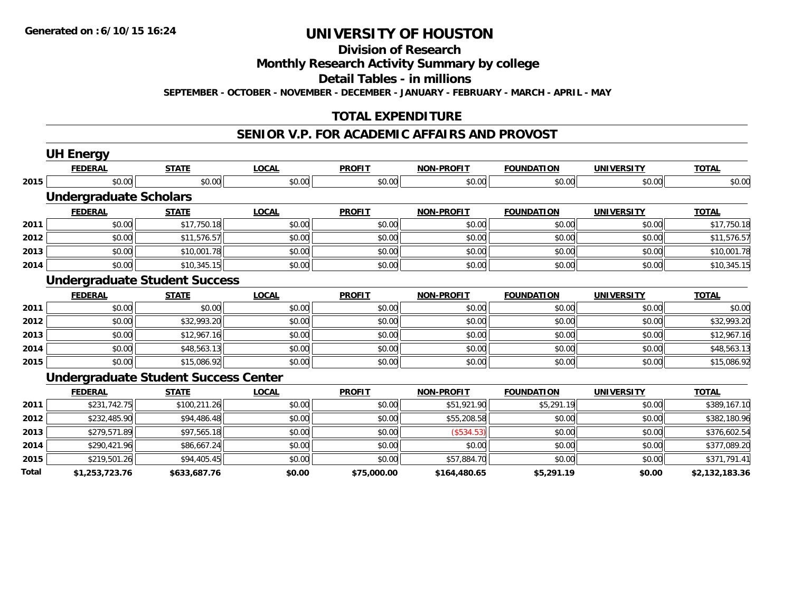### **Division of Research**

**Monthly Research Activity Summary by college**

**Detail Tables - in millions**

**SEPTEMBER - OCTOBER - NOVEMBER - DECEMBER - JANUARY - FEBRUARY - MARCH - APRIL - MAY**

#### **TOTAL EXPENDITURE**

#### **SENIOR V.P. FOR ACADEMIC AFFAIRS AND PROVOST**

|       | <b>UH Energy</b>              |                                             |              |               |                   |                   |                   |                |
|-------|-------------------------------|---------------------------------------------|--------------|---------------|-------------------|-------------------|-------------------|----------------|
|       | <b>FEDERAL</b>                | <b>STATE</b>                                | <b>LOCAL</b> | <b>PROFIT</b> | <b>NON-PROFIT</b> | <b>FOUNDATION</b> | UNIVERSITY        | <b>TOTAL</b>   |
| 2015  | \$0.00                        | \$0.00                                      | \$0.00       | \$0.00        | \$0.00            | \$0.00            | \$0.00            | \$0.00         |
|       | <b>Undergraduate Scholars</b> |                                             |              |               |                   |                   |                   |                |
|       | <b>FEDERAL</b>                | <b>STATE</b>                                | <b>LOCAL</b> | <b>PROFIT</b> | <b>NON-PROFIT</b> | <b>FOUNDATION</b> | UNIVERSITY        | <b>TOTAL</b>   |
| 2011  | \$0.00                        | \$17,750.18                                 | \$0.00       | \$0.00        | \$0.00            | \$0.00            | \$0.00            | \$17,750.18    |
| 2012  | \$0.00                        | \$11,576.57                                 | \$0.00       | \$0.00        | \$0.00            | \$0.00            | \$0.00            | \$11,576.57    |
| 2013  | \$0.00                        | \$10,001.78                                 | \$0.00       | \$0.00        | \$0.00            | \$0.00            | \$0.00            | \$10,001.78    |
| 2014  | \$0.00                        | \$10,345.15                                 | \$0.00       | \$0.00        | \$0.00            | \$0.00            | \$0.00            | \$10,345.15    |
|       |                               | <b>Undergraduate Student Success</b>        |              |               |                   |                   |                   |                |
|       | <b>FEDERAL</b>                | <b>STATE</b>                                | <b>LOCAL</b> | <b>PROFIT</b> | <b>NON-PROFIT</b> | <b>FOUNDATION</b> | <b>UNIVERSITY</b> | <b>TOTAL</b>   |
| 2011  | \$0.00                        | \$0.00                                      | \$0.00       | \$0.00        | \$0.00            | \$0.00            | \$0.00            | \$0.00         |
| 2012  | \$0.00                        | \$32,993.20                                 | \$0.00       | \$0.00        | \$0.00            | \$0.00            | \$0.00            | \$32,993.20    |
| 2013  | \$0.00                        | \$12,967.16                                 | \$0.00       | \$0.00        | \$0.00            | \$0.00            | \$0.00            | \$12,967.16    |
| 2014  | \$0.00                        | \$48,563.13                                 | \$0.00       | \$0.00        | \$0.00            | \$0.00            | \$0.00            | \$48,563.13    |
| 2015  | \$0.00                        | \$15,086.92                                 | \$0.00       | \$0.00        | \$0.00            | \$0.00            | \$0.00            | \$15,086.92    |
|       |                               | <b>Undergraduate Student Success Center</b> |              |               |                   |                   |                   |                |
|       | <b>FEDERAL</b>                | <b>STATE</b>                                | <b>LOCAL</b> | <b>PROFIT</b> | <b>NON-PROFIT</b> | <b>FOUNDATION</b> | <b>UNIVERSITY</b> | <b>TOTAL</b>   |
| 2011  | \$231,742.75                  | \$100,211.26                                | \$0.00       | \$0.00        | \$51,921.90       | \$5,291.19        | \$0.00            | \$389,167.10   |
| 2012  | \$232,485.90                  | \$94,486.48                                 | \$0.00       | \$0.00        | \$55,208.58       | \$0.00            | \$0.00            | \$382,180.96   |
| 2013  | \$279,571.89                  | \$97,565.18                                 | \$0.00       | \$0.00        | (\$534.53)        | \$0.00            | \$0.00            | \$376,602.54   |
| 2014  | \$290,421.96                  | \$86,667.24                                 | \$0.00       | \$0.00        | \$0.00            | \$0.00            | \$0.00            | \$377,089.20   |
| 2015  | \$219,501.26                  | \$94,405.45                                 | \$0.00       | \$0.00        | \$57,884.70       | \$0.00            | \$0.00            | \$371,791.41   |
| Total | \$1,253,723.76                | \$633,687.76                                | \$0.00       | \$75,000.00   | \$164,480.65      | \$5,291.19        | \$0.00            | \$2,132,183.36 |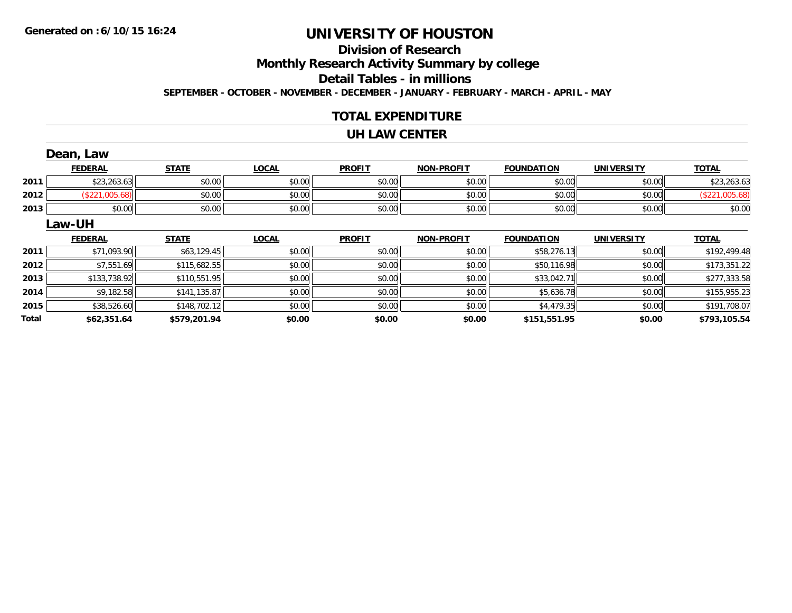# **Division of Research**

**Monthly Research Activity Summary by college**

**Detail Tables - in millions**

**SEPTEMBER - OCTOBER - NOVEMBER - DECEMBER - JANUARY - FEBRUARY - MARCH - APRIL - MAY**

#### **TOTAL EXPENDITURE**

#### **UH LAW CENTER**

|              | Dean, Law      |              |              |               |                   |                   |                   |                |
|--------------|----------------|--------------|--------------|---------------|-------------------|-------------------|-------------------|----------------|
|              | <b>FEDERAL</b> | <b>STATE</b> | <b>LOCAL</b> | <b>PROFIT</b> | <b>NON-PROFIT</b> | <b>FOUNDATION</b> | <b>UNIVERSITY</b> | <b>TOTAL</b>   |
| 2011         | \$23,263.63    | \$0.00       | \$0.00       | \$0.00        | \$0.00            | \$0.00            | \$0.00            | \$23,263.63    |
| 2012         | (\$221,005.68) | \$0.00       | \$0.00       | \$0.00        | \$0.00            | \$0.00            | \$0.00            | (\$221,005.68) |
| 2013         | \$0.00         | \$0.00       | \$0.00       | \$0.00        | \$0.00            | \$0.00            | \$0.00            | \$0.00         |
|              | Law-UH         |              |              |               |                   |                   |                   |                |
|              | <b>FEDERAL</b> | <b>STATE</b> | <b>LOCAL</b> | <b>PROFIT</b> | <b>NON-PROFIT</b> | <b>FOUNDATION</b> | <b>UNIVERSITY</b> | <b>TOTAL</b>   |
| 2011         | \$71,093.90    | \$63,129.45  | \$0.00       | \$0.00        | \$0.00            | \$58,276.13       | \$0.00            | \$192,499.48   |
| 2012         | \$7,551.69     | \$115,682.55 | \$0.00       | \$0.00        | \$0.00            | \$50,116.98       | \$0.00            | \$173,351.22   |
| 2013         | \$133,738.92   | \$110,551.95 | \$0.00       | \$0.00        | \$0.00            | \$33,042.71       | \$0.00            | \$277,333.58   |
| 2014         | \$9,182.58     | \$141,135.87 | \$0.00       | \$0.00        | \$0.00            | \$5,636.78        | \$0.00            | \$155,955.23   |
| 2015         | \$38,526.60    | \$148,702.12 | \$0.00       | \$0.00        | \$0.00            | \$4,479.35        | \$0.00            | \$191,708.07   |
| <b>Total</b> | \$62,351.64    | \$579,201.94 | \$0.00       | \$0.00        | \$0.00            | \$151,551.95      | \$0.00            | \$793,105.54   |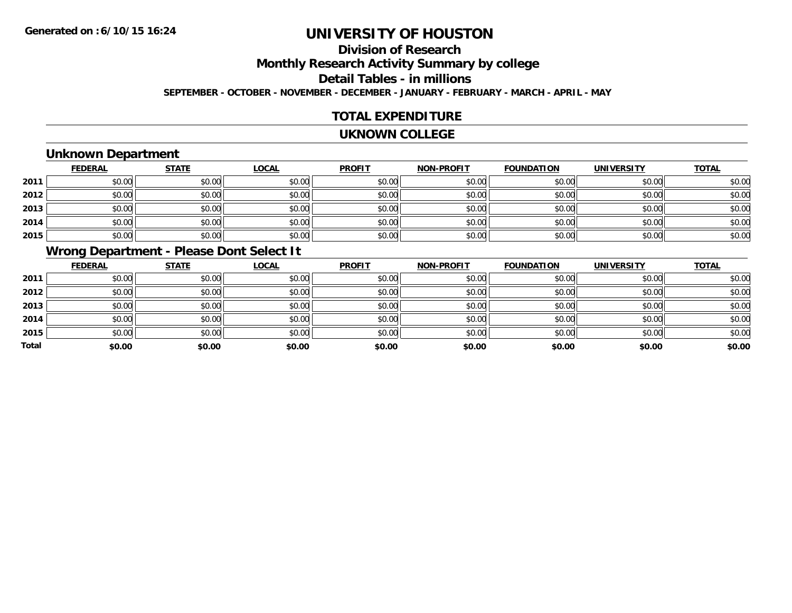### **Division of ResearchMonthly Research Activity Summary by college Detail Tables - in millions SEPTEMBER - OCTOBER - NOVEMBER - DECEMBER - JANUARY - FEBRUARY - MARCH - APRIL - MAY**

#### **TOTAL EXPENDITURE**

#### **UKNOWN COLLEGE**

### **Unknown Department**

|      | <b>FEDERAL</b> | <b>STATE</b> | <b>LOCAL</b> | <b>PROFIT</b> | <b>NON-PROFIT</b> | <b>FOUNDATION</b> | <b>UNIVERSITY</b> | <b>TOTAL</b> |
|------|----------------|--------------|--------------|---------------|-------------------|-------------------|-------------------|--------------|
| 2011 | \$0.00         | \$0.00       | \$0.00       | \$0.00        | \$0.00            | \$0.00            | \$0.00            | \$0.00       |
| 2012 | \$0.00         | \$0.00       | \$0.00       | \$0.00        | \$0.00            | \$0.00            | \$0.00            | \$0.00       |
| 2013 | \$0.00         | \$0.00       | \$0.00       | \$0.00        | \$0.00            | \$0.00            | \$0.00            | \$0.00       |
| 2014 | \$0.00         | \$0.00       | \$0.00       | \$0.00        | \$0.00            | \$0.00            | \$0.00            | \$0.00       |
| 2015 | \$0.00         | \$0.00       | \$0.00       | \$0.00        | \$0.00            | \$0.00            | \$0.00            | \$0.00       |

### **Wrong Department - Please Dont Select It**

|              | <b>FEDERAL</b> | <b>STATE</b> | <b>LOCAL</b> | <b>PROFIT</b> | <b>NON-PROFIT</b> | <b>FOUNDATION</b> | <b>UNIVERSITY</b> | <b>TOTAL</b> |
|--------------|----------------|--------------|--------------|---------------|-------------------|-------------------|-------------------|--------------|
| 2011         | \$0.00         | \$0.00       | \$0.00       | \$0.00        | \$0.00            | \$0.00            | \$0.00            | \$0.00       |
| 2012         | \$0.00         | \$0.00       | \$0.00       | \$0.00        | \$0.00            | \$0.00            | \$0.00            | \$0.00       |
| 2013         | \$0.00         | \$0.00       | \$0.00       | \$0.00        | \$0.00            | \$0.00            | \$0.00            | \$0.00       |
| 2014         | \$0.00         | \$0.00       | \$0.00       | \$0.00        | \$0.00            | \$0.00            | \$0.00            | \$0.00       |
| 2015         | \$0.00         | \$0.00       | \$0.00       | \$0.00        | \$0.00            | \$0.00            | \$0.00            | \$0.00       |
| <b>Total</b> | \$0.00         | \$0.00       | \$0.00       | \$0.00        | \$0.00            | \$0.00            | \$0.00            | \$0.00       |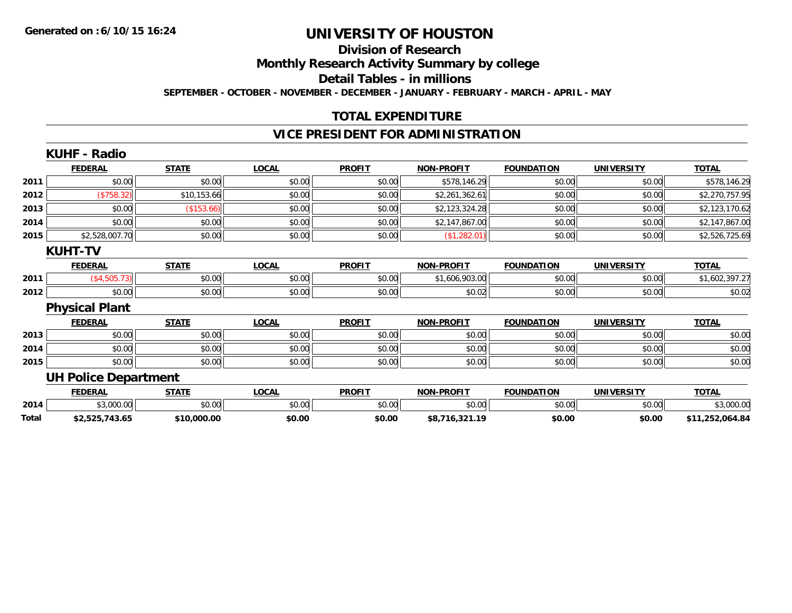#### **Division of Research**

**Monthly Research Activity Summary by college**

**Detail Tables - in millions**

**SEPTEMBER - OCTOBER - NOVEMBER - DECEMBER - JANUARY - FEBRUARY - MARCH - APRIL - MAY**

#### **TOTAL EXPENDITURE**

#### **VICE PRESIDENT FOR ADMINISTRATION**

|       | <b>KUHF - Radio</b>         |              |              |               |                   |                   |                   |                 |
|-------|-----------------------------|--------------|--------------|---------------|-------------------|-------------------|-------------------|-----------------|
|       | <b>FEDERAL</b>              | <b>STATE</b> | <b>LOCAL</b> | <b>PROFIT</b> | <b>NON-PROFIT</b> | <b>FOUNDATION</b> | <b>UNIVERSITY</b> | <b>TOTAL</b>    |
| 2011  | \$0.00                      | \$0.00       | \$0.00       | \$0.00        | \$578,146.29      | \$0.00            | \$0.00            | \$578,146.29    |
| 2012  | (\$758.32)                  | \$10,153.66  | \$0.00       | \$0.00        | \$2,261,362.61    | \$0.00            | \$0.00            | \$2,270,757.95  |
| 2013  | \$0.00                      | (\$153.66)   | \$0.00       | \$0.00        | \$2,123,324.28    | \$0.00            | \$0.00            | \$2,123,170.62  |
| 2014  | \$0.00                      | \$0.00       | \$0.00       | \$0.00        | \$2,147,867.00    | \$0.00            | \$0.00            | \$2,147,867.00  |
| 2015  | \$2,528,007.70              | \$0.00       | \$0.00       | \$0.00        | (\$1,282.01)      | \$0.00            | \$0.00            | \$2,526,725.69  |
|       | <b>KUHT-TV</b>              |              |              |               |                   |                   |                   |                 |
|       | <b>FEDERAL</b>              | <b>STATE</b> | <b>LOCAL</b> | <b>PROFIT</b> | <b>NON-PROFIT</b> | <b>FOUNDATION</b> | <b>UNIVERSITY</b> | <b>TOTAL</b>    |
| 2011  | (\$4,505.73)                | \$0.00       | \$0.00       | \$0.00        | \$1,606,903.00    | \$0.00            | \$0.00            | \$1,602,397.27  |
| 2012  | \$0.00                      | \$0.00       | \$0.00       | \$0.00        | \$0.02            | \$0.00            | \$0.00            | \$0.02          |
|       | <b>Physical Plant</b>       |              |              |               |                   |                   |                   |                 |
|       | <b>FEDERAL</b>              | <b>STATE</b> | <b>LOCAL</b> | <b>PROFIT</b> | <b>NON-PROFIT</b> | <b>FOUNDATION</b> | <b>UNIVERSITY</b> | <b>TOTAL</b>    |
| 2013  | \$0.00                      | \$0.00       | \$0.00       | \$0.00        | \$0.00            | \$0.00            | \$0.00            | \$0.00          |
| 2014  | \$0.00                      | \$0.00       | \$0.00       | \$0.00        | \$0.00            | \$0.00            | \$0.00            | \$0.00          |
| 2015  | \$0.00                      | \$0.00       | \$0.00       | \$0.00        | \$0.00            | \$0.00            | \$0.00            | \$0.00          |
|       | <b>UH Police Department</b> |              |              |               |                   |                   |                   |                 |
|       | <b>FEDERAL</b>              | <b>STATE</b> | <b>LOCAL</b> | <b>PROFIT</b> | <b>NON-PROFIT</b> | <b>FOUNDATION</b> | <b>UNIVERSITY</b> | <b>TOTAL</b>    |
| 2014  | \$3,000.00                  | \$0.00       | \$0.00       | \$0.00        | \$0.00            | \$0.00            | \$0.00            | \$3,000.00      |
| Total | \$2,525,743.65              | \$10,000.00  | \$0.00       | \$0.00        | \$8,716,321.19    | \$0.00            | \$0.00            | \$11,252,064.84 |
|       |                             |              |              |               |                   |                   |                   |                 |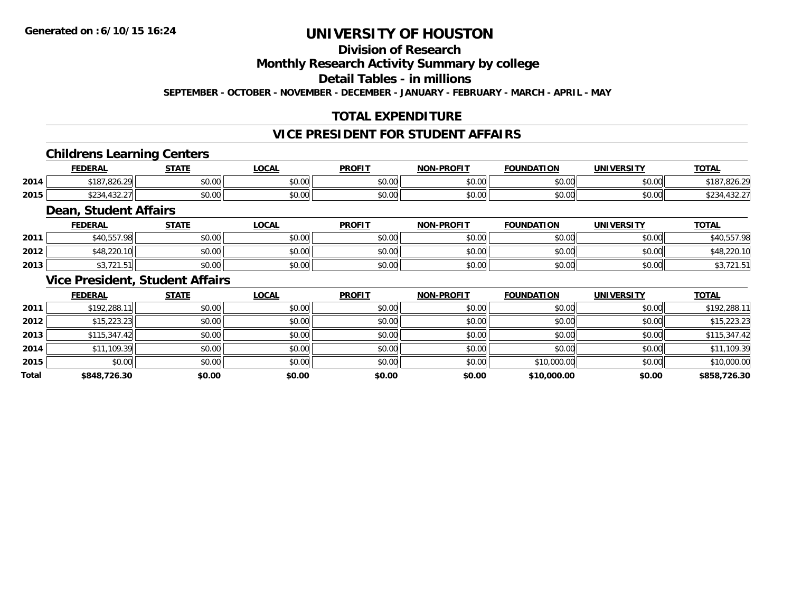#### **Division of Research**

**Monthly Research Activity Summary by college**

**Detail Tables - in millions**

**SEPTEMBER - OCTOBER - NOVEMBER - DECEMBER - JANUARY - FEBRUARY - MARCH - APRIL - MAY**

### **TOTAL EXPENDITURE**

#### **VICE PRESIDENT FOR STUDENT AFFAIRS**

#### **Childrens Learning Centers**

|      | <b>FEDERAL</b>                                                 | <b>CTATE</b>               | <b>OCAL</b>   | <b>PROFIT</b>        | <b>NON-PROFIT</b> | <b>FOUNDATION</b> | <b>UNIVERSITY</b> | <b>TOTA</b>                     |
|------|----------------------------------------------------------------|----------------------------|---------------|----------------------|-------------------|-------------------|-------------------|---------------------------------|
| 2014 | 7.826.29<br>$\mathsf{A} \mathsf{A} \mathsf{A} \mathsf{A}$<br>. | 0000<br>DU.UG              | 0.00<br>pu.uu | 0.00<br><b>DU.UU</b> | \$0.00            | 0000<br>JU.UU     | \$0.00            | DZ0.Z<br>10.                    |
| 2015 | ሐ へへ<br>$\sqrt{2}$<br>$-.21$<br>4ఎ∠                            | $*$ $\cap$ $\cap$<br>DU.UU | 0.00<br>DU.UU | 0.00<br>JU.UU        | \$0.00            | 0000<br>JU.UU     | \$0.00            | $\sim$<br>$\sim$ $\sim$<br>7.JZ |

#### **Dean, Student Affairs**

|      | <b>FEDERAL</b>                        | <b>STATE</b> | <b>LOCAL</b> | <b>PROFIT</b> | <b>NON-PROFIT</b> | <b>FOUNDATION</b> | UNIVERSITY | <b>TOTAL</b>                             |
|------|---------------------------------------|--------------|--------------|---------------|-------------------|-------------------|------------|------------------------------------------|
| 2011 | 1 557 091                             | \$0.00       | \$0.00       | \$0.00        | \$0.00            | mn n¢<br>JU.UU    | \$0.00     | 0 10 E E 7<br>O.<br><b>55</b>            |
| 2012 | \$48,220.<br>$\overline{\phantom{a}}$ | \$0.00       | \$0.00       | \$0.00        | \$0.00            | \$0.00            | \$0.00     | \$48,220.10                              |
| 2013 | $\sim$ $\sim$ $\sim$<br>ں ، اے        | \$0.00       | \$0.00       | \$0.00        | \$0.00            | \$0.00            | \$0.00     | $\overline{\phantom{a}}$<br>70, 12 I . J |

#### **Vice President, Student Affairs**

|              | <b>FEDERAL</b> | <b>STATE</b> | <u>LOCAL</u> | <b>PROFIT</b> | <b>NON-PROFIT</b> | <b>FOUNDATION</b> | <b>UNIVERSITY</b> | <b>TOTAL</b> |
|--------------|----------------|--------------|--------------|---------------|-------------------|-------------------|-------------------|--------------|
| 2011         | \$192,288.11   | \$0.00       | \$0.00       | \$0.00        | \$0.00            | \$0.00            | \$0.00            | \$192,288.11 |
| 2012         | \$15,223.23    | \$0.00       | \$0.00       | \$0.00        | \$0.00            | \$0.00            | \$0.00            | \$15,223.23  |
| 2013         | \$115,347.42   | \$0.00       | \$0.00       | \$0.00        | \$0.00            | \$0.00            | \$0.00            | \$115,347.42 |
| 2014         | \$11,109.39    | \$0.00       | \$0.00       | \$0.00        | \$0.00            | \$0.00            | \$0.00            | \$11,109.39  |
| 2015         | \$0.00         | \$0.00       | \$0.00       | \$0.00        | \$0.00            | \$10,000.00       | \$0.00            | \$10,000.00  |
| <b>Total</b> | \$848,726.30   | \$0.00       | \$0.00       | \$0.00        | \$0.00            | \$10,000.00       | \$0.00            | \$858,726.30 |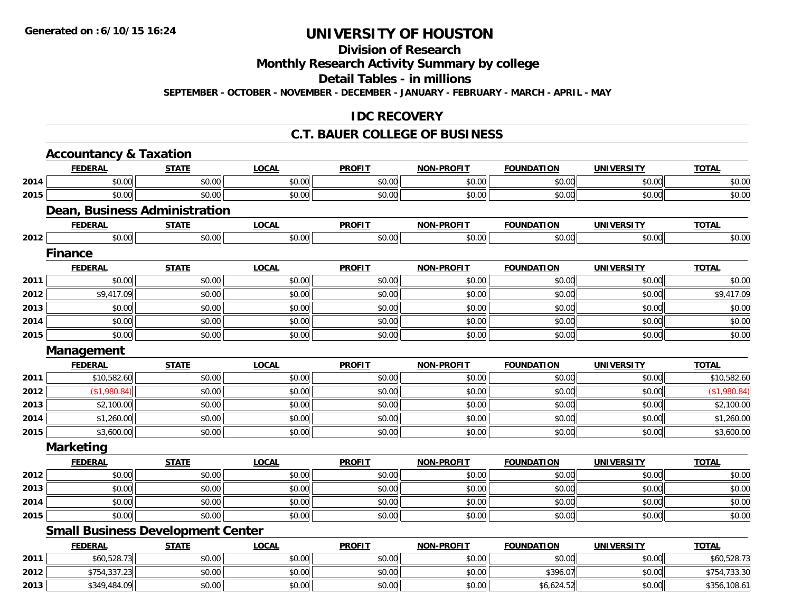### **Division of Research**

**Monthly Research Activity Summary by college**

**Detail Tables - in millions**

**SEPTEMBER - OCTOBER - NOVEMBER - DECEMBER - JANUARY - FEBRUARY - MARCH - APRIL - MAY**

#### **IDC RECOVERY**

#### **C.T. BAUER COLLEGE OF BUSINESS**

|      | <b>Accountancy &amp; Taxation</b>        |              |              |               |                   |                   |                   |              |
|------|------------------------------------------|--------------|--------------|---------------|-------------------|-------------------|-------------------|--------------|
|      | <b>FEDERAL</b>                           | <b>STATE</b> | <b>LOCAL</b> | <b>PROFIT</b> | NON-PROFIT        | <b>FOUNDATION</b> | <b>UNIVERSITY</b> | <b>TOTAL</b> |
| 2014 | \$0.00                                   | \$0.00       | \$0.00       | \$0.00        | \$0.00            | \$0.00            | \$0.00            | \$0.00       |
| 2015 | \$0.00                                   | \$0.00       | \$0.00       | \$0.00        | \$0.00            | \$0.00            | \$0.00            | \$0.00       |
|      | <b>Dean, Business Administration</b>     |              |              |               |                   |                   |                   |              |
|      | <b>FEDERAL</b>                           | <b>STATE</b> | <b>LOCAL</b> | <b>PROFIT</b> | <b>NON-PROFIT</b> | <b>FOUNDATION</b> | <b>UNIVERSITY</b> | <b>TOTAL</b> |
| 2012 | \$0.00                                   | \$0.00       | \$0.00       | \$0.00        | \$0.00            | \$0.00            | \$0.00            | \$0.00       |
|      | <b>Finance</b>                           |              |              |               |                   |                   |                   |              |
|      | <b>FEDERAL</b>                           | <b>STATE</b> | <b>LOCAL</b> | <b>PROFIT</b> | <b>NON-PROFIT</b> | <b>FOUNDATION</b> | <b>UNIVERSITY</b> | <b>TOTAL</b> |
| 2011 | \$0.00                                   | \$0.00       | \$0.00       | \$0.00        | \$0.00            | \$0.00            | \$0.00            | \$0.00       |
| 2012 | \$9,417.09                               | \$0.00       | \$0.00       | \$0.00        | \$0.00            | \$0.00            | \$0.00            | \$9,417.09   |
| 2013 | \$0.00                                   | \$0.00       | \$0.00       | \$0.00        | \$0.00            | \$0.00            | \$0.00            | \$0.00       |
| 2014 | \$0.00                                   | \$0.00       | \$0.00       | \$0.00        | \$0.00            | \$0.00            | \$0.00            | \$0.00       |
| 2015 | \$0.00                                   | \$0.00       | \$0.00       | \$0.00        | \$0.00            | \$0.00            | \$0.00            | \$0.00       |
|      | Management                               |              |              |               |                   |                   |                   |              |
|      | <b>FEDERAL</b>                           | <b>STATE</b> | <b>LOCAL</b> | <b>PROFIT</b> | NON-PROFIT        | <b>FOUNDATION</b> | <b>UNIVERSITY</b> | <b>TOTAL</b> |
| 2011 | \$10,582.60                              | \$0.00       | \$0.00       | \$0.00        | \$0.00            | \$0.00            | \$0.00            | \$10,582.60  |
| 2012 | (\$1,980.84)                             | \$0.00       | \$0.00       | \$0.00        | \$0.00            | \$0.00            | \$0.00            | (\$1,980.84) |
| 2013 | \$2,100.00                               | \$0.00       | \$0.00       | \$0.00        | \$0.00            | \$0.00            | \$0.00            | \$2,100.00   |
| 2014 | \$1,260.00                               | \$0.00       | \$0.00       | \$0.00        | \$0.00            | \$0.00            | \$0.00            | \$1,260.00   |
| 2015 | \$3,600.00                               | \$0.00       | \$0.00       | \$0.00        | \$0.00            | \$0.00            | \$0.00            | \$3,600.00   |
|      | <b>Marketing</b>                         |              |              |               |                   |                   |                   |              |
|      | <b>FEDERAL</b>                           | <b>STATE</b> | <b>LOCAL</b> | <b>PROFIT</b> | <b>NON-PROFIT</b> | <b>FOUNDATION</b> | <b>UNIVERSITY</b> | <b>TOTAL</b> |
| 2012 | \$0.00                                   | \$0.00       | \$0.00       | \$0.00        | \$0.00            | \$0.00            | \$0.00            | \$0.00       |
| 2013 | \$0.00                                   | \$0.00       | \$0.00       | \$0.00        | \$0.00            | \$0.00            | \$0.00            | \$0.00       |
| 2014 | \$0.00                                   | \$0.00       | \$0.00       | \$0.00        | \$0.00            | \$0.00            | \$0.00            | \$0.00       |
| 2015 | \$0.00                                   | \$0.00       | \$0.00       | \$0.00        | \$0.00            | \$0.00            | \$0.00            | \$0.00       |
|      | <b>Small Business Development Center</b> |              |              |               |                   |                   |                   |              |
|      | <b>FEDERAL</b>                           | <b>STATE</b> | <b>LOCAL</b> | <b>PROFIT</b> | <b>NON-PROFIT</b> | <b>FOUNDATION</b> | <b>UNIVERSITY</b> | <b>TOTAL</b> |
| 2011 | \$60,528.73                              | \$0.00       | \$0.00       | \$0.00        | \$0.00            | \$0.00            | \$0.00            | \$60,528.73  |
| 2012 | \$754,337.23                             | \$0.00       | \$0.00       | \$0.00        | \$0.00            | \$396.07          | \$0.00            | \$754,733.30 |
| 2013 | \$349,484.09                             | \$0.00       | \$0.00       | \$0.00        | \$0.00            | \$6,624.52        | \$0.00            | \$356,108.61 |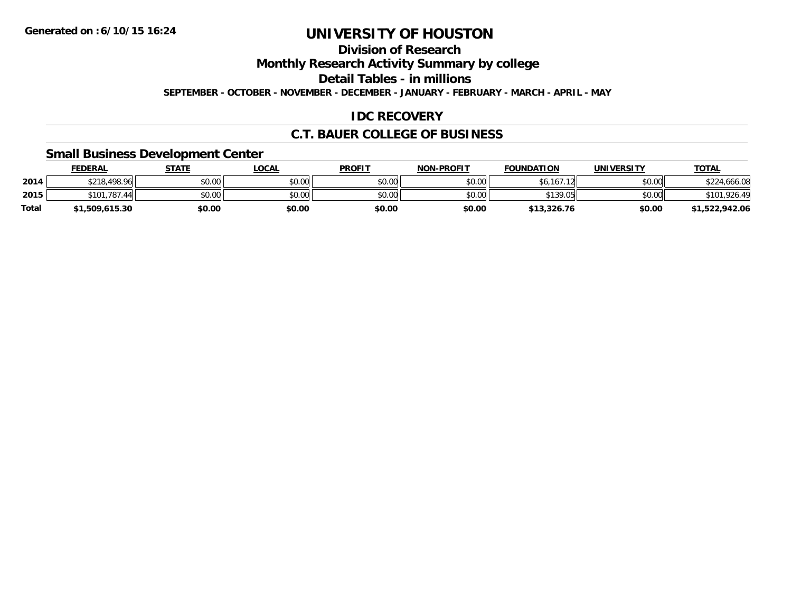**Division of Research**

**Monthly Research Activity Summary by college**

**Detail Tables - in millions**

**SEPTEMBER - OCTOBER - NOVEMBER - DECEMBER - JANUARY - FEBRUARY - MARCH - APRIL - MAY**

#### **IDC RECOVERY**

#### **C.T. BAUER COLLEGE OF BUSINESS**

#### **Small Business Development Center**

|              | <b>FEDERAL</b> | <b>STATE</b> | <b>LOCAL</b> | <b>PROFIT</b> | <b>NON-PROFIT</b> | <b>FOUNDATION</b> | UNIVERSITY | <u>TOTAL</u>   |
|--------------|----------------|--------------|--------------|---------------|-------------------|-------------------|------------|----------------|
| 2014         | \$218,498.96   | \$0.00       | \$0.00       | \$0.00        | \$0.00            | .167.12<br>\$6    | \$0.00     | \$224,666.08   |
| 2015         | \$101,787.44   | \$0.00       | \$0.00       | \$0.00        | \$0.00            | \$139.05          | \$0.00     | \$101,926.49   |
| <b>Total</b> | 1,509,615.30   | \$0.00       | \$0.00       | \$0.00        | \$0.00            | \$13,326.76       | \$0.00     | \$1,522,942.06 |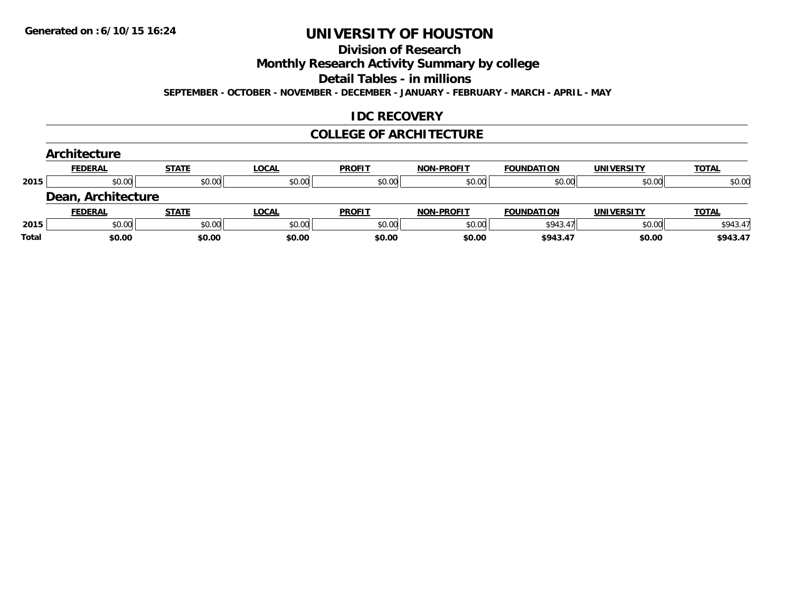#### **Division of Research**

**Monthly Research Activity Summary by college**

**Detail Tables - in millions**

**SEPTEMBER - OCTOBER - NOVEMBER - DECEMBER - JANUARY - FEBRUARY - MARCH - APRIL - MAY**

#### **IDC RECOVERY**

#### **COLLEGE OF ARCHITECTURE**

|       | Architecture       |              |              |               |                   |                   |                   |              |
|-------|--------------------|--------------|--------------|---------------|-------------------|-------------------|-------------------|--------------|
|       | <b>FEDERAL</b>     | <b>STATE</b> | <b>LOCAL</b> | <b>PROFIT</b> | <b>NON-PROFIT</b> | <b>FOUNDATION</b> | <b>UNIVERSITY</b> | <b>TOTAL</b> |
| 2015  | \$0.00             | \$0.00       | \$0.00       | \$0.00        | \$0.00            | \$0.00            | \$0.00            | \$0.00       |
|       | Dean, Architecture |              |              |               |                   |                   |                   |              |
|       | <b>FEDERAL</b>     | <b>STATE</b> | <b>LOCAL</b> | <b>PROFIT</b> | <b>NON-PROFIT</b> | <b>FOUNDATION</b> | <b>UNIVERSITY</b> | <b>TOTAL</b> |
| 2015  | \$0.00             | \$0.00       | \$0.00       | \$0.00        | \$0.00            | \$943.47          | \$0.00            | \$943.47     |
| Total | \$0.00             | \$0.00       | \$0.00       | \$0.00        | \$0.00            | \$943.47          | \$0.00            | \$943.47     |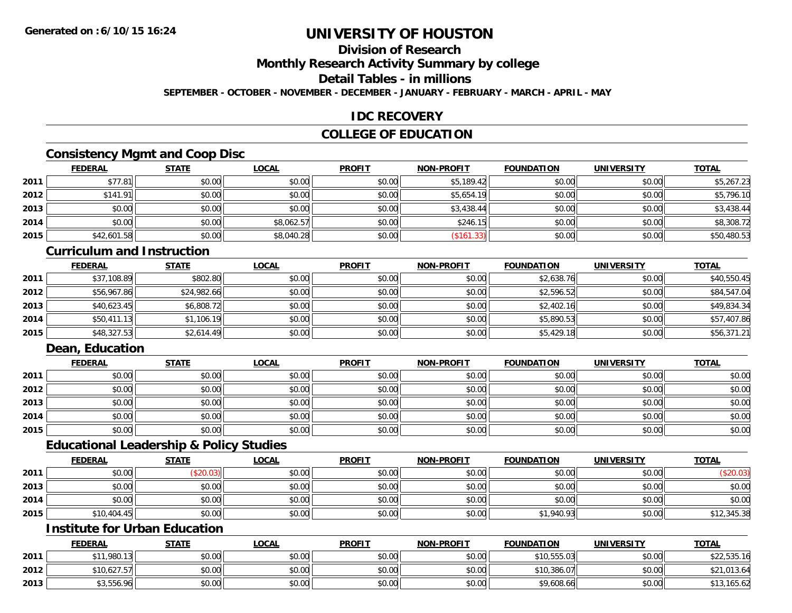### **Division of Research**

**Monthly Research Activity Summary by college**

**Detail Tables - in millions**

**SEPTEMBER - OCTOBER - NOVEMBER - DECEMBER - JANUARY - FEBRUARY - MARCH - APRIL - MAY**

#### **IDC RECOVERY**

#### **COLLEGE OF EDUCATION**

### **Consistency Mgmt and Coop Disc**

|      | <b>FEDERAL</b> | <b>STATE</b> | <b>LOCAL</b> | <b>PROFIT</b> | <b>NON-PROFIT</b> | <b>FOUNDATION</b> | <b>UNIVERSITY</b> | <b>TOTAL</b> |
|------|----------------|--------------|--------------|---------------|-------------------|-------------------|-------------------|--------------|
| 2011 | \$77.81        | \$0.00       | \$0.00       | \$0.00        | \$5,189.42        | \$0.00            | \$0.00            | \$5,267.23   |
| 2012 | \$141.91       | \$0.00       | \$0.00       | \$0.00        | \$5,654.19        | \$0.00            | \$0.00            | \$5,796.10   |
| 2013 | \$0.00         | \$0.00       | \$0.00       | \$0.00        | \$3,438.44        | \$0.00            | \$0.00            | \$3,438.44   |
| 2014 | \$0.00         | \$0.00       | \$8,062.57   | \$0.00        | \$246.15          | \$0.00            | \$0.00            | \$8,308.72   |
| 2015 | \$42,601.58    | \$0.00       | \$8,040.28   | \$0.00        | (\$161.33)        | \$0.00            | \$0.00            | \$50,480.53  |

#### **Curriculum and Instruction**

|      | <u>FEDERAL</u> | <u>STATE</u> | <u>LOCAL</u> | <b>PROFIT</b> | <b>NON-PROFIT</b> | <b>FOUNDATION</b> | <b>UNIVERSITY</b> | <b>TOTAL</b> |
|------|----------------|--------------|--------------|---------------|-------------------|-------------------|-------------------|--------------|
| 2011 | \$37,108.89    | \$802.80     | \$0.00       | \$0.00        | \$0.00            | \$2,638.76        | \$0.00            | \$40,550.45  |
| 2012 | \$56,967.86    | \$24,982.66  | \$0.00       | \$0.00        | \$0.00            | \$2,596.52        | \$0.00            | \$84,547.04  |
| 2013 | \$40,623.45    | \$6,808.72   | \$0.00       | \$0.00        | \$0.00            | \$2,402.16        | \$0.00            | \$49,834.34  |
| 2014 | \$50,411.13    | \$1,106.19   | \$0.00       | \$0.00        | \$0.00            | \$5,890.53        | \$0.00            | \$57,407.86  |
| 2015 | \$48,327.53    | \$2,614.49   | \$0.00       | \$0.00        | \$0.00            | \$5,429.18        | \$0.00            | \$56,371.21  |

### **Dean, Education**

|      | <b>FEDERAL</b> | <b>STATE</b> | <b>LOCAL</b> | <b>PROFIT</b> | <b>NON-PROFIT</b> | <b>FOUNDATION</b> | <b>UNIVERSITY</b> | <b>TOTAL</b> |
|------|----------------|--------------|--------------|---------------|-------------------|-------------------|-------------------|--------------|
| 2011 | \$0.00         | \$0.00       | \$0.00       | \$0.00        | \$0.00            | \$0.00            | \$0.00            | \$0.00       |
| 2012 | \$0.00         | \$0.00       | \$0.00       | \$0.00        | \$0.00            | \$0.00            | \$0.00            | \$0.00       |
| 2013 | \$0.00         | \$0.00       | \$0.00       | \$0.00        | \$0.00            | \$0.00            | \$0.00            | \$0.00       |
| 2014 | \$0.00         | \$0.00       | \$0.00       | \$0.00        | \$0.00            | \$0.00            | \$0.00            | \$0.00       |
| 2015 | \$0.00         | \$0.00       | \$0.00       | \$0.00        | \$0.00            | \$0.00            | \$0.00            | \$0.00       |

#### **Educational Leadership & Policy Studies**

|      | <b>FEDERAL</b> | <b>STATE</b> | <u>LOCAL</u> | <b>PROFIT</b> | <b>NON-PROFIT</b> | <b>FOUNDATION</b> | <b>UNIVERSITY</b> | <b>TOTAL</b> |
|------|----------------|--------------|--------------|---------------|-------------------|-------------------|-------------------|--------------|
| 2011 | \$0.00         | \$20.03      | \$0.00       | \$0.00        | \$0.00            | \$0.00            | \$0.00            | (\$20.03)    |
| 2013 | \$0.00         | \$0.00       | \$0.00       | \$0.00        | \$0.00            | \$0.00            | \$0.00            | \$0.00       |
| 2014 | \$0.00         | \$0.00       | \$0.00       | \$0.00        | \$0.00            | \$0.00            | \$0.00            | \$0.00       |
| 2015 | \$10,404.45    | \$0.00       | \$0.00       | \$0.00        | \$0.00            | \$1,940.93        | \$0.00            | \$12,345.38  |

#### **Institute for Urban Education**

|      | <b>FEDERAL</b>         | <b>STATE</b> | <u>LOCAL</u> | <b>PROFIT</b> | <b>NON-PROFIT</b> | <b>FOUNDATION</b> | <b>UNIVERSITY</b> | <b>TOTAL</b> |
|------|------------------------|--------------|--------------|---------------|-------------------|-------------------|-------------------|--------------|
| 2011 | <sup>*1</sup> 1,980.13 | \$0.00       | \$0.00       | \$0.00        | \$0.00            | \$10,555.03       | \$0.00            | \$22,535.16  |
| 2012 | \$10,627.57            | \$0.00       | \$0.00       | \$0.00        | \$0.00            | \$10,386.07       | \$0.00            | \$21,013.64  |
| 2013 | \$3,556.96             | \$0.00       | \$0.00       | \$0.00        | \$0.00            | \$9,608.66        | \$0.00            | \$13,165.62  |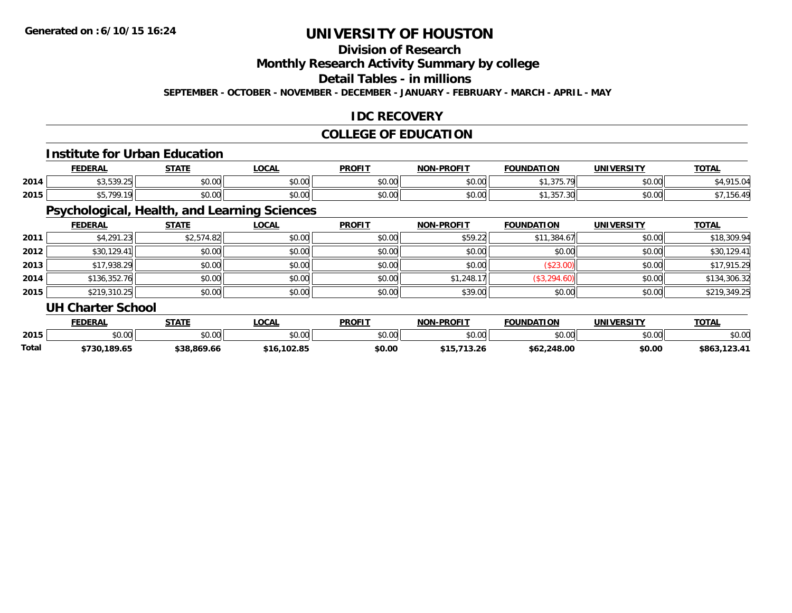### **Division of Research**

**Monthly Research Activity Summary by college**

**Detail Tables - in millions**

**SEPTEMBER - OCTOBER - NOVEMBER - DECEMBER - JANUARY - FEBRUARY - MARCH - APRIL - MAY**

#### **IDC RECOVERY**

#### **COLLEGE OF EDUCATION**

#### **Institute for Urban Education**

|      | <b>FEDERAL</b>             | <b>CTATE</b><br>- 31 A D | _OCAL  | <b>PROFIT</b> | <b>NON-PROFIT</b> | <b>FOUNDATION</b>                  | <b>UNIVERSITY</b> | <b>TOTAL</b> |
|------|----------------------------|--------------------------|--------|---------------|-------------------|------------------------------------|-------------------|--------------|
| 2014 | <b>¢ ? ヒ ? 0 フᲜ</b>        | 0000<br>JU.UU            | \$0.00 | \$0.00        | 0000<br>pu.uu     | $A$ $A$ $A$ $B$ $B$ $A$<br>,,,,,,, | 0000<br>PO.OO     | 15.04        |
| 2015 | <b>CE 700 10</b><br>,,,,,, | 0000<br>JU.UU            | \$0.00 | \$0.00        | 0000<br>DU.UU     | ,,,,,,,,,                          | 0000<br>JU.UU     | roc i        |

### **Psychological, Health, and Learning Sciences**

|      | <b>FEDERAL</b>           | <b>STATE</b> | <u>LOCAL</u> | <b>PROFIT</b> | <b>NON-PROFIT</b> | <b>FOUNDATION</b> | <b>UNIVERSITY</b> | <b>TOTAL</b> |
|------|--------------------------|--------------|--------------|---------------|-------------------|-------------------|-------------------|--------------|
| 2011 | \$4,291.23               | \$2,574.82   | \$0.00       | \$0.00        | \$59.22           | \$11,384.67       | \$0.00            | \$18,309.94  |
| 2012 | \$30,129.41              | \$0.00       | \$0.00       | \$0.00        | \$0.00            | \$0.00            | \$0.00            | \$30,129.41  |
| 2013 | \$17,938.29              | \$0.00       | \$0.00       | \$0.00        | \$0.00            | (\$23.00)         | \$0.00            | \$17,915.29  |
| 2014 | \$136,352.76             | \$0.00       | \$0.00       | \$0.00        | \$1,248.17        | (\$3,294.60)      | \$0.00            | \$134,306.32 |
| 2015 | \$219,310.25             | \$0.00       | \$0.00       | \$0.00        | \$39.00           | \$0.00            | \$0.00            | \$219,349.25 |
|      | <b>UH Charter School</b> |              |              |               |                   |                   |                   |              |

|              | <b>FEDERAL</b>  | <b>STATE</b> | <b>OCAL</b>    | <b>PROFIT</b> | -PROFIT<br>NON | <b>FOUNDATION</b> | <b>UNIVERSITY</b> | <b>TOTAL</b>      |
|--------------|-----------------|--------------|----------------|---------------|----------------|-------------------|-------------------|-------------------|
| 2015         | ሶስ ሰሰ<br>JU.UU  | \$0.00       | ტი იი<br>J∪.∪u | \$0.00        | \$0.00         | 0000<br>JU.UU     | \$0.00            | \$0.00            |
| <b>Total</b> | 189.65<br>5730. | \$38,869.66  | \$16,102.85    | \$0.00        |                | \$62,248.00       | \$0.00            | 3.123.47<br>\$863 |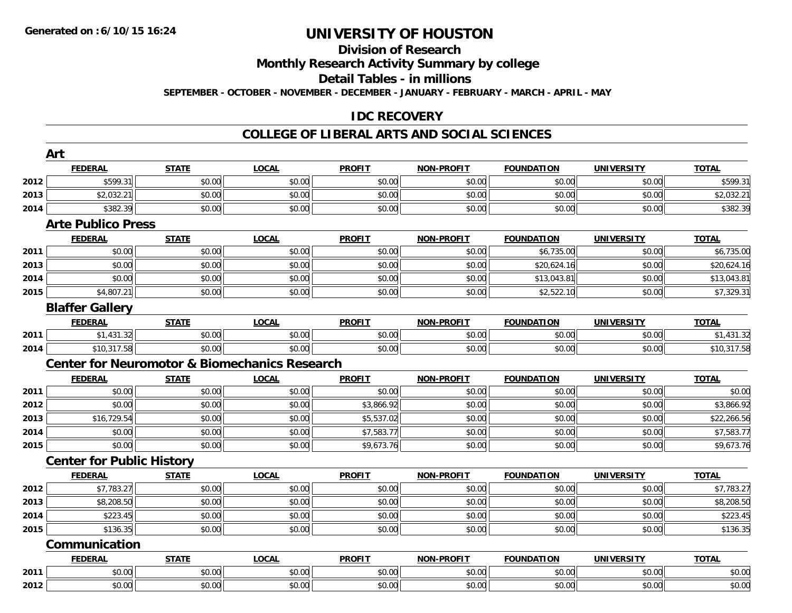#### **Division of Research**

**Monthly Research Activity Summary by college**

**Detail Tables - in millions**

**SEPTEMBER - OCTOBER - NOVEMBER - DECEMBER - JANUARY - FEBRUARY - MARCH - APRIL - MAY**

#### **IDC RECOVERY**

#### **COLLEGE OF LIBERAL ARTS AND SOCIAL SCIENCES**

|              | Art                                                      |              |              |               |                   |                   |                   |              |
|--------------|----------------------------------------------------------|--------------|--------------|---------------|-------------------|-------------------|-------------------|--------------|
|              | <b>FEDERAL</b>                                           | <b>STATE</b> | <b>LOCAL</b> | <b>PROFIT</b> | <b>NON-PROFIT</b> | <b>FOUNDATION</b> | <b>UNIVERSITY</b> | <b>TOTAL</b> |
| 2012         | \$599.31                                                 | \$0.00       | \$0.00       | \$0.00        | \$0.00            | \$0.00            | \$0.00            | \$599.31     |
| 2013         | \$2,032.21                                               | \$0.00       | \$0.00       | \$0.00        | \$0.00            | \$0.00            | \$0.00            | \$2,032.21   |
| 2014         | \$382.39                                                 | \$0.00       | \$0.00       | \$0.00        | \$0.00            | \$0.00            | \$0.00            | \$382.39     |
|              | <b>Arte Publico Press</b>                                |              |              |               |                   |                   |                   |              |
|              | <b>FEDERAL</b>                                           | <b>STATE</b> | <b>LOCAL</b> | <b>PROFIT</b> | <b>NON-PROFIT</b> | <b>FOUNDATION</b> | <b>UNIVERSITY</b> | <b>TOTAL</b> |
| 2011         | \$0.00                                                   | \$0.00       | \$0.00       | \$0.00        | \$0.00            | \$6,735.00        | \$0.00            | \$6,735.00   |
| 2013         | \$0.00                                                   | \$0.00       | \$0.00       | \$0.00        | \$0.00            | \$20,624.16       | \$0.00            | \$20,624.16  |
| 2014         | \$0.00                                                   | \$0.00       | \$0.00       | \$0.00        | \$0.00            | \$13,043.81       | \$0.00            | \$13,043.81  |
| 2015         | \$4,807.21                                               | \$0.00       | \$0.00       | \$0.00        | \$0.00            | \$2,522.10        | \$0.00            | \$7,329.31   |
|              | <b>Blaffer Gallery</b>                                   |              |              |               |                   |                   |                   |              |
|              | <b>FEDERAL</b>                                           | <b>STATE</b> | <b>LOCAL</b> | <b>PROFIT</b> | NON-PROFIT        | <b>FOUNDATION</b> | <b>UNIVERSITY</b> | <b>TOTAL</b> |
| 2011         | \$1,431.32                                               | \$0.00       | \$0.00       | \$0.00        | \$0.00            | \$0.00            | \$0.00            | \$1,431.32   |
| 2014         | \$10,317.58                                              | \$0.00       | \$0.00       | \$0.00        | \$0.00            | \$0.00            | \$0.00            | \$10,317.58  |
|              | <b>Center for Neuromotor &amp; Biomechanics Research</b> |              |              |               |                   |                   |                   |              |
|              |                                                          |              |              |               |                   |                   |                   |              |
|              | <b>FEDERAL</b>                                           | <b>STATE</b> | <b>LOCAL</b> | <b>PROFIT</b> | <b>NON-PROFIT</b> | <b>FOUNDATION</b> | <b>UNIVERSITY</b> | <b>TOTAL</b> |
| 2011         | \$0.00                                                   | \$0.00       | \$0.00       | \$0.00        | \$0.00            | \$0.00            | \$0.00            | \$0.00       |
| 2012         | \$0.00                                                   | \$0.00       | \$0.00       | \$3,866.92    | \$0.00            | \$0.00            | \$0.00            | \$3,866.92   |
| 2013         | \$16,729.54                                              | \$0.00       | \$0.00       | \$5,537.02    | \$0.00            | \$0.00            | \$0.00            | \$22,266.56  |
| 2014         | \$0.00                                                   | \$0.00       | \$0.00       | \$7,583.77    | \$0.00            | \$0.00            | \$0.00            | \$7,583.77   |
| 2015         | \$0.00                                                   | \$0.00       | \$0.00       | \$9,673.76    | \$0.00            | \$0.00            | \$0.00            | \$9,673.76   |
|              | <b>Center for Public History</b>                         |              |              |               |                   |                   |                   |              |
|              | <b>FEDERAL</b>                                           | <b>STATE</b> | <b>LOCAL</b> | <b>PROFIT</b> | <b>NON-PROFIT</b> | <b>FOUNDATION</b> | <b>UNIVERSITY</b> | <b>TOTAL</b> |
| 2012         | \$7,783.27                                               | \$0.00       | \$0.00       | \$0.00        | \$0.00            | \$0.00            | \$0.00            | \$7,783.27   |
| 2013         | \$8,208.50                                               | \$0.00       | \$0.00       | \$0.00        | \$0.00            | \$0.00            | \$0.00            | \$8,208.50   |
|              | \$223.45                                                 | \$0.00       | \$0.00       | \$0.00        | \$0.00            | \$0.00            | \$0.00            | \$223.45     |
| 2014<br>2015 | \$136.35                                                 | \$0.00       | \$0.00       | \$0.00        | \$0.00            | \$0.00            | \$0.00            | \$136.35     |
|              | Communication                                            |              |              |               |                   |                   |                   |              |
|              | <b>FEDERAL</b>                                           | <b>STATE</b> | <b>LOCAL</b> | <b>PROFIT</b> | <b>NON-PROFIT</b> | <b>FOUNDATION</b> | <b>UNIVERSITY</b> | <b>TOTAL</b> |
| 2011         | \$0.00                                                   | \$0.00       | \$0.00       | \$0.00        | \$0.00            | \$0.00            | \$0.00            | \$0.00       |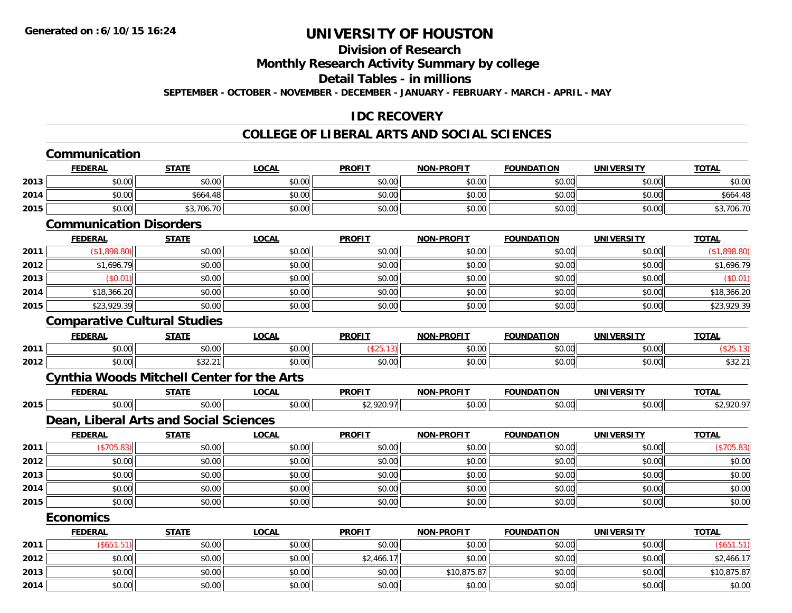## **Division of Research**

**Monthly Research Activity Summary by college**

**Detail Tables - in millions**

**SEPTEMBER - OCTOBER - NOVEMBER - DECEMBER - JANUARY - FEBRUARY - MARCH - APRIL - MAY**

### **IDC RECOVERY**

#### **COLLEGE OF LIBERAL ARTS AND SOCIAL SCIENCES**

|      | Communication                                     |              |              |               |                   |                   |                   |              |
|------|---------------------------------------------------|--------------|--------------|---------------|-------------------|-------------------|-------------------|--------------|
|      | <b>FEDERAL</b>                                    | <b>STATE</b> | <b>LOCAL</b> | <b>PROFIT</b> | <b>NON-PROFIT</b> | <b>FOUNDATION</b> | <b>UNIVERSITY</b> | <b>TOTAL</b> |
| 2013 | \$0.00                                            | \$0.00       | \$0.00       | \$0.00        | \$0.00            | \$0.00            | \$0.00            | \$0.00       |
| 2014 | \$0.00                                            | \$664.48     | \$0.00       | \$0.00        | \$0.00            | \$0.00            | \$0.00            | \$664.48     |
| 2015 | \$0.00                                            | \$3,706.70   | \$0.00       | \$0.00        | \$0.00            | \$0.00            | \$0.00            | \$3,706.70   |
|      | <b>Communication Disorders</b>                    |              |              |               |                   |                   |                   |              |
|      | <b>FEDERAL</b>                                    | <b>STATE</b> | <b>LOCAL</b> | <b>PROFIT</b> | <b>NON-PROFIT</b> | <b>FOUNDATION</b> | <b>UNIVERSITY</b> | <b>TOTAL</b> |
| 2011 | (\$1,898.80)                                      | \$0.00       | \$0.00       | \$0.00        | \$0.00            | \$0.00            | \$0.00            | (\$1,898.80) |
| 2012 | \$1,696.79                                        | \$0.00       | \$0.00       | \$0.00        | \$0.00            | \$0.00            | \$0.00            | \$1,696.79   |
| 2013 | (\$0.01)                                          | \$0.00       | \$0.00       | \$0.00        | \$0.00            | \$0.00            | \$0.00            | (\$0.01)     |
| 2014 | \$18,366.20                                       | \$0.00       | \$0.00       | \$0.00        | \$0.00            | \$0.00            | \$0.00            | \$18,366.20  |
| 2015 | \$23,929.39                                       | \$0.00       | \$0.00       | \$0.00        | \$0.00            | \$0.00            | \$0.00            | \$23,929.39  |
|      | <b>Comparative Cultural Studies</b>               |              |              |               |                   |                   |                   |              |
|      | <b>FEDERAL</b>                                    | <b>STATE</b> | <b>LOCAL</b> | <b>PROFIT</b> | <b>NON-PROFIT</b> | <b>FOUNDATION</b> | <b>UNIVERSITY</b> | <b>TOTAL</b> |
| 2011 | \$0.00                                            | \$0.00       | \$0.00       | (\$25.13)     | \$0.00            | \$0.00            | \$0.00            | (\$25.13)    |
| 2012 | \$0.00                                            | \$32.21      | \$0.00       | \$0.00        | \$0.00            | \$0.00            | \$0.00            | \$32.21      |
|      | <b>Cynthia Woods Mitchell Center for the Arts</b> |              |              |               |                   |                   |                   |              |
|      | <b>FEDERAL</b>                                    | <b>STATE</b> | <b>LOCAL</b> | <b>PROFIT</b> | <b>NON-PROFIT</b> | <b>FOUNDATION</b> | <b>UNIVERSITY</b> | <b>TOTAL</b> |
| 2015 | \$0.00                                            | \$0.00       | \$0.00       | \$2,920.97    | \$0.00            | \$0.00            | \$0.00            | \$2,920.97   |
|      | Dean, Liberal Arts and Social Sciences            |              |              |               |                   |                   |                   |              |
|      | <b>FEDERAL</b>                                    | <b>STATE</b> | <b>LOCAL</b> | <b>PROFIT</b> | NON-PROFIT        | <b>FOUNDATION</b> | <b>UNIVERSITY</b> | <b>TOTAL</b> |
| 2011 | (\$705.83)                                        | \$0.00       | \$0.00       | \$0.00        | \$0.00            | \$0.00            | \$0.00            | (\$705.83)   |
| 2012 | \$0.00                                            | \$0.00       | \$0.00       | \$0.00        | \$0.00            | \$0.00            | \$0.00            | \$0.00       |
| 2013 | \$0.00                                            | \$0.00       | \$0.00       | \$0.00        | \$0.00            | \$0.00            | \$0.00            | \$0.00       |
| 2014 | \$0.00                                            | \$0.00       | \$0.00       | \$0.00        | \$0.00            | \$0.00            | \$0.00            | \$0.00       |
| 2015 | \$0.00                                            | \$0.00       | \$0.00       | \$0.00        | \$0.00            | \$0.00            | \$0.00            | \$0.00       |
|      | <b>Economics</b>                                  |              |              |               |                   |                   |                   |              |
|      | <b>FEDERAL</b>                                    | <b>STATE</b> | <b>LOCAL</b> | <b>PROFIT</b> | <b>NON-PROFIT</b> | <b>FOUNDATION</b> | <b>UNIVERSITY</b> | <b>TOTAL</b> |
| 2011 | (\$651.51)                                        | \$0.00       | \$0.00       | \$0.00        | \$0.00            | \$0.00            | \$0.00            | (\$651.51)   |
| 2012 | \$0.00                                            | \$0.00       | \$0.00       | \$2,466.17    | \$0.00            | \$0.00            | \$0.00            | \$2,466.17   |
| 2013 | \$0.00                                            | \$0.00       | \$0.00       | \$0.00        | \$10,875.87       | \$0.00            | \$0.00            | \$10,875.87  |
| 2014 | \$0.00                                            | \$0.00       | \$0.00       | \$0.00        | \$0.00            | \$0.00            | \$0.00            | \$0.00       |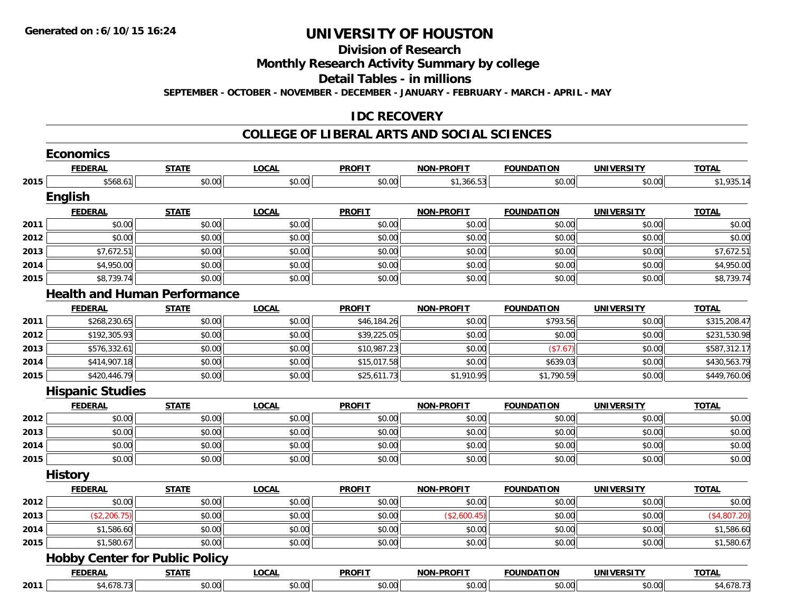#### **Division of Research**

**Monthly Research Activity Summary by college**

**Detail Tables - in millions**

**SEPTEMBER - OCTOBER - NOVEMBER - DECEMBER - JANUARY - FEBRUARY - MARCH - APRIL - MAY**

### **IDC RECOVERY**

#### **COLLEGE OF LIBERAL ARTS AND SOCIAL SCIENCES**

|      | <b>Economics</b>                      |              |              |               |                   |                   |                   |              |
|------|---------------------------------------|--------------|--------------|---------------|-------------------|-------------------|-------------------|--------------|
|      | <b>FEDERAL</b>                        | <b>STATE</b> | <b>LOCAL</b> | <b>PROFIT</b> | NON-PROFIT        | <b>FOUNDATION</b> | <b>UNIVERSITY</b> | <b>TOTAL</b> |
| 2015 | \$568.61                              | \$0.00       | \$0.00       | \$0.00        | \$1,366.53        | \$0.00            | \$0.00            | \$1,935.14   |
|      | English                               |              |              |               |                   |                   |                   |              |
|      | <b>FEDERAL</b>                        | <b>STATE</b> | <b>LOCAL</b> | <b>PROFIT</b> | NON-PROFIT        | <b>FOUNDATION</b> | <b>UNIVERSITY</b> | <b>TOTAL</b> |
| 2011 | \$0.00                                | \$0.00       | \$0.00       | \$0.00        | \$0.00            | \$0.00            | \$0.00            | \$0.00       |
| 2012 | \$0.00                                | \$0.00       | \$0.00       | \$0.00        | \$0.00            | \$0.00            | \$0.00            | \$0.00       |
| 2013 | \$7,672.51                            | \$0.00       | \$0.00       | \$0.00        | \$0.00            | \$0.00            | \$0.00            | \$7,672.51   |
| 2014 | \$4,950.00                            | \$0.00       | \$0.00       | \$0.00        | \$0.00            | \$0.00            | \$0.00            | \$4,950.00   |
| 2015 | \$8,739.74                            | \$0.00       | \$0.00       | \$0.00        | \$0.00            | \$0.00            | \$0.00            | \$8,739.74   |
|      | <b>Health and Human Performance</b>   |              |              |               |                   |                   |                   |              |
|      | <b>FEDERAL</b>                        | <b>STATE</b> | <b>LOCAL</b> | <b>PROFIT</b> | <b>NON-PROFIT</b> | <b>FOUNDATION</b> | <b>UNIVERSITY</b> | <b>TOTAL</b> |
| 2011 | \$268,230.65                          | \$0.00       | \$0.00       | \$46,184.26   | \$0.00            | \$793.56          | \$0.00            | \$315,208.47 |
| 2012 | \$192,305.93                          | \$0.00       | \$0.00       | \$39,225.05   | \$0.00            | \$0.00            | \$0.00            | \$231,530.98 |
| 2013 | \$576,332.61                          | \$0.00       | \$0.00       | \$10,987.23   | \$0.00            | (\$7.67)          | \$0.00            | \$587,312.17 |
| 2014 | \$414,907.18                          | \$0.00       | \$0.00       | \$15,017.58   | \$0.00            | \$639.03          | \$0.00            | \$430,563.79 |
| 2015 | \$420,446.79                          | \$0.00       | \$0.00       | \$25,611.73   | \$1,910.95        | \$1,790.59        | \$0.00            | \$449,760.06 |
|      | <b>Hispanic Studies</b>               |              |              |               |                   |                   |                   |              |
|      | <b>FEDERAL</b>                        | <b>STATE</b> | <b>LOCAL</b> | <b>PROFIT</b> | <b>NON-PROFIT</b> | <b>FOUNDATION</b> | <b>UNIVERSITY</b> | <b>TOTAL</b> |
| 2012 | \$0.00                                | \$0.00       | \$0.00       | \$0.00        | \$0.00            | \$0.00            | \$0.00            | \$0.00       |
| 2013 | \$0.00                                | \$0.00       | \$0.00       | \$0.00        | \$0.00            | \$0.00            | \$0.00            | \$0.00       |
| 2014 | \$0.00                                | \$0.00       | \$0.00       | \$0.00        | \$0.00            | \$0.00            | \$0.00            | \$0.00       |
| 2015 | \$0.00                                | \$0.00       | \$0.00       | \$0.00        | \$0.00            | \$0.00            | \$0.00            | \$0.00       |
|      | <b>History</b>                        |              |              |               |                   |                   |                   |              |
|      | <b>FEDERAL</b>                        | <b>STATE</b> | <b>LOCAL</b> | <b>PROFIT</b> | <b>NON-PROFIT</b> | <b>FOUNDATION</b> | <b>UNIVERSITY</b> | <b>TOTAL</b> |
| 2012 | \$0.00                                | \$0.00       | \$0.00       | \$0.00        | \$0.00            | \$0.00            | \$0.00            | \$0.00       |
| 2013 | (\$2,206.75)                          | \$0.00       | \$0.00       | \$0.00        | (\$2,600.45)      | \$0.00            | \$0.00            | (\$4,807.20) |
| 2014 | \$1,586.60                            | \$0.00       | \$0.00       | \$0.00        | \$0.00            | \$0.00            | \$0.00            | \$1,586.60   |
| 2015 | \$1,580.67                            | \$0.00       | \$0.00       | \$0.00        | \$0.00            | \$0.00            | \$0.00            | \$1,580.67   |
|      | <b>Hobby Center for Public Policy</b> |              |              |               |                   |                   |                   |              |
|      | <b>FEDERAL</b>                        | <b>STATE</b> | <b>LOCAL</b> | <b>PROFIT</b> | <b>NON-PROFIT</b> | <b>FOUNDATION</b> | <b>UNIVERSITY</b> | <b>TOTAL</b> |
| 2011 | \$4,678.73                            | \$0.00       | \$0.00       | \$0.00        | \$0.00            | \$0.00            | \$0.00            | \$4,678.73   |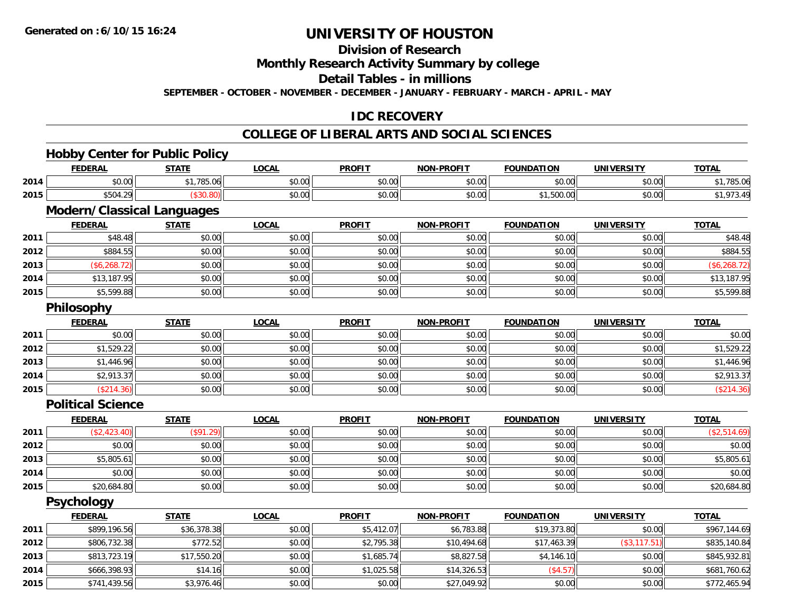**2014**

**2015**

## **UNIVERSITY OF HOUSTON**

#### **Division of Research**

**Monthly Research Activity Summary by college**

**Detail Tables - in millions**

**SEPTEMBER - OCTOBER - NOVEMBER - DECEMBER - JANUARY - FEBRUARY - MARCH - APRIL - MAY**

### **IDC RECOVERY**

#### **COLLEGE OF LIBERAL ARTS AND SOCIAL SCIENCES**

#### **Hobby Center for Public Policy FEDERAL STATE LOCAL PROFIT NON-PROFIT FOUNDATION UNIVERSITY TOTALTOTAL 2014** \$0.00 \$1,785.06 \$0.00 \$0.00 \$0.00 \$0.00 \$0.00 \$1,785.06 **2015** \$504.29 (\$30.80) \$0.00 \$0.00 \$0.00 \$1,500.00 \$0.00 \$1,973.49 **Modern/Classical Languages FEDERAL STATE LOCAL PROFIT NON-PROFIT FOUNDATION UNIVERSITY TOTAL2011** \$48.48 \$0.00 \$0.00 \$0.00 \$0.00 \$0.00 \$0.00 \$48.48 **2012** \$884.55 \$0.00 \$0.00 \$0.00 \$0.00 \$0.00 \$0.00 \$884.55 **2013**3 | (\$6,268.72)|| \$0.00|| \$0.00|| \$0.00|| \$0.00|| \$0.00|| \$0.00|| \$0.00|| \$0.00|| \$0.00|| \$0.00|| \$0.268.72 **2014**4 \$13,187.95 \$0.00 \$0.00 \$0.00 \$0.00 \$0.00 \$0.00 \$0.00 \$0.00 \$0.00 \$0.00 \$13,187.95 **2015**5,599.88 \$1,599.88 \$0.00 \$0.00 \$0.00 \$0.00 \$0.00 \$0.00 \$0.00 \$0.00 \$0.00 \$0.00 \$0.00 \$5,599.88 \$5,599.88 **Philosophy FEDERAL STATE LOCAL PROFIT NON-PROFIT FOUNDATION UNIVERSITY TOTAL2011** \$0.00 \$0.00 \$0.00 \$0.00 \$0.00 \$0.00 \$0.00 \$0.00 **2012** \$1,529.22 \$0.00 \$0.00 \$0.00 \$0.00 \$0.00 \$0.00 \$1,529.22 **2013**3 \$1,446.96 \$0.00 \$0.00 \$0.00 \$0.00 \$0.00 \$0.00 \$0.00 \$0.00 \$0.00 \$1,446.96 \$1,446.96 **2014**4 \$2,913.37 \$0.00 \$0.00 \$0.00 \$0.00 \$0.00 \$0.00 \$0.00 \$0.00 \$0.00 \$0.00 \$0.00 \$2,913.37 **2015**5 | (\$214.36)|| \$0.00|| \$0.00|| \$0.00|| \$0.00|| (\$214.36) **Political ScienceFEDERAL STATE LOCAL PROFIT NON-PROFIT FOUNDATION UNIVERSITY TOTALTOTAL 2011** (\$2,423.40) (\$91.29) \$0.00 \$0.00 \$0.00 \$0.00 \$0.00 (\$2,514.69) **2012**2 | \$0.00 \$0.00 \$0.00 \$0.00 \$0.00 \$0.00 \$0.00 \$0.00 \$0.00 \$0.00 \$0.00 \$0.00 \$0.00 \$0.00 \$0.00 \$0.00 \$0.00 **2013** $\textbf{3} \quad \textbf{\textcolor{blue}{85.805.61}} \quad \textbf{\textcolor{blue}{85.805.61}} \quad \textbf{\textcolor{blue}{89.00}} \quad \textbf{\textcolor{blue}{89.00}} \quad \textbf{\textcolor{blue}{89.00}} \quad \textbf{\textcolor{blue}{89.00}} \quad \textbf{\textcolor{blue}{89.00}} \quad \textbf{\textcolor{blue}{89.00}} \quad \textbf{\textcolor{blue}{89.00}} \quad \textbf{\textcolor{blue}{89.00}} \quad \textbf{\textcolor{blue}{89.00}} \quad \textbf{\textcolor{blue}{89.00}} \quad$ **2014**4 \$0.00 \$0.00 \$0.00 \$0.00 \$0.00 \$0.00 \$0.00 \$0.00 \$0.00 \$0.00 \$0.00 \$0.00 \$0.00 \$0.00 \$0.00 \$0.00 \$0.00 **2015** \$20,684.80 \$0.00 \$0.00 \$0.00 \$0.00 \$0.00 \$0.00 \$20,684.80 **Psychology FEDERAL STATE LOCAL PROFIT NON-PROFIT FOUNDATION UNIVERSITY TOTAL2011** \$899,196.56 \$36,378.38 \$0.00 \$5,412.07 \$6,783.88 \$19,373.80 \$0.00 \$967,144.69 **2012** \$806,732.38 \$772.52 \$0.00 \$2,795.38 \$10,494.68 \$17,463.39 (\$3,117.51) \$835,140.84 **2013**\$813,723.19 \$17,550.20 \$0.00 \$1,685.74 \$8,827.58 \$4,146.10 \$0.00 \$845,932.81

4 \$666,398.93|| \$14.16|| \$0.00|| \$1,025.58|| \$1,326.53|| (\$4.57)| \$0.00|| \$681,760.62

\$741,439.56 \$3,976.46 \$0.00 \$0.00 \$27,049.92 \$0.00 \$0.00 \$772,465.94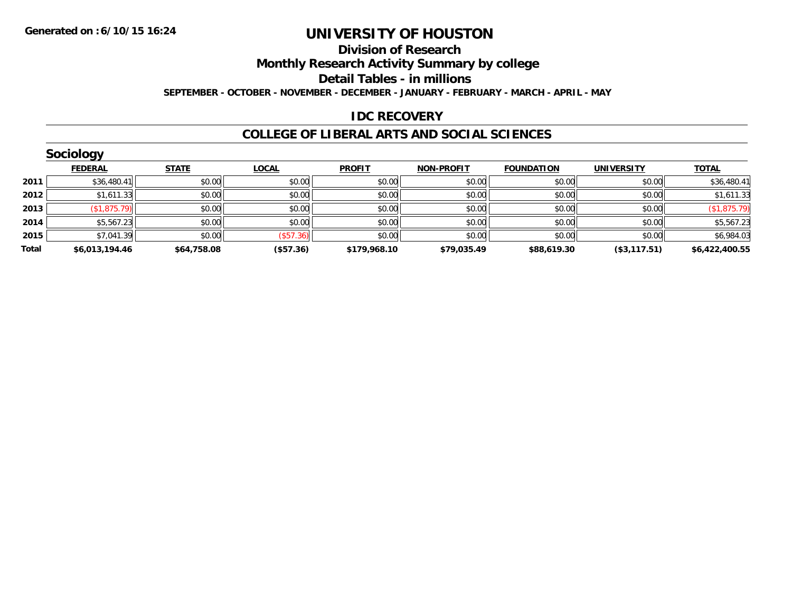#### **Division of Research Monthly Research Activity Summary by college Detail Tables - in millions**

**SEPTEMBER - OCTOBER - NOVEMBER - DECEMBER - JANUARY - FEBRUARY - MARCH - APRIL - MAY**

#### **IDC RECOVERY**

#### **COLLEGE OF LIBERAL ARTS AND SOCIAL SCIENCES**

|       | Sociology      |              |              |               |                   |                   |                   |                |
|-------|----------------|--------------|--------------|---------------|-------------------|-------------------|-------------------|----------------|
|       | <b>FEDERAL</b> | <b>STATE</b> | <b>LOCAL</b> | <b>PROFIT</b> | <b>NON-PROFIT</b> | <b>FOUNDATION</b> | <b>UNIVERSITY</b> | <b>TOTAL</b>   |
| 2011  | \$36,480.41    | \$0.00       | \$0.00       | \$0.00        | \$0.00            | \$0.00            | \$0.00            | \$36,480.41    |
| 2012  | \$1,611.33     | \$0.00       | \$0.00       | \$0.00        | \$0.00            | \$0.00            | \$0.00            | \$1,611.33     |
| 2013  | (\$1,875.79)   | \$0.00       | \$0.00       | \$0.00        | \$0.00            | \$0.00            | \$0.00            | (\$1,875.79)   |
| 2014  | \$5,567.23     | \$0.00       | \$0.00       | \$0.00        | \$0.00            | \$0.00            | \$0.00            | \$5,567.23     |
| 2015  | \$7,041.39     | \$0.00       | (\$57.36)    | \$0.00        | \$0.00            | \$0.00            | \$0.00            | \$6,984.03     |
| Total | \$6,013,194.46 | \$64,758.08  | (\$57.36)    | \$179,968.10  | \$79,035.49       | \$88,619.30       | (\$3,117.51)      | \$6,422,400.55 |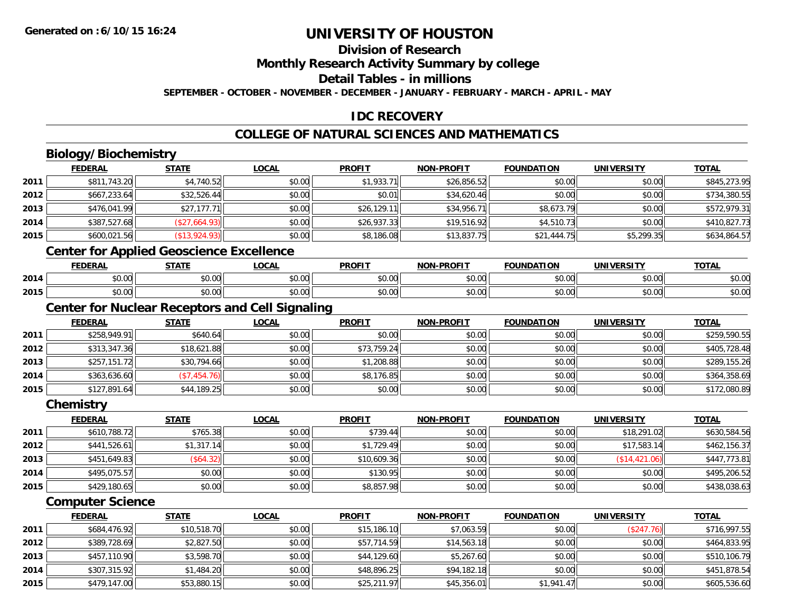**2014**

**2015**

# **UNIVERSITY OF HOUSTON**

### **Division of Research**

**Monthly Research Activity Summary by college**

**Detail Tables - in millions**

**SEPTEMBER - OCTOBER - NOVEMBER - DECEMBER - JANUARY - FEBRUARY - MARCH - APRIL - MAY**

### **IDC RECOVERY**

### **COLLEGE OF NATURAL SCIENCES AND MATHEMATICS**

|      | <b>Biology/Biochemistry</b>                            |               |              |               |                   |                   |                   |              |
|------|--------------------------------------------------------|---------------|--------------|---------------|-------------------|-------------------|-------------------|--------------|
|      | <b>FEDERAL</b>                                         | <b>STATE</b>  | <b>LOCAL</b> | <b>PROFIT</b> | <b>NON-PROFIT</b> | <b>FOUNDATION</b> | <b>UNIVERSITY</b> | <b>TOTAL</b> |
| 2011 | \$811,743.20                                           | \$4,740.52    | \$0.00       | \$1,933.71    | \$26,856.52       | \$0.00            | \$0.00            | \$845,273.95 |
| 2012 | \$667,233.64                                           | \$32,526.44   | \$0.00       | \$0.01        | \$34,620.46       | \$0.00            | \$0.00            | \$734,380.55 |
| 2013 | \$476,041.99                                           | \$27,177.71   | \$0.00       | \$26,129.11   | \$34,956.71       | \$8,673.79        | \$0.00            | \$572,979.31 |
| 2014 | \$387,527.68                                           | (\$27,664.93) | \$0.00       | \$26,937.33   | \$19,516.92       | \$4,510.73        | \$0.00            | \$410,827.73 |
| 2015 | \$600,021.56                                           | (\$13,924.93) | \$0.00       | \$8,186.08    | \$13,837.75       | \$21,444.75       | \$5,299.35        | \$634,864.57 |
|      | <b>Center for Applied Geoscience Excellence</b>        |               |              |               |                   |                   |                   |              |
|      | <b>FEDERAL</b>                                         | <b>STATE</b>  | <b>LOCAL</b> | <b>PROFIT</b> | <b>NON-PROFIT</b> | <b>FOUNDATION</b> | <b>UNIVERSITY</b> | <b>TOTAL</b> |
| 2014 | \$0.00                                                 | \$0.00        | \$0.00       | \$0.00        | \$0.00            | \$0.00            | \$0.00            | \$0.00       |
| 2015 | \$0.00                                                 | \$0.00        | \$0.00       | \$0.00        | \$0.00            | \$0.00            | \$0.00            | \$0.00       |
|      | <b>Center for Nuclear Receptors and Cell Signaling</b> |               |              |               |                   |                   |                   |              |
|      | <b>FEDERAL</b>                                         | <b>STATE</b>  | <b>LOCAL</b> | <b>PROFIT</b> | <b>NON-PROFIT</b> | <b>FOUNDATION</b> | <b>UNIVERSITY</b> | <b>TOTAL</b> |
| 2011 | \$258,949.91                                           | \$640.64      | \$0.00       | \$0.00        | \$0.00            | \$0.00            | \$0.00            | \$259,590.55 |
| 2012 | \$313,347.36                                           | \$18,621.88   | \$0.00       | \$73,759.24   | \$0.00            | \$0.00            | \$0.00            | \$405,728.48 |
| 2013 | \$257,151.72                                           | \$30,794.66   | \$0.00       | \$1,208.88    | \$0.00            | \$0.00            | \$0.00            | \$289,155.26 |
| 2014 | \$363,636.60                                           | (\$7,454.76)  | \$0.00       | \$8,176.85    | \$0.00            | \$0.00            | \$0.00            | \$364,358.69 |
| 2015 | \$127,891.64                                           | \$44,189.25   | \$0.00       | \$0.00        | \$0.00            | \$0.00            | \$0.00            | \$172,080.89 |
|      | Chemistry                                              |               |              |               |                   |                   |                   |              |
|      | <b>FEDERAL</b>                                         | <b>STATE</b>  | <b>LOCAL</b> | <b>PROFIT</b> | <b>NON-PROFIT</b> | <b>FOUNDATION</b> | <b>UNIVERSITY</b> | <b>TOTAL</b> |
| 2011 | \$610,788.72                                           | \$765.38      | \$0.00       | \$739.44      | \$0.00            | \$0.00            | \$18,291.02       | \$630,584.56 |
| 2012 | \$441,526.61                                           | \$1,317.14    | \$0.00       | \$1,729.49    | \$0.00            | \$0.00            | \$17,583.14       | \$462,156.37 |
| 2013 | \$451,649.83                                           | (\$64.32)     | \$0.00       | \$10,609.36   | \$0.00            | \$0.00            | (\$14,421.06)     | \$447,773.81 |
| 2014 | \$495,075.57                                           | \$0.00        | \$0.00       | \$130.95      | \$0.00            | \$0.00            | \$0.00            | \$495,206.52 |
| 2015 | \$429,180.65                                           | \$0.00        | \$0.00       | \$8,857.98    | \$0.00            | \$0.00            | \$0.00            | \$438,038.63 |
|      | <b>Computer Science</b>                                |               |              |               |                   |                   |                   |              |
|      | <b>FEDERAL</b>                                         | <b>STATE</b>  | <b>LOCAL</b> | <b>PROFIT</b> | <b>NON-PROFIT</b> | <b>FOUNDATION</b> | <b>UNIVERSITY</b> | <b>TOTAL</b> |
| 2011 | \$684,476.92                                           | \$10,518.70   | \$0.00       | \$15,186.10   | \$7,063.59        | \$0.00            | (\$247.76)        | \$716,997.55 |
| 2012 | \$389,728.69                                           | \$2,827.50    | \$0.00       | \$57,714.59   | \$14,563.18       | \$0.00            | \$0.00            | \$464,833.95 |
| 2013 | \$457,110.90                                           | \$3,598.70    | \$0.00       | \$44,129.60   | \$5,267.60        | \$0.00            | \$0.00            | \$510,106.79 |

4 \$307,315.92|| \$1,484.20|| \$0.00|| \$48,896.25|| \$9,182.18|| \$0.00|| \$0.00|| \$451,878.54

\$479,147.00 \$53,880.15 \$0.00 \$25,211.97 \$45,356.01 \$1,941.47 \$0.00 \$605,536.60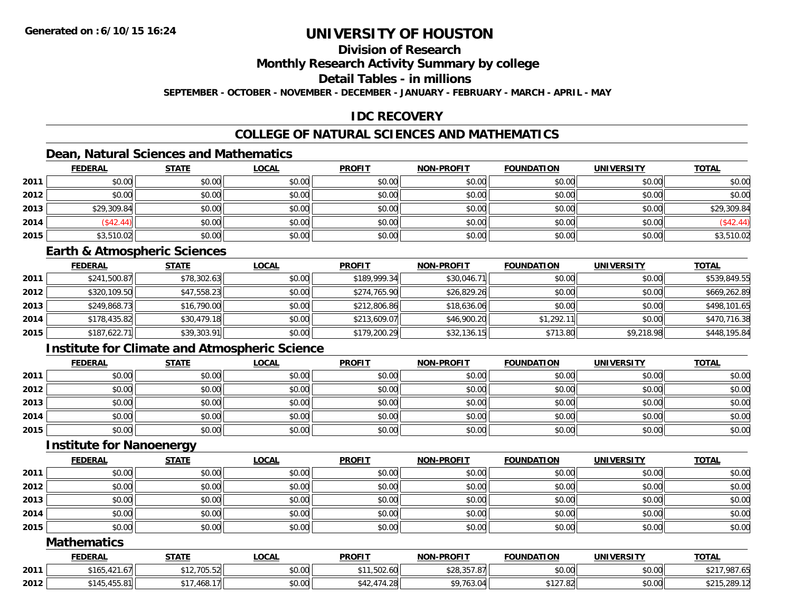### **Division of Research**

**Monthly Research Activity Summary by college**

**Detail Tables - in millions**

**SEPTEMBER - OCTOBER - NOVEMBER - DECEMBER - JANUARY - FEBRUARY - MARCH - APRIL - MAY**

### **IDC RECOVERY**

### **COLLEGE OF NATURAL SCIENCES AND MATHEMATICS**

## **Dean, Natural Sciences and Mathematics**

|      | <b>FEDERAL</b> | <b>STATE</b> | <u>LOCAL</u> | <b>PROFIT</b> | <b>NON-PROFIT</b> | <b>FOUNDATION</b> | <b>UNIVERSITY</b> | <b>TOTAL</b> |
|------|----------------|--------------|--------------|---------------|-------------------|-------------------|-------------------|--------------|
| 2011 | \$0.00         | \$0.00       | \$0.00       | \$0.00        | \$0.00            | \$0.00            | \$0.00            | \$0.00       |
| 2012 | \$0.00         | \$0.00       | \$0.00       | \$0.00        | \$0.00            | \$0.00            | \$0.00            | \$0.00       |
| 2013 | \$29,309.84    | \$0.00       | \$0.00       | \$0.00        | \$0.00            | \$0.00            | \$0.00            | \$29,309.84  |
| 2014 | (S42.44)       | \$0.00       | \$0.00       | \$0.00        | \$0.00            | \$0.00            | \$0.00            | (\$42.44)    |
| 2015 | \$3,510.02     | \$0.00       | \$0.00       | \$0.00        | \$0.00            | \$0.00            | \$0.00            | \$3,510.02   |

#### **Earth & Atmospheric Sciences**

|      | <b>FEDERAL</b> | <u>STATE</u> | <b>LOCAL</b> | <b>PROFIT</b> | <b>NON-PROFIT</b> | <b>FOUNDATION</b> | <b>UNIVERSITY</b> | <b>TOTAL</b> |
|------|----------------|--------------|--------------|---------------|-------------------|-------------------|-------------------|--------------|
| 2011 | \$241,500.87   | \$78,302.63  | \$0.00       | \$189,999.34  | \$30,046.71       | \$0.00            | \$0.00            | \$539,849.55 |
| 2012 | \$320,109.50   | \$47,558.23  | \$0.00       | \$274,765.90  | \$26,829.26       | \$0.00            | \$0.00            | \$669,262.89 |
| 2013 | \$249,868.73   | \$16,790.00  | \$0.00       | \$212,806.86  | \$18,636.06       | \$0.00            | \$0.00            | \$498,101.65 |
| 2014 | \$178,435.82   | \$30,479.18  | \$0.00       | \$213,609.07  | \$46,900.20       | \$1,292.11        | \$0.00            | \$470,716.38 |
| 2015 | \$187,622.71   | \$39,303.91  | \$0.00       | \$179,200.29  | \$32,136.15       | \$713.80          | \$9,218.98        | \$448,195.84 |

### **Institute for Climate and Atmospheric Science**

|      | <b>FEDERAL</b> | <b>STATE</b> | <u>LOCAL</u> | <b>PROFIT</b> | <b>NON-PROFIT</b> | <b>FOUNDATION</b> | <b>UNIVERSITY</b> | <b>TOTAL</b> |
|------|----------------|--------------|--------------|---------------|-------------------|-------------------|-------------------|--------------|
| 2011 | \$0.00         | \$0.00       | \$0.00       | \$0.00        | \$0.00            | \$0.00            | \$0.00            | \$0.00       |
| 2012 | \$0.00         | \$0.00       | \$0.00       | \$0.00        | \$0.00            | \$0.00            | \$0.00            | \$0.00       |
| 2013 | \$0.00         | \$0.00       | \$0.00       | \$0.00        | \$0.00            | \$0.00            | \$0.00            | \$0.00       |
| 2014 | \$0.00         | \$0.00       | \$0.00       | \$0.00        | \$0.00            | \$0.00            | \$0.00            | \$0.00       |
| 2015 | \$0.00         | \$0.00       | \$0.00       | \$0.00        | \$0.00            | \$0.00            | \$0.00            | \$0.00       |

#### **Institute for Nanoenergy**

|      | <b>FEDERAL</b> | <b>STATE</b> | <b>LOCAL</b> | <b>PROFIT</b> | <b>NON-PROFIT</b> | <b>FOUNDATION</b> | <b>UNIVERSITY</b> | <b>TOTAL</b> |
|------|----------------|--------------|--------------|---------------|-------------------|-------------------|-------------------|--------------|
| 2011 | \$0.00         | \$0.00       | \$0.00       | \$0.00        | \$0.00            | \$0.00            | \$0.00            | \$0.00       |
| 2012 | \$0.00         | \$0.00       | \$0.00       | \$0.00        | \$0.00            | \$0.00            | \$0.00            | \$0.00       |
| 2013 | \$0.00         | \$0.00       | \$0.00       | \$0.00        | \$0.00            | \$0.00            | \$0.00            | \$0.00       |
| 2014 | \$0.00         | \$0.00       | \$0.00       | \$0.00        | \$0.00            | \$0.00            | \$0.00            | \$0.00       |
| 2015 | \$0.00         | \$0.00       | \$0.00       | \$0.00        | \$0.00            | \$0.00            | \$0.00            | \$0.00       |

#### **Mathematics**

|      | <b>FEDERAL</b>                      | <b>STATE</b>     | <b>_OCAL</b>       | <b>PROFIT</b>                            | <b>NON-PROFIT</b> | <b>FOUNDATION</b>  | <b>UNIVERSITY</b> | <b>TOTAL</b>             |
|------|-------------------------------------|------------------|--------------------|------------------------------------------|-------------------|--------------------|-------------------|--------------------------|
| 2011 | $\overline{a}$<br>\$165.<br>.421.07 | \$12,705.52      | $\sim$ 00<br>PU.UU | $\Gamma$ $\Omega$ $\Omega$<br>U0.200, I  | \$28,357.87       | \$0.00             | \$0.00            | 987.6.<br>0.017<br>-PZ I |
| 2012 | 100A<br>\$145<br>433.0              | .468.17<br>$A -$ | to oo<br>JU.UU     | $\rightarrow$<br>$+28$<br>$\cdots$<br>᠇᠘ | \$9,763.04        | 0.1270<br>3127.821 | \$0.00            | \$215,289.12             |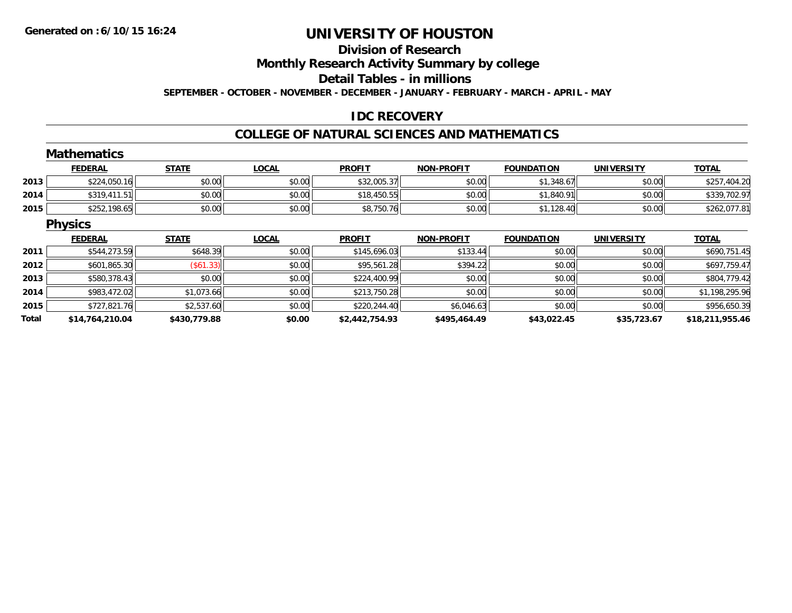## **Division of ResearchMonthly Research Activity Summary by college**

**Detail Tables - in millions**

**SEPTEMBER - OCTOBER - NOVEMBER - DECEMBER - JANUARY - FEBRUARY - MARCH - APRIL - MAY**

### **IDC RECOVERY**

#### **COLLEGE OF NATURAL SCIENCES AND MATHEMATICS**

|       | <b>Mathematics</b> |              |              |                |                   |                   |                   |                 |
|-------|--------------------|--------------|--------------|----------------|-------------------|-------------------|-------------------|-----------------|
|       | <b>FEDERAL</b>     | <b>STATE</b> | <b>LOCAL</b> | <b>PROFIT</b>  | <b>NON-PROFIT</b> | <b>FOUNDATION</b> | <b>UNIVERSITY</b> | <b>TOTAL</b>    |
| 2013  | \$224,050.16       | \$0.00       | \$0.00       | \$32,005.37    | \$0.00            | \$1,348.67        | \$0.00            | \$257,404.20    |
| 2014  | \$319,411.51       | \$0.00       | \$0.00       | \$18,450.55    | \$0.00            | \$1,840.91        | \$0.00            | \$339,702.97    |
| 2015  | \$252,198.65       | \$0.00       | \$0.00       | \$8,750.76     | \$0.00            | \$1,128.40        | \$0.00            | \$262,077.81    |
|       | <b>Physics</b>     |              |              |                |                   |                   |                   |                 |
|       | <b>FEDERAL</b>     | <b>STATE</b> | <b>LOCAL</b> | <b>PROFIT</b>  | <b>NON-PROFIT</b> | <b>FOUNDATION</b> | <b>UNIVERSITY</b> | <b>TOTAL</b>    |
| 2011  | \$544,273.59       | \$648.39     | \$0.00       | \$145,696.03   | \$133.44          | \$0.00            | \$0.00            | \$690,751.45    |
| 2012  | \$601,865.30       | (\$61.33)    | \$0.00       | \$95,561.28    | \$394.22          | \$0.00            | \$0.00            | \$697,759.47    |
| 2013  | \$580,378.43       | \$0.00       | \$0.00       | \$224,400.99   | \$0.00            | \$0.00            | \$0.00            | \$804,779.42    |
| 2014  | \$983,472.02       | \$1,073.66   | \$0.00       | \$213,750.28   | \$0.00            | \$0.00            | \$0.00            | \$1,198,295.96  |
| 2015  | \$727,821.76       | \$2,537.60   | \$0.00       | \$220,244.40   | \$6,046.63        | \$0.00            | \$0.00            | \$956,650.39    |
| Total | \$14,764,210.04    | \$430,779.88 | \$0.00       | \$2,442,754.93 | \$495,464.49      | \$43,022.45       | \$35,723.67       | \$18,211,955.46 |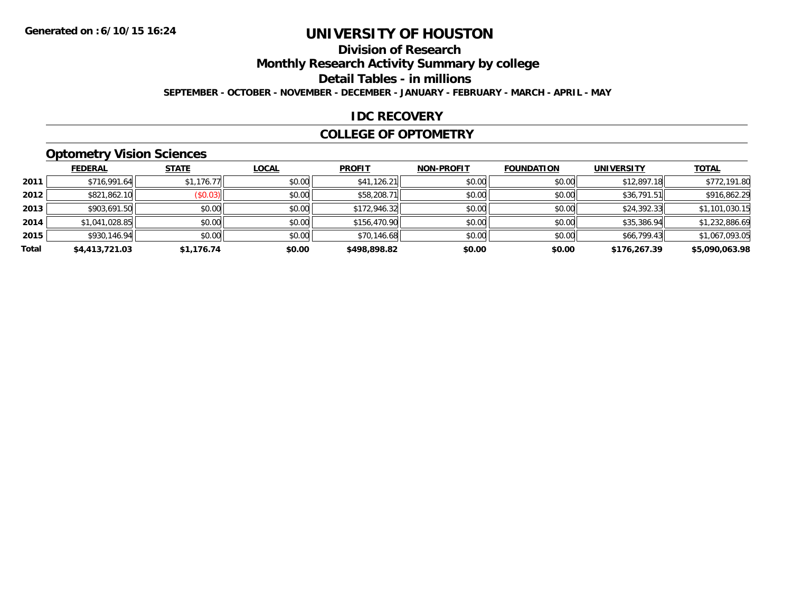### **Division of Research**

**Monthly Research Activity Summary by college**

**Detail Tables - in millions**

**SEPTEMBER - OCTOBER - NOVEMBER - DECEMBER - JANUARY - FEBRUARY - MARCH - APRIL - MAY**

#### **IDC RECOVERY**

#### **COLLEGE OF OPTOMETRY**

### **Optometry Vision Sciences**

|       | <b>FEDERAL</b> | <b>STATE</b>    | <b>LOCAL</b> | <b>PROFIT</b> | <b>NON-PROFIT</b> | <b>FOUNDATION</b> | <b>UNIVERSITY</b> | <b>TOTAL</b>   |
|-------|----------------|-----------------|--------------|---------------|-------------------|-------------------|-------------------|----------------|
| 2011  | \$716,991.64   | \$1,176.77      | \$0.00       | \$41,126.21   | \$0.00            | \$0.00            | \$12,897.18       | \$772,191.80   |
| 2012  | \$821,862.10   | $($ \$0.03) $ $ | \$0.00       | \$58,208.71   | \$0.00            | \$0.00            | \$36,791.51       | \$916,862.29   |
| 2013  | \$903,691.50   | \$0.00          | \$0.00       | \$172,946.32  | \$0.00            | \$0.00            | \$24,392.33       | \$1,101,030.15 |
| 2014  | \$1,041,028.85 | \$0.00          | \$0.00       | \$156,470.90  | \$0.00            | \$0.00            | \$35,386.94       | \$1,232,886.69 |
| 2015  | \$930,146.94   | \$0.00          | \$0.00       | \$70,146.68   | \$0.00            | \$0.00            | \$66,799.43       | \$1,067,093.05 |
| Total | \$4,413,721.03 | \$1,176.74      | \$0.00       | \$498.898.82  | \$0.00            | \$0.00            | \$176,267.39      | \$5,090,063.98 |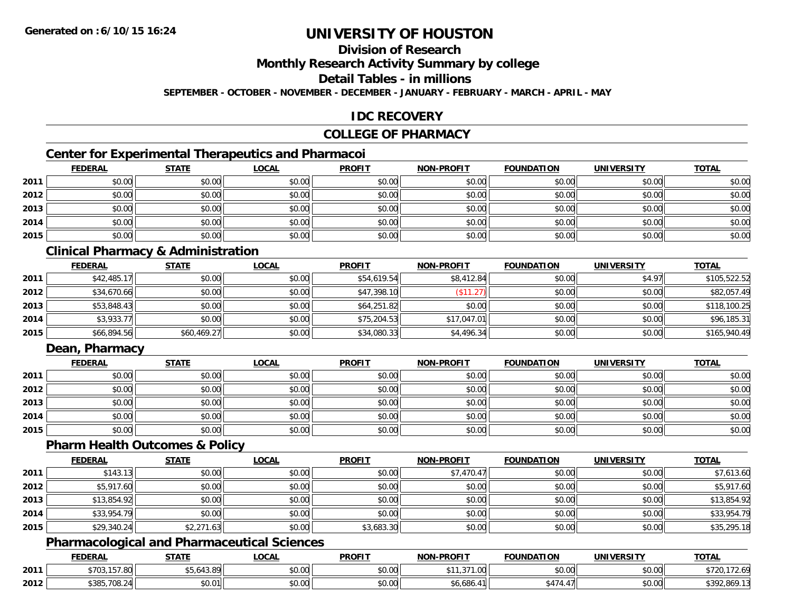### **Division of Research**

**Monthly Research Activity Summary by college**

**Detail Tables - in millions**

**SEPTEMBER - OCTOBER - NOVEMBER - DECEMBER - JANUARY - FEBRUARY - MARCH - APRIL - MAY**

### **IDC RECOVERY**

### **COLLEGE OF PHARMACY**

### **Center for Experimental Therapeutics and Pharmacoi**

|      | <b>FEDERAL</b> | <b>STATE</b> | <b>LOCAL</b> | <b>PROFIT</b> | NON-PROFIT | <b>FOUNDATION</b> | <b>UNIVERSITY</b> | <b>TOTAL</b> |
|------|----------------|--------------|--------------|---------------|------------|-------------------|-------------------|--------------|
| 2011 | \$0.00         | \$0.00       | \$0.00       | \$0.00        | \$0.00     | \$0.00            | \$0.00            | \$0.00       |
| 2012 | \$0.00         | \$0.00       | \$0.00       | \$0.00        | \$0.00     | \$0.00            | \$0.00            | \$0.00       |
| 2013 | \$0.00         | \$0.00       | \$0.00       | \$0.00        | \$0.00     | \$0.00            | \$0.00            | \$0.00       |
| 2014 | \$0.00         | \$0.00       | \$0.00       | \$0.00        | \$0.00     | \$0.00            | \$0.00            | \$0.00       |
| 2015 | \$0.00         | \$0.00       | \$0.00       | \$0.00        | \$0.00     | \$0.00            | \$0.00            | \$0.00       |

### **Clinical Pharmacy & Administration**

|      | <b>FEDERAL</b> | <b>STATE</b> | <u>LOCAL</u> | <b>PROFIT</b> | <b>NON-PROFIT</b> | <b>FOUNDATION</b> | <b>UNIVERSITY</b> | <b>TOTAL</b> |
|------|----------------|--------------|--------------|---------------|-------------------|-------------------|-------------------|--------------|
| 2011 | \$42,485.17    | \$0.00       | \$0.00       | \$54,619.54   | \$8,412.84        | \$0.00            | \$4.97            | \$105,522.52 |
| 2012 | \$34,670.66    | \$0.00       | \$0.00       | \$47,398.10   | \$11.27           | \$0.00            | \$0.00            | \$82,057.49  |
| 2013 | \$53,848.43    | \$0.00       | \$0.00       | \$64,251.82   | \$0.00            | \$0.00            | \$0.00            | \$118,100.25 |
| 2014 | \$3,933.77     | \$0.00       | \$0.00       | \$75,204.53   | \$17,047.01       | \$0.00            | \$0.00            | \$96,185.31  |
| 2015 | \$66,894.56    | \$60,469.27  | \$0.00       | \$34,080.33   | \$4,496.34        | \$0.00            | \$0.00            | \$165,940.49 |

### **Dean, Pharmacy**

|      | <b>FEDERAL</b> | <b>STATE</b> | <u>LOCAL</u> | <b>PROFIT</b> | <b>NON-PROFIT</b> | <b>FOUNDATION</b> | <b>UNIVERSITY</b> | <b>TOTAL</b> |
|------|----------------|--------------|--------------|---------------|-------------------|-------------------|-------------------|--------------|
| 2011 | \$0.00         | \$0.00       | \$0.00       | \$0.00        | \$0.00            | \$0.00            | \$0.00            | \$0.00       |
| 2012 | \$0.00         | \$0.00       | \$0.00       | \$0.00        | \$0.00            | \$0.00            | \$0.00            | \$0.00       |
| 2013 | \$0.00         | \$0.00       | \$0.00       | \$0.00        | \$0.00            | \$0.00            | \$0.00            | \$0.00       |
| 2014 | \$0.00         | \$0.00       | \$0.00       | \$0.00        | \$0.00            | \$0.00            | \$0.00            | \$0.00       |
| 2015 | \$0.00         | \$0.00       | \$0.00       | \$0.00        | \$0.00            | \$0.00            | \$0.00            | \$0.00       |

#### **Pharm Health Outcomes & Policy**

|      | <b>FEDERAL</b> | <b>STATE</b> | <b>LOCAL</b> | <b>PROFIT</b> | <b>NON-PROFIT</b> | <b>FOUNDATION</b> | <b>UNIVERSITY</b> | <b>TOTAL</b> |
|------|----------------|--------------|--------------|---------------|-------------------|-------------------|-------------------|--------------|
| 2011 | \$143.13       | \$0.00       | \$0.00       | \$0.00        | \$7,470.47        | \$0.00            | \$0.00            | \$7,613.60   |
| 2012 | \$5,917.60     | \$0.00       | \$0.00       | \$0.00        | \$0.00            | \$0.00            | \$0.00            | \$5,917.60   |
| 2013 | \$13,854.92    | \$0.00       | \$0.00       | \$0.00        | \$0.00            | \$0.00            | \$0.00            | \$13,854.92  |
| 2014 | \$33,954.79    | \$0.00       | \$0.00       | \$0.00        | \$0.00            | \$0.00            | \$0.00            | \$33,954.79  |
| 2015 | \$29,340.24    | \$2,271.63   | \$0.00       | \$3,683.30    | \$0.00            | \$0.00            | \$0.00            | \$35,295.18  |

### **Pharmacological and Pharmaceutical Sciences**

|      | <b>FEDERAL</b>                 | C T A T C               | .OCAI                  | <b>PROFIT</b>              | <b>LPROFIT</b><br><b>MANI</b> | <b>FOUNDATION</b>        | UNIVERSITY           | <b>TOTAL</b>                      |
|------|--------------------------------|-------------------------|------------------------|----------------------------|-------------------------------|--------------------------|----------------------|-----------------------------------|
| 2011 | 6702157<br>77 U.S. I D. / .8UI | $\sim$<br>.చ.రా         | ሶስ ሰሰ<br>,,,,,         | nn nt<br>DU.UU             | $\sim$ $\sim$ $\sim$<br>. vv  | \$0.00                   | 0000<br>\$U.UU       | 2.0 y<br>$\overline{\phantom{a}}$ |
| 2012 | \$385,708.24                   | ¢Λ<br>$\sim$<br>JU.U II | $\sim$ $\sim$<br>vv.vv | $*$ $\cap$ $\cap$<br>DU.UU | ,,,,,,,                       | $\overline{\phantom{a}}$ | 0.00<br><b>DU.UU</b> | 192.869                           |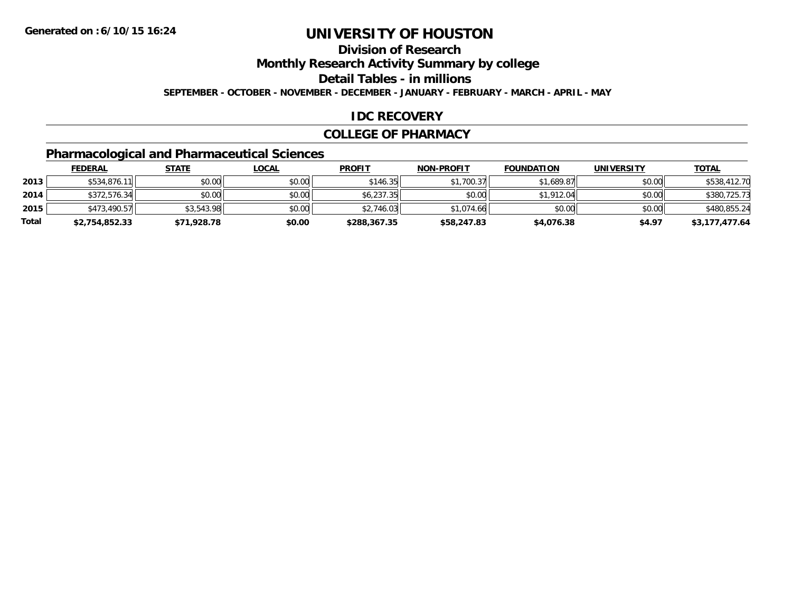**Division of Research**

**Monthly Research Activity Summary by college**

**Detail Tables - in millions**

**SEPTEMBER - OCTOBER - NOVEMBER - DECEMBER - JANUARY - FEBRUARY - MARCH - APRIL - MAY**

### **IDC RECOVERY**

#### **COLLEGE OF PHARMACY**

## **Pharmacological and Pharmaceutical Sciences**

|       | <u>FEDERAL</u> | <u>STATE</u> | <u>LOCAL</u> | <b>PROFIT</b> | <b>NON-PROFIT</b> | <b>FOUNDATION</b> | UNIVERSITY | <b>TOTAL</b>   |
|-------|----------------|--------------|--------------|---------------|-------------------|-------------------|------------|----------------|
| 2013  | \$534,876.1    | \$0.00       | \$0.00       | \$146.35      | \$1.700.37        | \$1,689.87        | \$0.00     | \$538,412.70   |
| 2014  | \$372,576.34   | \$0.00       | \$0.00       | \$6,237.35    | \$0.00            | \$1,912.04        | \$0.00     | \$380,725.73   |
| 2015  | \$473,490.57   | \$3,543.98   | \$0.00       | \$2,746.03    | \$1,074.66        | \$0.00            | \$0.00     | \$480,855.24   |
| Total | \$2,754,852.33 | \$71,928.78  | \$0.00       | \$288,367.35  | \$58,247.83       | \$4,076.38        | \$4.97     | \$3,177,477.64 |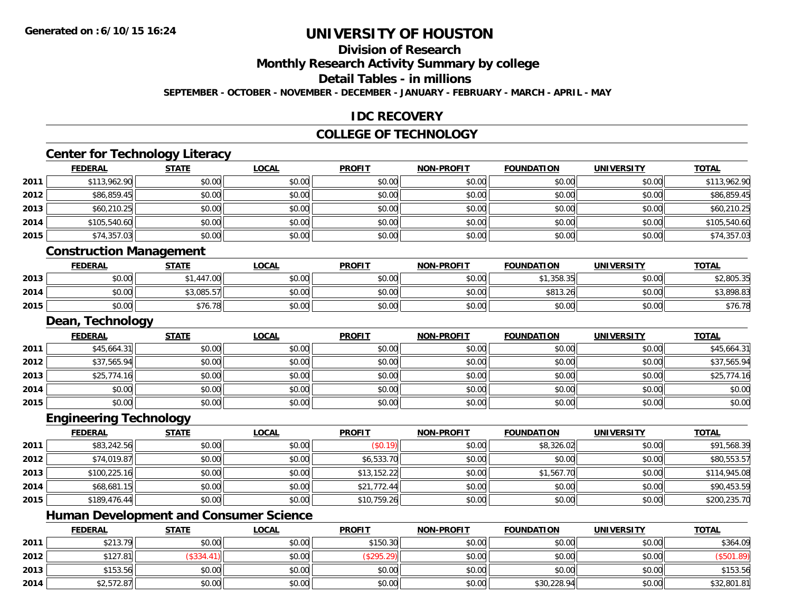### **Division of Research**

**Monthly Research Activity Summary by college**

**Detail Tables - in millions**

**SEPTEMBER - OCTOBER - NOVEMBER - DECEMBER - JANUARY - FEBRUARY - MARCH - APRIL - MAY**

### **IDC RECOVERY**

#### **COLLEGE OF TECHNOLOGY**

<u> 1989 - Johann Stoff, deutscher Stoffen und der Stoffen und der Stoffen und der Stoffen und der Stoffen und de</u>

# **Center for Technology Literacy**

|      | <b>FEDERAL</b> | <b>STATE</b> | <b>LOCAL</b> | <b>PROFIT</b> | NON-PROFIT | <b>FOUNDATION</b> | <b>UNIVERSITY</b> | <b>TOTAL</b> |
|------|----------------|--------------|--------------|---------------|------------|-------------------|-------------------|--------------|
| 2011 | \$113,962.90   | \$0.00       | \$0.00       | \$0.00        | \$0.00     | \$0.00            | \$0.00            | \$113,962.90 |
| 2012 | \$86,859.45    | \$0.00       | \$0.00       | \$0.00        | \$0.00     | \$0.00            | \$0.00            | \$86,859.45  |
| 2013 | \$60,210.25    | \$0.00       | \$0.00       | \$0.00        | \$0.00     | \$0.00            | \$0.00            | \$60,210.25  |
| 2014 | \$105,540.60   | \$0.00       | \$0.00       | \$0.00        | \$0.00     | \$0.00            | \$0.00            | \$105,540.60 |
| 2015 | \$74,357.03    | \$0.00       | \$0.00       | \$0.00        | \$0.00     | \$0.00            | \$0.00            | \$74,357.03  |
|      |                |              |              |               |            |                   |                   |              |

#### **Construction Management**

|      | <b>FEDERAL</b> | <b>STATE</b>      | LOCAL                | <b>PROFIT</b> | <b>NON-PROFIT</b> | <b>FOUNDATION</b> | UNIVERSITY | <b>TOTAL</b> |
|------|----------------|-------------------|----------------------|---------------|-------------------|-------------------|------------|--------------|
| 2013 | \$0.00         | 11700<br>44 / .UU | 0000<br><b>DU.UG</b> | \$0.00        | \$0.00            | \$1,358.35        | \$0.00     | \$2,805.35   |
| 2014 | \$0.00         | \$3,085.57        | 0000<br><b>DU.UU</b> | \$0.00        | \$0.00            | \$813.26          | \$0.00     | \$3,898.83   |
| 2015 | \$0.00         | \$76.78           | \$0.00               | \$0.00        | \$0.00            | \$0.00            | \$0.00     | \$76.78      |

#### **Dean, Technology**

|      | <b>FEDERAL</b> | <b>STATE</b> | <u>LOCAL</u> | <b>PROFIT</b> | <b>NON-PROFIT</b> | <b>FOUNDATION</b> | <b>UNIVERSITY</b> | <b>TOTAL</b> |
|------|----------------|--------------|--------------|---------------|-------------------|-------------------|-------------------|--------------|
| 2011 | \$45,664.31    | \$0.00       | \$0.00       | \$0.00        | \$0.00            | \$0.00            | \$0.00            | \$45,664.31  |
| 2012 | \$37,565.94    | \$0.00       | \$0.00       | \$0.00        | \$0.00            | \$0.00            | \$0.00            | \$37,565.94  |
| 2013 | \$25,774.16    | \$0.00       | \$0.00       | \$0.00        | \$0.00            | \$0.00            | \$0.00            | \$25,774.16  |
| 2014 | \$0.00         | \$0.00       | \$0.00       | \$0.00        | \$0.00            | \$0.00            | \$0.00            | \$0.00       |
| 2015 | \$0.00         | \$0.00       | \$0.00       | \$0.00        | \$0.00            | \$0.00            | \$0.00            | \$0.00       |

#### **Engineering Technology**

|      | <b>FEDERAL</b> | <u>STATE</u> | <u>LOCAL</u> | <b>PROFIT</b> | <b>NON-PROFIT</b> | <b>FOUNDATION</b> | <b>UNIVERSITY</b> | <b>TOTAL</b> |
|------|----------------|--------------|--------------|---------------|-------------------|-------------------|-------------------|--------------|
| 2011 | \$83,242.56    | \$0.00       | \$0.00       | (S0.19)       | \$0.00            | \$8,326.02        | \$0.00            | \$91,568.39  |
| 2012 | \$74,019.87    | \$0.00       | \$0.00       | \$6,533.70    | \$0.00            | \$0.00            | \$0.00            | \$80,553.57  |
| 2013 | \$100,225.16   | \$0.00       | \$0.00       | \$13,152.22   | \$0.00            | \$1,567.70        | \$0.00            | \$114,945.08 |
| 2014 | \$68,681.15    | \$0.00       | \$0.00       | \$21,772.44   | \$0.00            | \$0.00            | \$0.00            | \$90,453.59  |
| 2015 | \$189,476.44   | \$0.00       | \$0.00       | \$10,759.26   | \$0.00            | \$0.00            | \$0.00            | \$200,235.70 |

<u> 1980 - Johann Barbara, martxa alemaniar argametar a martxa a shekara a shekara a shekara a shekara a shekara</u>

## **Human Development and Consumer Science**

|      | <b>FEDERAL</b> | STATE   | <u>LOCAL</u> | <b>PROFIT</b> | <b>NON-PROFIT</b> | <b>FOUNDATION</b> | <b>UNIVERSITY</b> | <b>TOTAL</b>     |
|------|----------------|---------|--------------|---------------|-------------------|-------------------|-------------------|------------------|
| 2011 | \$213.79       | \$0.00  | \$0.00       | \$150.30      | \$0.00            | \$0.00            | \$0.00            | \$364.09         |
| 2012 | \$127.81       | \$334.4 | \$0.00       | \$295.2       | \$0.00            | \$0.00            | \$0.00            | $($ \$501.89 $)$ |
| 2013 | \$153.56       | \$0.00  | \$0.00       | \$0.00        | \$0.00            | \$0.00            | \$0.00            | \$153.56         |
| 2014 | \$2,572.87     | \$0.00  | \$0.00       | \$0.00        | \$0.00            | \$30,228.94       | \$0.00            | \$32,801.81      |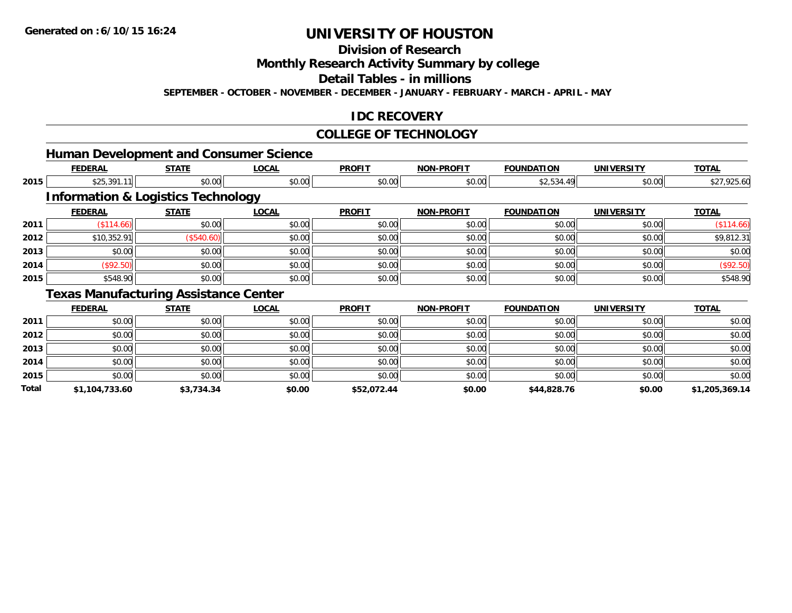**Total**

# **UNIVERSITY OF HOUSTON**

**Division of Research**

**Monthly Research Activity Summary by college**

**Detail Tables - in millions**

**SEPTEMBER - OCTOBER - NOVEMBER - DECEMBER - JANUARY - FEBRUARY - MARCH - APRIL - MAY**

### **IDC RECOVERY**

#### **COLLEGE OF TECHNOLOGY**

|      |                | <b>Human Development and Consumer Science</b> |              |               |                   |                   |                   |              |
|------|----------------|-----------------------------------------------|--------------|---------------|-------------------|-------------------|-------------------|--------------|
|      | <b>FEDERAL</b> | <b>STATE</b>                                  | <b>LOCAL</b> | <b>PROFIT</b> | <b>NON-PROFIT</b> | <b>FOUNDATION</b> | <b>UNIVERSITY</b> | <b>TOTAL</b> |
| 2015 | \$25,391.11    | \$0.00                                        | \$0.00       | \$0.00        | \$0.00            | \$2,534.49        | \$0.00            | \$27,925.60  |
|      |                | <b>Information &amp; Logistics Technology</b> |              |               |                   |                   |                   |              |
|      | <b>FEDERAL</b> | <b>STATE</b>                                  | <b>LOCAL</b> | <b>PROFIT</b> | <b>NON-PROFIT</b> | <b>FOUNDATION</b> | <b>UNIVERSITY</b> | <b>TOTAL</b> |
| 2011 | (\$114.66)     | \$0.00                                        | \$0.00       | \$0.00        | \$0.00            | \$0.00            | \$0.00            | (\$114.66)   |
| 2012 | \$10,352.91    | (\$540.60)                                    | \$0.00       | \$0.00        | \$0.00            | \$0.00            | \$0.00            | \$9,812.31   |
| 2013 | \$0.00         | \$0.00                                        | \$0.00       | \$0.00        | \$0.00            | \$0.00            | \$0.00            | \$0.00       |
| 2014 | (\$92.50)      | \$0.00                                        | \$0.00       | \$0.00        | \$0.00            | \$0.00            | \$0.00            | (\$92.50)    |
| 2015 | \$548.90       | \$0.00                                        | \$0.00       | \$0.00        | \$0.00            | \$0.00            | \$0.00            | \$548.90     |
|      |                | <b>Texas Manufacturing Assistance Center</b>  |              |               |                   |                   |                   |              |
|      | <b>FEDERAL</b> | <b>STATE</b>                                  | <b>LOCAL</b> | <b>PROFIT</b> | <b>NON-PROFIT</b> | <b>FOUNDATION</b> | <b>UNIVERSITY</b> | <b>TOTAL</b> |
| 2011 | \$0.00         | \$0.00                                        | \$0.00       | \$0.00        | \$0.00            | \$0.00            | \$0.00            | \$0.00       |
| 2012 | \$0.00         | \$0.00                                        | \$0.00       | \$0.00        | \$0.00            | \$0.00            | \$0.00            | \$0.00       |
| 2013 | \$0.00         | \$0.00                                        | \$0.00       | \$0.00        | \$0.00            | \$0.00            | \$0.00            | \$0.00       |
| 2014 | \$0.00         | \$0.00                                        | \$0.00       | \$0.00        | \$0.00            | \$0.00            | \$0.00            | \$0.00       |
| 2015 | \$0.00         | \$0.00                                        | \$0.00       | \$0.00        | \$0.00            | \$0.00            | \$0.00            | \$0.00       |

**\$1,104,733.60 \$3,734.34 \$0.00 \$52,072.44 \$0.00 \$44,828.76 \$0.00 \$1,205,369.14**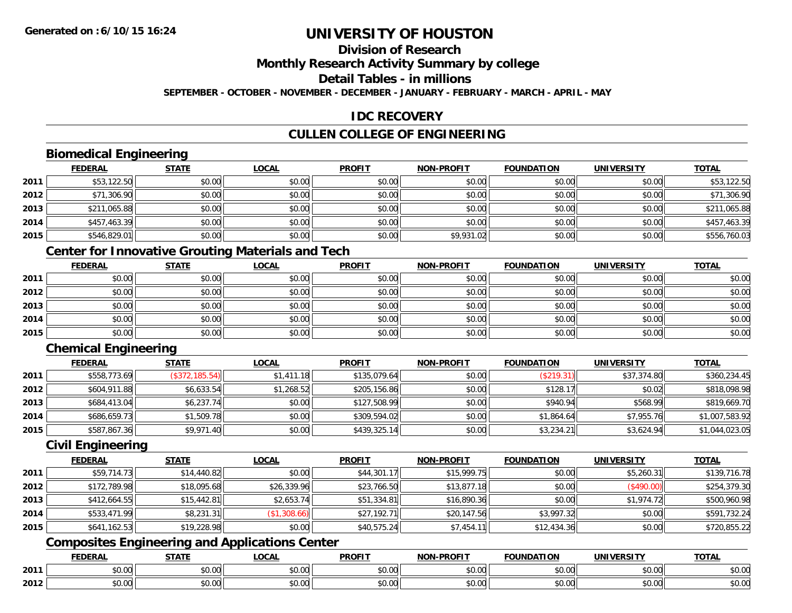## **Division of Research**

**Monthly Research Activity Summary by college**

**Detail Tables - in millions**

**SEPTEMBER - OCTOBER - NOVEMBER - DECEMBER - JANUARY - FEBRUARY - MARCH - APRIL - MAY**

### **IDC RECOVERY**

### **CULLEN COLLEGE OF ENGINEERING**

### **Biomedical Engineering**

|      | <b>FEDERAL</b> | <b>STATE</b> | <b>LOCAL</b> | <b>PROFIT</b> | <b>NON-PROFIT</b> | <b>FOUNDATION</b> | <b>UNIVERSITY</b> | <b>TOTAL</b> |
|------|----------------|--------------|--------------|---------------|-------------------|-------------------|-------------------|--------------|
| 2011 | \$53,122.50    | \$0.00       | \$0.00       | \$0.00        | \$0.00            | \$0.00            | \$0.00            | \$53,122.50  |
| 2012 | \$71,306.90    | \$0.00       | \$0.00       | \$0.00        | \$0.00            | \$0.00            | \$0.00            | \$71,306.90  |
| 2013 | \$211,065.88   | \$0.00       | \$0.00       | \$0.00        | \$0.00            | \$0.00            | \$0.00            | \$211,065.88 |
| 2014 | \$457,463.39   | \$0.00       | \$0.00       | \$0.00        | \$0.00            | \$0.00            | \$0.00            | \$457,463.39 |
| 2015 | \$546,829.01   | \$0.00       | \$0.00       | \$0.00        | \$9,931.02        | \$0.00            | \$0.00            | \$556,760.03 |

### **Center for Innovative Grouting Materials and Tech**

|      | <b>FEDERAL</b> | <b>STATE</b> | <u>LOCAL</u> | <b>PROFIT</b> | <b>NON-PROFIT</b> | <b>FOUNDATION</b> | <b>UNIVERSITY</b> | <b>TOTAL</b> |
|------|----------------|--------------|--------------|---------------|-------------------|-------------------|-------------------|--------------|
| 2011 | \$0.00         | \$0.00       | \$0.00       | \$0.00        | \$0.00            | \$0.00            | \$0.00            | \$0.00       |
| 2012 | \$0.00         | \$0.00       | \$0.00       | \$0.00        | \$0.00            | \$0.00            | \$0.00            | \$0.00       |
| 2013 | \$0.00         | \$0.00       | \$0.00       | \$0.00        | \$0.00            | \$0.00            | \$0.00            | \$0.00       |
| 2014 | \$0.00         | \$0.00       | \$0.00       | \$0.00        | \$0.00            | \$0.00            | \$0.00            | \$0.00       |
| 2015 | \$0.00         | \$0.00       | \$0.00       | \$0.00        | \$0.00            | \$0.00            | \$0.00            | \$0.00       |

## **Chemical Engineering**

|      | <b>FEDERAL</b> | <b>STATE</b>   | <u>LOCAL</u> | <b>PROFIT</b> | <b>NON-PROFIT</b> | <b>FOUNDATION</b> | <b>UNIVERSITY</b> | <b>TOTAL</b>   |
|------|----------------|----------------|--------------|---------------|-------------------|-------------------|-------------------|----------------|
| 2011 | \$558,773.69   | (\$372,185.54) | \$1,411,18   | \$135.079.64  | \$0.00            | (\$219.31)        | \$37,374.80       | \$360,234.45   |
| 2012 | \$604,911.88   | \$6,633.54     | \$1,268.52   | \$205,156.86  | \$0.00            | \$128.17          | \$0.02            | \$818,098.98   |
| 2013 | \$684,413.04   | \$6,237.74     | \$0.00       | \$127,508.99  | \$0.00            | \$940.94          | \$568.99          | \$819,669.70   |
| 2014 | \$686,659.73   | \$1,509.78     | \$0.00       | \$309,594.02  | \$0.00            | \$1,864.64        | \$7,955.76        | \$1,007,583.92 |
| 2015 | \$587,867.36   | \$9,971.40     | \$0.00       | \$439,325.14  | \$0.00            | \$3,234.21        | \$3,624.94        | \$1,044,023.05 |

#### **Civil Engineering**

|      | <b>FEDERAL</b> | <u>STATE</u> | <b>LOCAL</b> | <b>PROFIT</b> | <b>NON-PROFIT</b> | <b>FOUNDATION</b> | <b>UNIVERSITY</b> | <b>TOTAL</b> |
|------|----------------|--------------|--------------|---------------|-------------------|-------------------|-------------------|--------------|
| 2011 | \$59,714.73    | \$14,440.82  | \$0.00       | \$44,301.17   | \$15,999.75       | \$0.00            | \$5,260.31        | \$139,716.78 |
| 2012 | \$172,789.98   | \$18,095.68  | \$26,339.96  | \$23,766.50   | \$13,877.18       | \$0.00            | (\$490.00)        | \$254,379.30 |
| 2013 | \$412,664.55   | \$15,442.81  | \$2,653.74   | \$51,334.81   | \$16,890.36       | \$0.00            | \$1,974.72        | \$500,960.98 |
| 2014 | \$533,471.99   | \$8,231.31   | (\$1,308.66) | \$27,192.71   | \$20,147.56       | \$3,997.32        | \$0.00            | \$591,732.24 |
| 2015 | \$641,162.53   | \$19,228.98  | \$0.00       | \$40,575.24   | \$7,454.11        | \$12,434.36       | \$0.00            | \$720,855.22 |

### **Composites Engineering and Applications Center**

|      | <b>FEBER!</b><br>LI\ <i>r</i> | $C = A$                  | $\bigcap_{n=1}^{\infty}$<br>.OCAI   | <b>PROFIT</b>          | יוחמחח<br><b>BIOB</b>         | ាកា<br>I ) Д                                 | . <i></i><br>.JIV∶ | <b>TOTAL</b>                                          |
|------|-------------------------------|--------------------------|-------------------------------------|------------------------|-------------------------------|----------------------------------------------|--------------------|-------------------------------------------------------|
| 2011 | 0.00<br>שט.טע                 | $\sim$ 0.0 $\sim$<br>ט.ט | $\sim$ 00<br>וטטוע                  | $\sim$ $\sim$<br>וטטוע | $\sim$ $\sim$ $\sim$<br>vv.vv | $\triangle$ $\triangle$ $\triangle$<br>wu.uu | 0.00<br>PU.UU      | $\mathbf{A} \cap \mathbf{A} \cap \mathbf{A}$<br>JU.UU |
| 2012 | 0000<br>JU.UU                 | <b>↑∩</b><br>JU.U        | $\uparrow$ $\land$ $\land$<br>PU.UU | $\sim$ 00<br>⊸ ∿ບ.ບບ⊩  | $\sim$<br>$\sim$<br>vv.vv     | $\sim$<br>JU.UU                              | 0000<br>JU.UU      | JU.UU                                                 |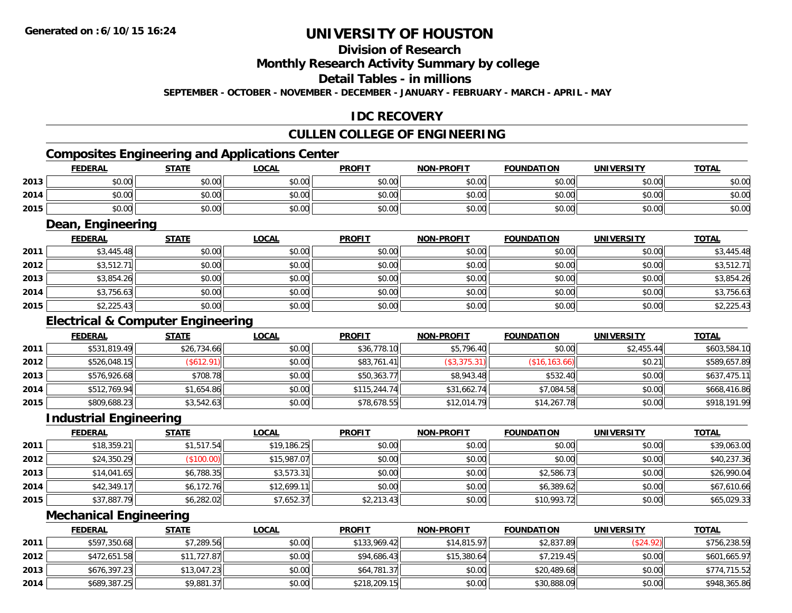### **Division of Research**

**Monthly Research Activity Summary by college**

**Detail Tables - in millions**

**SEPTEMBER - OCTOBER - NOVEMBER - DECEMBER - JANUARY - FEBRUARY - MARCH - APRIL - MAY**

### **IDC RECOVERY**

### **CULLEN COLLEGE OF ENGINEERING**

### **Composites Engineering and Applications Center**

|      | <b>FEDERAL</b> | <b>STATE</b> | <b>LOCAL</b> | <b>PROFIT</b> | <b>NON-PROFIT</b> | <b>FOUNDATION</b> | <b>UNIVERSITY</b> | <b>TOTAL</b> |
|------|----------------|--------------|--------------|---------------|-------------------|-------------------|-------------------|--------------|
| 2013 | \$0.00         | \$0.00       | \$0.00       | \$0.00        | \$0.00            | \$0.00            | \$0.00            | \$0.00       |
| 2014 | \$0.00         | \$0.00       | \$0.00       | \$0.00        | \$0.00            | \$0.00            | \$0.00            | \$0.00       |
| 2015 | \$0.00         | \$0.00       | \$0.00       | \$0.00        | \$0.00            | \$0.00            | \$0.00            | \$0.00       |

<u> 1989 - Johann Stoff, deutscher Stoffen und der Stoffen und der Stoffen und der Stoffen und der Stoffen und der</u>

#### **Dean, Engineering**

|      | <b>FEDERAL</b> | <b>STATE</b> | <b>LOCAL</b> | <b>PROFIT</b> | <b>NON-PROFIT</b> | <b>FOUNDATION</b> | <b>UNIVERSITY</b> | <b>TOTAL</b> |
|------|----------------|--------------|--------------|---------------|-------------------|-------------------|-------------------|--------------|
| 2011 | \$3,445.48     | \$0.00       | \$0.00       | \$0.00        | \$0.00            | \$0.00            | \$0.00            | \$3,445.48   |
| 2012 | \$3,512.71     | \$0.00       | \$0.00       | \$0.00        | \$0.00            | \$0.00            | \$0.00            | \$3,512.71   |
| 2013 | \$3,854.26     | \$0.00       | \$0.00       | \$0.00        | \$0.00            | \$0.00            | \$0.00            | \$3,854.26   |
| 2014 | \$3,756.63     | \$0.00       | \$0.00       | \$0.00        | \$0.00            | \$0.00            | \$0.00            | \$3,756.63   |
| 2015 | \$2,225.43     | \$0.00       | \$0.00       | \$0.00        | \$0.00            | \$0.00            | \$0.00            | \$2,225.43   |

### **Electrical & Computer Engineering**

|      | <b>FEDERAL</b> | <u>STATE</u>  | <b>LOCAL</b> | <b>PROFIT</b> | <b>NON-PROFIT</b> | <b>FOUNDATION</b> | <b>UNIVERSITY</b> | <b>TOTAL</b> |
|------|----------------|---------------|--------------|---------------|-------------------|-------------------|-------------------|--------------|
| 2011 | \$531,819.49   | \$26,734.66   | \$0.00       | \$36,778.10   | \$5,796.40        | \$0.00            | \$2,455.44        | \$603,584.10 |
| 2012 | \$526,048.15   | $($ \$612.91) | \$0.00       | \$83,761.41   | (\$3,375.31)      | (\$16, 163.66)    | \$0.21            | \$589,657.89 |
| 2013 | \$576,926.68   | \$708.78      | \$0.00       | \$50,363.77   | \$8,943.48        | \$532.40          | \$0.00            | \$637,475.11 |
| 2014 | \$512,769.94   | \$1,654.86    | \$0.00       | \$115,244.74  | \$31,662.74       | \$7,084.58        | \$0.00            | \$668,416.86 |
| 2015 | \$809,688.23   | \$3,542.63    | \$0.00       | \$78,678.55   | \$12,014.79       | \$14,267.78       | \$0.00            | \$918,191.99 |

#### **Industrial Engineering**

|      | <b>FEDERAL</b> | <u>STATE</u> | <u>LOCAL</u> | <b>PROFIT</b> | <b>NON-PROFIT</b> | <b>FOUNDATION</b> | <b>UNIVERSITY</b> | <b>TOTAL</b> |
|------|----------------|--------------|--------------|---------------|-------------------|-------------------|-------------------|--------------|
| 2011 | \$18,359.21    | \$1,517.54   | \$19,186.25  | \$0.00        | \$0.00            | \$0.00            | \$0.00            | \$39,063.00  |
| 2012 | \$24,350.29    | (\$100.00)   | \$15,987.07  | \$0.00        | \$0.00            | \$0.00            | \$0.00            | \$40,237.36  |
| 2013 | \$14,041.65    | \$6,788.35   | \$3,573.31   | \$0.00        | \$0.00            | \$2,586.73        | \$0.00            | \$26,990.04  |
| 2014 | \$42,349.17    | \$6,172.76   | \$12,699.11  | \$0.00        | \$0.00            | \$6,389.62        | \$0.00            | \$67,610.66  |
| 2015 | \$37,887.79    | \$6,282.02   | \$7,652.37   | \$2,213.43    | \$0.00            | \$10,993.72       | \$0.00            | \$65,029.33  |

#### **Mechanical Engineering**

|      | <b>FEDERAL</b> | <b>STATE</b> | <u>LOCAL</u> | <b>PROFIT</b> | <b>NON-PROFIT</b> | <b>FOUNDATION</b> | <b>UNIVERSITY</b> | <b>TOTAL</b> |
|------|----------------|--------------|--------------|---------------|-------------------|-------------------|-------------------|--------------|
| 2011 | \$597,350.68   | \$7,289.56   | \$0.00       | \$133.969.42  | \$14,815.97       | \$2,837.89        | (\$24.92)         | \$756,238.59 |
| 2012 | \$472,651.58   | \$11,727.87  | \$0.00       | \$94,686.43   | \$15,380.64       | \$7,219.45        | \$0.00            | \$601,665.97 |
| 2013 | \$676,397.23   | \$13.047.23  | \$0.00       | \$64,781.37   | \$0.00            | \$20,489.68       | \$0.00            | \$774,715.52 |
| 2014 | \$689,387.25   | \$9,881.37   | \$0.00       | \$218,209.15  | \$0.00            | \$30,888.09       | \$0.00            | \$948,365.86 |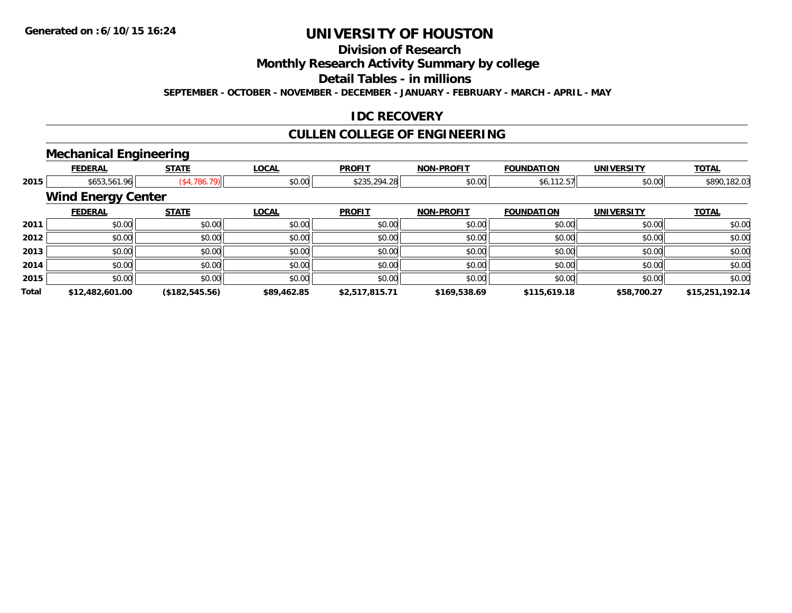## **Division of Research**

**Monthly Research Activity Summary by college**

**Detail Tables - in millions**

**SEPTEMBER - OCTOBER - NOVEMBER - DECEMBER - JANUARY - FEBRUARY - MARCH - APRIL - MAY**

### **IDC RECOVERY**

## **CULLEN COLLEGE OF ENGINEERING**

### **Mechanical Engineering**

|       | <b>FEDERAL</b>            | <b>STATE</b>   | <b>LOCAL</b> | <b>PROFIT</b>  | <b>NON-PROFIT</b> | <b>FOUNDATION</b> | <b>UNIVERSITY</b> | <b>TOTAL</b>    |
|-------|---------------------------|----------------|--------------|----------------|-------------------|-------------------|-------------------|-----------------|
| 2015  | \$653,561.96              | (\$4,786.79)   | \$0.00       | \$235,294.28   | \$0.00            | \$6,112.57        | \$0.00            | \$890,182.03    |
|       | <b>Wind Energy Center</b> |                |              |                |                   |                   |                   |                 |
|       | <b>FEDERAL</b>            | <b>STATE</b>   | <b>LOCAL</b> | <b>PROFIT</b>  | <b>NON-PROFIT</b> | <b>FOUNDATION</b> | <b>UNIVERSITY</b> | <b>TOTAL</b>    |
| 2011  | \$0.00                    | \$0.00         | \$0.00       | \$0.00         | \$0.00            | \$0.00            | \$0.00            | \$0.00          |
| 2012  | \$0.00                    | \$0.00         | \$0.00       | \$0.00         | \$0.00            | \$0.00            | \$0.00            | \$0.00          |
| 2013  | \$0.00                    | \$0.00         | \$0.00       | \$0.00         | \$0.00            | \$0.00            | \$0.00            | \$0.00          |
| 2014  | \$0.00                    | \$0.00         | \$0.00       | \$0.00         | \$0.00            | \$0.00            | \$0.00            | \$0.00          |
| 2015  | \$0.00                    | \$0.00         | \$0.00       | \$0.00         | \$0.00            | \$0.00            | \$0.00            | \$0.00          |
| Total | \$12,482,601.00           | (\$182,545.56) | \$89,462.85  | \$2,517,815.71 | \$169,538.69      | \$115,619.18      | \$58,700.27       | \$15,251,192.14 |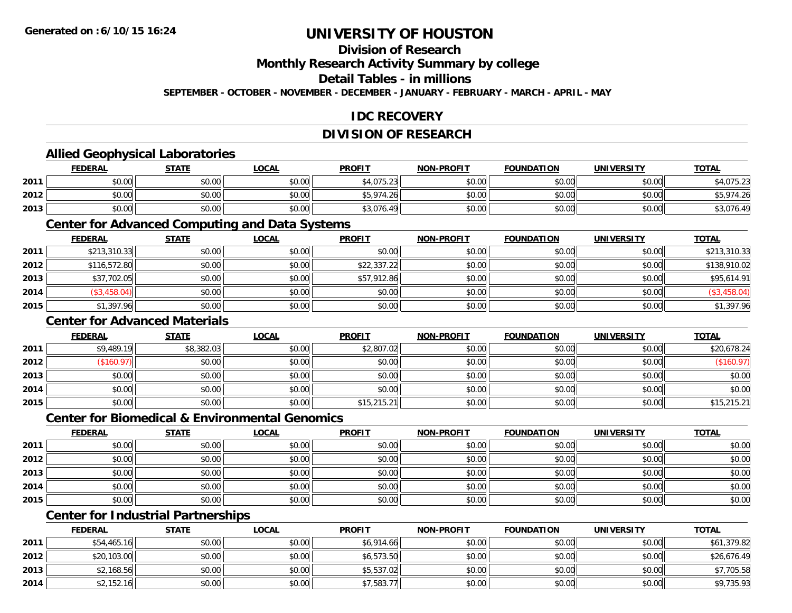### **Division of Research**

**Monthly Research Activity Summary by college**

**Detail Tables - in millions**

**SEPTEMBER - OCTOBER - NOVEMBER - DECEMBER - JANUARY - FEBRUARY - MARCH - APRIL - MAY**

### **IDC RECOVERY**

## **DIVISION OF RESEARCH**

### **Allied Geophysical Laboratories**

|      | <b>FEDERAL</b> | <b>STATE</b> | <b>LOCAL</b>  | <b>PROFIT</b>  | <b>NON-PROFIT</b> | <b>FOUNDATION</b> | <b>UNIVERSITY</b> | <b>TOTAL</b>                            |
|------|----------------|--------------|---------------|----------------|-------------------|-------------------|-------------------|-----------------------------------------|
| 2011 | \$0.00         | \$0.00       | \$0.00        | \$4,075.23     | \$0.00            | \$0.00            | \$0.00            | $\sim$ $\sim$ $\sim$<br>ان ∠. ن / ∪, 14 |
| 2012 | \$0.00         | \$0.00       | 0000<br>DU.U¢ | \$5,974<br>.26 | \$0.00            | \$0.00            | \$0.00            | ,974.26                                 |
| 2013 | \$0.00         | \$0.00       | \$0.00        | \$3,076.49     | \$0.00            | \$0.00            | \$0.00            | \$3,076.49                              |

#### **Center for Advanced Computing and Data Systems**

|      | <u>FEDERAL</u> | <b>STATE</b> | <b>LOCAL</b> | <b>PROFIT</b> | <b>NON-PROFIT</b> | <b>FOUNDATION</b> | <b>UNIVERSITY</b> | <b>TOTAL</b> |
|------|----------------|--------------|--------------|---------------|-------------------|-------------------|-------------------|--------------|
| 2011 | \$213,310.33   | \$0.00       | \$0.00       | \$0.00        | \$0.00            | \$0.00            | \$0.00            | \$213,310.33 |
| 2012 | \$116,572.80   | \$0.00       | \$0.00       | \$22,337.22   | \$0.00            | \$0.00            | \$0.00            | \$138,910.02 |
| 2013 | \$37,702.05    | \$0.00       | \$0.00       | \$57,912.86   | \$0.00            | \$0.00            | \$0.00            | \$95,614.91  |
| 2014 | (\$3,458.04)   | \$0.00       | \$0.00       | \$0.00        | \$0.00            | \$0.00            | \$0.00            | (\$3,458.04) |
| 2015 | \$1,397.96     | \$0.00       | \$0.00       | \$0.00        | \$0.00            | \$0.00            | \$0.00            | \$1,397.96   |

### **Center for Advanced Materials**

|      | <b>FEDERAL</b> | <b>STATE</b> | <u>LOCAL</u> | <b>PROFIT</b> | <b>NON-PROFIT</b> | <b>FOUNDATION</b> | <b>UNIVERSITY</b> | <b>TOTAL</b> |
|------|----------------|--------------|--------------|---------------|-------------------|-------------------|-------------------|--------------|
| 2011 | \$9,489.19     | \$8,382.03   | \$0.00       | \$2,807.02    | \$0.00            | \$0.00            | \$0.00            | \$20,678.24  |
| 2012 | \$160.97       | \$0.00       | \$0.00       | \$0.00        | \$0.00            | \$0.00            | \$0.00            | (\$160.97)   |
| 2013 | \$0.00         | \$0.00       | \$0.00       | \$0.00        | \$0.00            | \$0.00            | \$0.00            | \$0.00       |
| 2014 | \$0.00         | \$0.00       | \$0.00       | \$0.00        | \$0.00            | \$0.00            | \$0.00            | \$0.00       |
| 2015 | \$0.00         | \$0.00       | \$0.00       | \$15,215.21   | \$0.00            | \$0.00            | \$0.00            | \$15,215.21  |

#### **Center for Biomedical & Environmental Genomics**

|      | <u>FEDERAL</u> | <b>STATE</b> | <b>LOCAL</b> | <b>PROFIT</b> | NON-PROFIT | <b>FOUNDATION</b> | <b>UNIVERSITY</b> | <b>TOTAL</b> |
|------|----------------|--------------|--------------|---------------|------------|-------------------|-------------------|--------------|
| 2011 | \$0.00         | \$0.00       | \$0.00       | \$0.00        | \$0.00     | \$0.00            | \$0.00            | \$0.00       |
| 2012 | \$0.00         | \$0.00       | \$0.00       | \$0.00        | \$0.00     | \$0.00            | \$0.00            | \$0.00       |
| 2013 | \$0.00         | \$0.00       | \$0.00       | \$0.00        | \$0.00     | \$0.00            | \$0.00            | \$0.00       |
| 2014 | \$0.00         | \$0.00       | \$0.00       | \$0.00        | \$0.00     | \$0.00            | \$0.00            | \$0.00       |
| 2015 | \$0.00         | \$0.00       | \$0.00       | \$0.00        | \$0.00     | \$0.00            | \$0.00            | \$0.00       |

## **Center for Industrial Partnerships**

|      | <u>FEDERAL</u> | <b>STATE</b> | <b>LOCAL</b> | <b>PROFIT</b> | <b>NON-PROFIT</b> | <b>FOUNDATION</b> | <b>UNIVERSITY</b> | <b>TOTAL</b> |
|------|----------------|--------------|--------------|---------------|-------------------|-------------------|-------------------|--------------|
| 2011 | \$54,465.16    | \$0.00       | \$0.00       | \$6,914.66    | \$0.00            | \$0.00            | \$0.00            | \$61,379.82  |
| 2012 | \$20,103.00    | \$0.00       | \$0.00       | \$6,573.50    | \$0.00            | \$0.00            | \$0.00            | \$26,676.49  |
| 2013 | \$2,168.56     | \$0.00       | \$0.00       | \$5,537.02    | \$0.00            | \$0.00            | \$0.00            | \$7,705.58   |
| 2014 | \$2,152.16     | \$0.00       | \$0.00       | \$7,583.77    | \$0.00            | \$0.00            | \$0.00            | \$9,735.93   |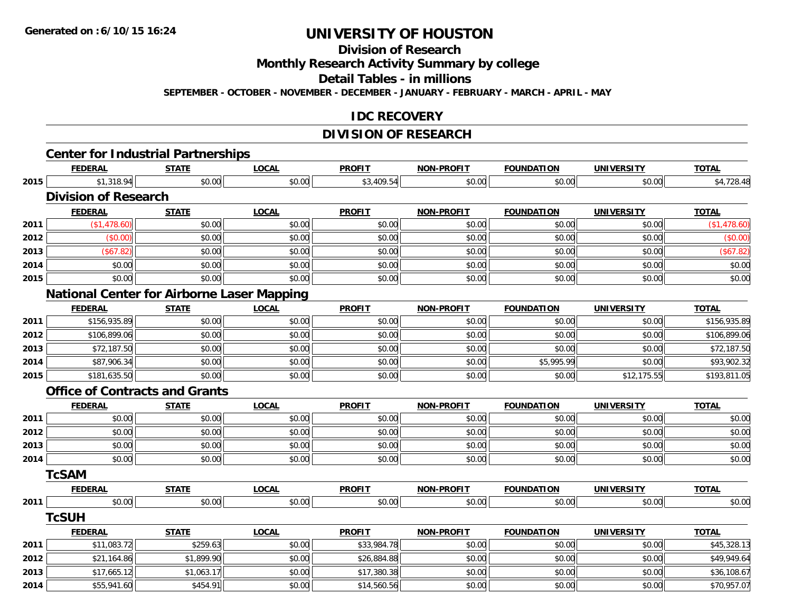**Division of Research**

**Monthly Research Activity Summary by college**

**Detail Tables - in millions**

**SEPTEMBER - OCTOBER - NOVEMBER - DECEMBER - JANUARY - FEBRUARY - MARCH - APRIL - MAY**

#### **IDC RECOVERY**

# **DIVISION OF RESEARCH**

|      |                                                             |              |              | <b>DIVISION OF RESEARCH</b> |                   |                   |                   |              |
|------|-------------------------------------------------------------|--------------|--------------|-----------------------------|-------------------|-------------------|-------------------|--------------|
|      | <b>Center for Industrial Partnerships</b><br><b>FEDERAL</b> | <b>STATE</b> | <b>LOCAL</b> | <b>PROFIT</b>               | <b>NON-PROFIT</b> | <b>FOUNDATION</b> | <b>UNIVERSITY</b> | <b>TOTAL</b> |
| 2015 | \$1,318.94                                                  | \$0.00       | \$0.00       | \$3,409.54                  | \$0.00            | \$0.00            | \$0.00            | \$4,728.48   |
|      | <b>Division of Research</b>                                 |              |              |                             |                   |                   |                   |              |
|      | <b>FEDERAL</b>                                              | <b>STATE</b> | <b>LOCAL</b> | <b>PROFIT</b>               | <b>NON-PROFIT</b> | <b>FOUNDATION</b> | <b>UNIVERSITY</b> | <b>TOTAL</b> |
| 2011 | (\$1,478.60)                                                | \$0.00       | \$0.00       | \$0.00                      | \$0.00            | \$0.00            | \$0.00            | (\$1,478.60) |
| 2012 | (\$0.00)                                                    | \$0.00       | \$0.00       | \$0.00                      | \$0.00            | \$0.00            | \$0.00            | (\$0.00)     |
| 2013 | (\$67.82)                                                   | \$0.00       | \$0.00       | \$0.00                      | \$0.00            | \$0.00            | \$0.00            | (\$67.82)    |
| 2014 | \$0.00                                                      | \$0.00       | \$0.00       | \$0.00                      | \$0.00            | \$0.00            | \$0.00            | \$0.00       |
| 2015 | \$0.00                                                      | \$0.00       | \$0.00       | \$0.00                      | \$0.00            | \$0.00            | \$0.00            | \$0.00       |
|      | <b>National Center for Airborne Laser Mapping</b>           |              |              |                             |                   |                   |                   |              |
|      | <b>FEDERAL</b>                                              | <b>STATE</b> | <b>LOCAL</b> | <b>PROFIT</b>               | <b>NON-PROFIT</b> | <b>FOUNDATION</b> | <b>UNIVERSITY</b> | <b>TOTAL</b> |
| 2011 | \$156,935.89                                                | \$0.00       | \$0.00       | \$0.00                      | \$0.00            | \$0.00            | \$0.00            | \$156,935.89 |
| 2012 | \$106,899.06                                                | \$0.00       | \$0.00       | \$0.00                      | \$0.00            | \$0.00            | \$0.00            | \$106,899.06 |
| 2013 | \$72,187.50                                                 | \$0.00       | \$0.00       | \$0.00                      | \$0.00            | \$0.00            | \$0.00            | \$72,187.50  |
| 2014 | \$87,906.34                                                 | \$0.00       | \$0.00       | \$0.00                      | \$0.00            | \$5,995.99        | \$0.00            | \$93,902.32  |
| 2015 | \$181,635.50                                                | \$0.00       | \$0.00       | \$0.00                      | \$0.00            | \$0.00            | \$12,175.55       | \$193,811.05 |
|      | <b>Office of Contracts and Grants</b>                       |              |              |                             |                   |                   |                   |              |
|      | <b>FEDERAL</b>                                              | <b>STATE</b> | <b>LOCAL</b> | <b>PROFIT</b>               | <b>NON-PROFIT</b> | <b>FOUNDATION</b> | <b>UNIVERSITY</b> | <b>TOTAL</b> |
| 2011 | \$0.00                                                      | \$0.00       | \$0.00       | \$0.00                      | \$0.00            | \$0.00            | \$0.00            | \$0.00       |
| 2012 | \$0.00                                                      | \$0.00       | \$0.00       | \$0.00                      | \$0.00            | \$0.00            | \$0.00            | \$0.00       |
| 2013 | \$0.00                                                      | \$0.00       | \$0.00       | \$0.00                      | \$0.00            | \$0.00            | \$0.00            | \$0.00       |
| 2014 | \$0.00                                                      | \$0.00       | \$0.00       | \$0.00                      | \$0.00            | \$0.00            | \$0.00            | \$0.00       |
|      | <b>TcSAM</b>                                                |              |              |                             |                   |                   |                   |              |
|      | <b>FEDERAL</b>                                              | <b>STATE</b> | <b>LOCAL</b> | <b>PROFIT</b>               | <b>NON-PROFIT</b> | <b>FOUNDATION</b> | <b>UNIVERSITY</b> | <b>TOTAL</b> |
| 2011 | \$0.00                                                      | \$0.00       | \$0.00       | \$0.00                      | \$0.00            | \$0.00            | \$0.00            | \$0.00       |
|      | <b>TcSUH</b>                                                |              |              |                             |                   |                   |                   |              |
|      | <b>FEDERAL</b>                                              | <b>STATE</b> | <b>LOCAL</b> | <b>PROFIT</b>               | <b>NON-PROFIT</b> | <b>FOUNDATION</b> | <b>UNIVERSITY</b> | <b>TOTAL</b> |
| 2011 | \$11,083.72                                                 | \$259.63     | \$0.00       | \$33,984.78                 | \$0.00            | \$0.00            | \$0.00            | \$45,328.13  |
| 2012 | \$21,164.86                                                 | \$1,899.90   | \$0.00       | \$26,884.88                 | \$0.00            | \$0.00            | \$0.00            | \$49,949.64  |
| 2013 | \$17,665.12                                                 | \$1,063.17   | \$0.00       | \$17,380.38                 | \$0.00            | \$0.00            | \$0.00            | \$36,108.67  |
| 2014 | \$55,941.60                                                 | \$454.91     | \$0.00       | \$14,560.56                 | \$0.00            | \$0.00            | \$0.00            | \$70,957.07  |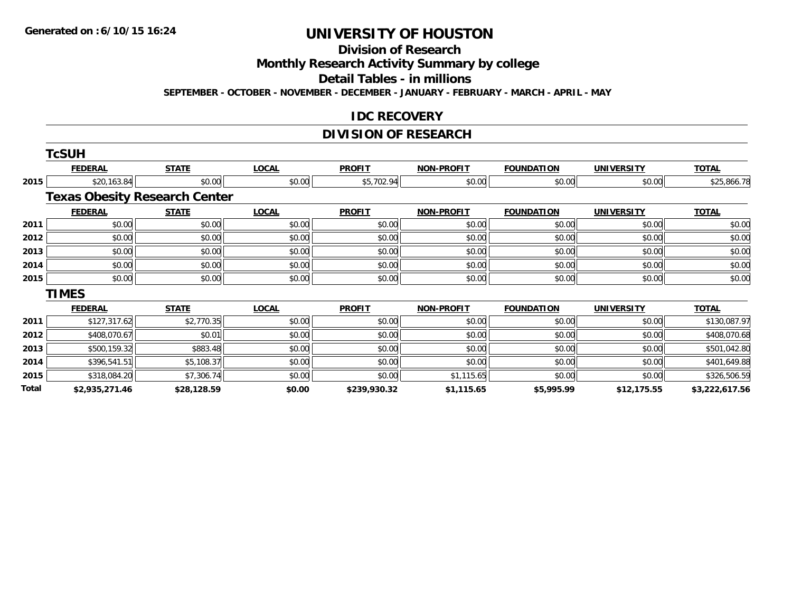## **Division of Research**

**Monthly Research Activity Summary by college**

**Detail Tables - in millions**

**SEPTEMBER - OCTOBER - NOVEMBER - DECEMBER - JANUARY - FEBRUARY - MARCH - APRIL - MAY**

#### **IDC RECOVERY**

### **DIVISION OF RESEARCH**

|       | <b>TcSUH</b>                         |              |              |               |                   |                   |                   |                |
|-------|--------------------------------------|--------------|--------------|---------------|-------------------|-------------------|-------------------|----------------|
|       | <b>FEDERAL</b>                       | <b>STATE</b> | <b>LOCAL</b> | <b>PROFIT</b> | <b>NON-PROFIT</b> | <b>FOUNDATION</b> | <b>UNIVERSITY</b> | <b>TOTAL</b>   |
| 2015  | \$20,163.84                          | \$0.00       | \$0.00       | \$5,702.94    | \$0.00            | \$0.00            | \$0.00            | \$25,866.78    |
|       | <b>Texas Obesity Research Center</b> |              |              |               |                   |                   |                   |                |
|       | <b>FEDERAL</b>                       | <b>STATE</b> | <b>LOCAL</b> | <b>PROFIT</b> | <b>NON-PROFIT</b> | <b>FOUNDATION</b> | <b>UNIVERSITY</b> | <b>TOTAL</b>   |
| 2011  | \$0.00                               | \$0.00       | \$0.00       | \$0.00        | \$0.00            | \$0.00            | \$0.00            | \$0.00         |
| 2012  | \$0.00                               | \$0.00       | \$0.00       | \$0.00        | \$0.00            | \$0.00            | \$0.00            | \$0.00         |
| 2013  | \$0.00                               | \$0.00       | \$0.00       | \$0.00        | \$0.00            | \$0.00            | \$0.00            | \$0.00         |
| 2014  | \$0.00                               | \$0.00       | \$0.00       | \$0.00        | \$0.00            | \$0.00            | \$0.00            | \$0.00         |
| 2015  | \$0.00                               | \$0.00       | \$0.00       | \$0.00        | \$0.00            | \$0.00            | \$0.00            | \$0.00         |
|       | <b>TIMES</b>                         |              |              |               |                   |                   |                   |                |
|       | <b>FEDERAL</b>                       | <b>STATE</b> | <b>LOCAL</b> | <b>PROFIT</b> | <b>NON-PROFIT</b> | <b>FOUNDATION</b> | <b>UNIVERSITY</b> | <b>TOTAL</b>   |
| 2011  | \$127,317.62                         | \$2,770.35   | \$0.00       | \$0.00        | \$0.00            | \$0.00            | \$0.00            | \$130,087.97   |
| 2012  | \$408,070.67                         | \$0.01       | \$0.00       | \$0.00        | \$0.00            | \$0.00            | \$0.00            | \$408,070.68   |
| 2013  | \$500,159.32                         | \$883.48     | \$0.00       | \$0.00        | \$0.00            | \$0.00            | \$0.00            | \$501,042.80   |
| 2014  | \$396,541.51                         | \$5,108.37   | \$0.00       | \$0.00        | \$0.00            | \$0.00            | \$0.00            | \$401,649.88   |
| 2015  | \$318,084.20                         | \$7,306.74   | \$0.00       | \$0.00        | \$1,115.65        | \$0.00            | \$0.00            | \$326,506.59   |
| Total | \$2,935,271.46                       | \$28,128.59  | \$0.00       | \$239,930.32  | \$1,115.65        | \$5,995.99        | \$12,175.55       | \$3,222,617.56 |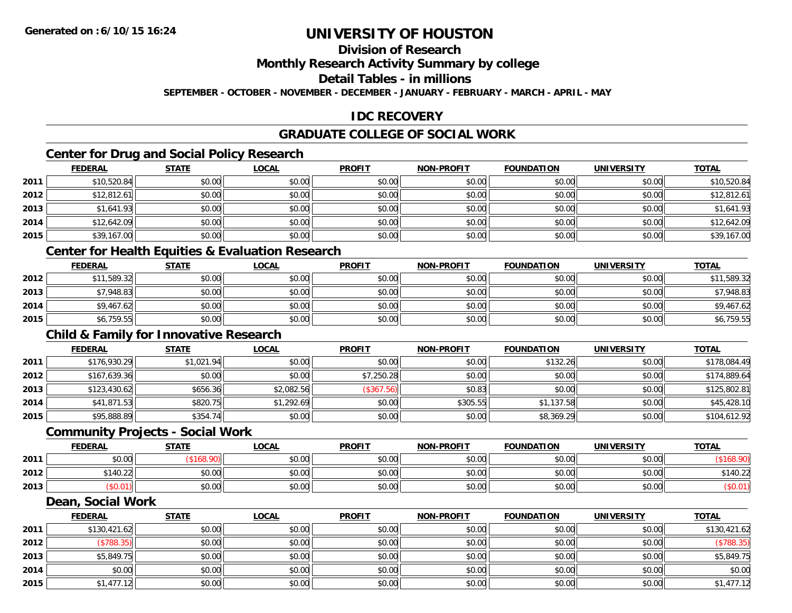### **Division of Research**

**Monthly Research Activity Summary by college**

**Detail Tables - in millions**

**SEPTEMBER - OCTOBER - NOVEMBER - DECEMBER - JANUARY - FEBRUARY - MARCH - APRIL - MAY**

### **IDC RECOVERY**

### **GRADUATE COLLEGE OF SOCIAL WORK**

### **Center for Drug and Social Policy Research**

|      | <b>FEDERAL</b> | <b>STATE</b> | <u>LOCAL</u> | <b>PROFIT</b> | <b>NON-PROFIT</b> | <b>FOUNDATION</b> | <b>UNIVERSITY</b> | <b>TOTAL</b> |
|------|----------------|--------------|--------------|---------------|-------------------|-------------------|-------------------|--------------|
| 2011 | \$10,520.84    | \$0.00       | \$0.00       | \$0.00        | \$0.00            | \$0.00            | \$0.00            | \$10,520.84  |
| 2012 | \$12,812.61    | \$0.00       | \$0.00       | \$0.00        | \$0.00            | \$0.00            | \$0.00            | \$12,812.61  |
| 2013 | \$1,641.93     | \$0.00       | \$0.00       | \$0.00        | \$0.00            | \$0.00            | \$0.00            | \$1,641.93   |
| 2014 | \$12,642.09    | \$0.00       | \$0.00       | \$0.00        | \$0.00            | \$0.00            | \$0.00            | \$12,642.09  |
| 2015 | \$39,167.00    | \$0.00       | \$0.00       | \$0.00        | \$0.00            | \$0.00            | \$0.00            | \$39,167.00  |

#### **Center for Health Equities & Evaluation Research**

|      | <u>FEDERAL</u> | <u>STATE</u> | <u>LOCAL</u> | <b>PROFIT</b> | <b>NON-PROFIT</b> | <b>FOUNDATION</b> | <b>UNIVERSITY</b> | <b>TOTAL</b> |
|------|----------------|--------------|--------------|---------------|-------------------|-------------------|-------------------|--------------|
| 2012 | \$11,589.32    | \$0.00       | \$0.00       | \$0.00        | \$0.00            | \$0.00            | \$0.00            | \$11,589.32  |
| 2013 | \$7,948.83     | \$0.00       | \$0.00       | \$0.00        | \$0.00            | \$0.00            | \$0.00            | \$7,948.83   |
| 2014 | \$9,467.62     | \$0.00       | \$0.00       | \$0.00        | \$0.00            | \$0.00            | \$0.00            | \$9,467.62   |
| 2015 | \$6,759.55     | \$0.00       | \$0.00       | \$0.00        | \$0.00            | \$0.00            | \$0.00            | \$6,759.55   |

### **Child & Family for Innovative Research**

|      | <u>FEDERAL</u> | <b>STATE</b> | <u>LOCAL</u> | <b>PROFIT</b> | <b>NON-PROFIT</b> | <b>FOUNDATION</b> | <b>UNIVERSITY</b> | <b>TOTAL</b> |
|------|----------------|--------------|--------------|---------------|-------------------|-------------------|-------------------|--------------|
| 2011 | \$176,930.29   | \$1,021.94   | \$0.00       | \$0.00        | \$0.00            | \$132.26          | \$0.00            | \$178,084.49 |
| 2012 | \$167,639.36   | \$0.00       | \$0.00       | \$7,250.28    | \$0.00            | \$0.00            | \$0.00            | \$174,889.64 |
| 2013 | \$123,430.62   | \$656.36     | \$2,082.56   | (\$367.56)    | \$0.83            | \$0.00            | \$0.00            | \$125,802.81 |
| 2014 | \$41,871.53    | \$820.75     | \$1,292.69   | \$0.00        | \$305.55          | \$1,137.58        | \$0.00            | \$45,428.10  |
| 2015 | \$95,888.89    | \$354.74     | \$0.00       | \$0.00        | \$0.00            | \$8,369.29        | \$0.00            | \$104,612.92 |

#### **Community Projects - Social Work**

|      | <b>FEDERAL</b> | <b>STATE</b> | <u>LOCAL</u> | <b>PROFIT</b> | <b>NON-PROFIT</b> | <b>FOUNDATION</b> | <b>UNIVERSITY</b> | <u>TOTAL</u> |
|------|----------------|--------------|--------------|---------------|-------------------|-------------------|-------------------|--------------|
| 2011 | \$0.00         |              | \$0.00       | \$0.00        | \$0.00            | \$0.00            | \$0.00            |              |
| 2012 | 140.22         | \$0.00       | \$0.00       | \$0.00        | \$0.00            | \$0.00            | \$0.00            | \$140.22     |
| 2013 | \$U.U I I      | \$0.00       | \$0.00       | \$0.00        | \$0.00            | \$0.00            | \$0.00            |              |

#### **Dean, Social Work**

|      | <b>FEDERAL</b> | <b>STATE</b> | <b>LOCAL</b> | <b>PROFIT</b> | <b>NON-PROFIT</b> | <b>FOUNDATION</b> | <b>UNIVERSITY</b> | <b>TOTAL</b> |
|------|----------------|--------------|--------------|---------------|-------------------|-------------------|-------------------|--------------|
| 2011 | \$130,421.62   | \$0.00       | \$0.00       | \$0.00        | \$0.00            | \$0.00            | \$0.00            | \$130,421.62 |
| 2012 | (\$788.35)     | \$0.00       | \$0.00       | \$0.00        | \$0.00            | \$0.00            | \$0.00            | (\$788.35)   |
| 2013 | \$5,849.75     | \$0.00       | \$0.00       | \$0.00        | \$0.00            | \$0.00            | \$0.00            | \$5,849.75   |
| 2014 | \$0.00         | \$0.00       | \$0.00       | \$0.00        | \$0.00            | \$0.00            | \$0.00            | \$0.00       |
| 2015 | \$1,477.12     | \$0.00       | \$0.00       | \$0.00        | \$0.00            | \$0.00            | \$0.00            | \$1,477.12   |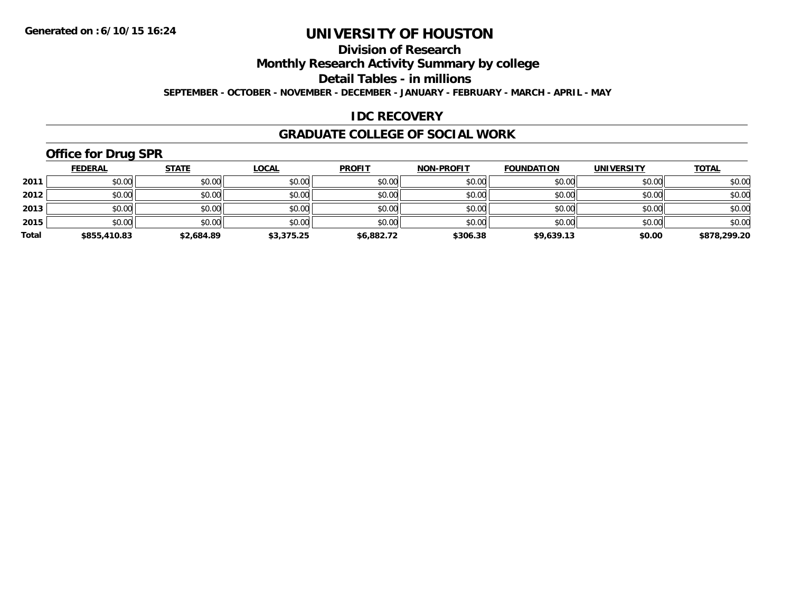### **Division of Research**

**Monthly Research Activity Summary by college**

**Detail Tables - in millions**

**SEPTEMBER - OCTOBER - NOVEMBER - DECEMBER - JANUARY - FEBRUARY - MARCH - APRIL - MAY**

### **IDC RECOVERY**

#### **GRADUATE COLLEGE OF SOCIAL WORK**

## **Office for Drug SPR**

|       | <u>FEDERAL</u> | <b>STATE</b> | <u>LOCAL</u> | <b>PROFIT</b> | <b>NON-PROFIT</b> | <b>FOUNDATION</b> | <b>UNIVERSITY</b> | <b>TOTAL</b> |
|-------|----------------|--------------|--------------|---------------|-------------------|-------------------|-------------------|--------------|
| 2011  | \$0.00         | \$0.00       | \$0.00       | \$0.00        | \$0.00            | \$0.00            | \$0.00            | \$0.00       |
| 2012  | \$0.00         | \$0.00       | \$0.00       | \$0.00        | \$0.00            | \$0.00            | \$0.00            | \$0.00       |
| 2013  | \$0.00         | \$0.00       | \$0.00       | \$0.00        | \$0.00            | \$0.00            | \$0.00            | \$0.00       |
| 2015  | \$0.00         | \$0.00       | \$0.00       | \$0.00        | \$0.00            | \$0.00            | \$0.00            | \$0.00       |
| Total | \$855,410.83   | \$2,684.89   | \$3,375.25   | \$6,882.72    | \$306.38          | \$9,639.13        | \$0.00            | \$878,299.20 |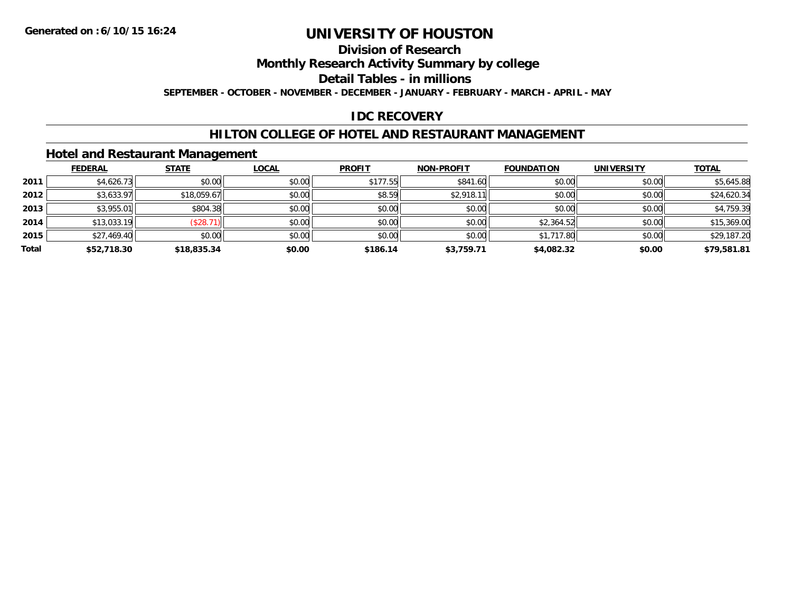### **Division of Research**

**Monthly Research Activity Summary by college**

**Detail Tables - in millions**

**SEPTEMBER - OCTOBER - NOVEMBER - DECEMBER - JANUARY - FEBRUARY - MARCH - APRIL - MAY**

### **IDC RECOVERY**

#### **HILTON COLLEGE OF HOTEL AND RESTAURANT MANAGEMENT**

#### **Hotel and Restaurant Management**

|       | <b>FEDERAL</b> | <b>STATE</b> | <u>LOCAL</u> | <b>PROFIT</b> | <b>NON-PROFIT</b> | <b>FOUNDATION</b> | <b>UNIVERSITY</b> | <b>TOTAL</b> |
|-------|----------------|--------------|--------------|---------------|-------------------|-------------------|-------------------|--------------|
| 2011  | \$4,626.73     | \$0.00       | \$0.00       | \$177.55      | \$841.60          | \$0.00            | \$0.00            | \$5,645.88   |
| 2012  | \$3,633.97     | \$18,059.67  | \$0.00       | \$8.59        | \$2,918.11        | \$0.00            | \$0.00            | \$24,620.34  |
| 2013  | \$3,955.01     | \$804.38     | \$0.00       | \$0.00        | \$0.00            | \$0.00            | \$0.00            | \$4,759.39   |
| 2014  | \$13,033.19    | (\$28.71)    | \$0.00       | \$0.00        | \$0.00            | \$2,364.52        | \$0.00            | \$15,369.00  |
| 2015  | \$27,469.40    | \$0.00       | \$0.00       | \$0.00        | \$0.00            | \$1,717.80        | \$0.00            | \$29,187.20  |
| Total | \$52,718.30    | \$18,835.34  | \$0.00       | \$186.14      | \$3.759.71        | \$4,082.32        | \$0.00            | \$79,581.81  |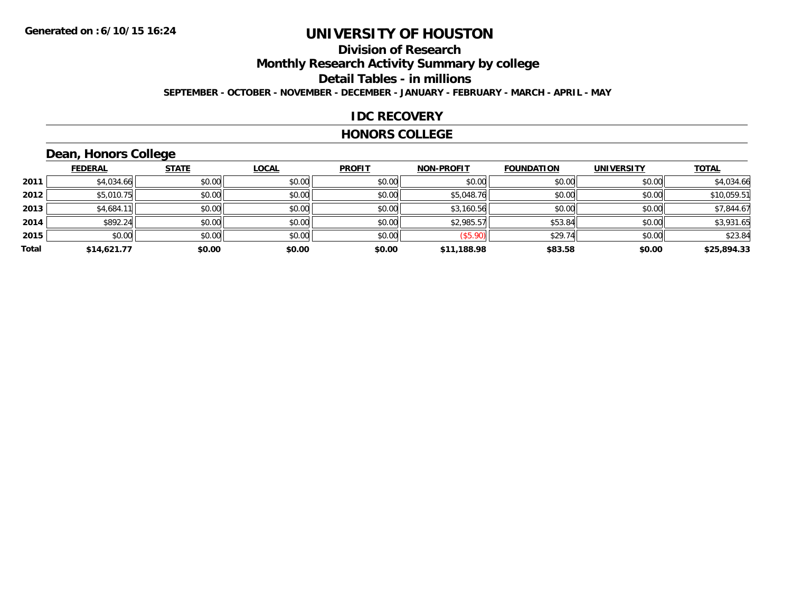### **Division of ResearchMonthly Research Activity Summary by college Detail Tables - in millions SEPTEMBER - OCTOBER - NOVEMBER - DECEMBER - JANUARY - FEBRUARY - MARCH - APRIL - MAY**

#### **IDC RECOVERY**

#### **HONORS COLLEGE**

## **Dean, Honors College**

|       | <b>FEDERAL</b> | <b>STATE</b> | <b>LOCAL</b> | <b>PROFIT</b> | <b>NON-PROFIT</b> | <b>FOUNDATION</b> | <b>UNIVERSITY</b> | <b>TOTAL</b> |
|-------|----------------|--------------|--------------|---------------|-------------------|-------------------|-------------------|--------------|
| 2011  | \$4,034.66     | \$0.00       | \$0.00       | \$0.00        | \$0.00            | \$0.00            | \$0.00            | \$4,034.66   |
| 2012  | \$5,010.75     | \$0.00       | \$0.00       | \$0.00        | \$5,048.76        | \$0.00            | \$0.00            | \$10,059.51  |
| 2013  | \$4,684.1      | \$0.00       | \$0.00       | \$0.00        | \$3,160.56        | \$0.00            | \$0.00            | \$7,844.67   |
| 2014  | \$892.24       | \$0.00       | \$0.00       | \$0.00        | \$2,985.57        | \$53.84           | \$0.00            | \$3,931.65   |
| 2015  | \$0.00         | \$0.00       | \$0.00       | \$0.00        | (\$5.90)          | \$29.74           | \$0.00            | \$23.84      |
| Total | \$14,621.77    | \$0.00       | \$0.00       | \$0.00        | \$11,188.98       | \$83.58           | \$0.00            | \$25,894.33  |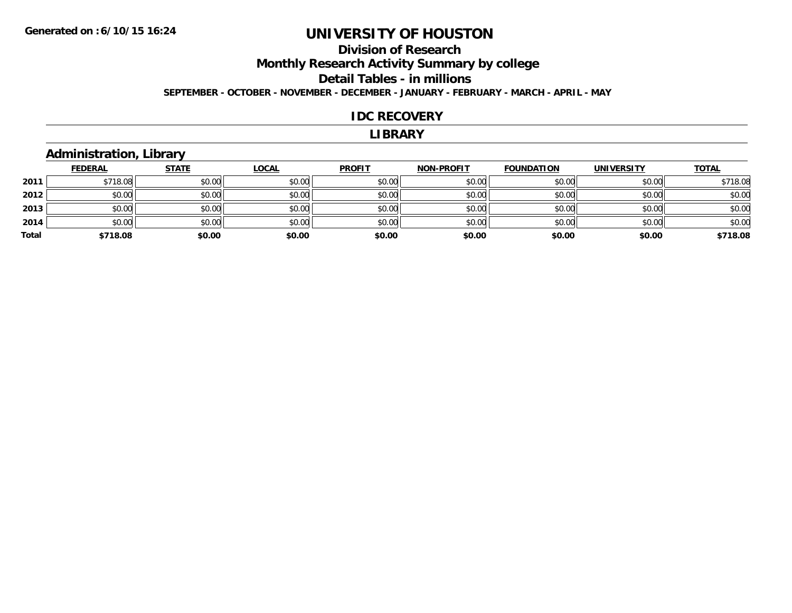### **Division of ResearchMonthly Research Activity Summary by college Detail Tables - in millions SEPTEMBER - OCTOBER - NOVEMBER - DECEMBER - JANUARY - FEBRUARY - MARCH - APRIL - MAY**

#### **IDC RECOVERY**

#### **LIBRARY**

### **Administration, Library**

|       | <b>FEDERAL</b> | <b>STATE</b> | <u>LOCAL</u> | <b>PROFIT</b> | <b>NON-PROFIT</b> | <b>FOUNDATION</b> | <b>UNIVERSITY</b> | <b>TOTAL</b> |
|-------|----------------|--------------|--------------|---------------|-------------------|-------------------|-------------------|--------------|
| 2011  | \$718.08       | \$0.00       | \$0.00       | \$0.00        | \$0.00            | \$0.00            | \$0.00            | \$718.08     |
| 2012  | \$0.00         | \$0.00       | \$0.00       | \$0.00        | \$0.00            | \$0.00            | \$0.00            | \$0.00       |
| 2013  | \$0.00         | \$0.00       | \$0.00       | \$0.00        | \$0.00            | \$0.00            | \$0.00            | \$0.00       |
| 2014  | \$0.00         | \$0.00       | \$0.00       | \$0.00        | \$0.00            | \$0.00            | \$0.00            | \$0.00       |
| Total | \$718.08       | \$0.00       | \$0.00       | \$0.00        | \$0.00            | \$0.00            | \$0.00            | \$718.08     |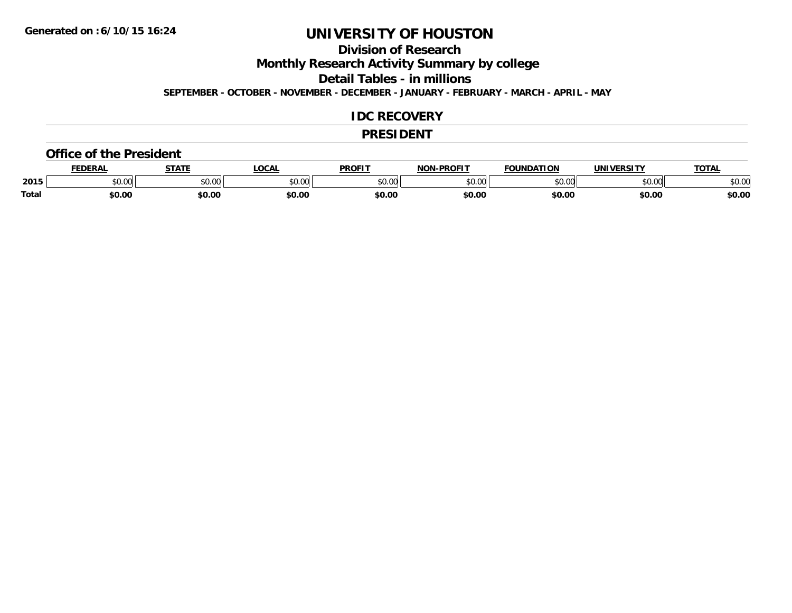**Division of Research**

**Monthly Research Activity Summary by college**

**Detail Tables - in millions**

**SEPTEMBER - OCTOBER - NOVEMBER - DECEMBER - JANUARY - FEBRUARY - MARCH - APRIL - MAY**

#### **IDC RECOVERY**

#### **PRESIDENT**

#### **Office of the President**

|       | EDERAL | <b>STATE</b>       | <b>OCAL</b> | PROFIT        | <b>I-PROFIT</b><br>וחרות | <b>FOUNDATION</b> | UNIVERSITY | <b>TOTAL</b> |
|-------|--------|--------------------|-------------|---------------|--------------------------|-------------------|------------|--------------|
| 2015  | \$0.00 | $\sim$ 00<br>vv.vv | \$0.00      | 0000<br>vv.vv | 0000<br>,u.uu            | \$0.00            | \$0.00     | 400<br>√∪.∪⊌ |
| Total | \$0.00 | \$0.00             | \$0.00      | \$0.00        | \$0.00                   | \$0.00            | \$0.00     | \$0.00       |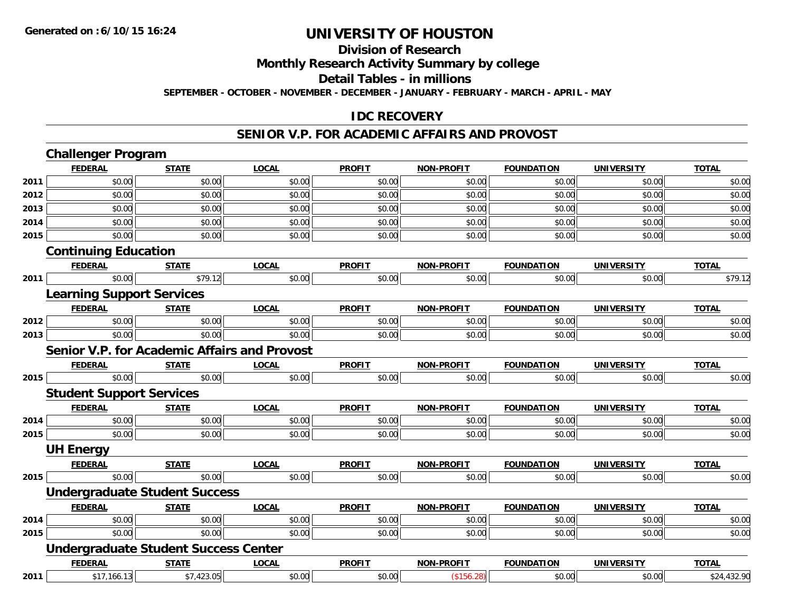#### **Division of Research**

**Monthly Research Activity Summary by college**

**Detail Tables - in millions**

**SEPTEMBER - OCTOBER - NOVEMBER - DECEMBER - JANUARY - FEBRUARY - MARCH - APRIL - MAY**

#### **IDC RECOVERY**

#### **SENIOR V.P. FOR ACADEMIC AFFAIRS AND PROVOST**

|      | <b>Challenger Program</b>                           |              |              |               |                   |                   |                   |              |
|------|-----------------------------------------------------|--------------|--------------|---------------|-------------------|-------------------|-------------------|--------------|
|      | <b>FEDERAL</b>                                      | <b>STATE</b> | <b>LOCAL</b> | <b>PROFIT</b> | <b>NON-PROFIT</b> | <b>FOUNDATION</b> | <b>UNIVERSITY</b> | <b>TOTAL</b> |
| 2011 | \$0.00                                              | \$0.00       | \$0.00       | \$0.00        | \$0.00            | \$0.00            | \$0.00            | \$0.00       |
| 2012 | \$0.00                                              | \$0.00       | \$0.00       | \$0.00        | \$0.00            | \$0.00            | \$0.00            | \$0.00       |
| 2013 | \$0.00                                              | \$0.00       | \$0.00       | \$0.00        | \$0.00            | \$0.00            | \$0.00            | \$0.00       |
| 2014 | \$0.00                                              | \$0.00       | \$0.00       | \$0.00        | \$0.00            | \$0.00            | \$0.00            | \$0.00       |
| 2015 | \$0.00                                              | \$0.00       | \$0.00       | \$0.00        | \$0.00            | \$0.00            | \$0.00            | \$0.00       |
|      | <b>Continuing Education</b>                         |              |              |               |                   |                   |                   |              |
|      | <b>FEDERAL</b>                                      | <b>STATE</b> | <b>LOCAL</b> | <b>PROFIT</b> | <b>NON-PROFIT</b> | <b>FOUNDATION</b> | <b>UNIVERSITY</b> | <b>TOTAL</b> |
| 2011 | \$0.00                                              | \$79.12      | \$0.00       | \$0.00        | \$0.00            | \$0.00            | \$0.00            | \$79.12      |
|      | <b>Learning Support Services</b>                    |              |              |               |                   |                   |                   |              |
|      | <b>FEDERAL</b>                                      | <b>STATE</b> | <b>LOCAL</b> | <b>PROFIT</b> | <b>NON-PROFIT</b> | <b>FOUNDATION</b> | <b>UNIVERSITY</b> | <b>TOTAL</b> |
| 2012 | \$0.00                                              | \$0.00       | \$0.00       | \$0.00        | \$0.00            | \$0.00            | \$0.00            | \$0.00       |
| 2013 | \$0.00                                              | \$0.00       | \$0.00       | \$0.00        | \$0.00            | \$0.00            | \$0.00            | \$0.00       |
|      | <b>Senior V.P. for Academic Affairs and Provost</b> |              |              |               |                   |                   |                   |              |
|      | <b>FEDERAL</b>                                      | <b>STATE</b> | <b>LOCAL</b> | <b>PROFIT</b> | <b>NON-PROFIT</b> | <b>FOUNDATION</b> | <b>UNIVERSITY</b> | <b>TOTAL</b> |
| 2015 | \$0.00                                              | \$0.00       | \$0.00       | \$0.00        | \$0.00            | \$0.00            | \$0.00            | \$0.00       |
|      | <b>Student Support Services</b>                     |              |              |               |                   |                   |                   |              |
|      | <b>FEDERAL</b>                                      | <b>STATE</b> | <b>LOCAL</b> | <b>PROFIT</b> | <b>NON-PROFIT</b> | <b>FOUNDATION</b> | <b>UNIVERSITY</b> | <b>TOTAL</b> |
| 2014 | \$0.00                                              | \$0.00       | \$0.00       | \$0.00        | \$0.00            | \$0.00            | \$0.00            | \$0.00       |
| 2015 | \$0.00                                              | \$0.00       | \$0.00       | \$0.00        | \$0.00            | \$0.00            | \$0.00            | \$0.00       |
|      | <b>UH Energy</b>                                    |              |              |               |                   |                   |                   |              |
|      | <b>FEDERAL</b>                                      | <b>STATE</b> | <b>LOCAL</b> | <b>PROFIT</b> | <b>NON-PROFIT</b> | <b>FOUNDATION</b> | <b>UNIVERSITY</b> | <b>TOTAL</b> |
| 2015 | \$0.00                                              | \$0.00       | \$0.00       | \$0.00        | \$0.00            | \$0.00            | \$0.00            | \$0.00       |
|      | <b>Undergraduate Student Success</b>                |              |              |               |                   |                   |                   |              |
|      | <b>FEDERAL</b>                                      | <b>STATE</b> | <b>LOCAL</b> | <b>PROFIT</b> | <b>NON-PROFIT</b> | <b>FOUNDATION</b> | <b>UNIVERSITY</b> | <b>TOTAL</b> |
| 2014 | \$0.00                                              | \$0.00       | \$0.00       | \$0.00        | \$0.00            | \$0.00            | \$0.00            | \$0.00       |
| 2015 | \$0.00                                              | \$0.00       | \$0.00       | \$0.00        | \$0.00            | \$0.00            | \$0.00            | \$0.00       |
|      | <b>Undergraduate Student Success Center</b>         |              |              |               |                   |                   |                   |              |
|      | <b>FEDERAL</b>                                      | <b>STATE</b> | <b>LOCAL</b> | <b>PROFIT</b> | <b>NON-PROFIT</b> | <b>FOUNDATION</b> | <b>UNIVERSITY</b> | <b>TOTAL</b> |
| 2011 | \$17,166.13                                         | \$7,423.05   | \$0.00       | \$0.00        | (\$156.28)        | \$0.00            | \$0.00            | \$24,432.90  |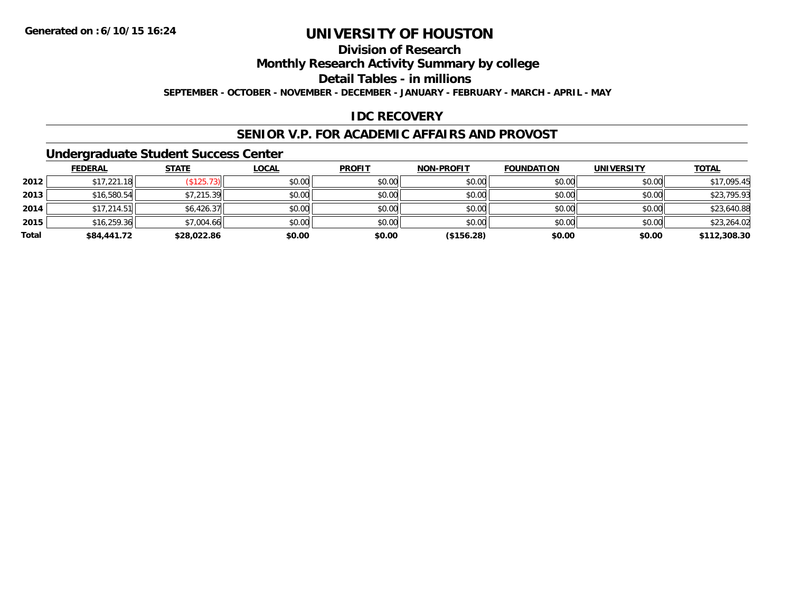### **Division of Research**

**Monthly Research Activity Summary by college**

**Detail Tables - in millions**

**SEPTEMBER - OCTOBER - NOVEMBER - DECEMBER - JANUARY - FEBRUARY - MARCH - APRIL - MAY**

### **IDC RECOVERY**

#### **SENIOR V.P. FOR ACADEMIC AFFAIRS AND PROVOST**

#### **Undergraduate Student Success Center**

|       | <b>FEDERAL</b> | <b>STATE</b> | <b>LOCAL</b> | <b>PROFIT</b> | <b>NON-PROFIT</b> | <b>FOUNDATION</b> | <b>UNIVERSITY</b> | <b>TOTAL</b> |
|-------|----------------|--------------|--------------|---------------|-------------------|-------------------|-------------------|--------------|
| 2012  | \$17,221.18    | (\$125.73)   | \$0.00       | \$0.00        | \$0.00            | \$0.00            | \$0.00            | \$17,095.45  |
| 2013  | \$16,580.54    | \$7,215.39   | \$0.00       | \$0.00        | \$0.00            | \$0.00            | \$0.00            | \$23,795.93  |
| 2014  | \$17,214.51    | \$6,426.37   | \$0.00       | \$0.00        | \$0.00            | \$0.00            | \$0.00            | \$23,640.88  |
| 2015  | \$16,259.36    | \$7,004.66   | \$0.00       | \$0.00        | \$0.00            | \$0.00            | \$0.00            | \$23,264.02  |
| Total | \$84,441.72    | \$28,022.86  | \$0.00       | \$0.00        | (\$156.28)        | \$0.00            | \$0.00            | \$112,308.30 |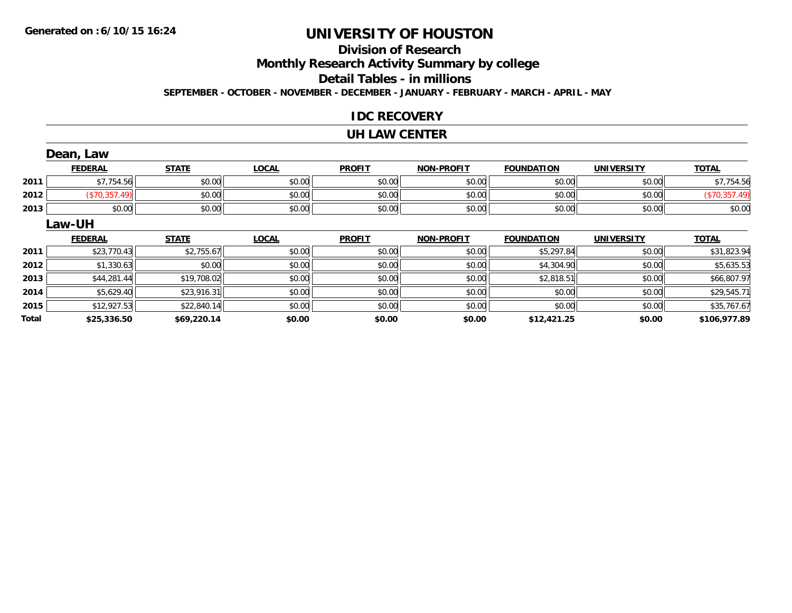## **Division of Research**

**Monthly Research Activity Summary by college**

**Detail Tables - in millions**

**SEPTEMBER - OCTOBER - NOVEMBER - DECEMBER - JANUARY - FEBRUARY - MARCH - APRIL - MAY**

#### **IDC RECOVERY**

#### **UH LAW CENTER**

|       | Dean, Law      |              |              |               |                   |                   |                   |               |
|-------|----------------|--------------|--------------|---------------|-------------------|-------------------|-------------------|---------------|
|       | <b>FEDERAL</b> | <b>STATE</b> | <b>LOCAL</b> | <b>PROFIT</b> | <b>NON-PROFIT</b> | <b>FOUNDATION</b> | <b>UNIVERSITY</b> | <b>TOTAL</b>  |
| 2011  | \$7,754.56     | \$0.00       | \$0.00       | \$0.00        | \$0.00            | \$0.00            | \$0.00            | \$7,754.56    |
| 2012  | (\$70,357.49)  | \$0.00       | \$0.00       | \$0.00        | \$0.00            | \$0.00            | \$0.00            | (\$70,357.49) |
| 2013  | \$0.00         | \$0.00       | \$0.00       | \$0.00        | \$0.00            | \$0.00            | \$0.00            | \$0.00        |
|       | Law-UH         |              |              |               |                   |                   |                   |               |
|       | <b>FEDERAL</b> | <b>STATE</b> | <b>LOCAL</b> | <b>PROFIT</b> | <b>NON-PROFIT</b> | <b>FOUNDATION</b> | <b>UNIVERSITY</b> | <b>TOTAL</b>  |
| 2011  | \$23,770.43    | \$2,755.67   | \$0.00       | \$0.00        | \$0.00            | \$5,297.84        | \$0.00            | \$31,823.94   |
| 2012  | \$1,330.63     | \$0.00       | \$0.00       | \$0.00        | \$0.00            | \$4,304.90        | \$0.00            | \$5,635.53    |
| 2013  | \$44,281.44    | \$19,708.02  | \$0.00       | \$0.00        | \$0.00            | \$2,818.51        | \$0.00            | \$66,807.97   |
| 2014  | \$5,629.40     | \$23,916.31  | \$0.00       | \$0.00        | \$0.00            | \$0.00            | \$0.00            | \$29,545.71   |
| 2015  | \$12,927.53    | \$22,840.14  | \$0.00       | \$0.00        | \$0.00            | \$0.00            | \$0.00            | \$35,767.67   |
| Total | \$25,336.50    | \$69,220.14  | \$0.00       | \$0.00        | \$0.00            | \$12,421.25       | \$0.00            | \$106,977.89  |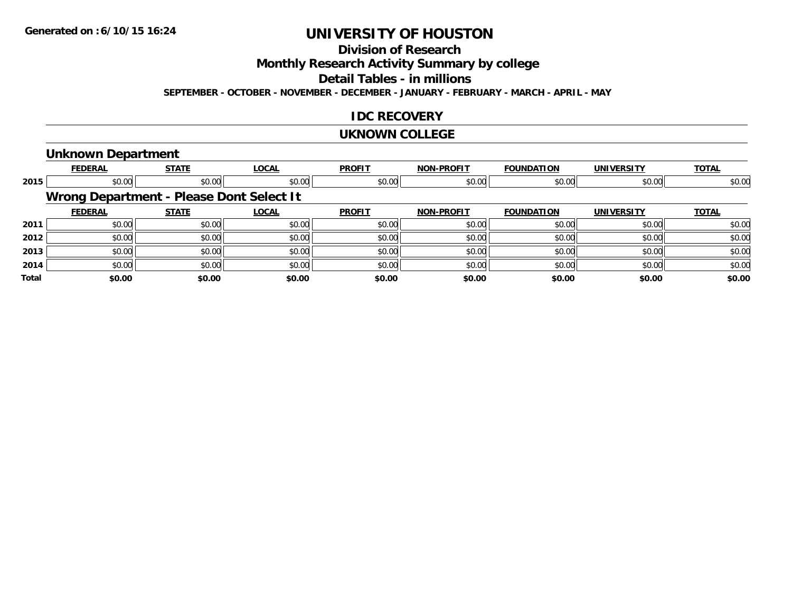### **Division of Research**

**Monthly Research Activity Summary by college**

**Detail Tables - in millions**

**SEPTEMBER - OCTOBER - NOVEMBER - DECEMBER - JANUARY - FEBRUARY - MARCH - APRIL - MAY**

#### **IDC RECOVERY**

#### **UKNOWN COLLEGE**

#### **Unknown Department**

|              | <b>FEDERAL</b>                           | <b>STATE</b> | <b>LOCAL</b> | <b>PROFIT</b> | <b>NON-PROFIT</b> | <b>FOUNDATION</b> | <b>UNIVERSITY</b> | <b>TOTAL</b> |
|--------------|------------------------------------------|--------------|--------------|---------------|-------------------|-------------------|-------------------|--------------|
| 2015         | \$0.00                                   | \$0.00       | \$0.00       | \$0.00        | \$0.00            | \$0.00            | \$0.00            | \$0.00       |
|              | Wrong Department - Please Dont Select It |              |              |               |                   |                   |                   |              |
|              | <b>FEDERAL</b>                           | <b>STATE</b> | <b>LOCAL</b> | <b>PROFIT</b> | <b>NON-PROFIT</b> | <b>FOUNDATION</b> | <b>UNIVERSITY</b> | <b>TOTAL</b> |
| 2011         | \$0.00                                   | \$0.00       | \$0.00       | \$0.00        | \$0.00            | \$0.00            | \$0.00            | \$0.00       |
| 2012         | \$0.00                                   | \$0.00       | \$0.00       | \$0.00        | \$0.00            | \$0.00            | \$0.00            | \$0.00       |
| 2013         | \$0.00                                   | \$0.00       | \$0.00       | \$0.00        | \$0.00            | \$0.00            | \$0.00            | \$0.00       |
| 2014         | \$0.00                                   | \$0.00       | \$0.00       | \$0.00        | \$0.00            | \$0.00            | \$0.00            | \$0.00       |
| <b>Total</b> | \$0.00                                   | \$0.00       | \$0.00       | \$0.00        | \$0.00            | \$0.00            | \$0.00            | \$0.00       |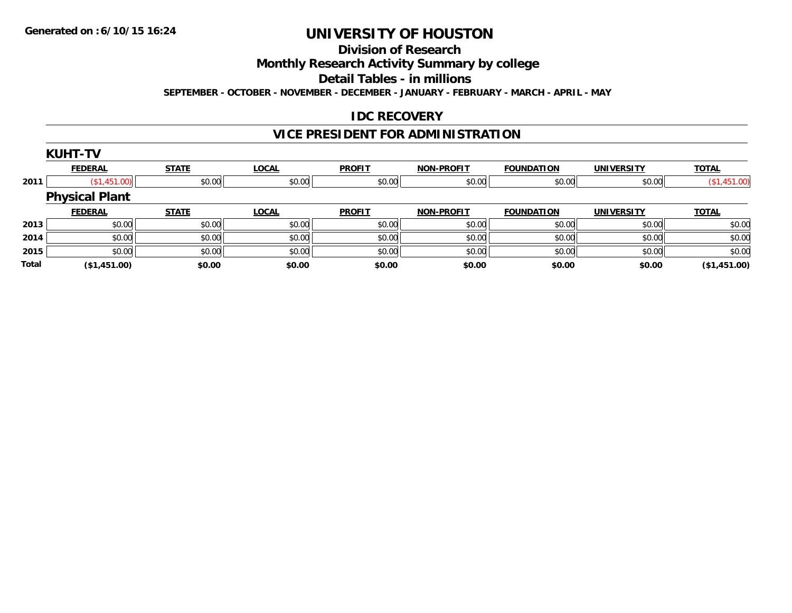#### **Division of Research**

**Monthly Research Activity Summary by college**

**Detail Tables - in millions**

**SEPTEMBER - OCTOBER - NOVEMBER - DECEMBER - JANUARY - FEBRUARY - MARCH - APRIL - MAY**

### **IDC RECOVERY**

### **VICE PRESIDENT FOR ADMINISTRATION**

|              | <b>KUHT-TV</b>        |              |              |               |                   |                   |                   |              |
|--------------|-----------------------|--------------|--------------|---------------|-------------------|-------------------|-------------------|--------------|
|              | <b>FEDERAL</b>        | <b>STATE</b> | <b>LOCAL</b> | <b>PROFIT</b> | <b>NON-PROFIT</b> | <b>FOUNDATION</b> | <b>UNIVERSITY</b> | <b>TOTAL</b> |
| 2011         | (S1, 451.00)          | \$0.00       | \$0.00       | \$0.00        | \$0.00            | \$0.00            | \$0.00            | (\$1,451.00) |
|              | <b>Physical Plant</b> |              |              |               |                   |                   |                   |              |
|              | <b>FEDERAL</b>        | <b>STATE</b> | <b>LOCAL</b> | <b>PROFIT</b> | <b>NON-PROFIT</b> | <b>FOUNDATION</b> | <b>UNIVERSITY</b> | <b>TOTAL</b> |
| 2013         | \$0.00                | \$0.00       | \$0.00       | \$0.00        | \$0.00            | \$0.00            | \$0.00            | \$0.00       |
| 2014         | \$0.00                | \$0.00       | \$0.00       | \$0.00        | \$0.00            | \$0.00            | \$0.00            | \$0.00       |
| 2015         | \$0.00                | \$0.00       | \$0.00       | \$0.00        | \$0.00            | \$0.00            | \$0.00            | \$0.00       |
| <b>Total</b> | (\$1,451.00)          | \$0.00       | \$0.00       | \$0.00        | \$0.00            | \$0.00            | \$0.00            | (\$1,451.00) |